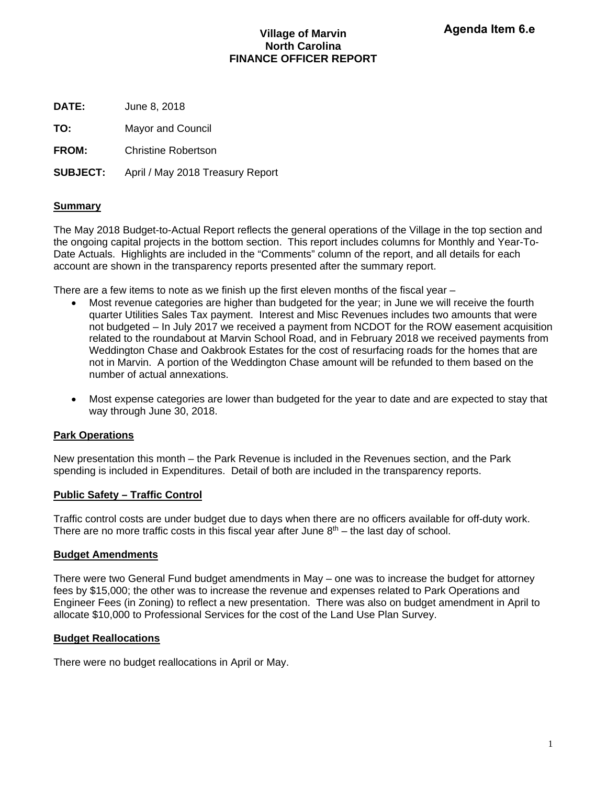## **Village of Marvin North Carolina FINANCE OFFICER REPORT**

**DATE:** June 8, 2018

**TO:** Mayor and Council

**FROM:** Christine Robertson

**SUBJECT:** April / May 2018 Treasury Report

## **Summary**

The May 2018 Budget-to-Actual Report reflects the general operations of the Village in the top section and the ongoing capital projects in the bottom section. This report includes columns for Monthly and Year-To-Date Actuals. Highlights are included in the "Comments" column of the report, and all details for each account are shown in the transparency reports presented after the summary report.

There are a few items to note as we finish up the first eleven months of the fiscal year  $-$ 

- Most revenue categories are higher than budgeted for the year; in June we will receive the fourth quarter Utilities Sales Tax payment. Interest and Misc Revenues includes two amounts that were not budgeted – In July 2017 we received a payment from NCDOT for the ROW easement acquisition related to the roundabout at Marvin School Road, and in February 2018 we received payments from Weddington Chase and Oakbrook Estates for the cost of resurfacing roads for the homes that are not in Marvin. A portion of the Weddington Chase amount will be refunded to them based on the number of actual annexations.
- Most expense categories are lower than budgeted for the year to date and are expected to stay that way through June 30, 2018.

## **Park Operations**

New presentation this month – the Park Revenue is included in the Revenues section, and the Park spending is included in Expenditures. Detail of both are included in the transparency reports.

## **Public Safety – Traffic Control**

Traffic control costs are under budget due to days when there are no officers available for off-duty work. There are no more traffic costs in this fiscal year after June  $8<sup>th</sup>$  – the last day of school.

## **Budget Amendments**

There were two General Fund budget amendments in May – one was to increase the budget for attorney fees by \$15,000; the other was to increase the revenue and expenses related to Park Operations and Engineer Fees (in Zoning) to reflect a new presentation. There was also on budget amendment in April to allocate \$10,000 to Professional Services for the cost of the Land Use Plan Survey.

## **Budget Reallocations**

There were no budget reallocations in April or May.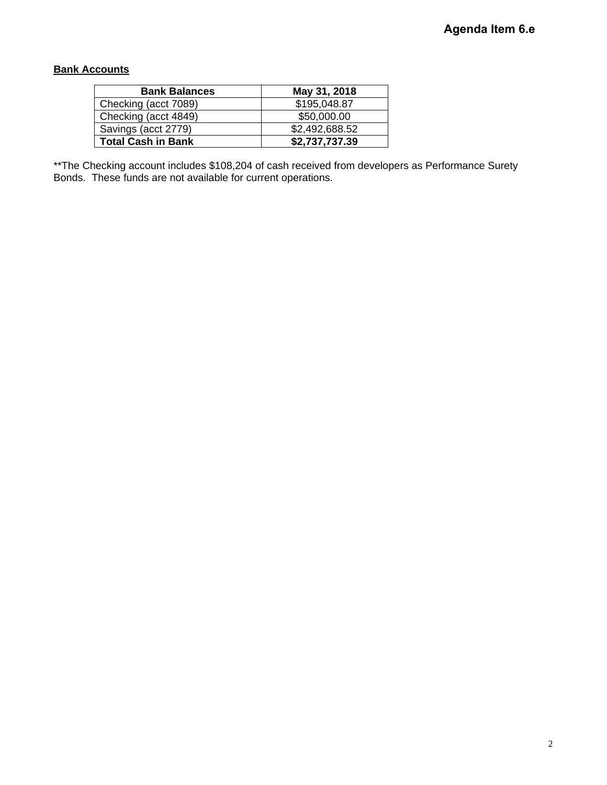## **Bank Accounts**

| <b>Bank Balances</b>      | May 31, 2018   |
|---------------------------|----------------|
| Checking (acct 7089)      | \$195,048.87   |
| Checking (acct 4849)      | \$50,000.00    |
| Savings (acct 2779)       | \$2,492,688.52 |
| <b>Total Cash in Bank</b> | \$2,737,737.39 |

\*\*The Checking account includes \$108,204 of cash received from developers as Performance Surety Bonds. These funds are not available for current operations.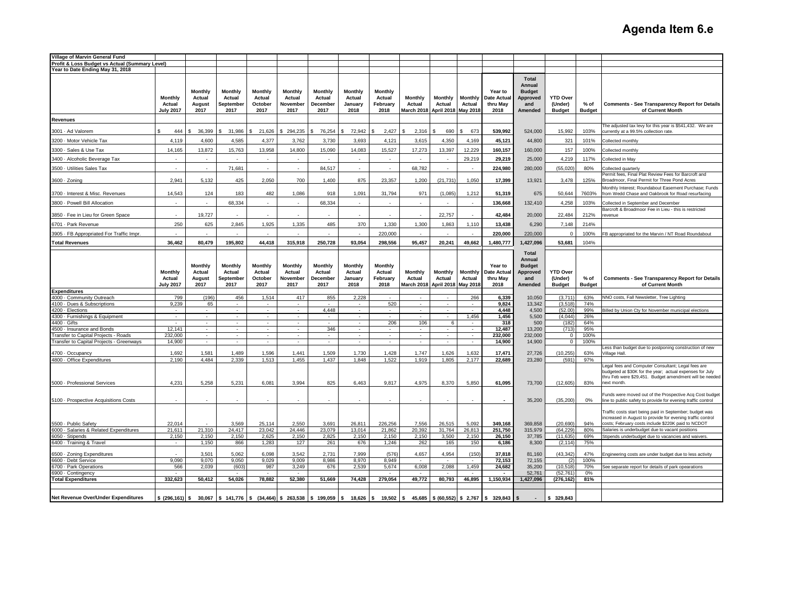| Village of Marvin General Fund                                                   |                   |                          |                        |                                       |                                                      |                    |                   |                                 |                                    |                          |                                                      |                                       |                        |                               |               |                                                                                                                  |
|----------------------------------------------------------------------------------|-------------------|--------------------------|------------------------|---------------------------------------|------------------------------------------------------|--------------------|-------------------|---------------------------------|------------------------------------|--------------------------|------------------------------------------------------|---------------------------------------|------------------------|-------------------------------|---------------|------------------------------------------------------------------------------------------------------------------|
| Profit & Loss Budget vs Actual (Summary Level)                                   |                   |                          |                        |                                       |                                                      |                    |                   |                                 |                                    |                          |                                                      |                                       |                        |                               |               |                                                                                                                  |
| Year to Date Ending May 31, 2018                                                 |                   |                          |                        |                                       |                                                      |                    |                   |                                 |                                    |                          |                                                      |                                       |                        |                               |               |                                                                                                                  |
|                                                                                  |                   |                          |                        |                                       |                                                      |                    |                   |                                 |                                    |                          |                                                      |                                       | <b>Total</b><br>Annual |                               |               |                                                                                                                  |
|                                                                                  |                   | Monthly                  | <b>Monthly</b>         | <b>Monthly</b>                        | <b>Monthly</b>                                       | Monthly            | <b>Monthly</b>    | <b>Monthly</b>                  |                                    |                          |                                                      | Year to                               | <b>Budget</b>          |                               |               |                                                                                                                  |
|                                                                                  | <b>Monthly</b>    | Actual                   | Actual                 | Actual                                | Actual                                               | Actual             | Actual            | Actual                          | <b>Monthly</b>                     | <b>Monthly</b>           | <b>Monthly</b>                                       | Date Actual                           | <b>Approved</b>        | <b>YTD Over</b>               |               |                                                                                                                  |
|                                                                                  | Actual            | August                   | September              | October                               | November                                             | December           | January           | February                        | Actual                             | Actual                   | Actual                                               | thru May                              | and                    | (Under)                       | % of          | <b>Comments - See Transparency Report for Details</b>                                                            |
|                                                                                  | <b>July 2017</b>  | 2017                     | 2017                   | 2017                                  | 2017                                                 | 2017               | 2018              | 2018                            | March 2018 April 2018 May 2018     |                          |                                                      | 2018                                  | Amended                | <b>Budget</b>                 | <b>Budget</b> | of Current Month                                                                                                 |
| <b>Revenues</b>                                                                  |                   |                          |                        |                                       |                                                      |                    |                   |                                 |                                    |                          |                                                      |                                       |                        |                               |               |                                                                                                                  |
| 3001 · Ad Valorem                                                                | 444               | 36,399                   | 31.986                 | 21.626                                | \$294.235                                            | 76.254             | 72.942            | 2.427                           | 2.316                              | 690                      | 673                                                  | 539.992                               | 524,000                | 15.992                        | 103%          | The adjusted tax levy for this year is \$541,432. We are<br>currently at a 99.5% collection rate.                |
| 3200 · Motor Vehicle Tax                                                         | 4.119             | 4,600                    | 4,585                  | 4.377                                 | 3,762                                                | 3,730              | 3,693             | 4,121                           | 3,615                              | 4,350                    | 4,169                                                | 45,121                                | 44,800                 | 321                           | 101%          | Collected monthly                                                                                                |
| 3300 · Sales & Use Tax                                                           | 14.165            | 13.872                   | 15,763                 | 13,958                                | 14,800                                               | 15,090             | 14,083            | 15,527                          | 17,273                             | 13,397                   | 12,229                                               | 160,157                               | 160,000                | 157                           | 100%          | Collected monthly                                                                                                |
| 3400 · Alcoholic Beverage Tax                                                    | $\overline{a}$    | $\overline{\phantom{a}}$ |                        | $\mathcal{L}_{\mathcal{A}}$           | $\sim$                                               |                    | $\sim$            | $\sim$                          | $\sim$                             |                          | 29,219                                               | 29,219                                | 25,000                 | 4,219                         | 117%          | Collected in May                                                                                                 |
| 3500 · Utilities Sales Tax                                                       | $\overline{a}$    | $\overline{\phantom{a}}$ | 71,681                 | $\mathcal{L}_{\mathcal{A}}$           | $\overline{a}$                                       | 84,517             | $\sim$            | $\overline{\phantom{a}}$        | 68,782                             |                          |                                                      | 224,980                               | 280,000                | (55,020)                      | 80%           |                                                                                                                  |
|                                                                                  |                   |                          |                        |                                       |                                                      |                    |                   |                                 |                                    |                          |                                                      |                                       |                        |                               |               | Collected quarterly<br>Permit fees, Final Plat Review Fees for Barcroft and                                      |
| 3600 · Zoning                                                                    | 2,941             | 5,132                    | 425                    | 2,050                                 | 700                                                  | 1,400              | 875               | 23,357                          | 1,200                              | (21, 731)                | 1,050                                                | 17,399                                | 13,921                 | 3,478                         | 125%          | Broadmoor, Final Permit for Three Pond Acres                                                                     |
| 3700 - Interest & Misc. Revenues                                                 | 14,543            | 124                      | 183                    | 482                                   | 1,086                                                | 918                | 1,091             | 31,794                          | 971                                | (1,085)                  | 1,212                                                | 51,319                                | 675                    | 50,644                        | 7603%         | Monthly Interest; Roundabout Easement Purchase; Funds<br>from Wedd Chase and Oakbrook for Road resurfacing       |
| 3800 · Powell Bill Allocation                                                    |                   |                          | 68,334                 |                                       |                                                      | 68,334             |                   |                                 |                                    |                          |                                                      | 136,668                               | 132,410                | 4,258                         | 103%          | Collected in September and December                                                                              |
|                                                                                  |                   |                          |                        |                                       |                                                      |                    |                   |                                 |                                    |                          |                                                      |                                       |                        |                               |               | Barcroft & Broadmoor Fee in Lieu - this is restricted                                                            |
| 3850 · Fee in Lieu for Green Space                                               |                   | 19,727                   |                        |                                       |                                                      |                    |                   |                                 |                                    | 22,757                   |                                                      | 42,484                                | 20,000                 | 22,484                        | 212%          | revenue                                                                                                          |
| 6701 · Park Revenue                                                              | 250               | 625                      | 2,845                  | 1,925                                 | 1,335                                                | 485                | 370               | 1,330                           | 1,300                              | 1,863                    | 1,110                                                | 13,438                                | 6,290                  | 7,148                         | 214%          |                                                                                                                  |
| 3905 · FB Appropriated For Traffic Impr.                                         |                   |                          |                        |                                       |                                                      |                    |                   | 220,000                         |                                    |                          |                                                      | 220,000                               | 220,000                | $\Omega$                      | 100%          | FB appropriated for the Marvin / NT Road Roundabout                                                              |
| <b>Total Revenues</b>                                                            | 36,462            | 80,479                   | 195,802                | 44,418                                | 315,918                                              | 250,728            | 93,054            | 298,556                         | 95,457                             | 20,241                   | 49,662                                               | 1,480,777                             | 1,427,096              | 53,681                        | 104%          |                                                                                                                  |
|                                                                                  |                   |                          |                        |                                       |                                                      |                    |                   |                                 |                                    |                          |                                                      |                                       | <b>Total</b>           |                               |               |                                                                                                                  |
|                                                                                  |                   |                          |                        |                                       |                                                      |                    |                   |                                 |                                    |                          |                                                      |                                       | Annual                 |                               |               |                                                                                                                  |
|                                                                                  |                   | Monthly                  | Monthly                | Monthly                               | <b>Monthly</b>                                       | Monthly            | Monthly           | <b>Monthly</b>                  |                                    |                          |                                                      | Year to                               | <b>Budget</b>          |                               |               |                                                                                                                  |
|                                                                                  | Monthly<br>Actual | Actual<br>August         | Actual<br>September    | Actual<br>October                     | Actual<br>November                                   | Actual<br>December | Actual<br>January | Actual<br>February              | Monthly<br>Actual                  | Monthly<br>Actual        | Monthly<br>Actual                                    | Date Actual<br>thru May               | Approved<br>and        | <b>YTD Over</b><br>(Under)    | $%$ of        | <b>Comments - See Transparency Report for Details</b>                                                            |
|                                                                                  | <b>July 2017</b>  | 2017                     | 2017                   | 2017                                  | 2017                                                 | 2017               | 2018              | 2018                            | March 2018   April 2018   May 2018 |                          |                                                      | 2018                                  | Amended                | <b>Budget</b>                 | <b>Budget</b> | of Current Month                                                                                                 |
| <b>Expenditures</b>                                                              |                   |                          |                        |                                       |                                                      |                    |                   |                                 |                                    |                          |                                                      |                                       |                        |                               |               |                                                                                                                  |
| 4000 · Community Outreach                                                        | 799               | (196)                    | 456                    | 1,514                                 | 417                                                  | 855                | 2,228             |                                 |                                    |                          | 266                                                  | 6,339                                 | 10,050                 | (3,711)                       | 63%           | NNO costs, Fall Newsletter, Tree Lighting                                                                        |
| 4100 · Dues & Subscriptions<br>4200 · Elections                                  | 9,239             | 65                       | $\sim$<br>$\sim$       | $\sim$                                | $\overline{\phantom{a}}$<br>$\overline{\phantom{a}}$ | 4,448              | $\sim$            | 520<br>$\overline{\phantom{a}}$ | $\sim$<br>$\sim$                   |                          | $\sim$                                               | 9,824<br>4,448                        | 13,342<br>4,500        | (3,518)<br>(52.00)            | 74%<br>99%    | Billed by Union Cty for November municipal elections                                                             |
| 4300 · Furnishings & Equipment                                                   | ÷                 | $\sim$                   | $\sim$                 | $\mathcal{L}_{\mathcal{A}}$           | ٠                                                    |                    | $\sim$            |                                 |                                    |                          | 1.456                                                | 1,456                                 | 5,500                  | (4.044)                       | 26%           |                                                                                                                  |
| $4400 \cdot$ Gifts                                                               | ÷                 | $\sim$                   | $\sim$                 | ÷.                                    | $\sim$                                               |                    | $\sim$            | 206                             | 106                                | 6                        |                                                      | 318                                   | 500                    | (182)                         | 64%           |                                                                                                                  |
| 4500 · Insurance and Bonds                                                       | 12,141            | $\mathbf{r}$             | $\sim$                 | ÷                                     | $\sim$<br>a.                                         | 346                | $\sim$<br>$\sim$  | $\overline{\phantom{a}}$        | $\sim$<br>÷                        | $\sim$<br>$\sim$         | $\sim$                                               | 12,487                                | 13,200                 | (713)                         | 95%           |                                                                                                                  |
| Transfer to Capital Projects - Roads<br>Transfer to Capital Projects - Greenways | 232,000<br>14,900 | $\mathbf{r}$<br>$\sim$   | $\mathbf{r}$<br>$\sim$ | $\mathcal{L}_{\mathcal{A}}$<br>$\sim$ | $\sim$                                               | $\sim$             | $\sim$            | $\sim$<br>$\sim$                | $\sim$                             | $\sim$                   | $\overline{\phantom{a}}$<br>$\overline{\phantom{a}}$ | 232,000<br>14,900                     | 232,000<br>14,900      | $\mathbf 0$<br>$\overline{0}$ | 100%<br>100%  |                                                                                                                  |
|                                                                                  |                   |                          |                        |                                       |                                                      |                    |                   |                                 |                                    |                          |                                                      |                                       |                        |                               |               | Less than budget due to postponing construction of new                                                           |
| 4700 · Occupancy                                                                 | 1,692             | 1,581                    | 1,489                  | 1,596                                 | 1,441                                                | 1,509              | 1,730             | 1,428                           | 1,747                              | 1,626                    | 1,632                                                | 17,471                                | 27,726                 | (10, 255)                     | 63%           | Village Hall.                                                                                                    |
| 4800 · Office Expenditures                                                       | 2,190             | 4,484                    | 2,339                  | 1,513                                 | 1,455                                                | 1,437              | 1,848             | 1,522                           | 1,919                              | 1,805                    | 2,177                                                | 22,689                                | 23,280                 | (591)                         | 97%           | Legal fees and Computer Consultant; Legal fees are                                                               |
|                                                                                  |                   |                          |                        |                                       |                                                      |                    |                   |                                 |                                    |                          |                                                      |                                       |                        |                               |               | budgeted at \$30K for the year; actual expenses for July                                                         |
|                                                                                  |                   |                          |                        |                                       |                                                      |                    |                   |                                 |                                    |                          |                                                      |                                       |                        |                               |               | thru Feb were \$29,451. Budget amendment will be needed                                                          |
| 5000 · Professional Services                                                     | 4,231             | 5,258                    | 5,231                  | 6,081                                 | 3,994                                                | 825                | 6,463             | 9,817                           | 4,975                              | 8,370                    | 5,850                                                | 61,095                                | 73,700                 | (12,605)                      | 83%           | next month.                                                                                                      |
|                                                                                  |                   |                          |                        |                                       |                                                      |                    |                   |                                 |                                    |                          |                                                      |                                       |                        |                               |               | Funds were moved out of the Prospective Acq Cost budget                                                          |
| 5100 · Prospective Acquisitions Costs                                            |                   |                          |                        |                                       |                                                      |                    |                   |                                 |                                    |                          |                                                      |                                       | 35,200                 | (35, 200)                     | $0\%$         | line to public safety to provide for evening traffic control                                                     |
|                                                                                  |                   |                          |                        |                                       |                                                      |                    |                   |                                 |                                    |                          |                                                      |                                       |                        |                               |               | Traffic costs start being paid in September; budget was                                                          |
| 5500 · Public Safety                                                             | 22,014            |                          | 3,569                  | 25,114                                | 2,550                                                | 3,691              | 26,811            | 226,256                         | 7,556                              | 26,515                   | 5,092                                                | 349,168                               | 369,858                | (20, 690)                     | 94%           | increased in August to provide for evening traffic control<br>costs; February costs include \$220K paid to NCDOT |
| 6000 · Salaries & Related Expenditures                                           | 21.611            | 21,310                   | 24,417                 | 23.042                                | 24.446                                               | 23,079             | 13,014            | 21,862                          | 20,392                             | 31,764                   | 26,813                                               | 251,750                               | 315,979                | (64, 229)                     | 80%           | Salaries is underbudget due to vacant positions                                                                  |
| 6050 · Stipends                                                                  | 2,150             | 2,150                    | 2,150                  | 2,625                                 | 2,150                                                | 2,825              | 2,150             | 2,150                           | 2,150                              | 3,500                    | 2,150                                                | 26,150                                | 37,785                 | (11, 635)                     | 69%           | Stipends underbudget due to vacancies and waivers.                                                               |
| 6400 · Training & Travel                                                         | $\sim$            | 1,150                    | 866                    | 1,283                                 | 127                                                  | 261                | 676               | 1,246                           | 262                                | 165                      | 150                                                  | 6,186                                 | 8,300                  | (2, 114)                      | 75%           |                                                                                                                  |
| 6500 · Zoning Expenditures                                                       |                   | 3.501                    | 5.062                  | 6.098                                 | 3.542                                                | 2.731              | 7.999             | (576)                           | 4,657                              | 4.954                    | (150)                                                | 37.818                                | 81.160                 | (43, 342)                     | 47%           | Engineering costs are under budget due to less activity                                                          |
| 6600 · Debt Service                                                              | 9.090             | 9.070                    | 9,050                  | 9,029                                 | 9.009                                                | 8,986              | 8,970             | 8.949                           | $\sim$                             | $\sim$                   | $\overline{a}$                                       | 72,153                                | 72,155                 | (2)                           | 100%          |                                                                                                                  |
| 6700 · Park Operations                                                           | 566               | 2,039                    | (603)                  | 987                                   | 3,249                                                | 676                | 2,539             | 5,674                           | 6,008                              | 2,088                    | 1,459                                                | 24,682                                | 35,200                 | (10, 518)                     | 70%           | See separate report for details of park opearations                                                              |
| 6900 · Contingency<br><b>Total Expenditures</b>                                  | $\sim$<br>332,623 | 50,412                   | $\sim$<br>54,026       | $\sim$<br>78,882                      | $\sim$<br>52,380                                     | 51,669             | 74,428            | $\sim$<br>279,054               | $\sim$<br>49,772                   | $\sim$<br>80,793         | $\overline{\phantom{a}}$<br>46,895                   | $\overline{\phantom{a}}$<br>1,150,934 | 52,761<br>1,427,096    | (52, 761)<br>(276, 162)       | $0\%$<br>81%  |                                                                                                                  |
|                                                                                  |                   |                          |                        |                                       |                                                      |                    |                   |                                 |                                    |                          |                                                      |                                       |                        |                               |               |                                                                                                                  |
|                                                                                  |                   |                          |                        |                                       |                                                      |                    |                   |                                 |                                    |                          |                                                      |                                       |                        |                               |               |                                                                                                                  |
| Net Revenue Over/Under Expenditures                                              |                   | \$ (296, 161) \$ 30,067  | \$141,776              | - \$                                  | $(34, 464)$ \$ 263,538                               | \$199,059          | 18,626            | 19,502                          | 45,685<br>١s                       | \$ (60, 552) \$ \$ 2,767 |                                                      | 329,843                               |                        | \$329.843                     |               |                                                                                                                  |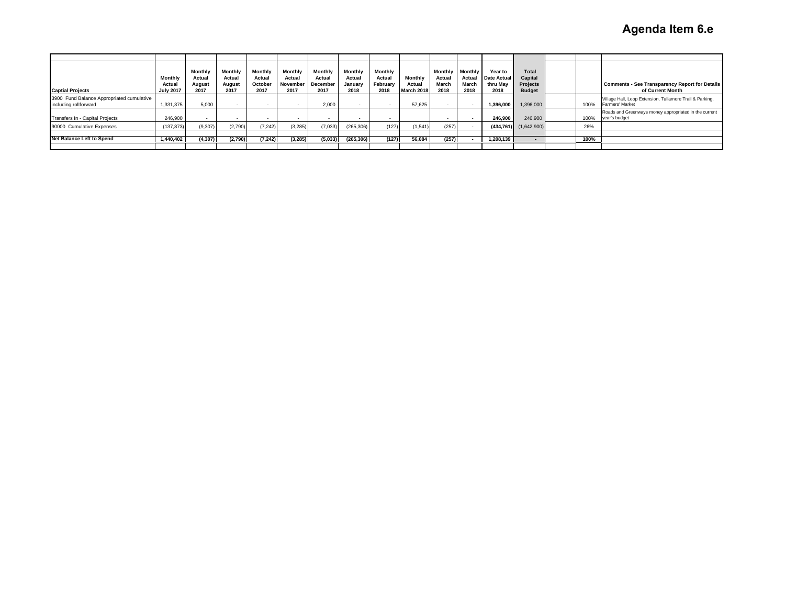| <b>Captial Projects</b>                                            | <b>Monthly</b><br>Actual<br><b>July 2017</b> | Monthly<br>Actual<br>August<br>2017 | Monthly<br>Actual<br>August<br>2017 | Monthly<br>Actual<br>October<br>2017 | Monthly<br>Actual<br>November<br>2017 | Monthly<br>Actual<br>December<br>2017 | Monthly<br>Actual<br>January<br>2018 | Monthly<br>Actual<br>February<br>2018 | <b>Monthly</b><br>Actual<br>March 2018 | Monthly<br>Actual<br>March<br>2018 | Monthly<br>Actual<br>March<br>2018 | <b>Year to</b><br>Date Actual<br>thru Mav<br>2018 | Total<br>Capital<br>Projects<br><b>Budget</b> |      | <b>Comments - See Transparency Report for Details</b><br>of Current Month   |
|--------------------------------------------------------------------|----------------------------------------------|-------------------------------------|-------------------------------------|--------------------------------------|---------------------------------------|---------------------------------------|--------------------------------------|---------------------------------------|----------------------------------------|------------------------------------|------------------------------------|---------------------------------------------------|-----------------------------------------------|------|-----------------------------------------------------------------------------|
| 3900 Fund Balance Appropriated cumulative<br>including rollforward | 1.331.375                                    | 5.000                               |                                     |                                      |                                       | 2.000                                 |                                      |                                       | 57.625                                 |                                    |                                    | 1.396.000                                         | 1,396,000                                     | 100% | Village Hall, Loop Extension, Tullamore Trail & Parking,<br>Farmers' Market |
| Transfers In - Capital Projects                                    | 246.900                                      | $\overline{\phantom{a}}$            |                                     | $\overline{\phantom{a}}$             | $\sim$                                |                                       | . .                                  |                                       |                                        | $\sim$                             |                                    | 246.900                                           | 246.900                                       | 100% | Roads and Greenways money appropriated in the current<br>year's budget      |
| 90000 Cumulative Expenses                                          | (137, 873)                                   | (9,307)                             | (2,790)                             | (7, 242)                             | (3,285)                               | (7,033)                               | (265, 306)                           | (127)                                 | (1,541)                                | (257)                              |                                    |                                                   | $(434.761)$ $(1.642.900)$                     | 26%  |                                                                             |
|                                                                    |                                              |                                     |                                     |                                      |                                       |                                       |                                      |                                       |                                        |                                    |                                    |                                                   |                                               |      |                                                                             |
| <b>Net Balance Left to Spend</b>                                   | 1,440,402                                    | (4, 307)                            | (2,790)                             | (7, 242)                             | (3, 285)                              | (5,033)                               | (265, 306)                           | (127)                                 | 56,084                                 | (257)                              |                                    | 1,208,139                                         | $\sim$                                        | 100% |                                                                             |
|                                                                    |                                              |                                     |                                     |                                      |                                       |                                       |                                      |                                       |                                        |                                    |                                    |                                                   |                                               |      |                                                                             |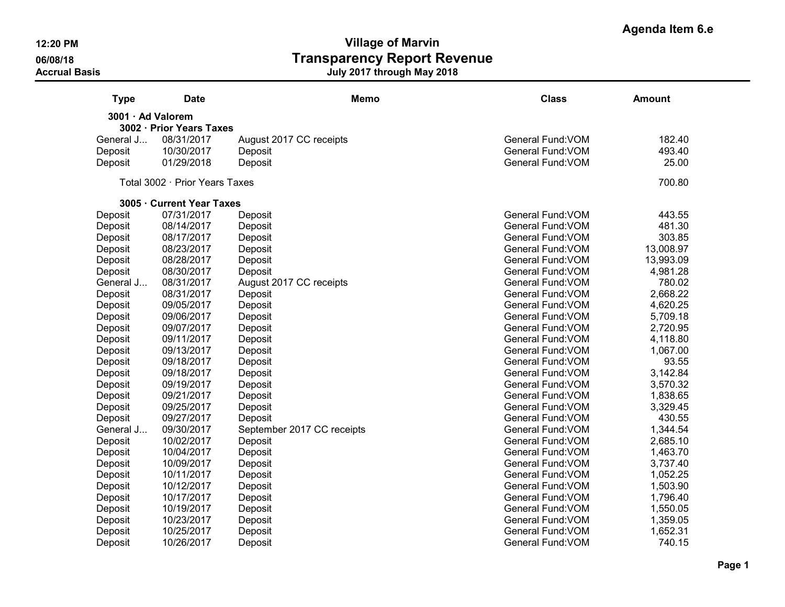**Agenda Item 6.e**

| <b>Type</b>       | <b>Date</b>                    |                            | <b>Memo</b> | <b>Class</b>      | <b>Amount</b> |
|-------------------|--------------------------------|----------------------------|-------------|-------------------|---------------|
| 3001 · Ad Valorem |                                |                            |             |                   |               |
|                   | 3002 · Prior Years Taxes       |                            |             |                   |               |
| General J         | 08/31/2017                     | August 2017 CC receipts    |             | General Fund: VOM | 182.40        |
| Deposit           | 10/30/2017                     | Deposit                    |             | General Fund: VOM | 493.40        |
| Deposit           | 01/29/2018                     | Deposit                    |             | General Fund: VOM | 25.00         |
|                   | Total 3002 · Prior Years Taxes |                            |             |                   | 700.80        |
|                   | 3005 · Current Year Taxes      |                            |             |                   |               |
| Deposit           | 07/31/2017                     | Deposit                    |             | General Fund: VOM | 443.55        |
| Deposit           | 08/14/2017                     | Deposit                    |             | General Fund: VOM | 481.30        |
| Deposit           | 08/17/2017                     | Deposit                    |             | General Fund: VOM | 303.85        |
| Deposit           | 08/23/2017                     | Deposit                    |             | General Fund: VOM | 13,008.97     |
| Deposit           | 08/28/2017                     | Deposit                    |             | General Fund: VOM | 13,993.09     |
| Deposit           | 08/30/2017                     | Deposit                    |             | General Fund: VOM | 4,981.28      |
| General J         | 08/31/2017                     | August 2017 CC receipts    |             | General Fund: VOM | 780.02        |
| Deposit           | 08/31/2017                     | Deposit                    |             | General Fund: VOM | 2,668.22      |
| Deposit           | 09/05/2017                     | Deposit                    |             | General Fund: VOM | 4,620.25      |
| Deposit           | 09/06/2017                     | Deposit                    |             | General Fund: VOM | 5,709.18      |
| Deposit           | 09/07/2017                     | Deposit                    |             | General Fund: VOM | 2,720.95      |
| Deposit           | 09/11/2017                     | Deposit                    |             | General Fund: VOM | 4,118.80      |
| Deposit           | 09/13/2017                     | Deposit                    |             | General Fund: VOM | 1,067.00      |
| Deposit           | 09/18/2017                     | Deposit                    |             | General Fund: VOM | 93.55         |
| Deposit           | 09/18/2017                     | Deposit                    |             | General Fund: VOM | 3,142.84      |
| Deposit           | 09/19/2017                     | Deposit                    |             | General Fund: VOM | 3,570.32      |
| Deposit           | 09/21/2017                     | Deposit                    |             | General Fund: VOM | 1,838.65      |
| Deposit           | 09/25/2017                     | Deposit                    |             | General Fund: VOM | 3,329.45      |
| Deposit           | 09/27/2017                     | Deposit                    |             | General Fund: VOM | 430.55        |
| General J         | 09/30/2017                     | September 2017 CC receipts |             | General Fund: VOM | 1,344.54      |
| Deposit           | 10/02/2017                     | Deposit                    |             | General Fund: VOM | 2,685.10      |
| Deposit           | 10/04/2017                     | Deposit                    |             | General Fund: VOM | 1,463.70      |
| Deposit           | 10/09/2017                     | Deposit                    |             | General Fund: VOM | 3,737.40      |
| Deposit           | 10/11/2017                     | Deposit                    |             | General Fund: VOM | 1,052.25      |
| Deposit           | 10/12/2017                     | Deposit                    |             | General Fund: VOM | 1,503.90      |
| Deposit           | 10/17/2017                     | Deposit                    |             | General Fund: VOM | 1,796.40      |
| Deposit           | 10/19/2017                     | Deposit                    |             | General Fund: VOM | 1,550.05      |
| Deposit           | 10/23/2017                     | Deposit                    |             | General Fund: VOM | 1,359.05      |
| Deposit           | 10/25/2017                     | Deposit                    |             | General Fund: VOM | 1,652.31      |
| Deposit           | 10/26/2017                     | Deposit                    |             | General Fund: VOM | 740.15        |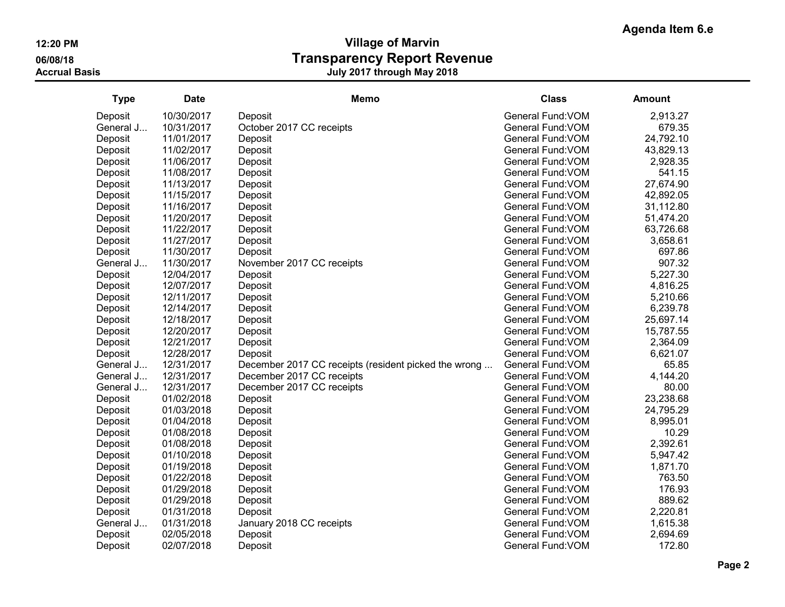| <b>Type</b> | <b>Date</b> | Memo                                                 | <b>Class</b>      | <b>Amount</b> |
|-------------|-------------|------------------------------------------------------|-------------------|---------------|
| Deposit     | 10/30/2017  | Deposit                                              | General Fund: VOM | 2,913.27      |
| General J   | 10/31/2017  | October 2017 CC receipts                             | General Fund: VOM | 679.35        |
| Deposit     | 11/01/2017  | Deposit                                              | General Fund: VOM | 24,792.10     |
| Deposit     | 11/02/2017  | Deposit                                              | General Fund: VOM | 43,829.13     |
| Deposit     | 11/06/2017  | Deposit                                              | General Fund: VOM | 2,928.35      |
| Deposit     | 11/08/2017  | Deposit                                              | General Fund: VOM | 541.15        |
| Deposit     | 11/13/2017  | Deposit                                              | General Fund: VOM | 27,674.90     |
| Deposit     | 11/15/2017  | Deposit                                              | General Fund: VOM | 42,892.05     |
| Deposit     | 11/16/2017  | Deposit                                              | General Fund: VOM | 31,112.80     |
| Deposit     | 11/20/2017  | Deposit                                              | General Fund: VOM | 51,474.20     |
| Deposit     | 11/22/2017  | Deposit                                              | General Fund: VOM | 63,726.68     |
| Deposit     | 11/27/2017  | Deposit                                              | General Fund: VOM | 3,658.61      |
| Deposit     | 11/30/2017  | Deposit                                              | General Fund: VOM | 697.86        |
| General J   | 11/30/2017  | November 2017 CC receipts                            | General Fund: VOM | 907.32        |
| Deposit     | 12/04/2017  | Deposit                                              | General Fund: VOM | 5,227.30      |
| Deposit     | 12/07/2017  | Deposit                                              | General Fund: VOM | 4,816.25      |
| Deposit     | 12/11/2017  | Deposit                                              | General Fund: VOM | 5,210.66      |
| Deposit     | 12/14/2017  | Deposit                                              | General Fund: VOM | 6,239.78      |
| Deposit     | 12/18/2017  | Deposit                                              | General Fund: VOM | 25,697.14     |
| Deposit     | 12/20/2017  | Deposit                                              | General Fund: VOM | 15,787.55     |
| Deposit     | 12/21/2017  | Deposit                                              | General Fund: VOM | 2,364.09      |
| Deposit     | 12/28/2017  | Deposit                                              | General Fund: VOM | 6,621.07      |
| General J   | 12/31/2017  | December 2017 CC receipts (resident picked the wrong | General Fund: VOM | 65.85         |
| General J   | 12/31/2017  | December 2017 CC receipts                            | General Fund: VOM | 4,144.20      |
| General J   | 12/31/2017  | December 2017 CC receipts                            | General Fund: VOM | 80.00         |
| Deposit     | 01/02/2018  | Deposit                                              | General Fund: VOM | 23,238.68     |
| Deposit     | 01/03/2018  | Deposit                                              | General Fund: VOM | 24,795.29     |
| Deposit     | 01/04/2018  | Deposit                                              | General Fund: VOM | 8,995.01      |
| Deposit     | 01/08/2018  | Deposit                                              | General Fund: VOM | 10.29         |
| Deposit     | 01/08/2018  | Deposit                                              | General Fund: VOM | 2,392.61      |
| Deposit     | 01/10/2018  | Deposit                                              | General Fund: VOM | 5,947.42      |
| Deposit     | 01/19/2018  | Deposit                                              | General Fund: VOM | 1,871.70      |
| Deposit     | 01/22/2018  | Deposit                                              | General Fund: VOM | 763.50        |
| Deposit     | 01/29/2018  | Deposit                                              | General Fund: VOM | 176.93        |
| Deposit     | 01/29/2018  | Deposit                                              | General Fund: VOM | 889.62        |
| Deposit     | 01/31/2018  | Deposit                                              | General Fund: VOM | 2,220.81      |
| General J   | 01/31/2018  | January 2018 CC receipts                             | General Fund: VOM | 1,615.38      |
| Deposit     | 02/05/2018  | Deposit                                              | General Fund: VOM | 2,694.69      |
| Deposit     | 02/07/2018  | Deposit                                              | General Fund: VOM | 172.80        |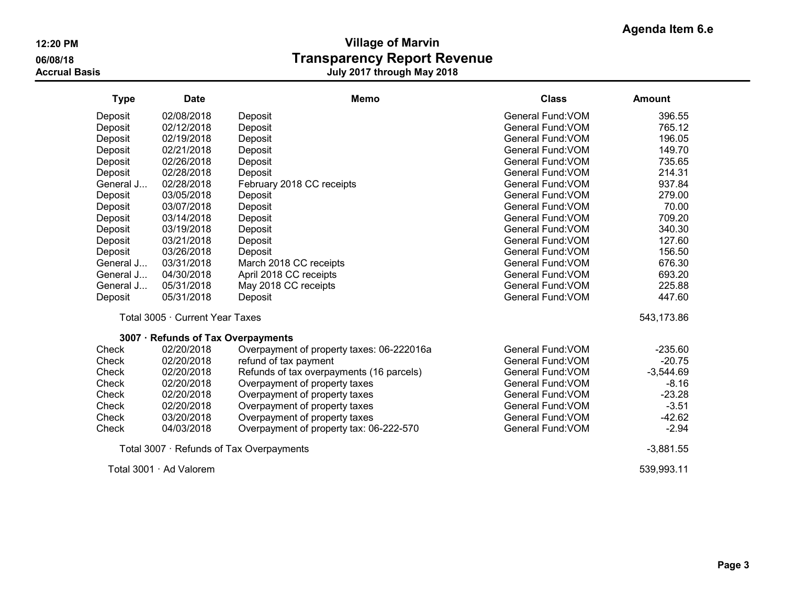| <b>Type</b> | <b>Date</b>                     | <b>Memo</b>                               | <b>Class</b>      | <b>Amount</b> |  |
|-------------|---------------------------------|-------------------------------------------|-------------------|---------------|--|
| Deposit     | 02/08/2018                      | Deposit                                   | General Fund: VOM | 396.55        |  |
| Deposit     | 02/12/2018                      | Deposit                                   | General Fund: VOM | 765.12        |  |
| Deposit     | 02/19/2018                      | Deposit                                   | General Fund: VOM | 196.05        |  |
| Deposit     | 02/21/2018                      | Deposit                                   | General Fund: VOM | 149.70        |  |
| Deposit     | 02/26/2018                      | Deposit                                   | General Fund: VOM | 735.65        |  |
| Deposit     | 02/28/2018                      | Deposit                                   | General Fund: VOM | 214.31        |  |
| General J   | 02/28/2018                      | February 2018 CC receipts                 | General Fund: VOM | 937.84        |  |
| Deposit     | 03/05/2018                      | Deposit                                   | General Fund: VOM | 279.00        |  |
| Deposit     | 03/07/2018                      | Deposit                                   | General Fund: VOM | 70.00         |  |
| Deposit     | 03/14/2018                      | Deposit                                   | General Fund: VOM | 709.20        |  |
| Deposit     | 03/19/2018                      | Deposit                                   | General Fund: VOM | 340.30        |  |
| Deposit     | 03/21/2018                      | Deposit                                   | General Fund: VOM | 127.60        |  |
| Deposit     | 03/26/2018                      | Deposit                                   | General Fund: VOM | 156.50        |  |
| General J   | 03/31/2018                      | March 2018 CC receipts                    | General Fund: VOM | 676.30        |  |
| General J   | 04/30/2018                      | April 2018 CC receipts                    | General Fund: VOM | 693.20        |  |
| General J   | 05/31/2018                      | May 2018 CC receipts                      | General Fund: VOM | 225.88        |  |
| Deposit     | 05/31/2018                      | Deposit                                   | General Fund: VOM | 447.60        |  |
|             | Total 3005 · Current Year Taxes |                                           |                   | 543,173.86    |  |
|             |                                 | 3007 · Refunds of Tax Overpayments        |                   |               |  |
| Check       | 02/20/2018                      | Overpayment of property taxes: 06-222016a | General Fund: VOM | $-235.60$     |  |
| Check       | 02/20/2018                      | refund of tax payment                     | General Fund: VOM | $-20.75$      |  |
| Check       | 02/20/2018                      | Refunds of tax overpayments (16 parcels)  | General Fund: VOM | $-3,544.69$   |  |
| Check       | 02/20/2018                      | Overpayment of property taxes             | General Fund: VOM | $-8.16$       |  |
| Check       | 02/20/2018                      | Overpayment of property taxes             | General Fund: VOM | $-23.28$      |  |
| Check       | 02/20/2018                      | Overpayment of property taxes             | General Fund: VOM | $-3.51$       |  |
| Check       | 03/20/2018                      | Overpayment of property taxes             | General Fund: VOM | $-42.62$      |  |
| Check       | 04/03/2018                      | Overpayment of property tax: 06-222-570   | General Fund: VOM | $-2.94$       |  |
|             |                                 | Total 3007 · Refunds of Tax Overpayments  |                   | $-3,881.55$   |  |
|             | Total 3001 · Ad Valorem         |                                           |                   | 539,993.11    |  |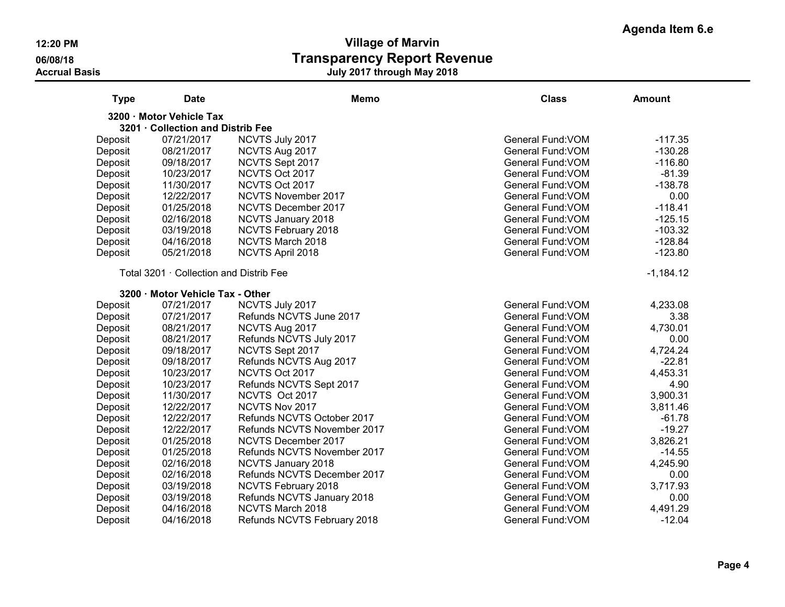| <b>Type</b> | <b>Date</b>                             | <b>Memo</b>                 | <b>Class</b>             | <b>Amount</b> |
|-------------|-----------------------------------------|-----------------------------|--------------------------|---------------|
|             | 3200 · Motor Vehicle Tax                |                             |                          |               |
|             | 3201 Collection and Distrib Fee         |                             |                          |               |
| Deposit     | 07/21/2017                              | NCVTS July 2017             | <b>General Fund: VOM</b> | $-117.35$     |
| Deposit     | 08/21/2017                              | NCVTS Aug 2017              | General Fund: VOM        | $-130.28$     |
| Deposit     | 09/18/2017                              | NCVTS Sept 2017             | General Fund: VOM        | $-116.80$     |
| Deposit     | 10/23/2017                              | NCVTS Oct 2017              | General Fund: VOM        | $-81.39$      |
| Deposit     | 11/30/2017                              | NCVTS Oct 2017              | General Fund: VOM        | $-138.78$     |
| Deposit     | 12/22/2017                              | NCVTS November 2017         | General Fund: VOM        | 0.00          |
| Deposit     | 01/25/2018                              | NCVTS December 2017         | General Fund: VOM        | $-118.41$     |
| Deposit     | 02/16/2018                              | <b>NCVTS January 2018</b>   | General Fund: VOM        | $-125.15$     |
| Deposit     | 03/19/2018                              | NCVTS February 2018         | General Fund: VOM        | $-103.32$     |
| Deposit     | 04/16/2018                              | NCVTS March 2018            | General Fund: VOM        | $-128.84$     |
| Deposit     | 05/21/2018                              | NCVTS April 2018            | General Fund: VOM        | $-123.80$     |
|             | Total 3201 · Collection and Distrib Fee |                             |                          | $-1,184.12$   |
|             | 3200 · Motor Vehicle Tax - Other        |                             |                          |               |
| Deposit     | 07/21/2017                              | NCVTS July 2017             | <b>General Fund: VOM</b> | 4,233.08      |
| Deposit     | 07/21/2017                              | Refunds NCVTS June 2017     | General Fund: VOM        | 3.38          |
| Deposit     | 08/21/2017                              | NCVTS Aug 2017              | General Fund: VOM        | 4,730.01      |
| Deposit     | 08/21/2017                              | Refunds NCVTS July 2017     | General Fund: VOM        | 0.00          |
| Deposit     | 09/18/2017                              | NCVTS Sept 2017             | General Fund: VOM        | 4,724.24      |
| Deposit     | 09/18/2017                              | Refunds NCVTS Aug 2017      | General Fund: VOM        | $-22.81$      |
| Deposit     | 10/23/2017                              | NCVTS Oct 2017              | General Fund: VOM        | 4,453.31      |
| Deposit     | 10/23/2017                              | Refunds NCVTS Sept 2017     | General Fund: VOM        | 4.90          |
| Deposit     | 11/30/2017                              | NCVTS Oct 2017              | General Fund: VOM        | 3,900.31      |
| Deposit     | 12/22/2017                              | NCVTS Nov 2017              | General Fund: VOM        | 3,811.46      |
| Deposit     | 12/22/2017                              | Refunds NCVTS October 2017  | General Fund: VOM        | $-61.78$      |
| Deposit     | 12/22/2017                              | Refunds NCVTS November 2017 | General Fund: VOM        | $-19.27$      |
| Deposit     | 01/25/2018                              | NCVTS December 2017         | General Fund: VOM        | 3,826.21      |
| Deposit     | 01/25/2018                              | Refunds NCVTS November 2017 | General Fund: VOM        | $-14.55$      |
| Deposit     | 02/16/2018                              | <b>NCVTS January 2018</b>   | General Fund: VOM        | 4,245.90      |
| Deposit     | 02/16/2018                              | Refunds NCVTS December 2017 | General Fund: VOM        | 0.00          |
| Deposit     | 03/19/2018                              | NCVTS February 2018         | General Fund: VOM        | 3,717.93      |
| Deposit     | 03/19/2018                              | Refunds NCVTS January 2018  | General Fund: VOM        | 0.00          |
| Deposit     | 04/16/2018                              | NCVTS March 2018            | General Fund: VOM        | 4,491.29      |
| Deposit     | 04/16/2018                              | Refunds NCVTS February 2018 | General Fund: VOM        | $-12.04$      |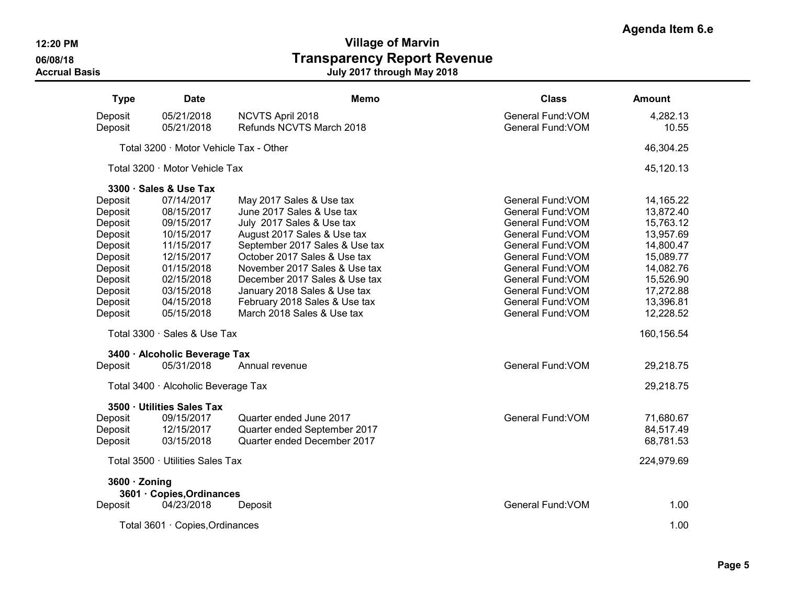**Agenda Item 6.e**

| <b>Type</b>   | <b>Date</b>                            | <b>Memo</b>                    | <b>Class</b>             | <b>Amount</b> |
|---------------|----------------------------------------|--------------------------------|--------------------------|---------------|
| Deposit       | 05/21/2018                             | NCVTS April 2018               | General Fund: VOM        | 4,282.13      |
| Deposit       | 05/21/2018                             | Refunds NCVTS March 2018       | General Fund: VOM        | 10.55         |
|               | Total 3200 · Motor Vehicle Tax - Other |                                |                          | 46,304.25     |
|               | Total 3200 · Motor Vehicle Tax         |                                |                          | 45,120.13     |
|               | 3300 · Sales & Use Tax                 |                                |                          |               |
| Deposit       | 07/14/2017                             | May 2017 Sales & Use tax       | <b>General Fund: VOM</b> | 14,165.22     |
| Deposit       | 08/15/2017                             | June 2017 Sales & Use tax      | General Fund: VOM        | 13,872.40     |
| Deposit       | 09/15/2017                             | July 2017 Sales & Use tax      | General Fund: VOM        | 15,763.12     |
| Deposit       | 10/15/2017                             | August 2017 Sales & Use tax    | General Fund: VOM        | 13,957.69     |
| Deposit       | 11/15/2017                             | September 2017 Sales & Use tax | General Fund: VOM        | 14,800.47     |
| Deposit       | 12/15/2017                             | October 2017 Sales & Use tax   | General Fund: VOM        | 15,089.77     |
| Deposit       | 01/15/2018                             | November 2017 Sales & Use tax  | General Fund: VOM        | 14,082.76     |
| Deposit       | 02/15/2018                             | December 2017 Sales & Use tax  | General Fund: VOM        | 15,526.90     |
| Deposit       | 03/15/2018                             | January 2018 Sales & Use tax   | General Fund: VOM        | 17,272.88     |
| Deposit       | 04/15/2018                             | February 2018 Sales & Use tax  | General Fund: VOM        | 13,396.81     |
| Deposit       | 05/15/2018                             | March 2018 Sales & Use tax     | General Fund: VOM        | 12,228.52     |
|               | Total 3300 · Sales & Use Tax           |                                |                          | 160,156.54    |
|               | 3400 · Alcoholic Beverage Tax          |                                |                          |               |
| Deposit       | 05/31/2018                             | Annual revenue                 | <b>General Fund: VOM</b> | 29,218.75     |
|               | Total 3400 · Alcoholic Beverage Tax    |                                |                          | 29,218.75     |
|               | 3500 · Utilities Sales Tax             |                                |                          |               |
| Deposit       | 09/15/2017                             | Quarter ended June 2017        | General Fund: VOM        | 71,680.67     |
| Deposit       | 12/15/2017                             | Quarter ended September 2017   |                          | 84,517.49     |
| Deposit       | 03/15/2018                             | Quarter ended December 2017    |                          | 68,781.53     |
|               | Total 3500 · Utilities Sales Tax       |                                |                          | 224,979.69    |
| 3600 · Zoning |                                        |                                |                          |               |
|               | 3601 · Copies, Ordinances              |                                |                          |               |
| Deposit       | 04/23/2018                             | Deposit                        | General Fund: VOM        | 1.00          |
|               | Total 3601 · Copies, Ordinances        |                                |                          | 1.00          |
|               |                                        |                                |                          |               |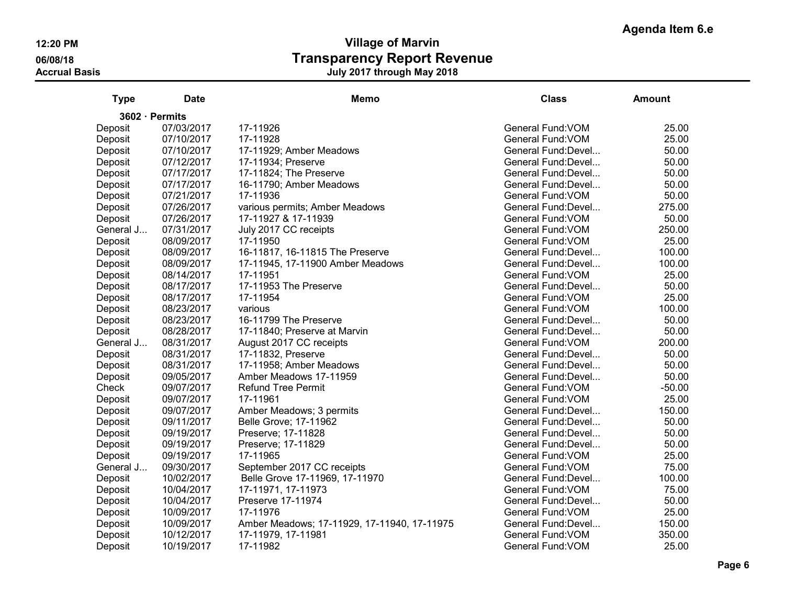# **Agenda Item 6.e**

| <b>Type</b> | <b>Date</b>    | <b>Memo</b>                                 | <b>Class</b>        | <b>Amount</b> |
|-------------|----------------|---------------------------------------------|---------------------|---------------|
|             | 3602 · Permits |                                             |                     |               |
| Deposit     | 07/03/2017     | 17-11926                                    | General Fund: VOM   | 25.00         |
| Deposit     | 07/10/2017     | 17-11928                                    | General Fund: VOM   | 25.00         |
| Deposit     | 07/10/2017     | 17-11929; Amber Meadows                     | General Fund: Devel | 50.00         |
| Deposit     | 07/12/2017     | 17-11934; Preserve                          | General Fund: Devel | 50.00         |
| Deposit     | 07/17/2017     | 17-11824; The Preserve                      | General Fund: Devel | 50.00         |
| Deposit     | 07/17/2017     | 16-11790; Amber Meadows                     | General Fund: Devel | 50.00         |
| Deposit     | 07/21/2017     | 17-11936                                    | General Fund: VOM   | 50.00         |
| Deposit     | 07/26/2017     | various permits; Amber Meadows              | General Fund: Devel | 275.00        |
| Deposit     | 07/26/2017     | 17-11927 & 17-11939                         | General Fund: VOM   | 50.00         |
| General J   | 07/31/2017     | July 2017 CC receipts                       | General Fund: VOM   | 250.00        |
| Deposit     | 08/09/2017     | 17-11950                                    | General Fund: VOM   | 25.00         |
| Deposit     | 08/09/2017     | 16-11817, 16-11815 The Preserve             | General Fund: Devel | 100.00        |
| Deposit     | 08/09/2017     | 17-11945, 17-11900 Amber Meadows            | General Fund: Devel | 100.00        |
| Deposit     | 08/14/2017     | 17-11951                                    | General Fund: VOM   | 25.00         |
| Deposit     | 08/17/2017     | 17-11953 The Preserve                       | General Fund: Devel | 50.00         |
| Deposit     | 08/17/2017     | 17-11954                                    | General Fund: VOM   | 25.00         |
| Deposit     | 08/23/2017     | various                                     | General Fund: VOM   | 100.00        |
| Deposit     | 08/23/2017     | 16-11799 The Preserve                       | General Fund: Devel | 50.00         |
| Deposit     | 08/28/2017     | 17-11840; Preserve at Marvin                | General Fund: Devel | 50.00         |
| General J   | 08/31/2017     | August 2017 CC receipts                     | General Fund: VOM   | 200.00        |
| Deposit     | 08/31/2017     | 17-11832, Preserve                          | General Fund: Devel | 50.00         |
| Deposit     | 08/31/2017     | 17-11958; Amber Meadows                     | General Fund: Devel | 50.00         |
| Deposit     | 09/05/2017     | Amber Meadows 17-11959                      | General Fund: Devel | 50.00         |
| Check       | 09/07/2017     | <b>Refund Tree Permit</b>                   | General Fund: VOM   | $-50.00$      |
| Deposit     | 09/07/2017     | 17-11961                                    | General Fund: VOM   | 25.00         |
| Deposit     | 09/07/2017     | Amber Meadows; 3 permits                    | General Fund: Devel | 150.00        |
| Deposit     | 09/11/2017     | Belle Grove; 17-11962                       | General Fund: Devel | 50.00         |
| Deposit     | 09/19/2017     | Preserve; 17-11828                          | General Fund: Devel | 50.00         |
| Deposit     | 09/19/2017     | Preserve; 17-11829                          | General Fund: Devel | 50.00         |
| Deposit     | 09/19/2017     | 17-11965                                    | General Fund: VOM   | 25.00         |
| General J   | 09/30/2017     | September 2017 CC receipts                  | General Fund: VOM   | 75.00         |
| Deposit     | 10/02/2017     | Belle Grove 17-11969, 17-11970              | General Fund: Devel | 100.00        |
| Deposit     | 10/04/2017     | 17-11971, 17-11973                          | General Fund: VOM   | 75.00         |
| Deposit     | 10/04/2017     | Preserve 17-11974                           | General Fund: Devel | 50.00         |
| Deposit     | 10/09/2017     | 17-11976                                    | General Fund: VOM   | 25.00         |
| Deposit     | 10/09/2017     | Amber Meadows; 17-11929, 17-11940, 17-11975 | General Fund: Devel | 150.00        |
| Deposit     | 10/12/2017     | 17-11979, 17-11981                          | General Fund: VOM   | 350.00        |
| Deposit     | 10/19/2017     | 17-11982                                    | General Fund: VOM   | 25.00         |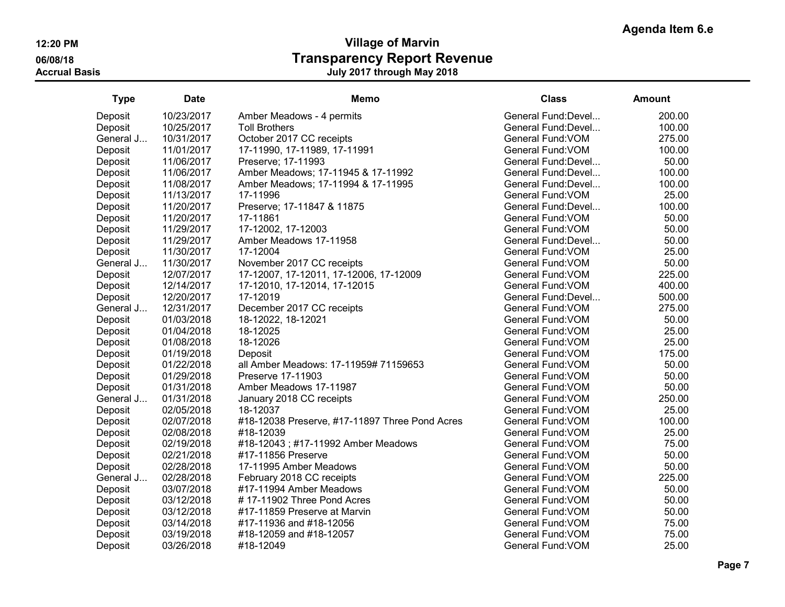| <b>Type</b> | <b>Date</b> | <b>Memo</b>                                    | <b>Class</b>        | <b>Amount</b> |
|-------------|-------------|------------------------------------------------|---------------------|---------------|
| Deposit     | 10/23/2017  | Amber Meadows - 4 permits                      | General Fund:Devel  | 200.00        |
| Deposit     | 10/25/2017  | <b>Toll Brothers</b>                           | General Fund: Devel | 100.00        |
| General J   | 10/31/2017  | October 2017 CC receipts                       | General Fund: VOM   | 275.00        |
| Deposit     | 11/01/2017  | 17-11990, 17-11989, 17-11991                   | General Fund: VOM   | 100.00        |
| Deposit     | 11/06/2017  | Preserve; 17-11993                             | General Fund: Devel | 50.00         |
| Deposit     | 11/06/2017  | Amber Meadows; 17-11945 & 17-11992             | General Fund: Devel | 100.00        |
| Deposit     | 11/08/2017  | Amber Meadows; 17-11994 & 17-11995             | General Fund: Devel | 100.00        |
| Deposit     | 11/13/2017  | 17-11996                                       | General Fund: VOM   | 25.00         |
| Deposit     | 11/20/2017  | Preserve; 17-11847 & 11875                     | General Fund: Devel | 100.00        |
| Deposit     | 11/20/2017  | 17-11861                                       | General Fund: VOM   | 50.00         |
| Deposit     | 11/29/2017  | 17-12002, 17-12003                             | General Fund: VOM   | 50.00         |
| Deposit     | 11/29/2017  | Amber Meadows 17-11958                         | General Fund: Devel | 50.00         |
| Deposit     | 11/30/2017  | 17-12004                                       | General Fund: VOM   | 25.00         |
| General J   | 11/30/2017  | November 2017 CC receipts                      | General Fund: VOM   | 50.00         |
| Deposit     | 12/07/2017  | 17-12007, 17-12011, 17-12006, 17-12009         | General Fund: VOM   | 225.00        |
| Deposit     | 12/14/2017  | 17-12010, 17-12014, 17-12015                   | General Fund: VOM   | 400.00        |
| Deposit     | 12/20/2017  | 17-12019                                       | General Fund: Devel | 500.00        |
| General J   | 12/31/2017  | December 2017 CC receipts                      | General Fund: VOM   | 275.00        |
| Deposit     | 01/03/2018  | 18-12022, 18-12021                             | General Fund: VOM   | 50.00         |
| Deposit     | 01/04/2018  | 18-12025                                       | General Fund: VOM   | 25.00         |
| Deposit     | 01/08/2018  | 18-12026                                       | General Fund: VOM   | 25.00         |
| Deposit     | 01/19/2018  | Deposit                                        | General Fund: VOM   | 175.00        |
| Deposit     | 01/22/2018  | all Amber Meadows: 17-11959# 71159653          | General Fund: VOM   | 50.00         |
| Deposit     | 01/29/2018  | Preserve 17-11903                              | General Fund: VOM   | 50.00         |
| Deposit     | 01/31/2018  | Amber Meadows 17-11987                         | General Fund: VOM   | 50.00         |
| General J   | 01/31/2018  | January 2018 CC receipts                       | General Fund: VOM   | 250.00        |
| Deposit     | 02/05/2018  | 18-12037                                       | General Fund: VOM   | 25.00         |
| Deposit     | 02/07/2018  | #18-12038 Preserve, #17-11897 Three Pond Acres | General Fund: VOM   | 100.00        |
| Deposit     | 02/08/2018  | #18-12039                                      | General Fund: VOM   | 25.00         |
| Deposit     | 02/19/2018  | #18-12043; #17-11992 Amber Meadows             | General Fund: VOM   | 75.00         |
| Deposit     | 02/21/2018  | #17-11856 Preserve                             | General Fund: VOM   | 50.00         |
| Deposit     | 02/28/2018  | 17-11995 Amber Meadows                         | General Fund: VOM   | 50.00         |
| General J   | 02/28/2018  | February 2018 CC receipts                      | General Fund: VOM   | 225.00        |
| Deposit     | 03/07/2018  | #17-11994 Amber Meadows                        | General Fund: VOM   | 50.00         |
| Deposit     | 03/12/2018  | #17-11902 Three Pond Acres                     | General Fund: VOM   | 50.00         |
| Deposit     | 03/12/2018  | #17-11859 Preserve at Marvin                   | General Fund: VOM   | 50.00         |
| Deposit     | 03/14/2018  | #17-11936 and #18-12056                        | General Fund: VOM   | 75.00         |
| Deposit     | 03/19/2018  | #18-12059 and #18-12057                        | General Fund: VOM   | 75.00         |
| Deposit     | 03/26/2018  | #18-12049                                      | General Fund: VOM   | 25.00         |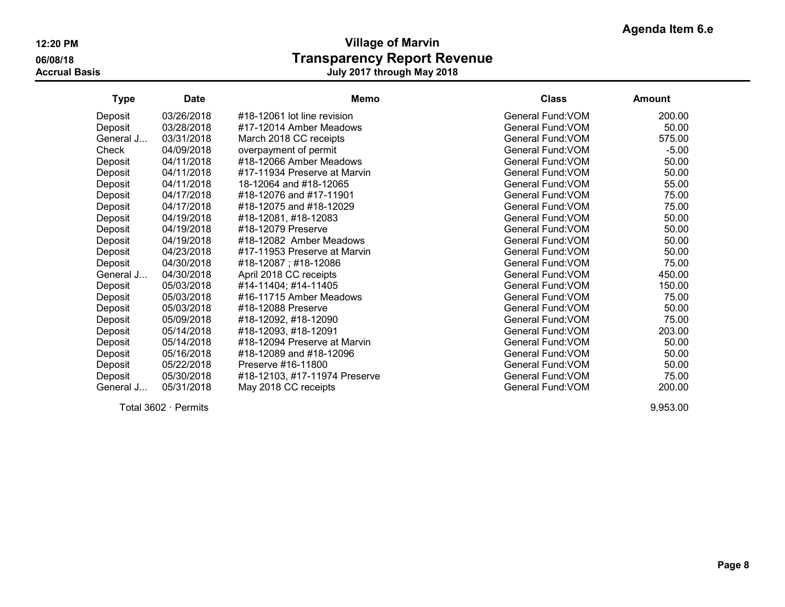| <b>Type</b> | <b>Date</b> | <b>Memo</b>                   | <b>Class</b>      | <b>Amount</b> |
|-------------|-------------|-------------------------------|-------------------|---------------|
| Deposit     | 03/26/2018  | #18-12061 lot line revision   | General Fund: VOM | 200.00        |
| Deposit     | 03/28/2018  | #17-12014 Amber Meadows       | General Fund: VOM | 50.00         |
| General J   | 03/31/2018  | March 2018 CC receipts        | General Fund: VOM | 575.00        |
| Check       | 04/09/2018  | overpayment of permit         | General Fund: VOM | $-5.00$       |
| Deposit     | 04/11/2018  | #18-12066 Amber Meadows       | General Fund: VOM | 50.00         |
| Deposit     | 04/11/2018  | #17-11934 Preserve at Marvin  | General Fund: VOM | 50.00         |
| Deposit     | 04/11/2018  | 18-12064 and #18-12065        | General Fund: VOM | 55.00         |
| Deposit     | 04/17/2018  | #18-12076 and #17-11901       | General Fund: VOM | 75.00         |
| Deposit     | 04/17/2018  | #18-12075 and #18-12029       | General Fund: VOM | 75.00         |
| Deposit     | 04/19/2018  | #18-12081, #18-12083          | General Fund: VOM | 50.00         |
| Deposit     | 04/19/2018  | #18-12079 Preserve            | General Fund: VOM | 50.00         |
| Deposit     | 04/19/2018  | #18-12082 Amber Meadows       | General Fund: VOM | 50.00         |
| Deposit     | 04/23/2018  | #17-11953 Preserve at Marvin  | General Fund: VOM | 50.00         |
| Deposit     | 04/30/2018  | #18-12087; #18-12086          | General Fund: VOM | 75.00         |
| General J   | 04/30/2018  | April 2018 CC receipts        | General Fund: VOM | 450.00        |
| Deposit     | 05/03/2018  | #14-11404; #14-11405          | General Fund: VOM | 150.00        |
| Deposit     | 05/03/2018  | #16-11715 Amber Meadows       | General Fund: VOM | 75.00         |
| Deposit     | 05/03/2018  | #18-12088 Preserve            | General Fund: VOM | 50.00         |
| Deposit     | 05/09/2018  | #18-12092, #18-12090          | General Fund: VOM | 75.00         |
| Deposit     | 05/14/2018  | #18-12093, #18-12091          | General Fund: VOM | 203.00        |
| Deposit     | 05/14/2018  | #18-12094 Preserve at Marvin  | General Fund: VOM | 50.00         |
| Deposit     | 05/16/2018  | #18-12089 and #18-12096       | General Fund: VOM | 50.00         |
| Deposit     | 05/22/2018  | Preserve #16-11800            | General Fund: VOM | 50.00         |
| Deposit     | 05/30/2018  | #18-12103, #17-11974 Preserve | General Fund: VOM | 75.00         |
| General J   | 05/31/2018  | May 2018 CC receipts          | General Fund: VOM | 200.00        |

Total 3602 · Permits 9,953.00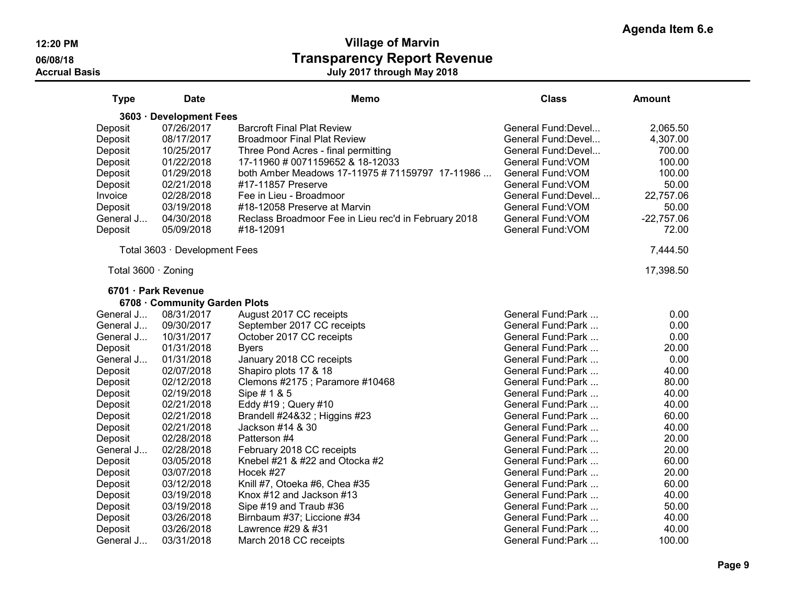| <b>Type</b>         | <b>Date</b>                   | Memo                                                 | <b>Class</b>                            | <b>Amount</b>   |
|---------------------|-------------------------------|------------------------------------------------------|-----------------------------------------|-----------------|
| $3603 -$            | <b>Development Fees</b>       |                                                      |                                         |                 |
| Deposit             | 07/26/2017                    | <b>Barcroft Final Plat Review</b>                    | General Fund:Devel                      | 2,065.50        |
| Deposit             | 08/17/2017                    | <b>Broadmoor Final Plat Review</b>                   | General Fund: Devel                     | 4,307.00        |
| Deposit             | 10/25/2017                    | Three Pond Acres - final permitting                  | General Fund: Devel                     | 700.00          |
| Deposit             | 01/22/2018                    | 17-11960 # 0071159652 & 18-12033                     | General Fund: VOM                       | 100.00          |
| Deposit             | 01/29/2018                    | both Amber Meadows 17-11975 # 71159797 17-11986      | General Fund: VOM                       | 100.00          |
| Deposit             | 02/21/2018                    | #17-11857 Preserve                                   | General Fund: VOM                       | 50.00           |
| Invoice             | 02/28/2018                    | Fee in Lieu - Broadmoor                              | General Fund: Devel                     | 22,757.06       |
| Deposit             | 03/19/2018                    | #18-12058 Preserve at Marvin                         | General Fund: VOM                       | 50.00           |
| General J           | 04/30/2018                    | Reclass Broadmoor Fee in Lieu rec'd in February 2018 | General Fund: VOM                       | $-22,757.06$    |
| Deposit             | 05/09/2018                    | #18-12091                                            | General Fund: VOM                       | 72.00           |
|                     | Total 3603 · Development Fees |                                                      |                                         | 7,444.50        |
| Total 3600 · Zoning |                               |                                                      |                                         | 17,398.50       |
|                     | 6701 · Park Revenue           |                                                      |                                         |                 |
|                     | 6708 Community Garden Plots   |                                                      |                                         |                 |
| General J           | 08/31/2017                    | August 2017 CC receipts                              | General Fund:Park                       | 0.00            |
| General J           | 09/30/2017                    | September 2017 CC receipts                           | General Fund: Park                      | 0.00            |
| General J           | 10/31/2017                    | October 2017 CC receipts                             | General Fund: Park                      | 0.00            |
| Deposit             | 01/31/2018                    | <b>Byers</b>                                         | General Fund: Park                      | 20.00           |
| General J           | 01/31/2018                    | January 2018 CC receipts                             | General Fund:Park                       | 0.00            |
| Deposit             | 02/07/2018                    | Shapiro plots 17 & 18                                | General Fund:Park                       | 40.00           |
| Deposit             | 02/12/2018                    | Clemons #2175 ; Paramore #10468                      | General Fund:Park                       | 80.00           |
| Deposit             | 02/19/2018                    | Sipe # 1 & 5                                         | General Fund: Park                      | 40.00           |
| Deposit             | 02/21/2018                    | Eddy #19 ; Query #10                                 | General Fund: Park                      | 40.00           |
| Deposit             | 02/21/2018                    | Brandell #24&32 ; Higgins #23                        | General Fund:Park                       | 60.00           |
| Deposit             | 02/21/2018                    | Jackson #14 & 30                                     | General Fund: Park                      | 40.00           |
| Deposit             | 02/28/2018                    | Patterson #4                                         | General Fund: Park                      | 20.00           |
| General J           | 02/28/2018                    | February 2018 CC receipts                            | General Fund: Park                      | 20.00           |
| Deposit             | 03/05/2018                    | Knebel $#21$ & $#22$ and Otocka $#2$                 | General Fund: Park                      | 60.00           |
| Deposit             | 03/07/2018                    | Hocek #27                                            | General Fund: Park                      | 20.00           |
| Deposit             | 03/12/2018                    | Knill #7, Otoeka #6, Chea #35                        | General Fund: Park<br>General Fund:Park | 60.00           |
| Deposit             | 03/19/2018                    | Knox #12 and Jackson #13                             | General Fund:Park                       | 40.00           |
| Deposit             | 03/19/2018                    | Sipe #19 and Traub #36                               | General Fund:Park                       | 50.00           |
| Deposit             | 03/26/2018                    | Birnbaum #37; Liccione #34<br>Lawrence #29 & #31     |                                         | 40.00           |
| Deposit             | 03/26/2018<br>03/31/2018      |                                                      | General Fund: Park                      | 40.00<br>100.00 |
| General J           |                               | March 2018 CC receipts                               | General Fund:Park                       |                 |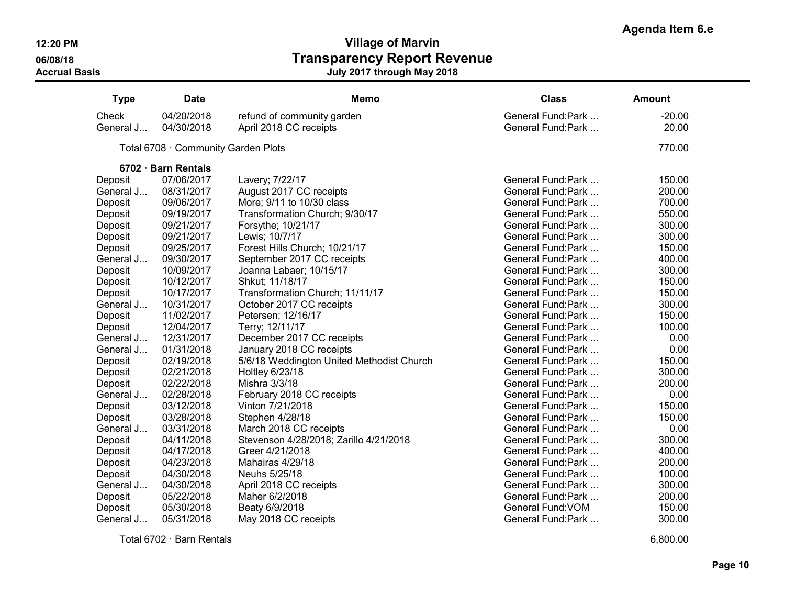| <b>Type</b> | <b>Date</b>                         | <b>Memo</b>                               | <b>Class</b>       | <b>Amount</b> |
|-------------|-------------------------------------|-------------------------------------------|--------------------|---------------|
| Check       | 04/20/2018                          | refund of community garden                | General Fund:Park  | $-20.00$      |
| General J   | 04/30/2018                          | April 2018 CC receipts                    | General Fund: Park | 20.00         |
|             | Total 6708 · Community Garden Plots |                                           |                    | 770.00        |
|             | 6702 · Barn Rentals                 |                                           |                    |               |
| Deposit     | 07/06/2017                          | Lavery; 7/22/17                           | General Fund: Park | 150.00        |
| General J   | 08/31/2017                          | August 2017 CC receipts                   | General Fund:Park  | 200.00        |
| Deposit     | 09/06/2017                          | More; 9/11 to 10/30 class                 | General Fund: Park | 700.00        |
| Deposit     | 09/19/2017                          | Transformation Church; 9/30/17            | General Fund:Park  | 550.00        |
| Deposit     | 09/21/2017                          | Forsythe; 10/21/17                        | General Fund: Park | 300.00        |
| Deposit     | 09/21/2017                          | Lewis; 10/7/17                            | General Fund: Park | 300.00        |
| Deposit     | 09/25/2017                          | Forest Hills Church; 10/21/17             | General Fund:Park  | 150.00        |
| General J   | 09/30/2017                          | September 2017 CC receipts                | General Fund:Park  | 400.00        |
| Deposit     | 10/09/2017                          | Joanna Labaer; 10/15/17                   | General Fund: Park | 300.00        |
| Deposit     | 10/12/2017                          | Shkut; 11/18/17                           | General Fund: Park | 150.00        |
| Deposit     | 10/17/2017                          | Transformation Church; 11/11/17           | General Fund:Park  | 150.00        |
| General J   | 10/31/2017                          | October 2017 CC receipts                  | General Fund: Park | 300.00        |
| Deposit     | 11/02/2017                          | Petersen; 12/16/17                        | General Fund: Park | 150.00        |
| Deposit     | 12/04/2017                          | Terry; 12/11/17                           | General Fund: Park | 100.00        |
| General J   | 12/31/2017                          | December 2017 CC receipts                 | General Fund: Park | 0.00          |
| General J   | 01/31/2018                          | January 2018 CC receipts                  | General Fund: Park | 0.00          |
| Deposit     | 02/19/2018                          | 5/6/18 Weddington United Methodist Church | General Fund:Park  | 150.00        |
| Deposit     | 02/21/2018                          | Holtley 6/23/18                           | General Fund: Park | 300.00        |
| Deposit     | 02/22/2018                          | Mishra 3/3/18                             | General Fund: Park | 200.00        |
| General J   | 02/28/2018                          | February 2018 CC receipts                 | General Fund: Park | 0.00          |
| Deposit     | 03/12/2018                          | Vinton 7/21/2018                          | General Fund:Park  | 150.00        |
| Deposit     | 03/28/2018                          | Stephen 4/28/18                           | General Fund: Park | 150.00        |
| General J   | 03/31/2018                          | March 2018 CC receipts                    | General Fund:Park  | 0.00          |
| Deposit     | 04/11/2018                          | Stevenson 4/28/2018; Zarillo 4/21/2018    | General Fund:Park  | 300.00        |
| Deposit     | 04/17/2018                          | Greer 4/21/2018                           | General Fund: Park | 400.00        |
| Deposit     | 04/23/2018                          | Mahairas 4/29/18                          | General Fund:Park  | 200.00        |
| Deposit     | 04/30/2018                          | Neuhs 5/25/18                             | General Fund:Park  | 100.00        |
| General J   | 04/30/2018                          | April 2018 CC receipts                    | General Fund:Park  | 300.00        |
| Deposit     | 05/22/2018                          | Maher 6/2/2018                            | General Fund:Park  | 200.00        |
| Deposit     | 05/30/2018                          | Beaty 6/9/2018                            | General Fund: VOM  | 150.00        |
| General J   | 05/31/2018                          | May 2018 CC receipts                      | General Fund: Park | 300.00        |

Total 6702 · Barn Rentals 6,800.00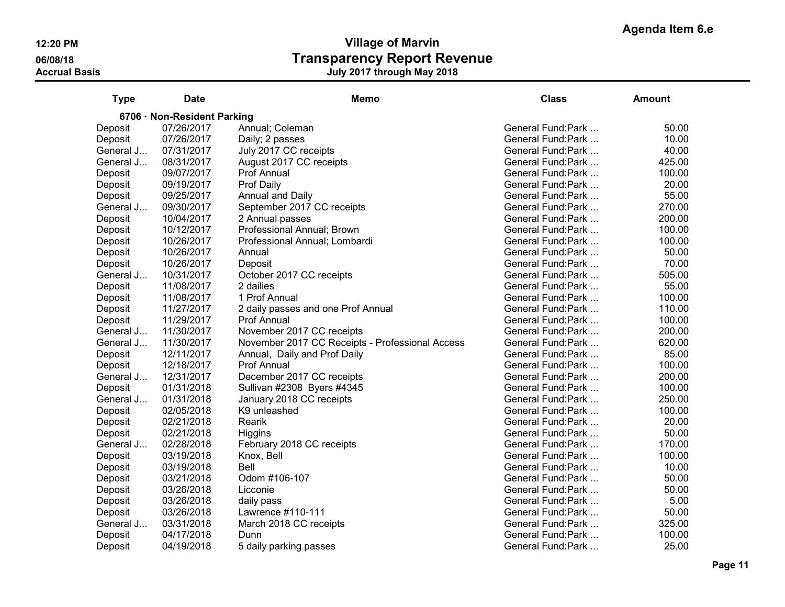| <b>Type</b>                 | <b>Date</b> | <b>Memo</b>                                     | <b>Class</b>       | Amount |  |  |  |
|-----------------------------|-------------|-------------------------------------------------|--------------------|--------|--|--|--|
| 6706 · Non-Resident Parking |             |                                                 |                    |        |  |  |  |
| Deposit                     | 07/26/2017  | Annual; Coleman                                 | General Fund:Park  | 50.00  |  |  |  |
| Deposit                     | 07/26/2017  | Daily; 2 passes                                 | General Fund:Park  | 10.00  |  |  |  |
| General J                   | 07/31/2017  | July 2017 CC receipts                           | General Fund: Park | 40.00  |  |  |  |
| General J                   | 08/31/2017  | August 2017 CC receipts                         | General Fund: Park | 425.00 |  |  |  |
| Deposit                     | 09/07/2017  | Prof Annual                                     | General Fund:Park  | 100.00 |  |  |  |
| Deposit                     | 09/19/2017  | Prof Daily                                      | General Fund:Park  | 20.00  |  |  |  |
| Deposit                     | 09/25/2017  | Annual and Daily                                | General Fund: Park | 55.00  |  |  |  |
| General J                   | 09/30/2017  | September 2017 CC receipts                      | General Fund: Park | 270.00 |  |  |  |
| Deposit                     | 10/04/2017  | 2 Annual passes                                 | General Fund: Park | 200.00 |  |  |  |
| Deposit                     | 10/12/2017  | Professional Annual; Brown                      | General Fund: Park | 100.00 |  |  |  |
| Deposit                     | 10/26/2017  | Professional Annual; Lombardi                   | General Fund:Park  | 100.00 |  |  |  |
| Deposit                     | 10/26/2017  | Annual                                          | General Fund:Park  | 50.00  |  |  |  |
| Deposit                     | 10/26/2017  | Deposit                                         | General Fund: Park | 70.00  |  |  |  |
| General J                   | 10/31/2017  | October 2017 CC receipts                        | General Fund:Park  | 505.00 |  |  |  |
| Deposit                     | 11/08/2017  | 2 dailies                                       | General Fund:Park  | 55.00  |  |  |  |
| Deposit                     | 11/08/2017  | 1 Prof Annual                                   | General Fund:Park  | 100.00 |  |  |  |
| Deposit                     | 11/27/2017  | 2 daily passes and one Prof Annual              | General Fund: Park | 110.00 |  |  |  |
| Deposit                     | 11/29/2017  | Prof Annual                                     | General Fund: Park | 100.00 |  |  |  |
| General J                   | 11/30/2017  | November 2017 CC receipts                       | General Fund: Park | 200.00 |  |  |  |
| General J                   | 11/30/2017  | November 2017 CC Receipts - Professional Access | General Fund:Park  | 620.00 |  |  |  |
| Deposit                     | 12/11/2017  | Annual, Daily and Prof Daily                    | General Fund:Park  | 85.00  |  |  |  |
| Deposit                     | 12/18/2017  | <b>Prof Annual</b>                              | General Fund:Park  | 100.00 |  |  |  |
| General J                   | 12/31/2017  | December 2017 CC receipts                       | General Fund: Park | 200.00 |  |  |  |
| Deposit                     | 01/31/2018  | Sullivan #2308 Byers #4345                      | General Fund: Park | 100.00 |  |  |  |
| General J                   | 01/31/2018  | January 2018 CC receipts                        | General Fund:Park  | 250.00 |  |  |  |
| Deposit                     | 02/05/2018  | K9 unleashed                                    | General Fund:Park  | 100.00 |  |  |  |
| Deposit                     | 02/21/2018  | Rearik                                          | General Fund:Park  | 20.00  |  |  |  |
| Deposit                     | 02/21/2018  | <b>Higgins</b>                                  | General Fund: Park | 50.00  |  |  |  |
| General J                   | 02/28/2018  | February 2018 CC receipts                       | General Fund: Park | 170.00 |  |  |  |
| Deposit                     | 03/19/2018  | Knox, Bell                                      | General Fund: Park | 100.00 |  |  |  |
| Deposit                     | 03/19/2018  | Bell                                            | General Fund:Park  | 10.00  |  |  |  |
| Deposit                     | 03/21/2018  | Odom #106-107                                   | General Fund:Park  | 50.00  |  |  |  |
| Deposit                     | 03/26/2018  | Licconie                                        | General Fund:Park  | 50.00  |  |  |  |
| Deposit                     | 03/26/2018  | daily pass                                      | General Fund: Park | 5.00   |  |  |  |
| Deposit                     | 03/26/2018  | Lawrence #110-111                               | General Fund:Park  | 50.00  |  |  |  |
| General J                   | 03/31/2018  | March 2018 CC receipts                          | General Fund: Park | 325.00 |  |  |  |
| Deposit                     | 04/17/2018  | Dunn                                            | General Fund:Park  | 100.00 |  |  |  |
| Deposit                     | 04/19/2018  | 5 daily parking passes                          | General Fund:Park  | 25.00  |  |  |  |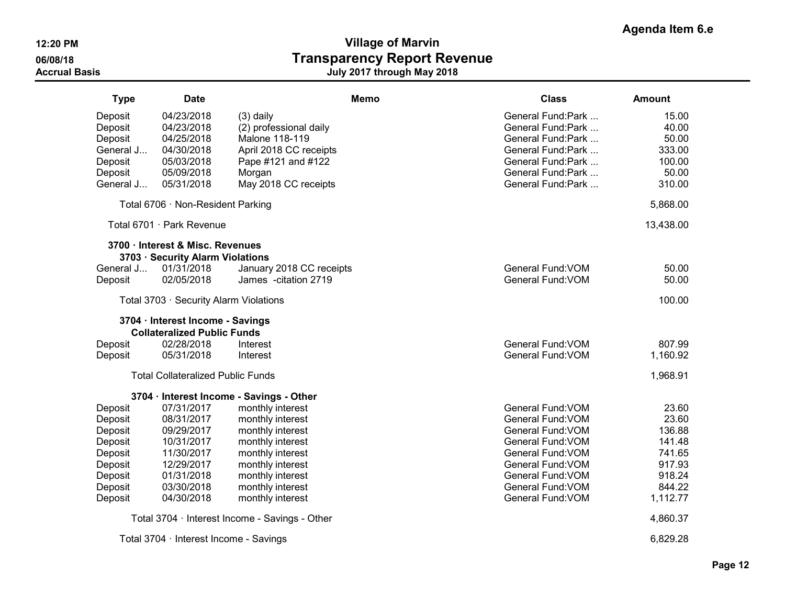| <b>Type</b> | <b>Date</b>                              | Memo                                           | <b>Class</b>       | <b>Amount</b> |
|-------------|------------------------------------------|------------------------------------------------|--------------------|---------------|
| Deposit     | 04/23/2018                               | $(3)$ daily                                    | General Fund:Park  | 15.00         |
| Deposit     | 04/23/2018                               | (2) professional daily                         | General Fund: Park | 40.00         |
| Deposit     | 04/25/2018                               | Malone 118-119                                 | General Fund: Park | 50.00         |
| General J   | 04/30/2018                               | April 2018 CC receipts                         | General Fund: Park | 333.00        |
| Deposit     | 05/03/2018                               | Pape #121 and #122                             | General Fund: Park | 100.00        |
| Deposit     | 05/09/2018                               | Morgan                                         | General Fund: Park | 50.00         |
| General J   | 05/31/2018                               | May 2018 CC receipts                           | General Fund:Park  | 310.00        |
|             | Total 6706 · Non-Resident Parking        |                                                |                    | 5,868.00      |
|             | Total 6701 · Park Revenue                |                                                |                    | 13,438.00     |
|             | 3700 · Interest & Misc. Revenues         |                                                |                    |               |
|             | 3703 · Security Alarm Violations         |                                                |                    |               |
| General J   | 01/31/2018                               | January 2018 CC receipts                       | General Fund: VOM  | 50.00         |
| Deposit     | 02/05/2018                               | James - citation 2719                          | General Fund: VOM  | 50.00         |
|             | Total 3703 · Security Alarm Violations   |                                                |                    | 100.00        |
|             | 3704 · Interest Income - Savings         |                                                |                    |               |
|             | <b>Collateralized Public Funds</b>       |                                                |                    |               |
| Deposit     | 02/28/2018                               | Interest                                       | General Fund: VOM  | 807.99        |
| Deposit     | 05/31/2018                               | Interest                                       | General Fund: VOM  | 1,160.92      |
|             | <b>Total Collateralized Public Funds</b> |                                                |                    | 1,968.91      |
|             |                                          | 3704 · Interest Income - Savings - Other       |                    |               |
| Deposit     | 07/31/2017                               | monthly interest                               | General Fund: VOM  | 23.60         |
| Deposit     | 08/31/2017                               | monthly interest                               | General Fund: VOM  | 23.60         |
| Deposit     | 09/29/2017                               | monthly interest                               | General Fund: VOM  | 136.88        |
| Deposit     | 10/31/2017                               | monthly interest                               | General Fund: VOM  | 141.48        |
| Deposit     | 11/30/2017                               | monthly interest                               | General Fund: VOM  | 741.65        |
| Deposit     | 12/29/2017                               | monthly interest                               | General Fund: VOM  | 917.93        |
| Deposit     | 01/31/2018                               | monthly interest                               | General Fund: VOM  | 918.24        |
| Deposit     | 03/30/2018                               | monthly interest                               | General Fund: VOM  | 844.22        |
| Deposit     | 04/30/2018                               | monthly interest                               | General Fund: VOM  | 1,112.77      |
|             |                                          | Total 3704 · Interest Income - Savings - Other |                    | 4,860.37      |
|             | Total 3704 · Interest Income - Savings   |                                                |                    | 6,829.28      |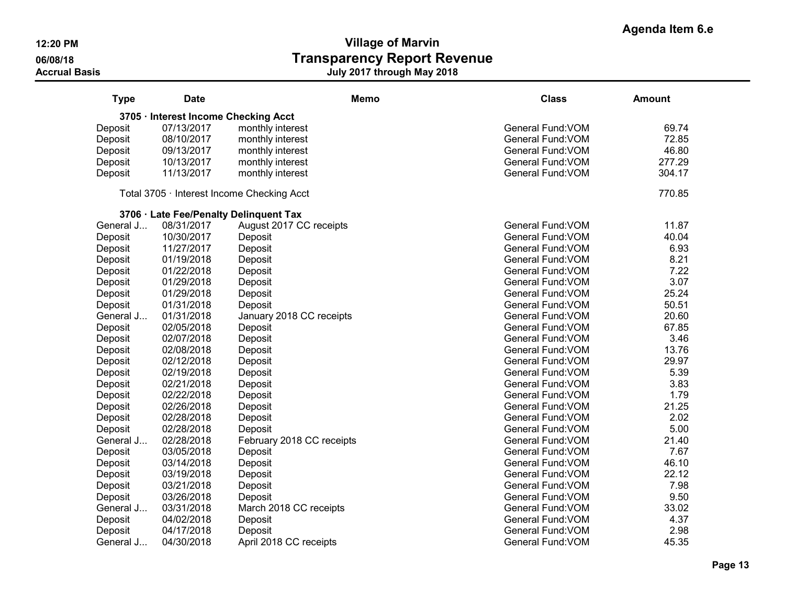| <b>Type</b> | <b>Date</b>                          | <b>Memo</b>                                | <b>Class</b>             | <b>Amount</b> |
|-------------|--------------------------------------|--------------------------------------------|--------------------------|---------------|
|             | 3705 · Interest Income Checking Acct |                                            |                          |               |
| Deposit     | 07/13/2017                           | monthly interest                           | General Fund: VOM        | 69.74         |
| Deposit     | 08/10/2017                           | monthly interest                           | General Fund: VOM        | 72.85         |
| Deposit     | 09/13/2017                           | monthly interest                           | General Fund: VOM        | 46.80         |
| Deposit     | 10/13/2017                           | monthly interest                           | General Fund: VOM        | 277.29        |
| Deposit     | 11/13/2017                           | monthly interest                           | General Fund: VOM        | 304.17        |
|             |                                      | Total 3705 · Interest Income Checking Acct |                          | 770.85        |
|             |                                      | 3706 · Late Fee/Penalty Delinquent Tax     |                          |               |
| General J   | 08/31/2017                           | August 2017 CC receipts                    | General Fund: VOM        | 11.87         |
| Deposit     | 10/30/2017                           | Deposit                                    | General Fund: VOM        | 40.04         |
| Deposit     | 11/27/2017                           | Deposit                                    | General Fund: VOM        | 6.93          |
| Deposit     | 01/19/2018                           | Deposit                                    | General Fund: VOM        | 8.21          |
| Deposit     | 01/22/2018                           | Deposit                                    | General Fund: VOM        | 7.22          |
| Deposit     | 01/29/2018                           | Deposit                                    | General Fund: VOM        | 3.07          |
| Deposit     | 01/29/2018                           | Deposit                                    | General Fund: VOM        | 25.24         |
| Deposit     | 01/31/2018                           | Deposit                                    | General Fund: VOM        | 50.51         |
| General J   | 01/31/2018                           | January 2018 CC receipts                   | General Fund: VOM        | 20.60         |
| Deposit     | 02/05/2018                           | Deposit                                    | General Fund: VOM        | 67.85         |
| Deposit     | 02/07/2018                           | Deposit                                    | General Fund: VOM        | 3.46          |
| Deposit     | 02/08/2018                           | Deposit                                    | General Fund: VOM        | 13.76         |
| Deposit     | 02/12/2018                           | Deposit                                    | General Fund: VOM        | 29.97         |
| Deposit     | 02/19/2018                           | Deposit                                    | General Fund: VOM        | 5.39          |
| Deposit     | 02/21/2018                           | Deposit                                    | General Fund: VOM        | 3.83          |
| Deposit     | 02/22/2018                           | Deposit                                    | General Fund: VOM        | 1.79          |
| Deposit     | 02/26/2018                           | Deposit                                    | General Fund: VOM        | 21.25         |
| Deposit     | 02/28/2018                           | Deposit                                    | General Fund: VOM        | 2.02          |
| Deposit     | 02/28/2018                           | Deposit                                    | General Fund: VOM        | 5.00          |
| General J   | 02/28/2018                           | February 2018 CC receipts                  | General Fund: VOM        | 21.40         |
| Deposit     | 03/05/2018                           | Deposit                                    | General Fund: VOM        | 7.67          |
| Deposit     | 03/14/2018                           | Deposit                                    | General Fund: VOM        | 46.10         |
| Deposit     | 03/19/2018                           | Deposit                                    | General Fund: VOM        | 22.12         |
| Deposit     | 03/21/2018                           | Deposit                                    | General Fund: VOM        | 7.98          |
| Deposit     | 03/26/2018                           | Deposit                                    | General Fund: VOM        | 9.50          |
| General J   | 03/31/2018                           | March 2018 CC receipts                     | General Fund: VOM        | 33.02         |
| Deposit     | 04/02/2018                           | Deposit                                    | General Fund: VOM        | 4.37          |
| Deposit     | 04/17/2018                           | Deposit                                    | General Fund: VOM        | 2.98          |
| General J   | 04/30/2018                           | April 2018 CC receipts                     | <b>General Fund: VOM</b> | 45.35         |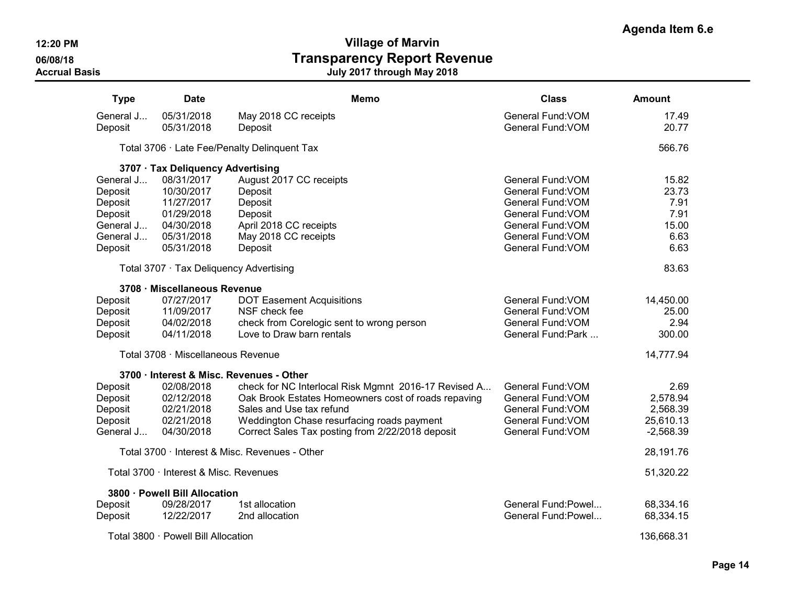**Agenda Item 6.e**

| <b>Type</b> | Date                                   | <b>Memo</b>                                          | <b>Class</b>        | Amount      |
|-------------|----------------------------------------|------------------------------------------------------|---------------------|-------------|
| General J   | 05/31/2018                             | May 2018 CC receipts                                 | General Fund: VOM   | 17.49       |
| Deposit     | 05/31/2018                             | Deposit                                              | General Fund: VOM   | 20.77       |
|             |                                        | Total 3706 · Late Fee/Penalty Delinquent Tax         |                     | 566.76      |
|             | 3707 · Tax Deliquency Advertising      |                                                      |                     |             |
| General J   | 08/31/2017                             | August 2017 CC receipts                              | General Fund: VOM   | 15.82       |
| Deposit     | 10/30/2017                             | Deposit                                              | General Fund: VOM   | 23.73       |
| Deposit     | 11/27/2017                             | Deposit                                              | General Fund: VOM   | 7.91        |
| Deposit     | 01/29/2018                             | Deposit                                              | General Fund: VOM   | 7.91        |
| General J   | 04/30/2018                             | April 2018 CC receipts                               | General Fund: VOM   | 15.00       |
| General J   | 05/31/2018                             | May 2018 CC receipts                                 | General Fund: VOM   | 6.63        |
| Deposit     | 05/31/2018                             | Deposit                                              | General Fund: VOM   | 6.63        |
|             |                                        | Total 3707 · Tax Deliquency Advertising              |                     | 83.63       |
|             | 3708 · Miscellaneous Revenue           |                                                      |                     |             |
| Deposit     | 07/27/2017                             | <b>DOT Easement Acquisitions</b>                     | General Fund: VOM   | 14,450.00   |
| Deposit     | 11/09/2017                             | NSF check fee                                        | General Fund: VOM   | 25.00       |
| Deposit     | 04/02/2018                             | check from Corelogic sent to wrong person            | General Fund: VOM   | 2.94        |
| Deposit     | 04/11/2018                             | Love to Draw barn rentals                            | General Fund: Park  | 300.00      |
|             | Total 3708 · Miscellaneous Revenue     |                                                      |                     | 14,777.94   |
|             |                                        | 3700 · Interest & Misc. Revenues - Other             |                     |             |
| Deposit     | 02/08/2018                             | check for NC Interlocal Risk Mgmnt 2016-17 Revised A | General Fund: VOM   | 2.69        |
| Deposit     | 02/12/2018                             | Oak Brook Estates Homeowners cost of roads repaving  | General Fund: VOM   | 2,578.94    |
| Deposit     | 02/21/2018                             | Sales and Use tax refund                             | General Fund: VOM   | 2,568.39    |
| Deposit     | 02/21/2018                             | Weddington Chase resurfacing roads payment           | General Fund: VOM   | 25,610.13   |
| General J   | 04/30/2018                             | Correct Sales Tax posting from 2/22/2018 deposit     | General Fund: VOM   | $-2,568.39$ |
|             |                                        | Total 3700 · Interest & Misc. Revenues - Other       |                     | 28,191.76   |
|             | Total 3700 · Interest & Misc. Revenues |                                                      |                     | 51,320.22   |
|             | 3800 · Powell Bill Allocation          |                                                      |                     |             |
| Deposit     | 09/28/2017                             | 1st allocation                                       | General Fund: Powel | 68,334.16   |
| Deposit     | 12/22/2017                             | 2nd allocation                                       | General Fund: Powel | 68,334.15   |
|             | Total 3800 · Powell Bill Allocation    |                                                      |                     | 136,668.31  |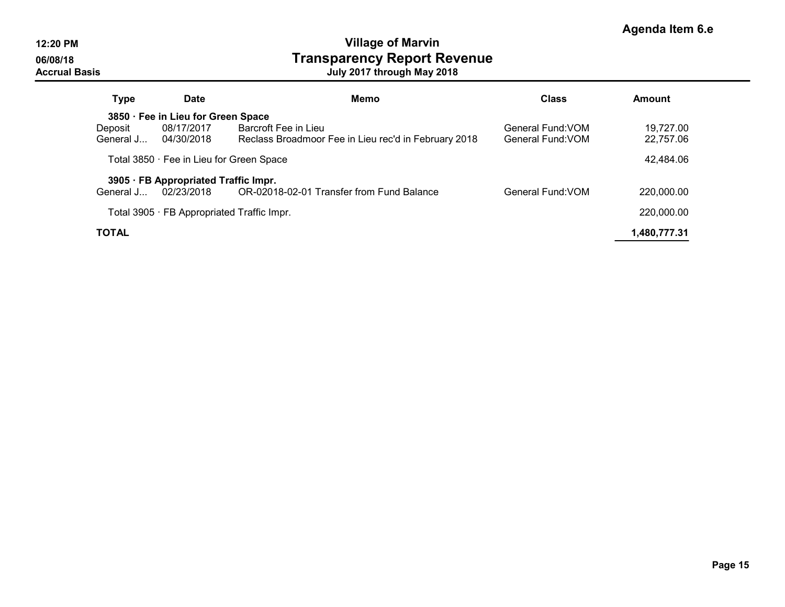| <b>Type</b>                              | Date                                       | Memo                                                 | <b>Class</b>      | <b>Amount</b> |
|------------------------------------------|--------------------------------------------|------------------------------------------------------|-------------------|---------------|
| 3850 · Fee in Lieu for Green Space       |                                            |                                                      |                   |               |
| Deposit                                  | 08/17/2017                                 | Barcroft Fee in Lieu                                 | General Fund: VOM | 19.727.00     |
| General J                                | 04/30/2018                                 | Reclass Broadmoor Fee in Lieu rec'd in February 2018 | General Fund: VOM | 22,757.06     |
| Total 3850 · Fee in Lieu for Green Space | 42,484.06                                  |                                                      |                   |               |
|                                          | 3905 · FB Appropriated Traffic Impr.       |                                                      |                   |               |
| General J                                | 02/23/2018                                 | OR-02018-02-01 Transfer from Fund Balance            | General Fund: VOM | 220,000.00    |
|                                          | Total 3905 · FB Appropriated Traffic Impr. |                                                      |                   | 220,000.00    |
| TOTAL                                    |                                            |                                                      |                   | 1,480,777.31  |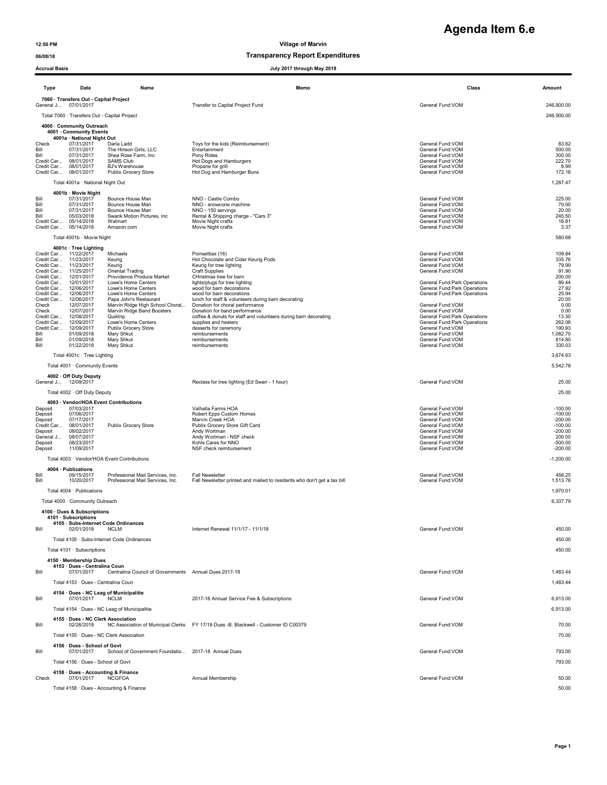### 06/08/18 Transparency Report Expenditures

| <b>Accrual Basis</b><br>July 2017 through May 2018 |                                                                |                                                                      |                                                                                                    |                                                                |                        |
|----------------------------------------------------|----------------------------------------------------------------|----------------------------------------------------------------------|----------------------------------------------------------------------------------------------------|----------------------------------------------------------------|------------------------|
| Type                                               | Date                                                           | Name                                                                 | Memo                                                                                               | Class                                                          | Amount                 |
|                                                    | 7060 · Transfers Out - Capital Project<br>General J 07/01/2017 |                                                                      | Transfer to Capital Project Fund                                                                   | General Fund:VOM                                               | 246,900.00             |
|                                                    | Total 7060 · Transfers Out - Capital Project                   |                                                                      |                                                                                                    |                                                                | 246,900.00             |
|                                                    | 4000 · Community Outreach<br>4001 · Community Events           |                                                                      |                                                                                                    |                                                                |                        |
| Check                                              | 4001a · National Night Out<br>07/31/2017                       | Darla Ladd                                                           | Toys for the kids (Reimbursement)                                                                  | General Fund: VOM                                              | 83.62                  |
| Bill<br>Bill                                       | 07/31/2017<br>07/31/2017                                       | The Hinson Girls, LLC<br>Shea Rose Farm, Inc.                        | Entertainment<br>Pony Rides                                                                        | General Fund: VOM<br>General Fund: VOM                         | 500.00<br>300.00       |
|                                                    | Credit Car 08/01/2017<br>Credit Car 08/01/2017                 | <b>SAMS Club</b><br>BJ's Warehouse                                   | Hot Dogs and Hamburgers<br>Propane for grill                                                       | General Fund: VOM<br>General Fund: VOM                         | 222.70<br>8.99         |
|                                                    | Credit Car 08/01/2017                                          | Publix Grocery Store                                                 | Hot Dog and Hamburger Buns                                                                         | General Fund: VOM                                              | 172.16                 |
|                                                    | Total 4001a · National Night Out                               |                                                                      |                                                                                                    |                                                                | 1,287.47               |
| Bill                                               | 4001b · Movie Night<br>07/31/2017                              | Bounce House Man                                                     | NNO - Castle Combo                                                                                 | General Fund: VOM                                              | 225.00                 |
| Bill<br>Bill                                       | 07/31/2017<br>07/31/2017                                       | Bounce House Man<br>Bounce House Man                                 | NNO - snowcone machine<br>NNO - 150 servings                                                       | General Fund:VOM<br>General Fund:VOM                           | 70.00<br>20.00         |
| Bill                                               | 05/03/2018<br>Credit Car 05/14/2018                            | Swank Motion Pictures, Inc.<br>Walmart                               | Rental & Shipping charge - "Cars 3"<br>Movie Night crafts                                          | General Fund:VOM<br>General Fund: VOM                          | 245.50<br>16.81        |
|                                                    | Credit Car 05/14/2018                                          | Amazon.com                                                           | Movie Night crafts                                                                                 | General Fund: VOM                                              | 3.37                   |
|                                                    | Total 4001b · Movie Night                                      |                                                                      |                                                                                                    |                                                                | 580.68                 |
|                                                    | 4001c · Tree Lighting<br>Credit Car 11/22/2017                 | Michaels                                                             | Poinsettias (16)                                                                                   | General Fund:VOM                                               | 109.84                 |
|                                                    | Credit Car 11/23/2017                                          | Keurig                                                               | Hot Chocolate and Cider Keurig Pods                                                                | General Fund:VOM                                               | 335.76                 |
|                                                    | Credit Car 11/23/2017<br>Credit Car 11/25/2017                 | Keurig<br>Oriental Trading                                           | Keurig for tree lighting<br><b>Craft Supplies</b>                                                  | General Fund:VOM<br>General Fund: VOM                          | 79.99<br>91.90         |
|                                                    | Credit Car 12/01/2017<br>Credit Car 12/01/2017                 | Providence Produce Market<br>Lowe's Home Centers                     | CHristmas tree for barn<br>lights/plugs for tree lighting                                          | General Fund: Park Operations                                  | 200.00<br>89.44        |
|                                                    | Credit Car 12/06/2017<br>Credit Car 12/06/2017                 | Lowe's Home Centers<br>Lowe's Home Centers                           | wood for barn decorations<br>wood for barn decorations                                             | General Fund: Park Operations<br>General Fund: Park Operations | 27.92<br>25.94         |
| Check                                              | Credit Car 12/06/2017<br>12/07/2017                            | Papa John's Restaurant<br>Marvin Ridge High School Choral            | lunch for staff & volunteers during barn decorating<br>Donation for choral performance             |                                                                | 20.00<br>0.00          |
| Check                                              | 12/07/2017                                                     | Marvin Ridge Band Boosters                                           | Donation for band performance                                                                      | General Fund: VOM<br>General Fund: VOM                         | 0.00                   |
|                                                    | Credit Car 12/08/2017<br>Credit Car 12/09/2017                 | Quiktrip<br>Lowe's Home Centers                                      | coffee & donuts for staff and volunteers during barn decorating<br>supplies and heaters            | General Fund: Park Operations<br>General Fund:Park Operations  | 13.30<br>262.08        |
| Bill                                               | Credit Car 12/09/2017<br>01/09/2018                            | Publix Grocery Store<br>Mary Shkut                                   | desserts for ceremony<br>reimbursements                                                            | General Fund: VOM<br>General Fund: VOM                         | 190.93<br>1,082.70     |
| Bill<br>Bill                                       | 01/09/2018<br>01/22/2018                                       | Mary Shkut<br>Mary Shkut                                             | reimbursements<br>reimbursements                                                                   | General Fund: VOM<br>General Fund: VOM                         | 814.80<br>330.03       |
|                                                    | Total 4001c · Tree Lighting                                    |                                                                      |                                                                                                    |                                                                | 3,674.63               |
|                                                    | Total 4001 · Community Events                                  |                                                                      |                                                                                                    |                                                                | 5,542.78               |
|                                                    | 4002 · Off Duty Deputy                                         |                                                                      |                                                                                                    |                                                                |                        |
|                                                    | General J 12/09/2017                                           |                                                                      | Reclass for tree lighting (Ed Swan - 1 hour)                                                       | General Fund: VOM                                              | 25.00                  |
|                                                    | Total 4002 · Off Duty Deputy                                   |                                                                      |                                                                                                    |                                                                | 25.00                  |
| Deposit                                            | 4003 Vendor/HOA Event Contributions<br>07/03/2017              |                                                                      | Valhalla Farms HOA                                                                                 | General Fund: VOM                                              | $-100.00$              |
| Deposit<br>Deposit                                 | 07/06/2017<br>07/17/2017                                       |                                                                      | Robert Epps Custom Homes<br>Marvin Creek HOA                                                       | General Fund:VOM<br>General Fund:VOM                           | $-100.00$<br>$-200.00$ |
| Credit Car<br>Deposit                              | 08/01/2017<br>08/02/2017                                       | Publix Grocery Store                                                 | Publix Grocery Store Gift Card<br>Andy Wortman                                                     | General Fund:VOM<br>General Fund:VOM                           | $-100.00$<br>$-200.00$ |
| General J                                          | 08/07/2017                                                     |                                                                      | Andy Wortman - NSF check                                                                           | General Fund:VOM                                               | 200.00                 |
| Deposit<br>Deposit                                 | 08/23/2017<br>11/09/2017                                       |                                                                      | Kohls Cares for NNO<br>NSF check reimbursement                                                     | General Fund:VOM<br>General Fund: VOM                          | $-500.00$<br>$-200.00$ |
|                                                    | Total 4003 · Vendor/HOA Event Contributions                    |                                                                      |                                                                                                    |                                                                | $-1,200.00$            |
|                                                    | 4004 · Publications                                            |                                                                      |                                                                                                    |                                                                |                        |
| Bill<br>Bill                                       | 09/15/2017<br>10/20/2017                                       | Professional Mail Services, Inc.<br>Professional Mail Services, Inc. | <b>Fall Newsletter</b><br>Fall Newsletter printed and mailed to residents who don't get a tax bill | General Fund:VOM<br>General Fund: VOM                          | 456.25<br>1,513.76     |
|                                                    | Total 4004 · Publications                                      |                                                                      |                                                                                                    |                                                                | 1,970.01               |
|                                                    | Total 4000 · Community Outreach                                |                                                                      |                                                                                                    |                                                                | 6,337.79               |
|                                                    | 4100 · Dues & Subscriptions<br>4101 · Subscriptions            |                                                                      |                                                                                                    |                                                                |                        |
|                                                    | 4105 · Subs-Internet Code Ordinances                           |                                                                      |                                                                                                    |                                                                |                        |
| Bill                                               | 02/01/2018                                                     | <b>NCLM</b>                                                          | Internet Renewal 11/1/17 - 11/1/18                                                                 | General Fund: VOM                                              | 450.00                 |
|                                                    | Total 4101 · Subscriptions                                     | Total 4105 · Subs-Internet Code Ordinances                           |                                                                                                    |                                                                | 450.00<br>450.00       |
|                                                    | 4150 · Membership Dues                                         |                                                                      |                                                                                                    |                                                                |                        |
|                                                    | 4153 · Dues - Centralina Coun<br>07/01/2017                    |                                                                      |                                                                                                    |                                                                |                        |
| Bill                                               | Total 4153 · Dues - Centralina Coun                            | Centralina Council of Governments Annual Dues 2017-18                |                                                                                                    | General Fund:VOM                                               | 1,483.44<br>1,483.44   |
|                                                    | 4154 · Dues - NC Leag of Municipalitie                         |                                                                      |                                                                                                    |                                                                |                        |
| Bill                                               | 07/01/2017                                                     | <b>NCLM</b>                                                          | 2017-18 Annual Service Fee & Subscriptions                                                         | General Fund: VOM                                              | 6,913.00               |
|                                                    |                                                                | Total 4154 · Dues - NC Leag of Municipalitie                         |                                                                                                    |                                                                | 6,913.00               |
| Bill                                               | 4155 · Dues - NC Clerk Association<br>02/26/2018               |                                                                      | NC Association of Municipal Clerks FY 17/18 Dues -B. Blackwell - Customer ID C00379                | General Fund: VOM                                              | 70.00                  |
|                                                    | Total 4155 · Dues - NC Clerk Association                       |                                                                      |                                                                                                    |                                                                | 70.00                  |
|                                                    | 4156 · Dues - School of Govt                                   |                                                                      |                                                                                                    |                                                                |                        |
| Bill                                               | 07/01/2017                                                     | School of Government Foundatio 2017-18 Annual Dues                   |                                                                                                    | General Fund: VOM                                              | 793.00                 |
|                                                    | Total 4156 · Dues - School of Govt                             |                                                                      |                                                                                                    |                                                                | 793.00                 |
| Check                                              | 4158 Dues - Accounting & Finance<br>07/01/2017                 | <b>NCGFOA</b>                                                        | Annual Membership                                                                                  | General Fund: VOM                                              | 50.00                  |

Total 4158 · Dues - Accounting & Finance 50.00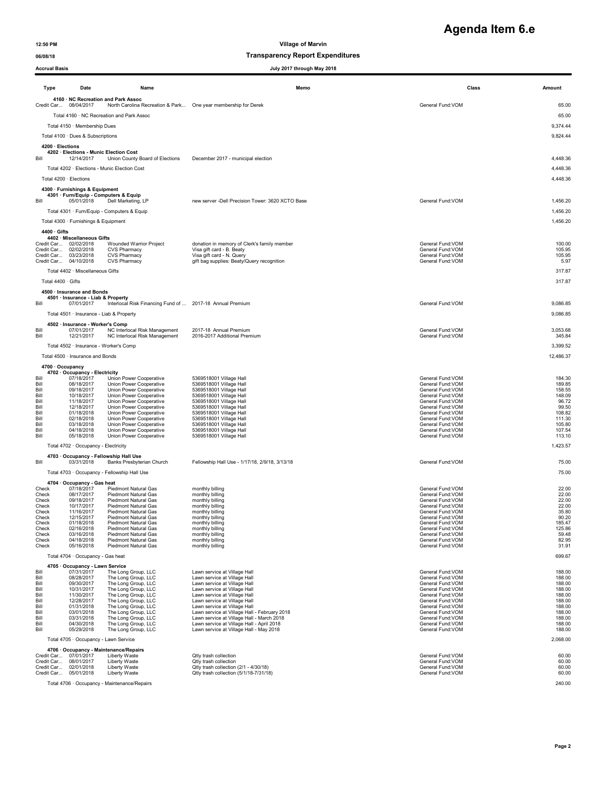# **Agenda Item 6.e**

06/08/18 Transparency Report Expenditures

| <b>Accrual Basis</b>     |                                                                                                                                |                                                                                                       | July 2017 through May 2018                                                                                                                          |                                                                                 |                                    |
|--------------------------|--------------------------------------------------------------------------------------------------------------------------------|-------------------------------------------------------------------------------------------------------|-----------------------------------------------------------------------------------------------------------------------------------------------------|---------------------------------------------------------------------------------|------------------------------------|
| Type                     | Date                                                                                                                           | Name                                                                                                  | Memo                                                                                                                                                | Class                                                                           | Amount                             |
|                          | Credit Car 08/04/2017                                                                                                          | 4160 · NC Recreation and Park Assoc<br>North Carolina Recreation & Park One year membership for Derek |                                                                                                                                                     | General Fund:VOM                                                                | 65.00                              |
|                          |                                                                                                                                | Total 4160 · NC Recreation and Park Assoc                                                             |                                                                                                                                                     |                                                                                 | 65.00                              |
|                          | Total 4150 · Membership Dues                                                                                                   |                                                                                                       |                                                                                                                                                     |                                                                                 | 9,374.44                           |
|                          | Total 4100 · Dues & Subscriptions                                                                                              |                                                                                                       |                                                                                                                                                     |                                                                                 | 9,824.44                           |
| 4200 · Elections<br>Bill | 4202 · Elections - Munic Election Cost<br>12/14/2017                                                                           | Union County Board of Elections                                                                       | December 2017 - municipal election                                                                                                                  |                                                                                 | 4,448.36                           |
|                          |                                                                                                                                | Total 4202 · Elections - Munic Election Cost                                                          |                                                                                                                                                     |                                                                                 | 4,448.36                           |
|                          | Total 4200 · Elections                                                                                                         |                                                                                                       |                                                                                                                                                     |                                                                                 | 4,448.36                           |
| Bill                     | 4300 · Furnishings & Equipment<br>4301 · Furn/Equip - Computers & Equip<br>05/01/2018                                          | Dell Marketing, LP                                                                                    | new server -Dell Precision Tower: 3620 XCTO Base                                                                                                    | General Fund: VOM                                                               | 1,456.20                           |
|                          |                                                                                                                                | Total 4301 · Furn/Equip - Computers & Equip                                                           |                                                                                                                                                     |                                                                                 | 1,456.20                           |
|                          | Total 4300 · Furnishings & Equipment                                                                                           |                                                                                                       |                                                                                                                                                     |                                                                                 | 1,456.20                           |
| 4400 · Gifts             |                                                                                                                                |                                                                                                       |                                                                                                                                                     |                                                                                 |                                    |
|                          | 4402 · Miscellaneous Gifts<br>Credit Car 02/02/2018<br>Credit Car 02/02/2018<br>Credit Car 03/23/2018<br>Credit Car 04/10/2018 | Wounded Warrior Project<br>CVS Pharmacy<br><b>CVS Pharmacy</b><br><b>CVS Pharmacy</b>                 | donation in memory of Clerk's family member<br>Visa gift card - B. Beaty<br>Visa gift card - N. Query<br>gift bag supplies: Beaty/Query recognition | General Fund:VOM<br>General Fund: VOM<br>General Fund: VOM<br>General Fund: VOM | 100.00<br>105.95<br>105.95<br>5.97 |
|                          | Total 4402 · Miscellaneous Gifts                                                                                               |                                                                                                       |                                                                                                                                                     |                                                                                 | 317.87                             |
| Total 4400 · Gifts       |                                                                                                                                |                                                                                                       |                                                                                                                                                     |                                                                                 | 317.87                             |
| Bill                     | 4500 · Insurance and Bonds<br>4501 · Insurance - Liab & Property<br>07/01/2017                                                 | Interlocal Risk Financing Fund of  2017-18 Annual Premium                                             |                                                                                                                                                     | General Fund: VOM                                                               | 9,086.85                           |
|                          | Total 4501 · Insurance - Liab & Property                                                                                       |                                                                                                       |                                                                                                                                                     |                                                                                 | 9,086.85                           |
|                          | 4502 · Insurance - Worker's Comp                                                                                               |                                                                                                       |                                                                                                                                                     |                                                                                 |                                    |
| Bill<br>Bill             | 07/01/2017<br>12/21/2017                                                                                                       | NC Interlocal Risk Management<br>NC Interlocal Risk Management                                        | 2017-18 Annual Premium<br>2016-2017 Additional Premium                                                                                              | General Fund: VOM<br>General Fund: VOM                                          | 3,053.68<br>345.84                 |
|                          | Total 4502 · Insurance - Worker's Comp                                                                                         |                                                                                                       |                                                                                                                                                     |                                                                                 | 3,399.52                           |
|                          | Total 4500 · Insurance and Bonds                                                                                               |                                                                                                       |                                                                                                                                                     |                                                                                 | 12,486.37                          |
|                          | 4700 · Occupancy<br>4702 · Occupancy - Electricity                                                                             |                                                                                                       |                                                                                                                                                     |                                                                                 |                                    |
| Bill<br>Bill             | 07/18/2017<br>08/18/2017                                                                                                       | Union Power Cooperative<br>Union Power Cooperative                                                    | 5369518001 Village Hall<br>5369518001 Village Hall                                                                                                  | General Fund: VOM<br>General Fund:VOM                                           | 184.30<br>189.85                   |
| Bill                     | 09/18/2017                                                                                                                     | Union Power Cooperative                                                                               | 5369518001 Village Hall                                                                                                                             | General Fund: VOM                                                               | 158.55                             |
| Bill<br>Bill             | 10/18/2017<br>11/18/2017                                                                                                       | Union Power Cooperative<br>Union Power Cooperative                                                    | 5369518001 Village Hall<br>5369518001 Village Hall                                                                                                  | General Fund: VOM<br>General Fund:VOM                                           | 148.09<br>96.72                    |
| Bill<br>Bill             | 12/18/2017<br>01/18/2018                                                                                                       | Union Power Cooperative<br>Union Power Cooperative                                                    | 5369518001 Village Hall<br>5369518001 Village Hall                                                                                                  | General Fund:VOM<br>General Fund: VOM                                           | 99.50<br>108.82                    |
| Bill                     | 02/18/2018                                                                                                                     | Union Power Cooperative                                                                               | 5369518001 Village Hall                                                                                                                             | General Fund:VOM                                                                | 111.30                             |
| Bill<br>Bill             | 03/18/2018<br>04/18/2018                                                                                                       | Union Power Cooperative<br>Union Power Cooperative                                                    | 5369518001 Village Hall<br>5369518001 Village Hall                                                                                                  | General Fund:VOM<br>General Fund: VOM                                           | 105.80<br>107.54                   |
| Bill                     | 05/18/2018                                                                                                                     | Union Power Cooperative                                                                               | 5369518001 Village Hall                                                                                                                             | General Fund: VOM                                                               | 113.10                             |
|                          | Total 4702 · Occupancy - Electricity                                                                                           |                                                                                                       |                                                                                                                                                     |                                                                                 | 1,423.57                           |
| Bill                     | 03/31/2018                                                                                                                     | 4703 · Occupancy - Fellowship Hall Use<br>Banks Presbyterian Church                                   | Fellowship Hall Use - 1/17/18, 2/9/18, 3/13/18                                                                                                      | General Fund:VOM                                                                | 75.00                              |
|                          |                                                                                                                                | Total 4703 · Occupancy - Fellowship Hall Use                                                          |                                                                                                                                                     |                                                                                 | 75.00                              |
|                          | 4704 · Occupancy - Gas heat                                                                                                    |                                                                                                       |                                                                                                                                                     |                                                                                 |                                    |
| Check                    | 07/18/2017                                                                                                                     | Piedmont Natural Gas                                                                                  | monthly billing                                                                                                                                     | General Fund: VOM                                                               | 22.00                              |
| Check<br>Check           | 08/17/2017<br>09/18/2017                                                                                                       | Piedmont Natural Gas<br>Piedmont Natural Gas                                                          | monthly billing<br>monthly billing                                                                                                                  | General Fund: VOM<br>General Fund: VOM                                          | 22.00<br>22.00                     |
| Check<br>Check           | 10/17/2017<br>11/16/2017                                                                                                       | <b>Piedmont Natural Gas</b><br>Piedmont Natural Gas                                                   | monthly billing<br>monthly billing                                                                                                                  | General Fund: VOM<br>General Fund: VOM                                          | 22.00<br>35.80                     |
| Check                    | 12/15/2017                                                                                                                     | Piedmont Natural Gas                                                                                  | monthly billing                                                                                                                                     | General Fund: VOM                                                               | 90.20                              |
| Check<br>Check           | 01/18/2018<br>02/16/2018                                                                                                       | Piedmont Natural Gas<br>Piedmont Natural Gas                                                          | monthly billing<br>monthly billing                                                                                                                  | General Fund: VOM<br>General Fund: VOM                                          | 185.47<br>125.86                   |
| Check<br>Check           | 03/16/2018<br>04/18/2018                                                                                                       | Piedmont Natural Gas<br>Piedmont Natural Gas                                                          | monthly billing<br>monthly billing                                                                                                                  | General Fund: VOM<br>General Fund: VOM                                          | 59.48<br>82.95                     |
| Check                    | 05/16/2018                                                                                                                     | Piedmont Natural Gas                                                                                  | monthly billing                                                                                                                                     | General Fund: VOM                                                               | 31.91                              |
|                          | Total 4704 · Occupancy - Gas heat                                                                                              |                                                                                                       |                                                                                                                                                     |                                                                                 | 699.67                             |
|                          | 4705 · Occupancy - Lawn Service                                                                                                |                                                                                                       |                                                                                                                                                     |                                                                                 |                                    |
| Bill<br>Bill             | 07/31/2017<br>08/28/2017                                                                                                       | The Long Group, LLC<br>The Long Group, LLC                                                            | Lawn service at Village Hall<br>Lawn service at Village Hall                                                                                        | General Fund:VOM<br>General Fund: VOM                                           | 188.00<br>188.00                   |
| Bill<br>Bill             | 09/30/2017<br>10/31/2017                                                                                                       | The Long Group, LLC<br>The Long Group, LLC                                                            | Lawn service at Village Hall<br>Lawn service at Village Hall                                                                                        | General Fund: VOM<br>General Fund:VOM                                           | 188.00<br>188.00                   |
| Bill                     | 11/30/2017                                                                                                                     | The Long Group, LLC                                                                                   | Lawn service at Village Hall                                                                                                                        | General Fund:VOM                                                                | 188.00                             |
| Bill<br>Bill             | 12/28/2017<br>01/31/2018                                                                                                       | The Long Group, LLC<br>The Long Group, LLC                                                            | Lawn service at Village Hall<br>Lawn service at Village Hall                                                                                        | General Fund:VOM<br>General Fund:VOM                                            | 188.00<br>188.00                   |
| Bill                     | 03/01/2018<br>03/31/2018                                                                                                       | The Long Group, LLC                                                                                   | Lawn service at Village Hall - February 2018<br>Lawn service at Village Hall - March 2018                                                           | General Fund:VOM<br>General Fund:VOM                                            | 188.00<br>188.00                   |
| Bill<br>Bill             | 04/30/2018                                                                                                                     | The Long Group, LLC<br>The Long Group, LLC                                                            | Lawn service at Village Hall - April 2018                                                                                                           | General Fund:VOM                                                                | 188.00                             |
| Bill                     | 05/29/2018                                                                                                                     | The Long Group, LLC                                                                                   | Lawn service at Village Hall - May 2018                                                                                                             | General Fund: VOM                                                               | 188.00                             |
|                          | Total 4705 · Occupancy - Lawn Service                                                                                          |                                                                                                       |                                                                                                                                                     |                                                                                 | 2,068.00                           |
|                          | Credit Car 07/01/2017                                                                                                          | 4706 · Occupancy - Maintenance/Repairs<br>Liberty Waste                                               | Qtly trash collection                                                                                                                               | General Fund: VOM                                                               | 60.00                              |
|                          | Credit Car 08/01/2017<br>Credit Car 02/01/2018                                                                                 | Liberty Waste<br>Liberty Waste                                                                        | Qtly trash collection<br>Qtly trash collection (2/1 - 4/30/18)                                                                                      | General Fund: VOM<br>General Fund: VOM                                          | 60.00<br>60.00                     |
|                          | Credit Car 05/01/2018                                                                                                          | Liberty Waste                                                                                         | Qtly trash collection (5/1/18-7/31/18)                                                                                                              | General Fund: VOM                                                               | 60.00                              |

Total 4706 · Occupancy - Maintenance/Repairs 240.00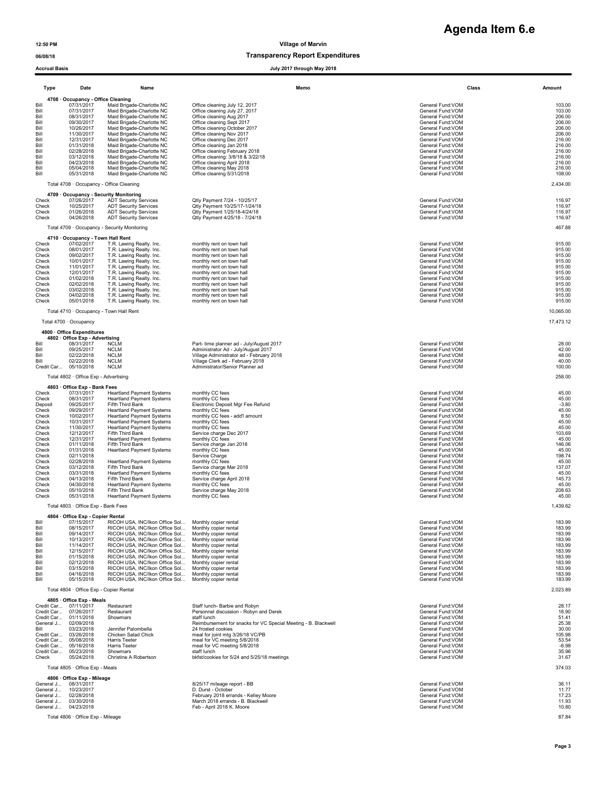**Agenda Item 6.e**

|                                                                                                                                                                           | <b>Accrual Basis</b><br>July 2017 through May 2018                                                                                                                                                                                                                                                            |                                                                                                                                                                                                                                                                                                                                                                                                                                                                                                                                                 |                                                                                                                                                                                                                                                                                                                                                                                                                                                 |                                                                                                                                                                                                                                                                                                                                                                                                         |                                                                                                                                                                                            |  |
|---------------------------------------------------------------------------------------------------------------------------------------------------------------------------|---------------------------------------------------------------------------------------------------------------------------------------------------------------------------------------------------------------------------------------------------------------------------------------------------------------|-------------------------------------------------------------------------------------------------------------------------------------------------------------------------------------------------------------------------------------------------------------------------------------------------------------------------------------------------------------------------------------------------------------------------------------------------------------------------------------------------------------------------------------------------|-------------------------------------------------------------------------------------------------------------------------------------------------------------------------------------------------------------------------------------------------------------------------------------------------------------------------------------------------------------------------------------------------------------------------------------------------|---------------------------------------------------------------------------------------------------------------------------------------------------------------------------------------------------------------------------------------------------------------------------------------------------------------------------------------------------------------------------------------------------------|--------------------------------------------------------------------------------------------------------------------------------------------------------------------------------------------|--|
| Type                                                                                                                                                                      | Date                                                                                                                                                                                                                                                                                                          | Name                                                                                                                                                                                                                                                                                                                                                                                                                                                                                                                                            | Memo                                                                                                                                                                                                                                                                                                                                                                                                                                            | Class                                                                                                                                                                                                                                                                                                                                                                                                   | Amount                                                                                                                                                                                     |  |
| Bill<br>Bill<br>Bill<br>Bill<br>Bill<br>Bill<br>Bill<br>Bill<br>Bill<br>Bill<br>Bill<br>Bill<br>Bill                                                                      | 4708 · Occupancy - Office Cleaning<br>07/31/2017<br>07/31/2017<br>08/31/2017<br>09/30/2017<br>10/26/2017<br>11/30/2017<br>12/31/2017<br>01/31/2018<br>02/28/2018<br>03/12/2018<br>04/23/2018<br>05/04/2018<br>05/31/2018                                                                                      | Maid Brigade-Charlotte NC<br>Maid Brigade-Charlotte NC<br>Maid Brigade-Charlotte NC<br>Maid Brigade-Charlotte NC<br>Maid Brigade-Charlotte NC<br>Maid Brigade-Charlotte NC<br>Maid Brigade-Charlotte NC<br>Maid Brigade-Charlotte NC<br>Maid Brigade-Charlotte NC<br>Maid Brigade-Charlotte NC<br>Maid Brigade-Charlotte NC<br>Maid Brigade-Charlotte NC<br>Maid Brigade-Charlotte NC                                                                                                                                                           | Office cleaning July 12, 2017<br>Office cleaning July 27, 2017<br>Office cleaning Aug 2017<br>Office cleaning Sept 2017<br>Office cleaning October 2017<br>Office cleaning Nov 2017<br>Office cleaning Dec 2017<br>Office cleaning Jan 2018<br>Office cleaning February 2018<br>Office cleaning: 3/8/18 & 3/22/18<br>Office cleaning April 2018<br>Office cleaning May 2018<br>Office cleaning 5/31/2018                                        | General Fund: VOM<br>General Fund: VOM<br>General Fund: VOM<br>General Fund: VOM<br>General Fund: VOM<br>General Fund: VOM<br>General Fund: VOM<br>General Fund: VOM<br>General Fund: VOM<br>General Fund: VOM<br>General Fund:VOM<br>General Fund: VOM<br>General Fund:VOM                                                                                                                             | 103.00<br>103.00<br>206.00<br>206.00<br>206.00<br>206.00<br>216.00<br>216.00<br>216.00<br>216.00<br>216.00<br>216.00<br>108.00                                                             |  |
|                                                                                                                                                                           | Total 4708 · Occupancy - Office Cleaning                                                                                                                                                                                                                                                                      |                                                                                                                                                                                                                                                                                                                                                                                                                                                                                                                                                 |                                                                                                                                                                                                                                                                                                                                                                                                                                                 |                                                                                                                                                                                                                                                                                                                                                                                                         | 2,434.00                                                                                                                                                                                   |  |
| Check<br>Check<br>Check<br>Check                                                                                                                                          | 4709 Occupancy - Security Monitoring<br>07/26/2017<br>10/25/2017<br>01/26/2018<br>04/26/2018                                                                                                                                                                                                                  | <b>ADT Security Services</b><br><b>ADT Security Services</b><br><b>ADT Security Services</b><br><b>ADT Security Services</b>                                                                                                                                                                                                                                                                                                                                                                                                                    | Qtly Payment 7/24 - 10/25/17<br>Qtly Payment 10/25/17-1/24/18<br>Qtly Payment 1/25/18-4/24/18<br>Qtly Payment 4/25/18 - 7/24/18                                                                                                                                                                                                                                                                                                                 | General Fund: VOM<br>General Fund:VOM<br>General Fund:VOM<br>General Fund:VOM                                                                                                                                                                                                                                                                                                                           | 116.97<br>116.97<br>116.97<br>116.97                                                                                                                                                       |  |
|                                                                                                                                                                           | 4710 · Occupancy - Town Hall Rent                                                                                                                                                                                                                                                                             | Total 4709 · Occupancy - Security Monitoring                                                                                                                                                                                                                                                                                                                                                                                                                                                                                                    |                                                                                                                                                                                                                                                                                                                                                                                                                                                 |                                                                                                                                                                                                                                                                                                                                                                                                         | 467.88                                                                                                                                                                                     |  |
| Check<br>Check<br>Check<br>Check<br>Check<br>Check<br>Check<br>Check<br>Check<br>Check<br>Check                                                                           | 07/02/2017<br>08/01/2017<br>09/02/2017<br>10/01/2017<br>11/01/2017<br>12/01/2017<br>01/02/2018<br>02/02/2018<br>03/02/2018<br>04/02/2018<br>05/01/2018                                                                                                                                                        | T.R. Lawing Realty. Inc.<br>T.R. Lawing Realty. Inc.<br>T.R. Lawing Realty. Inc.<br>T.R. Lawing Realty. Inc.<br>T.R. Lawing Realty. Inc.<br>T.R. Lawing Realty. Inc.<br>T.R. Lawing Realty. Inc.<br>T.R. Lawing Realty. Inc.<br>T.R. Lawing Realty. Inc.<br>T.R. Lawing Realty. Inc.<br>T.R. Lawing Realty. Inc.                                                                                                                                                                                                                                | monthly rent on town hall<br>monthly rent on town hall<br>monthly rent on town hall<br>monthly rent on town hall<br>monthly rent on town hall<br>monthly rent on town hall<br>monthly rent on town hall<br>monthly rent on town hall<br>monthly rent on town hall<br>monthly rent on town hall<br>monthly rent on town hall                                                                                                                     | General Fund: VOM<br>General Fund: VOM<br>General Fund: VOM<br>General Fund: VOM<br>General Fund: VOM<br>General Fund: VOM<br>General Fund: VOM<br>General Fund: VOM<br>General Fund: VOM<br>General Fund: VOM<br>General Fund: VOM                                                                                                                                                                     | 915.00<br>915.00<br>915.00<br>915.00<br>915.00<br>915.00<br>915.00<br>915.00<br>915.00<br>915.00<br>915.00                                                                                 |  |
|                                                                                                                                                                           | Total 4710 · Occupancy - Town Hall Rent<br>Total 4700 · Occupancy                                                                                                                                                                                                                                             |                                                                                                                                                                                                                                                                                                                                                                                                                                                                                                                                                 |                                                                                                                                                                                                                                                                                                                                                                                                                                                 |                                                                                                                                                                                                                                                                                                                                                                                                         | 10,065.00<br>17,473.12                                                                                                                                                                     |  |
|                                                                                                                                                                           | 4800 · Office Expenditures                                                                                                                                                                                                                                                                                    |                                                                                                                                                                                                                                                                                                                                                                                                                                                                                                                                                 |                                                                                                                                                                                                                                                                                                                                                                                                                                                 |                                                                                                                                                                                                                                                                                                                                                                                                         |                                                                                                                                                                                            |  |
| Bill<br>Bill<br>Bill<br>Bill                                                                                                                                              | 4802 · Office Exp - Advertising<br>08/31/2017<br>09/25/2017<br>02/22/2018<br>02/22/2018<br>Credit Car 05/10/2018<br>Total 4802 · Office Exp - Advertising                                                                                                                                                     | <b>NCLM</b><br><b>NCLM</b><br><b>NCLM</b><br><b>NCLM</b><br><b>NCLM</b>                                                                                                                                                                                                                                                                                                                                                                                                                                                                         | Part- time planner ad - July/August 2017<br>Administrator Ad - July/August 2017<br>Village Administrator ad - February 2018<br>Village Clerk ad - February 2018<br>Administrator/Senior Planner ad                                                                                                                                                                                                                                              | General Fund:VOM<br>General Fund:VOM<br>General Fund: VOM<br>General Fund: VOM<br>General Fund: VOM                                                                                                                                                                                                                                                                                                     | 28.00<br>42.00<br>48.00<br>40.00<br>100.00<br>258.00                                                                                                                                       |  |
|                                                                                                                                                                           | 4803 Office Exp - Bank Fees                                                                                                                                                                                                                                                                                   |                                                                                                                                                                                                                                                                                                                                                                                                                                                                                                                                                 |                                                                                                                                                                                                                                                                                                                                                                                                                                                 |                                                                                                                                                                                                                                                                                                                                                                                                         |                                                                                                                                                                                            |  |
| Check<br>Check<br>Deposit<br>Check<br>Check<br>Check<br>Check<br>Check<br>Check<br>Check<br>Check<br>Check<br>Check<br>Check<br>Check<br>Check<br>Check<br>Check<br>Check | 07/31/2017<br>08/31/2017<br>09/25/2017<br>09/29/2017<br>10/02/2017<br>10/31/2017<br>11/30/2017<br>12/12/2017<br>12/31/2017<br>01/11/2018<br>01/31/2018<br>02/11/2018<br>02/28/2018<br>03/12/2018<br>03/31/2018<br>04/13/2018<br>04/30/2018<br>05/10/2018<br>05/31/2018<br>Total 4803 · Office Exp - Bank Fees | <b>Heartland Payment Systems</b><br>Heartland Payment Systems<br>Fifth Third Bank<br><b>Heartland Payment Systems</b><br><b>Heartland Payment Systems</b><br>Heartland Payment Systems<br><b>Heartland Payment Systems</b><br>Fifth Third Bank<br><b>Heartland Payment Systems</b><br>Fifth Third Bank<br><b>Heartland Payment Systems</b><br>Heartland Payment Systems<br>Fifth Third Bank<br><b>Heartland Payment Systems</b><br>Fifth Third Bank<br><b>Heartland Payment Systems</b><br>Fifth Third Bank<br><b>Heartland Payment Systems</b> | monthly CC fees<br>monthly CC fees<br>Electronic Deposit Mgr Fee Refund<br>monthly CC fees<br>monthly CC fees - add'l amount<br>monthly CC fees<br>monthly CC fees<br>Service charge Dec 2017<br>monthly CC fees<br>Service charge Jan 2018<br>monthly CC fees<br>Service Charge<br>monthly CC fees<br>Service charge Mar 2018<br>monthly CC fees<br>Service charge April 2018<br>monthly CC fees<br>Service charge May 2018<br>monthly CC fees | General Fund: VOM<br>General Fund: VOM<br>General Fund: VOM<br>General Fund: VOM<br>General Fund: VOM<br>General Fund: VOM<br>General Fund: VOM<br>General Fund:VOM<br>General Fund: VOM<br>General Fund:VOM<br>General Fund: VOM<br>General Fund: VOM<br>General Fund: VOM<br>General Fund:VOM<br>General Fund: VOM<br>General Fund:VOM<br>General Fund: VOM<br>General Fund: VOM<br>General Fund: VOM | 45.00<br>45.00<br>$-3.80$<br>45.00<br>8.50<br>45.00<br>45.00<br>103.69<br>45.00<br>146.06<br>45.00<br>198.74<br>45.00<br>137.07<br>45.00<br>145.73<br>45.00<br>208.63<br>45.00<br>1,439.62 |  |
| Bill                                                                                                                                                                      | 4804 · Office Exp - Copier Rental<br>07/15/2017                                                                                                                                                                                                                                                               | RICOH USA, INC/Ikon Office Sol                                                                                                                                                                                                                                                                                                                                                                                                                                                                                                                  | Monthly copier rental                                                                                                                                                                                                                                                                                                                                                                                                                           | General Fund:VOM                                                                                                                                                                                                                                                                                                                                                                                        | 183.99                                                                                                                                                                                     |  |
| Bill<br>Bill<br>Bill<br>Bill<br>Bill<br>Bill<br>Bill<br>Bill<br>Bill<br>Bill                                                                                              | 08/15/2017<br>09/14/2017<br>10/13/2017<br>11/14/2017<br>12/15/2017<br>01/15/2018<br>02/12/2018<br>03/15/2018<br>04/16/2018<br>05/15/2018                                                                                                                                                                      | RICOH USA. INC/Ikon Office Sol<br>RICOH USA, INC/Ikon Office Sol<br>RICOH USA, INC/Ikon Office Sol<br>RICOH USA, INC/Ikon Office Sol<br>RICOH USA, INC/Ikon Office Sol<br>RICOH USA, INC/Ikon Office Sol<br>RICOH USA, INC/Ikon Office Sol<br>RICOH USA. INC/Ikon Office Sol<br>RICOH USA, INC/Ikon Office Sol<br>RICOH USA, INC/Ikon Office Sol                                                                                                                                                                                                | Monthly copier rental<br>Monthly copier rental<br>Monthly copier rental<br>Monthly copier rental<br>Monthly copier rental<br>Monthly copier rental<br>Monthly copier rental<br>Monthly copier rental<br>Monthly copier rental<br>Monthly copier rental                                                                                                                                                                                          | General Fund:VOM<br>General Fund:VOM<br>General Fund:VOM<br>General Fund:VOM<br>General Fund:VOM<br>General Fund:VOM<br>General Fund:VOM<br>General Fund:VOM<br>General Fund:VOM<br>General Fund:VOM                                                                                                                                                                                                    | 183.99<br>183.99<br>183.99<br>183.99<br>183.99<br>183.99<br>183.99<br>183.99<br>183.99<br>183.99                                                                                           |  |
|                                                                                                                                                                           | Total 4804 · Office Exp - Copier Rental<br>4805 · Office Exp - Meals                                                                                                                                                                                                                                          |                                                                                                                                                                                                                                                                                                                                                                                                                                                                                                                                                 |                                                                                                                                                                                                                                                                                                                                                                                                                                                 |                                                                                                                                                                                                                                                                                                                                                                                                         | 2,023.89                                                                                                                                                                                   |  |
| Bill<br>Check                                                                                                                                                             | Credit Car 07/11/2017<br>Credit Car 07/26/2017<br>Credit Car 01/11/2018<br>General J 02/09/2018<br>03/23/2018<br>Credit Car 03/26/2018<br>Credit Car 05/08/2018<br>Credit Car 05/16/2018<br>Credit Car 05/23/2018<br>05/24/2018                                                                               | Restaurant<br>Restaurant<br>Showmars<br>Jennifer Palombella<br>Chicken Salad Chick<br>Harris Teeter<br>Harris Teeter<br>Showmars<br>Christine A Robertson                                                                                                                                                                                                                                                                                                                                                                                       | Staff lunch- Barbie and Robyn<br>Personnel discussion - Robyn and Derek<br>staff lunch<br>Reimbursement for snacks for VC Special Meeting - B. Blackwell<br>24 frosted cookies<br>meal for joint mtg 3/26/18 VC/PB<br>meal for VC meeting 5/8/2018<br>meal for VC meeting 5/8/2018<br>staff lunch<br>bkfst/cookies for 5/24 and 5/25/18 meetings                                                                                                | General Fund:VOM<br>General Fund: VOM<br>General Fund:VOM<br>General Fund: VOM<br>General Fund:VOM<br>General Fund:VOM<br>General Fund:VOM<br>General Fund:VOM<br>General Fund:VOM<br>General Fund:VOM                                                                                                                                                                                                  | 28.17<br>18.90<br>51.41<br>25.38<br>30.00<br>105.98<br>53.54<br>$-6.98$<br>35.96<br>31.67                                                                                                  |  |
|                                                                                                                                                                           | Total 4805 · Office Exp - Meals                                                                                                                                                                                                                                                                               |                                                                                                                                                                                                                                                                                                                                                                                                                                                                                                                                                 |                                                                                                                                                                                                                                                                                                                                                                                                                                                 |                                                                                                                                                                                                                                                                                                                                                                                                         | 374.03                                                                                                                                                                                     |  |
| General J                                                                                                                                                                 | 4806 · Office Exp - Mileage<br>General J 08/31/2017<br>10/23/2017<br>General J 02/28/2018<br>General J 03/30/2018<br>General J 04/23/2018                                                                                                                                                                     |                                                                                                                                                                                                                                                                                                                                                                                                                                                                                                                                                 | 8/25/17 mileage report - BB<br>D. Durst - October<br>February 2018 errands - Kelley Moore<br>March 2018 errands - B. Blackwell<br>Feb - April 2018 K. Moore                                                                                                                                                                                                                                                                                     | General Fund:VOM<br>General Fund:VOM<br>General Fund:VOM<br>General Fund: VOM<br>General Fund:VOM                                                                                                                                                                                                                                                                                                       | 36.11<br>11.77<br>17.23<br>11.93<br>10.80                                                                                                                                                  |  |
|                                                                                                                                                                           | Total 4806 · Office Exp - Mileage                                                                                                                                                                                                                                                                             |                                                                                                                                                                                                                                                                                                                                                                                                                                                                                                                                                 |                                                                                                                                                                                                                                                                                                                                                                                                                                                 |                                                                                                                                                                                                                                                                                                                                                                                                         | 87.84                                                                                                                                                                                      |  |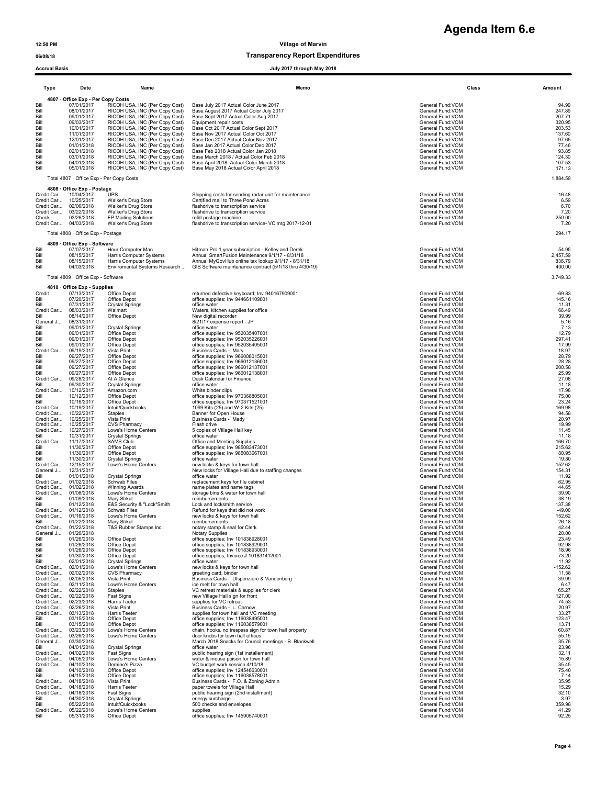# **Agenda Item 6.e**

### 06/08/18 CONSERVITE DESCRIPTION OF TRANSPARENCE TRANSPARENCE DESCRIPTION OF TRANSPARENCE DESCRIPTION OF TRANSPARENCE O

|                                                                                              | <b>Accrual Basis</b><br>July 2017 through May 2018                                                                                                                                                         |                                                                                                                                                                                                                                                                                                                                                                                                                      |                                                                                                                                                                                                                                                                                                                                                                                                                                                                                       |                                                                                                                                                                                                                                                    |                                                                                                                  |  |
|----------------------------------------------------------------------------------------------|------------------------------------------------------------------------------------------------------------------------------------------------------------------------------------------------------------|----------------------------------------------------------------------------------------------------------------------------------------------------------------------------------------------------------------------------------------------------------------------------------------------------------------------------------------------------------------------------------------------------------------------|---------------------------------------------------------------------------------------------------------------------------------------------------------------------------------------------------------------------------------------------------------------------------------------------------------------------------------------------------------------------------------------------------------------------------------------------------------------------------------------|----------------------------------------------------------------------------------------------------------------------------------------------------------------------------------------------------------------------------------------------------|------------------------------------------------------------------------------------------------------------------|--|
| Type                                                                                         | Date                                                                                                                                                                                                       | Name                                                                                                                                                                                                                                                                                                                                                                                                                 | Memo                                                                                                                                                                                                                                                                                                                                                                                                                                                                                  | Class                                                                                                                                                                                                                                              | Amount                                                                                                           |  |
| Bill<br>Bill<br>Bill<br>Bill<br>Bill<br>Bill<br>Bill<br>Bill<br>Bill<br>Bill<br>Bill<br>Bill | 4807 · Office Exp - Per Copy Costs<br>07/01/2017<br>08/01/2017<br>09/01/2017<br>09/03/2017<br>10/01/2017<br>11/01/2017<br>12/01/2017<br>01/01/2018<br>02/01/2018<br>03/01/2018<br>04/01/2018<br>05/01/2018 | RICOH USA, INC (Per Copy Cost)<br>RICOH USA, INC (Per Copy Cost)<br>RICOH USA, INC (Per Copy Cost)<br>RICOH USA, INC (Per Copy Cost)<br>RICOH USA, INC (Per Copy Cost)<br>RICOH USA, INC (Per Copy Cost)<br>RICOH USA, INC (Per Copy Cost)<br>RICOH USA, INC (Per Copy Cost)<br>RICOH USA, INC (Per Copy Cost)<br>RICOH USA, INC (Per Copy Cost)<br>RICOH USA, INC (Per Copy Cost)<br>RICOH USA, INC (Per Copy Cost) | Base July 2017 Actual Color June 2017<br>Base August 2017 Actual Color July 2017<br>Base Sept 2017 Actual Color Aug 2017<br>Equipment repair costs<br>Base Oct 2017 Actual Color Sept 2017<br>Base Nov 2017 Actual Color Oct 2017<br>Base Dec 2017 Actual Color Nov 2017<br>Base Jan 2017 Actual Color Dec 2017<br>Base Feb 2018 Actual Color Jan 2018<br>Base March 2018 / Actual Color Feb 2018<br>Base April 2018 Actual Color March 2018<br>Base May 2018 Actual Color April 2018 | General Fund:VOM<br>General Fund: VOM<br>General Fund: VOM<br>General Fund: VOM<br>General Fund:VOM<br>General Fund:VOM<br>General Fund:VOM<br>General Fund:VOM<br>General Fund: VOM<br>General Fund: VOM<br>General Fund: VOM<br>General Fund:VOM | 94.99<br>247.89<br>207.71<br>320.95<br>203.53<br>137.60<br>97.65<br>77.46<br>93.85<br>124.30<br>107.53<br>171.13 |  |
|                                                                                              |                                                                                                                                                                                                            | Total 4807 · Office Exp - Per Copy Costs                                                                                                                                                                                                                                                                                                                                                                             |                                                                                                                                                                                                                                                                                                                                                                                                                                                                                       |                                                                                                                                                                                                                                                    | 1,884.59                                                                                                         |  |
| Check                                                                                        | 4808 Office Exp - Postage<br>Credit Car 10/04/2017<br>Credit Car 10/25/2017<br>Credit Car 02/06/2018<br>Credit Car 03/22/2018<br>03/26/2018<br>Credit Car 04/03/2018<br>Total 4808 · Office Exp - Postage  | UPS<br>Walker's Drug Store<br>Walker's Drug Store<br>Walker's Drug Store<br>FP Mailing Solutions<br>Walker's Drug Store                                                                                                                                                                                                                                                                                              | Shipping costs for sending radar unit for maintenance<br>Certified mail to Three Pond Acres<br>flashdrive to transcription service<br>flashdrive to transcription service<br>refill postage machine<br>flashdrive to transcription service- VC mtg 2017-12-01                                                                                                                                                                                                                         | General Fund: VOM<br>General Fund: VOM<br>General Fund: VOM<br>General Fund: VOM<br>General Fund: VOM<br>General Fund:VOM                                                                                                                          | 16.48<br>6.59<br>6.70<br>7.20<br>250.00<br>7.20<br>294.17                                                        |  |
| Bill                                                                                         | 4809 · Office Exp - Software<br>07/07/2017                                                                                                                                                                 | Hour Computer Man                                                                                                                                                                                                                                                                                                                                                                                                    | Hitman Pro 1 year subscription - Kelley and Derek                                                                                                                                                                                                                                                                                                                                                                                                                                     | General Fund: VOM                                                                                                                                                                                                                                  | 54.95                                                                                                            |  |
| Bill                                                                                         | 08/15/2017                                                                                                                                                                                                 | Harris Computer Systems                                                                                                                                                                                                                                                                                                                                                                                              | Annual SmartFusion Maintenance 9/1/17 - 8/31/18                                                                                                                                                                                                                                                                                                                                                                                                                                       | General Fund: VOM                                                                                                                                                                                                                                  | 2,457.59                                                                                                         |  |
| Bill                                                                                         | 08/15/2017                                                                                                                                                                                                 | Harris Computer Systems                                                                                                                                                                                                                                                                                                                                                                                              | Annual MyGovHub online tax lookup 9/1/17 - 8/31/18                                                                                                                                                                                                                                                                                                                                                                                                                                    | General Fund: VOM                                                                                                                                                                                                                                  | 836.79                                                                                                           |  |
| Bill                                                                                         | 04/03/2018                                                                                                                                                                                                 | Enviromental Systems Research                                                                                                                                                                                                                                                                                                                                                                                        | GIS Software maintenance contract (5/1/18 thru 4/30/19)                                                                                                                                                                                                                                                                                                                                                                                                                               | General Fund:VOM                                                                                                                                                                                                                                   | 400.00                                                                                                           |  |
|                                                                                              | Total 4809 · Office Exp - Software                                                                                                                                                                         |                                                                                                                                                                                                                                                                                                                                                                                                                      |                                                                                                                                                                                                                                                                                                                                                                                                                                                                                       |                                                                                                                                                                                                                                                    | 3,749.33                                                                                                         |  |
| Credit                                                                                       | 4810 Office Exp - Supplies<br>07/13/2017                                                                                                                                                                   | Office Depot                                                                                                                                                                                                                                                                                                                                                                                                         | returned defective keyboard; Inv 940167909001                                                                                                                                                                                                                                                                                                                                                                                                                                         | General Fund: VOM                                                                                                                                                                                                                                  | $-69.83$                                                                                                         |  |
| Bill<br>Bill<br>Credit Car<br>Bill<br>General J<br>Bill                                      | 07/20/2017<br>07/31/2017<br>08/03/2017<br>08/14/2017<br>08/31/2017<br>09/01/2017                                                                                                                           | Office Depot<br><b>Crystal Springs</b><br>Walmart<br>Office Depot<br><b>Crystal Springs</b>                                                                                                                                                                                                                                                                                                                          | office supplies; Inv 944661109001<br>office water<br>Waters, kitchen supplies for office<br>New digital recorder<br>8/21/17 expense report - JP<br>office water                                                                                                                                                                                                                                                                                                                       | General Fund:VOM<br>General Fund:VOM<br>General Fund: VOM<br>General Fund: VOM<br>General Fund: VOM<br>General Fund:VOM                                                                                                                            | 145.16<br>11.31<br>66.49<br>39.99<br>5.16<br>7.13                                                                |  |
| Bill                                                                                         | 09/01/2017                                                                                                                                                                                                 | Office Depot                                                                                                                                                                                                                                                                                                                                                                                                         | office supplies; Inv 952035407001                                                                                                                                                                                                                                                                                                                                                                                                                                                     | General Fund:VOM                                                                                                                                                                                                                                   | 12.79                                                                                                            |  |
| Bill                                                                                         | 09/01/2017                                                                                                                                                                                                 | Office Depot                                                                                                                                                                                                                                                                                                                                                                                                         | office supplies; Inv 952035226001                                                                                                                                                                                                                                                                                                                                                                                                                                                     | General Fund:VOM                                                                                                                                                                                                                                   | 297.41                                                                                                           |  |
| Bill                                                                                         | 09/01/2017                                                                                                                                                                                                 | Office Depot                                                                                                                                                                                                                                                                                                                                                                                                         | office supplies; Inv 952035405001                                                                                                                                                                                                                                                                                                                                                                                                                                                     | General Fund: VOM                                                                                                                                                                                                                                  | 17.99                                                                                                            |  |
| Credit Car                                                                                   | 09/19/2017                                                                                                                                                                                                 | Vista Print                                                                                                                                                                                                                                                                                                                                                                                                          | Business Cards - Mary                                                                                                                                                                                                                                                                                                                                                                                                                                                                 | General Fund: VOM                                                                                                                                                                                                                                  | 18.97                                                                                                            |  |
| Bill                                                                                         | 09/27/2017                                                                                                                                                                                                 | Office Depot                                                                                                                                                                                                                                                                                                                                                                                                         | office supplies; Inv 966008015001                                                                                                                                                                                                                                                                                                                                                                                                                                                     | General Fund: VOM                                                                                                                                                                                                                                  | 28.79                                                                                                            |  |
| Bill                                                                                         | 09/27/2017                                                                                                                                                                                                 | Office Depot                                                                                                                                                                                                                                                                                                                                                                                                         | office supplies; Inv 966012136001                                                                                                                                                                                                                                                                                                                                                                                                                                                     | General Fund: VOM                                                                                                                                                                                                                                  | 28.28                                                                                                            |  |
| Bill                                                                                         | 09/27/2017                                                                                                                                                                                                 | Office Depot                                                                                                                                                                                                                                                                                                                                                                                                         | office supplies; Inv 966012137001                                                                                                                                                                                                                                                                                                                                                                                                                                                     | General Fund:VOM                                                                                                                                                                                                                                   | 200.58                                                                                                           |  |
| Bill                                                                                         | 09/27/2017                                                                                                                                                                                                 | Office Depot                                                                                                                                                                                                                                                                                                                                                                                                         | office supplies; Inv 966012138001                                                                                                                                                                                                                                                                                                                                                                                                                                                     | General Fund:VOM                                                                                                                                                                                                                                   | 25.99                                                                                                            |  |
| Credit Car                                                                                   | 09/28/2017                                                                                                                                                                                                 | At A Glance                                                                                                                                                                                                                                                                                                                                                                                                          | Desk Calendar for Finance                                                                                                                                                                                                                                                                                                                                                                                                                                                             | General Fund: VOM                                                                                                                                                                                                                                  | 27.08                                                                                                            |  |
| Bill                                                                                         | 09/30/2017                                                                                                                                                                                                 | <b>Crystal Springs</b>                                                                                                                                                                                                                                                                                                                                                                                               | office water                                                                                                                                                                                                                                                                                                                                                                                                                                                                          | General Fund: VOM                                                                                                                                                                                                                                  | 11.18                                                                                                            |  |
| Credit Car                                                                                   | 10/12/2017                                                                                                                                                                                                 | Amazon.com                                                                                                                                                                                                                                                                                                                                                                                                           | White binder clips                                                                                                                                                                                                                                                                                                                                                                                                                                                                    | General Fund: VOM                                                                                                                                                                                                                                  | 17.98                                                                                                            |  |
| Bill                                                                                         | 10/12/2017                                                                                                                                                                                                 | Office Depot                                                                                                                                                                                                                                                                                                                                                                                                         | office supplies; Inv 970368805001                                                                                                                                                                                                                                                                                                                                                                                                                                                     | General Fund:VOM                                                                                                                                                                                                                                   | 75.00                                                                                                            |  |
| Bill                                                                                         | 10/16/2017                                                                                                                                                                                                 | Office Depot                                                                                                                                                                                                                                                                                                                                                                                                         | office supplies; Inv 970371521001                                                                                                                                                                                                                                                                                                                                                                                                                                                     | General Fund:VOM                                                                                                                                                                                                                                   | 23.24                                                                                                            |  |
| Credit Car                                                                                   | 10/19/2017                                                                                                                                                                                                 | Intuit/Quickbooks                                                                                                                                                                                                                                                                                                                                                                                                    | 1099 Kits (25) and W-2 Kits (25)                                                                                                                                                                                                                                                                                                                                                                                                                                                      | General Fund: VOM                                                                                                                                                                                                                                  | 169.98                                                                                                           |  |
| Credit Car                                                                                   | 10/22/2017                                                                                                                                                                                                 | Staples                                                                                                                                                                                                                                                                                                                                                                                                              | Banner for Open House                                                                                                                                                                                                                                                                                                                                                                                                                                                                 | General Fund: VOM                                                                                                                                                                                                                                  | 94.58                                                                                                            |  |
| Credit Car                                                                                   | 10/25/2017                                                                                                                                                                                                 | Vista Print                                                                                                                                                                                                                                                                                                                                                                                                          | Business Cards - Mady                                                                                                                                                                                                                                                                                                                                                                                                                                                                 | General Fund: VOM                                                                                                                                                                                                                                  | 20.97                                                                                                            |  |
| Credit Car                                                                                   | 10/25/2017                                                                                                                                                                                                 | <b>CVS Pharmacy</b>                                                                                                                                                                                                                                                                                                                                                                                                  | Flash drive                                                                                                                                                                                                                                                                                                                                                                                                                                                                           | General Fund: VOM                                                                                                                                                                                                                                  | 19.99                                                                                                            |  |
| Credit Car                                                                                   | 10/27/2017                                                                                                                                                                                                 | Lowe's Home Centers                                                                                                                                                                                                                                                                                                                                                                                                  | 5 copies of Village Hall key                                                                                                                                                                                                                                                                                                                                                                                                                                                          | General Fund: VOM                                                                                                                                                                                                                                  | 11.45                                                                                                            |  |
| Bill                                                                                         | 10/31/2017                                                                                                                                                                                                 | Crystal Springs                                                                                                                                                                                                                                                                                                                                                                                                      | office water                                                                                                                                                                                                                                                                                                                                                                                                                                                                          | General Fund:VOM                                                                                                                                                                                                                                   | 11.18                                                                                                            |  |
| Credit Car                                                                                   | 11/17/2017                                                                                                                                                                                                 | <b>SAMS Club</b>                                                                                                                                                                                                                                                                                                                                                                                                     | Office and Meeting Supplies                                                                                                                                                                                                                                                                                                                                                                                                                                                           | General Fund: VOM                                                                                                                                                                                                                                  | 166.70                                                                                                           |  |
| Bill                                                                                         | 11/30/2017                                                                                                                                                                                                 | Office Depot                                                                                                                                                                                                                                                                                                                                                                                                         | office supplies; Inv 985083473001                                                                                                                                                                                                                                                                                                                                                                                                                                                     | General Fund:VOM                                                                                                                                                                                                                                   | 215.62                                                                                                           |  |
| Bill                                                                                         | 11/30/2017                                                                                                                                                                                                 | Office Depot                                                                                                                                                                                                                                                                                                                                                                                                         | office supplies; Inv 985083667001                                                                                                                                                                                                                                                                                                                                                                                                                                                     | General Fund: VOM                                                                                                                                                                                                                                  | 80.95                                                                                                            |  |
| Bill                                                                                         | 11/30/2017                                                                                                                                                                                                 | <b>Crystal Springs</b>                                                                                                                                                                                                                                                                                                                                                                                               | office water                                                                                                                                                                                                                                                                                                                                                                                                                                                                          | General Fund: VOM                                                                                                                                                                                                                                  | 19.80                                                                                                            |  |
| Credit Car                                                                                   | 12/15/2017                                                                                                                                                                                                 | Lowe's Home Centers                                                                                                                                                                                                                                                                                                                                                                                                  | new locks & keys for town hall                                                                                                                                                                                                                                                                                                                                                                                                                                                        | General Fund: VOM                                                                                                                                                                                                                                  | 152.62                                                                                                           |  |
| General J                                                                                    | 12/31/2017                                                                                                                                                                                                 |                                                                                                                                                                                                                                                                                                                                                                                                                      | New locks for Village Hall due to staffing changes                                                                                                                                                                                                                                                                                                                                                                                                                                    | General Fund: VOM                                                                                                                                                                                                                                  | 154.31                                                                                                           |  |
| Bill                                                                                         | 01/01/2018                                                                                                                                                                                                 | Crystal Springs                                                                                                                                                                                                                                                                                                                                                                                                      | office water                                                                                                                                                                                                                                                                                                                                                                                                                                                                          | General Fund:VOM                                                                                                                                                                                                                                   | 11.92                                                                                                            |  |
| Credit Car                                                                                   | 01/02/2018                                                                                                                                                                                                 | Schwab Files                                                                                                                                                                                                                                                                                                                                                                                                         | replacement keys for file cabinet                                                                                                                                                                                                                                                                                                                                                                                                                                                     |                                                                                                                                                                                                                                                    | 62.95                                                                                                            |  |
| Credit Car                                                                                   | 01/02/2018                                                                                                                                                                                                 | <b>Winning Awards</b>                                                                                                                                                                                                                                                                                                                                                                                                | name plates and name tags                                                                                                                                                                                                                                                                                                                                                                                                                                                             | General Fund: VOM                                                                                                                                                                                                                                  | 44.65                                                                                                            |  |
|                                                                                              | Credit Car 01/08/2018                                                                                                                                                                                      | Lowe's Home Centers                                                                                                                                                                                                                                                                                                                                                                                                  | storage bins & water for town hall                                                                                                                                                                                                                                                                                                                                                                                                                                                    | General Fund: VOM                                                                                                                                                                                                                                  | 39.90                                                                                                            |  |
| Bill                                                                                         | 01/09/2018                                                                                                                                                                                                 | Mary Shkut                                                                                                                                                                                                                                                                                                                                                                                                           | reimbursements                                                                                                                                                                                                                                                                                                                                                                                                                                                                        | General Fund: VOM                                                                                                                                                                                                                                  | 38.19                                                                                                            |  |
| Bill                                                                                         | 01/12/2018                                                                                                                                                                                                 | E&S Security & "Lock"Smith                                                                                                                                                                                                                                                                                                                                                                                           | Lock and locksmith service                                                                                                                                                                                                                                                                                                                                                                                                                                                            | General Fund:VOM                                                                                                                                                                                                                                   | 137.38                                                                                                           |  |
| Credit Car                                                                                   | 01/12/2018                                                                                                                                                                                                 | Schwab Files                                                                                                                                                                                                                                                                                                                                                                                                         | Refund for keys that did not work                                                                                                                                                                                                                                                                                                                                                                                                                                                     | General Fund: VOM                                                                                                                                                                                                                                  | $-49.00$                                                                                                         |  |
| Bill                                                                                         | Credit Car 01/16/2018                                                                                                                                                                                      | Lowe's Home Centers                                                                                                                                                                                                                                                                                                                                                                                                  | new locks & keys for town hall                                                                                                                                                                                                                                                                                                                                                                                                                                                        | General Fund: VOM                                                                                                                                                                                                                                  | 152.62                                                                                                           |  |
|                                                                                              | 01/22/2018                                                                                                                                                                                                 | Mary Shkut                                                                                                                                                                                                                                                                                                                                                                                                           | reimbursements                                                                                                                                                                                                                                                                                                                                                                                                                                                                        | General Fund:VOM                                                                                                                                                                                                                                   | 26.18                                                                                                            |  |
|                                                                                              | Credit Car 01/22/2018<br>General J 01/26/2018                                                                                                                                                              | T&S Rubber Stamps Inc.                                                                                                                                                                                                                                                                                                                                                                                               | notary stamp & seal for Clerk<br>Notary Supplies                                                                                                                                                                                                                                                                                                                                                                                                                                      | General Fund: VOM<br>General Fund: VOM                                                                                                                                                                                                             | 42.44<br>20.00                                                                                                   |  |
| Bill                                                                                         | 01/26/2018                                                                                                                                                                                                 | Office Depot                                                                                                                                                                                                                                                                                                                                                                                                         | office supplies; Inv 101838928001                                                                                                                                                                                                                                                                                                                                                                                                                                                     | General Fund: VOM                                                                                                                                                                                                                                  | 23.49                                                                                                            |  |
| Bill                                                                                         | 01/26/2018                                                                                                                                                                                                 | Office Depot                                                                                                                                                                                                                                                                                                                                                                                                         | office supplies; Inv 101838929001                                                                                                                                                                                                                                                                                                                                                                                                                                                     | General Fund: VOM                                                                                                                                                                                                                                  | 92.98                                                                                                            |  |
| Bill                                                                                         | 01/26/2018                                                                                                                                                                                                 | Office Depot                                                                                                                                                                                                                                                                                                                                                                                                         | office supplies; Inv 101838930001                                                                                                                                                                                                                                                                                                                                                                                                                                                     | General Fund:VOM                                                                                                                                                                                                                                   | 18.96                                                                                                            |  |
| Bill                                                                                         | 01/30/2018                                                                                                                                                                                                 | Office Depot                                                                                                                                                                                                                                                                                                                                                                                                         | office supplies; Invoice # 101831412001                                                                                                                                                                                                                                                                                                                                                                                                                                               | General Fund: VOM                                                                                                                                                                                                                                  | 73.20                                                                                                            |  |
| Bill                                                                                         | 02/01/2018                                                                                                                                                                                                 | <b>Crystal Springs</b>                                                                                                                                                                                                                                                                                                                                                                                               | office water                                                                                                                                                                                                                                                                                                                                                                                                                                                                          | General Fund:VOM                                                                                                                                                                                                                                   | 11.92                                                                                                            |  |
| Credit Car                                                                                   | 02/01/2018                                                                                                                                                                                                 | Lowe's Home Centers                                                                                                                                                                                                                                                                                                                                                                                                  | new locks & keys for town hall                                                                                                                                                                                                                                                                                                                                                                                                                                                        | General Fund: VOM                                                                                                                                                                                                                                  | $-152.62$                                                                                                        |  |
|                                                                                              | Credit Car 02/02/2018                                                                                                                                                                                      | <b>CVS Pharmacy</b>                                                                                                                                                                                                                                                                                                                                                                                                  | greeting card, binder                                                                                                                                                                                                                                                                                                                                                                                                                                                                 | General Fund:VOM                                                                                                                                                                                                                                   | 11.58                                                                                                            |  |
|                                                                                              | Credit Car 02/05/2018                                                                                                                                                                                      | Vista Print                                                                                                                                                                                                                                                                                                                                                                                                          | Business Cards - DIspenziere & Vandenberg                                                                                                                                                                                                                                                                                                                                                                                                                                             | General Fund:VOM                                                                                                                                                                                                                                   | 39.99                                                                                                            |  |
|                                                                                              | Credit Car 02/11/2018                                                                                                                                                                                      | Lowe's Home Centers                                                                                                                                                                                                                                                                                                                                                                                                  | ice melt for town hall                                                                                                                                                                                                                                                                                                                                                                                                                                                                | General Fund: VOM                                                                                                                                                                                                                                  | 6.47                                                                                                             |  |
|                                                                                              | Credit Car 02/22/2018                                                                                                                                                                                      | Staples                                                                                                                                                                                                                                                                                                                                                                                                              | VC retreat materials & supplies for clerk                                                                                                                                                                                                                                                                                                                                                                                                                                             | General Fund: VOM                                                                                                                                                                                                                                  | 65.27                                                                                                            |  |
|                                                                                              | Credit Car 02/22/2018                                                                                                                                                                                      | Fast Signs                                                                                                                                                                                                                                                                                                                                                                                                           | new Village Hall sign for front                                                                                                                                                                                                                                                                                                                                                                                                                                                       | General Fund: VOM                                                                                                                                                                                                                                  | 127.00                                                                                                           |  |
|                                                                                              | Credit Car 02/23/2018                                                                                                                                                                                      | Harris Teeter                                                                                                                                                                                                                                                                                                                                                                                                        | supplies for VC retreat                                                                                                                                                                                                                                                                                                                                                                                                                                                               | General Fund: VOM                                                                                                                                                                                                                                  | 74.53                                                                                                            |  |
|                                                                                              | Credit Car 02/26/2018                                                                                                                                                                                      | Vista Print                                                                                                                                                                                                                                                                                                                                                                                                          | Business Cards - L. Carnow                                                                                                                                                                                                                                                                                                                                                                                                                                                            | General Fund:VOM                                                                                                                                                                                                                                   | 20.97                                                                                                            |  |
| Bill                                                                                         | Credit Car 03/13/2018                                                                                                                                                                                      | <b>Harris Teeter</b>                                                                                                                                                                                                                                                                                                                                                                                                 | supplies for town hall and VC meeting                                                                                                                                                                                                                                                                                                                                                                                                                                                 | General Fund: VOM                                                                                                                                                                                                                                  | 33.27                                                                                                            |  |
|                                                                                              | 03/15/2018                                                                                                                                                                                                 | Office Depot                                                                                                                                                                                                                                                                                                                                                                                                         | office supplies: Inv 116038495001                                                                                                                                                                                                                                                                                                                                                                                                                                                     | General Fund: VOM                                                                                                                                                                                                                                  | 123.47                                                                                                           |  |
| Bill<br>Credit Car                                                                           | 03/15/2018<br>03/23/2018<br>Credit Car 03/26/2018                                                                                                                                                          | Office Depot<br>Lowe's Home Centers<br>Lowe's Home Centers                                                                                                                                                                                                                                                                                                                                                           | office supplies; Inv 116038579001<br>chain, hooks, no trespass sign for town hall property<br>door knobs for town hall offices                                                                                                                                                                                                                                                                                                                                                        | General Fund: VOM<br>General Fund: VOM<br>General Fund: VOM                                                                                                                                                                                        | 13.71<br>60.87<br>55.15                                                                                          |  |
| General J                                                                                    | 03/30/2018                                                                                                                                                                                                 | <b>Crystal Springs</b>                                                                                                                                                                                                                                                                                                                                                                                               | March 2018 Snacks for Council meetings - B. Blackwell                                                                                                                                                                                                                                                                                                                                                                                                                                 | General Fund: VOM                                                                                                                                                                                                                                  | 35.76                                                                                                            |  |
| Bill                                                                                         | 04/01/2018                                                                                                                                                                                                 |                                                                                                                                                                                                                                                                                                                                                                                                                      | office water                                                                                                                                                                                                                                                                                                                                                                                                                                                                          | General Fund:VOM                                                                                                                                                                                                                                   | 23.96                                                                                                            |  |
|                                                                                              | Credit Car 04/02/2018                                                                                                                                                                                      | Fast Signs                                                                                                                                                                                                                                                                                                                                                                                                           | public hearing sign (1st installement)                                                                                                                                                                                                                                                                                                                                                                                                                                                | General Fund: VOM                                                                                                                                                                                                                                  | 32.11                                                                                                            |  |
|                                                                                              | Credit Car 04/05/2018                                                                                                                                                                                      | Lowe's Home Centers                                                                                                                                                                                                                                                                                                                                                                                                  | water & mouse poison for town hall                                                                                                                                                                                                                                                                                                                                                                                                                                                    | General Fund: VOM                                                                                                                                                                                                                                  | 15.89                                                                                                            |  |
| Bill                                                                                         | Credit Car 04/10/2018                                                                                                                                                                                      | Domino's Pizza                                                                                                                                                                                                                                                                                                                                                                                                       | VC budget work session 4/10/18                                                                                                                                                                                                                                                                                                                                                                                                                                                        | General Fund: VOM                                                                                                                                                                                                                                  | 35.45                                                                                                            |  |
|                                                                                              | 04/10/2018                                                                                                                                                                                                 | Office Depot                                                                                                                                                                                                                                                                                                                                                                                                         | office supplies; Inv 124546630001                                                                                                                                                                                                                                                                                                                                                                                                                                                     | General Fund: VOM                                                                                                                                                                                                                                  | 75.40                                                                                                            |  |
| Bill                                                                                         | 04/15/2018                                                                                                                                                                                                 | Office Depot                                                                                                                                                                                                                                                                                                                                                                                                         | office supplies; Inv 116038578001                                                                                                                                                                                                                                                                                                                                                                                                                                                     | General Fund: VOM                                                                                                                                                                                                                                  | 7.14                                                                                                             |  |
|                                                                                              | Credit Car 04/18/2018                                                                                                                                                                                      | Vista Print                                                                                                                                                                                                                                                                                                                                                                                                          | Business Cards - F.O. & Zoning Admin                                                                                                                                                                                                                                                                                                                                                                                                                                                  | General Fund:VOM                                                                                                                                                                                                                                   | 35.95                                                                                                            |  |
|                                                                                              | Credit Car 04/18/2018                                                                                                                                                                                      | <b>Harris Teeter</b>                                                                                                                                                                                                                                                                                                                                                                                                 | paper towels for Village Hall                                                                                                                                                                                                                                                                                                                                                                                                                                                         | General Fund: VOM                                                                                                                                                                                                                                  | 15.29                                                                                                            |  |
|                                                                                              | Credit Car 04/18/2018                                                                                                                                                                                      | Fast Signs                                                                                                                                                                                                                                                                                                                                                                                                           | public hearing sign (2nd installment)                                                                                                                                                                                                                                                                                                                                                                                                                                                 | General Fund: VOM                                                                                                                                                                                                                                  | 32.10                                                                                                            |  |
| Bill                                                                                         | 04/30/2018                                                                                                                                                                                                 | <b>Crystal Springs</b>                                                                                                                                                                                                                                                                                                                                                                                               | energy surcharge                                                                                                                                                                                                                                                                                                                                                                                                                                                                      | General Fund: VOM                                                                                                                                                                                                                                  | 3.97                                                                                                             |  |
| Bill                                                                                         | 05/22/2018                                                                                                                                                                                                 | Intuit/Quickbooks                                                                                                                                                                                                                                                                                                                                                                                                    | 500 checks and envelopes                                                                                                                                                                                                                                                                                                                                                                                                                                                              | General Fund: VOM                                                                                                                                                                                                                                  | 359.98                                                                                                           |  |
| Credit Car                                                                                   | 05/22/2018                                                                                                                                                                                                 | Lowe's Home Centers                                                                                                                                                                                                                                                                                                                                                                                                  | supplies                                                                                                                                                                                                                                                                                                                                                                                                                                                                              | General Fund: VOM                                                                                                                                                                                                                                  | 41.29                                                                                                            |  |
| Bill                                                                                         | 05/31/2018                                                                                                                                                                                                 | Office Depot                                                                                                                                                                                                                                                                                                                                                                                                         | office supplies; Inv 145905740001                                                                                                                                                                                                                                                                                                                                                                                                                                                     | General Fund: VOM                                                                                                                                                                                                                                  | 92.25                                                                                                            |  |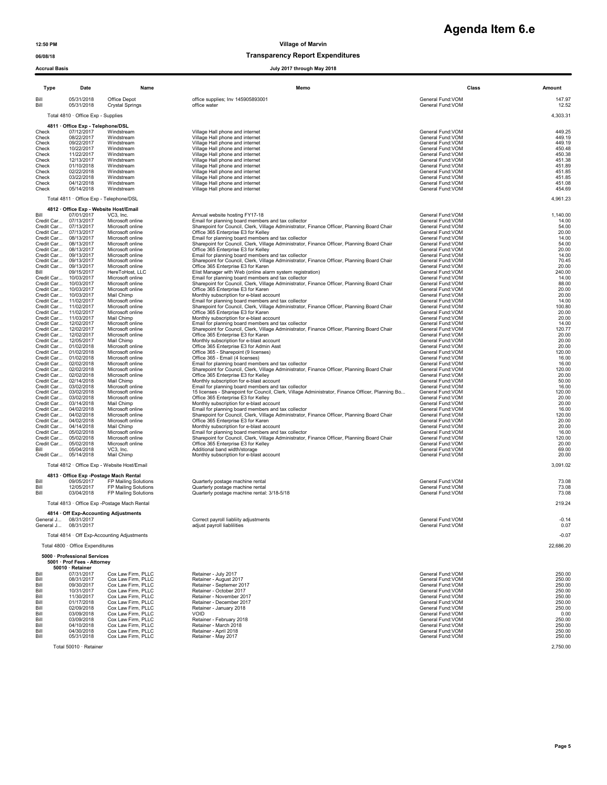### 06/08/18 Transparency Report Expenditures

**Agenda Item 6.e**

|                          | <b>Accrual Basis</b><br>July 2017 through May 2018          |                                               |                                                                                                                                                   |                                        |                  |  |  |
|--------------------------|-------------------------------------------------------------|-----------------------------------------------|---------------------------------------------------------------------------------------------------------------------------------------------------|----------------------------------------|------------------|--|--|
| Type                     | Date                                                        | Name                                          | Memo                                                                                                                                              | Class                                  | Amount           |  |  |
| Bill<br>Bill             | 05/31/2018<br>05/31/2018                                    | Office Depot<br><b>Crystal Springs</b>        | office supplies; Inv 145905893001<br>office water                                                                                                 | General Fund:VOM<br>General Fund: VOM  | 147.97<br>12.52  |  |  |
|                          | Total 4810 · Office Exp - Supplies                          |                                               |                                                                                                                                                   |                                        | 4,303.31         |  |  |
|                          | 4811 Office Exp - Telephone/DSL                             |                                               |                                                                                                                                                   |                                        |                  |  |  |
| Check                    | 07/12/2017                                                  | Windstream                                    | Village Hall phone and internet                                                                                                                   | General Fund: VOM                      | 449.25           |  |  |
| Check<br>Check           | 08/22/2017<br>09/22/2017                                    | Windstream<br>Windstream                      | Village Hall phone and internet<br>Village Hall phone and internet                                                                                | General Fund:VOM<br>General Fund:VOM   | 449.19<br>449.19 |  |  |
| Check                    | 10/22/2017                                                  | Windstream                                    | Village Hall phone and internet                                                                                                                   | General Fund: VOM                      | 450.48           |  |  |
| Check<br>Check           | 11/22/2017<br>12/13/2017                                    | Windstream<br>Windstream                      | Village Hall phone and internet<br>Village Hall phone and internet                                                                                | General Fund: VOM<br>General Fund: VOM | 450.38<br>451.38 |  |  |
| Check                    | 01/10/2018                                                  | Windstream                                    | Village Hall phone and internet                                                                                                                   | General Fund: VOM                      | 451.89           |  |  |
| Check<br>Check           | 02/22/2018<br>03/22/2018                                    | Windstream<br>Windstream                      | Village Hall phone and internet<br>Village Hall phone and internet                                                                                | General Fund: VOM<br>General Fund: VOM | 451.85<br>451.85 |  |  |
| Check                    | 04/12/2018                                                  | Windstream                                    | Village Hall phone and internet                                                                                                                   | General Fund: VOM                      | 451.08           |  |  |
| Check                    | 05/14/2018                                                  | Windstream                                    | Village Hall phone and internet                                                                                                                   | General Fund:VOM                       | 454.69           |  |  |
|                          | Total 4811 · Office Exp - Telephone/DSL                     |                                               |                                                                                                                                                   |                                        | 4,961.23         |  |  |
| Bill                     | 4812 Office Exp - Website Host/Email<br>07/01/2017          | VC3, Inc.                                     | Annual website hosting FY17-18                                                                                                                    | General Fund: VOM                      | 1,140.00         |  |  |
| Credit Car               | 07/13/2017                                                  | Microsoft online                              | Email for planning board members and tax collector                                                                                                | General Fund: VOM                      | 14.00            |  |  |
| Credit Car               | Credit Car 07/13/2017<br>07/13/2017                         | Microsoft online<br>Microsoft online          | Sharepoint for Council, Clerk, Village Administrator, Finance Officer, Planning Board Chair<br>Office 365 Enterprise E3 for Kelley                | General Fund:VOM<br>General Fund: VOM  | 54.00<br>20.00   |  |  |
| Credit Car               | 08/13/2017                                                  | Microsoft online                              | Email for planning board members and tax collector                                                                                                | General Fund:VOM                       | 14.00            |  |  |
| Credit Car<br>Credit Car | 08/13/2017<br>08/13/2017                                    | Microsoft online<br>Microsoft online          | Sharepoint for Council, Clerk, Village Administrator, Finance Officer, Planning Board Chair<br>Office 365 Enterprise E3 for Kelley                | General Fund:VOM<br>General Fund: VOM  | 54.00<br>20.00   |  |  |
| Credit Car               | 09/13/2017                                                  | Microsoft online                              | Email for planning board members and tax collector                                                                                                | General Fund: VOM                      | 14.00            |  |  |
| Credit Car               | 09/13/2017                                                  | Microsoft online                              | Sharepoint for Council, Clerk, Village Administrator, Finance Officer, Planning Board Chair                                                       | General Fund:VOM                       | 70.45            |  |  |
| Credit Car<br>Bill       | 09/13/2017<br>09/15/2017                                    | Microsoft online<br>HereToHost, LLC           | Office 365 Enterprise E3 for Karen<br>Elist Manager with Web (online alarm system registration)                                                   | General Fund: VOM<br>General Fund: VOM | 20.00<br>240.00  |  |  |
| Credit Car               | 10/03/2017                                                  | Microsoft online                              | Email for planning board members and tax collector                                                                                                | General Fund:VOM                       | 14.00            |  |  |
|                          | Credit Car 10/03/2017<br>Credit Car 10/03/2017              | Microsoft online<br>Microsoft online          | Sharepoint for Council, Clerk, Village Administrator, Finance Officer, Planning Board Chair<br>Office 365 Enterprise E3 for Karen                 | General Fund: VOM<br>General Fund: VOM | 88.00<br>20.00   |  |  |
|                          | Credit Car 10/03/2017                                       | Mail Chimp                                    | Monthly subscription for e-blast account                                                                                                          | General Fund: VOM                      | 20.00            |  |  |
|                          | Credit Car 11/02/2017                                       | Microsoft online                              | Email for planning board members and tax collector                                                                                                | General Fund:VOM                       | 14.00            |  |  |
|                          | Credit Car 11/02/2017<br>Credit Car 11/02/2017              | Microsoft online<br>Microsoft online          | Sharepoint for Council, Clerk, Village Administrator, Finance Officer, Planning Board Chair<br>Office 365 Enterprise E3 for Karen                 | General Fund:VOM<br>General Fund: VOM  | 100.80<br>20.00  |  |  |
|                          | Credit Car 11/03/2017                                       | Mail Chimp                                    | Monthly subscription for e-blast account                                                                                                          | General Fund: VOM                      | 20.00            |  |  |
|                          | Credit Car 12/02/2017<br>Credit Car 12/02/2017              | Microsoft online<br>Microsoft online          | Email for planning board members and tax collector<br>Sharepoint for Council, Clerk, Village Administrator, Finance Officer, Planning Board Chair | General Fund:VOM<br>General Fund: VOM  | 14.00<br>120.77  |  |  |
|                          | Credit Car 12/02/2017                                       | Microsoft online                              | Office 365 Enterprise E3 for Karen                                                                                                                | General Fund: VOM                      | 20.00            |  |  |
| Credit Car<br>Credit Car | 12/05/2017<br>01/02/2018                                    | Mail Chimp<br>Microsoft online                | Monthly subscription for e-blast account<br>Office 365 Enterprise E3 for Admin Asst                                                               | General Fund: VOM<br>General Fund: VOM | 20.00<br>20.00   |  |  |
| Credit Car               | 01/02/2018                                                  | Microsoft online                              | Office 365 - Sharepoint (9 licenses)                                                                                                              | General Fund: VOM                      | 120.00           |  |  |
| Credit Car               | 01/02/2018                                                  | Microsoft online                              | Office 365 - Email (4 licenses)                                                                                                                   | General Fund: VOM                      | 16.00            |  |  |
| Credit Car<br>Credit Car | 02/02/2018<br>02/02/2018                                    | Microsoft online<br>Microsoft online          | Email for planning board members and tax collector<br>Sharepoint for Council, Clerk, Village Administrator, Finance Officer, Planning Board Chair | General Fund: VOM<br>General Fund: VOM | 16.00<br>120.00  |  |  |
| Credit Car               | 02/02/2018                                                  | Microsoft online                              | Office 365 Enterprise E3 for Kelley                                                                                                               | General Fund: VOM                      | 20.00            |  |  |
| Credit Car<br>Credit Car | 02/14/2018<br>03/02/2018                                    | Mail Chimp<br>Microsoft online                | Monthly subscription for e-blast account<br>Email for planning board members and tax collector                                                    | General Fund: VOM<br>General Fund:VOM  | 50.00<br>16.00   |  |  |
| Credit Car               | 03/02/2018                                                  | Microsoft online                              | 15 licenses - Sharepoint for Council, Clerk, Village Administrator, Finance Officer, Planning Bo                                                  | General Fund:VOM                       | 120.00           |  |  |
| Credit Car               | 03/02/2018                                                  | Microsoft online                              | Office 365 Enterprise E3 for Kelley                                                                                                               | General Fund: VOM                      | 20.00            |  |  |
| Credit Car<br>Credit Car | 03/14/2018<br>04/02/2018                                    | Mail Chimp<br>Microsoft online                | Monthly subscription for e-blast account<br>Email for planning board members and tax collector                                                    | General Fund: VOM<br>General Fund:VOM  | 20.00<br>16.00   |  |  |
| Credit Car               | 04/02/2018                                                  | Microsoft online                              | Sharepoint for Council, Clerk, Village Administrator, Finance Officer, Planning Board Chair                                                       | General Fund:VOM                       | 120.00           |  |  |
| Credit Car<br>Credit Car | 04/02/2018<br>04/14/2018                                    | Microsoft online<br>Mail Chimp                | Office 365 Enterprise E3 for Karen<br>Monthly subscription for e-blast account                                                                    | General Fund: VOM<br>General Fund: VOM | 20.00<br>20.00   |  |  |
| Credit Car               | 05/02/2018                                                  | Microsoft online                              | Email for planning board members and tax collector                                                                                                | General Fund: VOM                      | 16.00            |  |  |
| Credit Car               | 05/02/2018<br>05/02/2018                                    | Microsoft online<br>Microsoft online          | Sharepoint for Council, Clerk, Village Administrator, Finance Officer, Planning Board Chair                                                       | General Fund: VOM<br>General Fund: VOM | 120.00<br>20.00  |  |  |
| Credit Car<br>Bill       | 05/04/2018                                                  | VC3, Inc.                                     | Office 365 Enterprise E3 for Kelley<br>Additional band width/storage                                                                              | General Fund:VOM                       | 69.00            |  |  |
| Credit Car               | 05/14/2018                                                  | Mail Chimp                                    | Monthly subscription for e-blast account                                                                                                          | General Fund: VOM                      | 20.00            |  |  |
|                          |                                                             | Total 4812 · Office Exp - Website Host/Email  |                                                                                                                                                   |                                        | 3.091.02         |  |  |
|                          |                                                             | 4813 Office Exp -Postage Mach Rental          |                                                                                                                                                   |                                        |                  |  |  |
| Bill<br>Bill             | 09/05/2017<br>12/05/2017                                    | FP Mailing Solutions<br>FP Mailing Solutions  | Quarterly postage machine rental<br>Quarterly postage machine rental                                                                              | General Fund: VOM<br>General Fund: VOM | 73.08<br>73.08   |  |  |
| Bill                     | 03/04/2018                                                  | FP Mailing Solutions                          | Quarterly postage machine rental: 3/18-5/18                                                                                                       | General Fund: VOM                      | 73.08            |  |  |
|                          |                                                             | Total 4813 · Office Exp - Postage Mach Rental |                                                                                                                                                   |                                        | 219.24           |  |  |
|                          | General J 08/31/2017                                        | 4814 Off Exp-Accounting Adjustments           | Correct payroll liabliity adjustments                                                                                                             | General Fund: VOM                      | $-0.14$          |  |  |
| General J                | 08/31/2017                                                  |                                               | adjust payroll liablilities                                                                                                                       | General Fund:VOM                       | 0.07             |  |  |
|                          |                                                             | Total 4814 · Off Exp-Accounting Adjustments   |                                                                                                                                                   |                                        | $-0.07$          |  |  |
|                          | Total 4800 · Office Expenditures                            |                                               |                                                                                                                                                   |                                        | 22,686.20        |  |  |
|                          | 5000 · Professional Services<br>5001 · Prof Fees - Attorney |                                               |                                                                                                                                                   |                                        |                  |  |  |
|                          | 50010 · Retainer                                            |                                               |                                                                                                                                                   |                                        |                  |  |  |
| Bill                     | 07/31/2017                                                  | Cox Law Firm, PLLC                            | Retainer - July 2017                                                                                                                              | General Fund:VOM                       | 250.00           |  |  |
| Bill<br>Bill             | 08/31/2017<br>09/30/2017                                    | Cox Law Firm, PLLC<br>Cox Law Firm, PLLC      | Retainer - August 2017<br>Retainer - Septemer 2017                                                                                                | General Fund: VOM<br>General Fund: VOM | 250.00<br>250.00 |  |  |
| Bill                     | 10/31/2017                                                  | Cox Law Firm, PLLC                            | Retainer - October 2017                                                                                                                           | General Fund:VOM                       | 250.00           |  |  |
| Bill<br>Bill             | 11/30/2017<br>01/17/2018                                    | Cox Law Firm, PLLC<br>Cox Law Firm, PLLC      | Retainer - November 2017<br>Retainer - December 2017                                                                                              | General Fund: VOM<br>General Fund: VOM | 250.00<br>250.00 |  |  |
| Bill                     | 02/09/2018                                                  | Cox Law Firm, PLLC                            | Retainer - January 2018                                                                                                                           | General Fund:VOM                       | 250.00           |  |  |
| Bill                     | 03/09/2018                                                  | Cox Law Firm, PLLC                            | VOID                                                                                                                                              | General Fund: VOM                      | 0.00             |  |  |
| Bill<br>Bill             | 03/09/2018<br>04/10/2018                                    | Cox Law Firm, PLLC<br>Cox Law Firm, PLLC      | Retainer - February 2018<br>Retainer - March 2018                                                                                                 | General Fund:VOM<br>General Fund:VOM   | 250.00<br>250.00 |  |  |
| Bill                     | 04/30/2018                                                  | Cox Law Firm, PLLC                            | Retainer - April 2018                                                                                                                             | General Fund: VOM                      | 250.00           |  |  |
| Bill                     | 05/31/2018                                                  | Cox Law Firm, PLLC                            | Retainer - May 2017                                                                                                                               | General Fund: VOM                      | 250.00           |  |  |
|                          | Total 50010 · Retainer                                      |                                               |                                                                                                                                                   |                                        | 2,750.00         |  |  |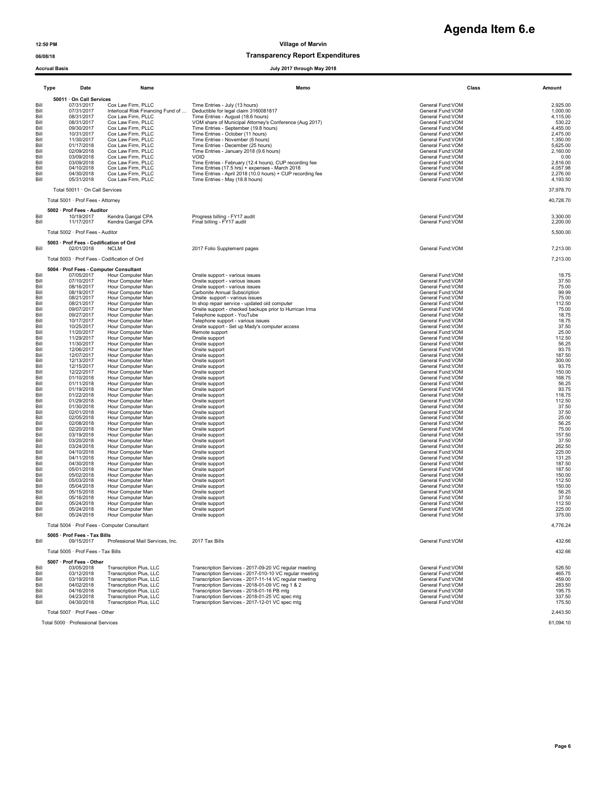## 06/08/18 Transparency Report Expenditures

|                                                                                                                                                                                                                                                                                                                                                      | <b>Accrual Basis</b><br>July 2017 through May 2018                                                                                                                                                                                                                                                                                                                                                                                                                                                                                                                                                                                                               |                                                                                                                                                                                                                                                                                                                                                                                                                                                                                                                                                                                                                                                                                                                                                                                                                                                                                                                                     |                                                                                                                                                                                                                                                                                                                                                                                                                                                                                                                                                                                                                                                                                                                                                                                                                                                                                                                                                                                                                                |                                                                                                                                                                                                                                                                                                                                                                                                                                                                                                                                                                                                                                                                                                                                                                                                                                                                                                       |                                                                                                                                                                                                                                                                                                                                                                                                                     |  |
|------------------------------------------------------------------------------------------------------------------------------------------------------------------------------------------------------------------------------------------------------------------------------------------------------------------------------------------------------|------------------------------------------------------------------------------------------------------------------------------------------------------------------------------------------------------------------------------------------------------------------------------------------------------------------------------------------------------------------------------------------------------------------------------------------------------------------------------------------------------------------------------------------------------------------------------------------------------------------------------------------------------------------|-------------------------------------------------------------------------------------------------------------------------------------------------------------------------------------------------------------------------------------------------------------------------------------------------------------------------------------------------------------------------------------------------------------------------------------------------------------------------------------------------------------------------------------------------------------------------------------------------------------------------------------------------------------------------------------------------------------------------------------------------------------------------------------------------------------------------------------------------------------------------------------------------------------------------------------|--------------------------------------------------------------------------------------------------------------------------------------------------------------------------------------------------------------------------------------------------------------------------------------------------------------------------------------------------------------------------------------------------------------------------------------------------------------------------------------------------------------------------------------------------------------------------------------------------------------------------------------------------------------------------------------------------------------------------------------------------------------------------------------------------------------------------------------------------------------------------------------------------------------------------------------------------------------------------------------------------------------------------------|-------------------------------------------------------------------------------------------------------------------------------------------------------------------------------------------------------------------------------------------------------------------------------------------------------------------------------------------------------------------------------------------------------------------------------------------------------------------------------------------------------------------------------------------------------------------------------------------------------------------------------------------------------------------------------------------------------------------------------------------------------------------------------------------------------------------------------------------------------------------------------------------------------|---------------------------------------------------------------------------------------------------------------------------------------------------------------------------------------------------------------------------------------------------------------------------------------------------------------------------------------------------------------------------------------------------------------------|--|
|                                                                                                                                                                                                                                                                                                                                                      | Type<br>Date                                                                                                                                                                                                                                                                                                                                                                                                                                                                                                                                                                                                                                                     | Name                                                                                                                                                                                                                                                                                                                                                                                                                                                                                                                                                                                                                                                                                                                                                                                                                                                                                                                                | Memo                                                                                                                                                                                                                                                                                                                                                                                                                                                                                                                                                                                                                                                                                                                                                                                                                                                                                                                                                                                                                           | Class                                                                                                                                                                                                                                                                                                                                                                                                                                                                                                                                                                                                                                                                                                                                                                                                                                                                                                 | Amount                                                                                                                                                                                                                                                                                                                                                                                                              |  |
|                                                                                                                                                                                                                                                                                                                                                      |                                                                                                                                                                                                                                                                                                                                                                                                                                                                                                                                                                                                                                                                  |                                                                                                                                                                                                                                                                                                                                                                                                                                                                                                                                                                                                                                                                                                                                                                                                                                                                                                                                     |                                                                                                                                                                                                                                                                                                                                                                                                                                                                                                                                                                                                                                                                                                                                                                                                                                                                                                                                                                                                                                |                                                                                                                                                                                                                                                                                                                                                                                                                                                                                                                                                                                                                                                                                                                                                                                                                                                                                                       |                                                                                                                                                                                                                                                                                                                                                                                                                     |  |
| Bill<br>Bill<br>Bill<br>Bill<br>Bill<br>Bill<br>Bill<br>Bill<br>Bill<br>Bill<br>Bill<br>Bill<br>Bill<br>Bill                                                                                                                                                                                                                                         | 50011 · On Call Services<br>07/31/2017<br>07/31/2017<br>08/31/2017<br>08/31/2017<br>09/30/2017<br>10/31/2017<br>11/30/2017<br>01/17/2018<br>02/09/2018<br>03/09/2018<br>03/09/2018<br>04/10/2018<br>04/30/2018<br>05/31/2018                                                                                                                                                                                                                                                                                                                                                                                                                                     | Cox Law Firm, PLLC<br>Interlocal Risk Financing Fund of<br>Cox Law Firm, PLLC<br>Cox Law Firm, PLLC<br>Cox Law Firm, PLLC<br>Cox Law Firm, PLLC<br>Cox Law Firm, PLLC<br>Cox Law Firm, PLLC<br>Cox Law Firm, PLLC<br>Cox Law Firm, PLLC<br>Cox Law Firm, PLLC<br>Cox Law Firm, PLLC<br>Cox Law Firm, PLLC<br>Cox Law Firm, PLLC                                                                                                                                                                                                                                                                                                                                                                                                                                                                                                                                                                                                     | Time Entries - July (13 hours)<br>Deductible for legal claim 3160081817<br>Time Entries - August (18.6 hours)<br>VOM share of Municipal Attorney's Conference (Aug 2017)<br>Time Entries - September (19.8 hours)<br>Time Entries - October (11 hours)<br>Time Entries - November (6 hours)<br>Time Entries - December (25 hours)<br>Time Entries - January 2018 (9.6 hours)<br>VOID<br>Time Entries - February (12.4 hours), CUP recording fee<br>Time Entries (17.5 hrs) + expenses - March 2018<br>Time Entries - April 2018 (10.0 hours) + CUP recording fee<br>Time Entries - May (18.8 hours)                                                                                                                                                                                                                                                                                                                                                                                                                            | General Fund:VOM<br>General Fund: VOM<br>General Fund: VOM<br>General Fund:VOM<br>General Fund: VOM<br>General Fund: VOM<br>General Fund: VOM<br>General Fund: VOM<br>General Fund:VOM<br>General Fund:VOM<br>General Fund: VOM<br>General Fund:VOM<br>General Fund:VOM<br>General Fund: VOM                                                                                                                                                                                                                                                                                                                                                                                                                                                                                                                                                                                                          | 2,925.00<br>1,000.00<br>4,115.00<br>530.22<br>4,455.00<br>2,475.00<br>1,350.00<br>5,625.00<br>2,160.00<br>0.00<br>2,816.00<br>4,057.98<br>2,276.00<br>4,193.50                                                                                                                                                                                                                                                      |  |
|                                                                                                                                                                                                                                                                                                                                                      | Total 50011 · On Call Services                                                                                                                                                                                                                                                                                                                                                                                                                                                                                                                                                                                                                                   |                                                                                                                                                                                                                                                                                                                                                                                                                                                                                                                                                                                                                                                                                                                                                                                                                                                                                                                                     |                                                                                                                                                                                                                                                                                                                                                                                                                                                                                                                                                                                                                                                                                                                                                                                                                                                                                                                                                                                                                                |                                                                                                                                                                                                                                                                                                                                                                                                                                                                                                                                                                                                                                                                                                                                                                                                                                                                                                       | 37,978.70                                                                                                                                                                                                                                                                                                                                                                                                           |  |
|                                                                                                                                                                                                                                                                                                                                                      | Total 5001 · Prof Fees - Attorney                                                                                                                                                                                                                                                                                                                                                                                                                                                                                                                                                                                                                                |                                                                                                                                                                                                                                                                                                                                                                                                                                                                                                                                                                                                                                                                                                                                                                                                                                                                                                                                     |                                                                                                                                                                                                                                                                                                                                                                                                                                                                                                                                                                                                                                                                                                                                                                                                                                                                                                                                                                                                                                |                                                                                                                                                                                                                                                                                                                                                                                                                                                                                                                                                                                                                                                                                                                                                                                                                                                                                                       | 40,728.70                                                                                                                                                                                                                                                                                                                                                                                                           |  |
| Bill<br>Bill                                                                                                                                                                                                                                                                                                                                         | 5002 · Prof Fees - Auditor<br>10/19/2017<br>11/17/2017                                                                                                                                                                                                                                                                                                                                                                                                                                                                                                                                                                                                           | Kendra Gangal CPA<br>Kendra Gangal CPA                                                                                                                                                                                                                                                                                                                                                                                                                                                                                                                                                                                                                                                                                                                                                                                                                                                                                              | Progress billing - FY17 audit<br>Final billing - FY17 audit                                                                                                                                                                                                                                                                                                                                                                                                                                                                                                                                                                                                                                                                                                                                                                                                                                                                                                                                                                    | General Fund:VOM<br>General Fund: VOM                                                                                                                                                                                                                                                                                                                                                                                                                                                                                                                                                                                                                                                                                                                                                                                                                                                                 | 3,300.00<br>2,200.00                                                                                                                                                                                                                                                                                                                                                                                                |  |
|                                                                                                                                                                                                                                                                                                                                                      | Total 5002 · Prof Fees - Auditor                                                                                                                                                                                                                                                                                                                                                                                                                                                                                                                                                                                                                                 |                                                                                                                                                                                                                                                                                                                                                                                                                                                                                                                                                                                                                                                                                                                                                                                                                                                                                                                                     |                                                                                                                                                                                                                                                                                                                                                                                                                                                                                                                                                                                                                                                                                                                                                                                                                                                                                                                                                                                                                                |                                                                                                                                                                                                                                                                                                                                                                                                                                                                                                                                                                                                                                                                                                                                                                                                                                                                                                       | 5,500.00                                                                                                                                                                                                                                                                                                                                                                                                            |  |
| Bill                                                                                                                                                                                                                                                                                                                                                 | 5003 · Prof Fees - Codification of Ord<br>02/01/2018                                                                                                                                                                                                                                                                                                                                                                                                                                                                                                                                                                                                             | <b>NCLM</b>                                                                                                                                                                                                                                                                                                                                                                                                                                                                                                                                                                                                                                                                                                                                                                                                                                                                                                                         | 2017 Folio Supplement pages                                                                                                                                                                                                                                                                                                                                                                                                                                                                                                                                                                                                                                                                                                                                                                                                                                                                                                                                                                                                    | General Fund:VOM                                                                                                                                                                                                                                                                                                                                                                                                                                                                                                                                                                                                                                                                                                                                                                                                                                                                                      | 7,213.00                                                                                                                                                                                                                                                                                                                                                                                                            |  |
|                                                                                                                                                                                                                                                                                                                                                      | Total 5003 · Prof Fees - Codification of Ord                                                                                                                                                                                                                                                                                                                                                                                                                                                                                                                                                                                                                     |                                                                                                                                                                                                                                                                                                                                                                                                                                                                                                                                                                                                                                                                                                                                                                                                                                                                                                                                     |                                                                                                                                                                                                                                                                                                                                                                                                                                                                                                                                                                                                                                                                                                                                                                                                                                                                                                                                                                                                                                |                                                                                                                                                                                                                                                                                                                                                                                                                                                                                                                                                                                                                                                                                                                                                                                                                                                                                                       | 7,213.00                                                                                                                                                                                                                                                                                                                                                                                                            |  |
| Bill<br>Bill<br>Bill<br>Bill<br>Bill<br>Bill<br>Bill<br>Bill<br>Bill<br>Bill<br>Bill<br>Bill<br>Bill<br>Bill<br>Bill<br>Bill<br>Bill<br>Bill<br>Bill<br>Bill<br>Bill<br>Bill<br>Bill<br>Bill<br>Bill<br>Bill<br>Bill<br>Bill<br>Bill<br>Bill<br>Bill<br>Bill<br>Bill<br>Bill<br>Bill<br>Bill<br>Bill<br>Bill<br>Bill<br>Bill<br>Bill<br>Bill<br>Bill | 5004 · Prof Fees - Computer Consultant<br>07/05/2017<br>07/10/2017<br>08/16/2017<br>08/19/2017<br>08/21/2017<br>08/21/2017<br>09/07/2017<br>09/27/2017<br>10/17/2017<br>10/25/2017<br>11/20/2017<br>11/29/2017<br>11/30/2017<br>12/06/2017<br>12/07/2017<br>12/13/2017<br>12/15/2017<br>12/22/2017<br>01/10/2018<br>01/11/2018<br>01/19/2018<br>01/22/2018<br>01/29/2018<br>01/30/2018<br>02/01/2018<br>02/05/2018<br>02/08/2018<br>02/20/2018<br>03/19/2018<br>03/20/2018<br>03/24/2018<br>04/10/2018<br>04/11/2018<br>04/30/2018<br>05/01/2018<br>05/02/2018<br>05/03/2018<br>05/04/2018<br>05/15/2018<br>05/16/2018<br>05/24/2018<br>05/24/2018<br>05/24/2018 | Hour Computer Man<br>Hour Computer Man<br>Hour Computer Man<br>Hour Computer Man<br>Hour Computer Man<br>Hour Computer Man<br>Hour Computer Man<br>Hour Computer Man<br>Hour Computer Man<br>Hour Computer Man<br>Hour Computer Man<br>Hour Computer Man<br>Hour Computer Man<br>Hour Computer Man<br>Hour Computer Man<br>Hour Computer Man<br>Hour Computer Man<br>Hour Computer Man<br>Hour Computer Man<br>Hour Computer Man<br>Hour Computer Man<br>Hour Computer Man<br>Hour Computer Man<br>Hour Computer Man<br>Hour Computer Man<br>Hour Computer Man<br>Hour Computer Man<br>Hour Computer Man<br>Hour Computer Man<br>Hour Computer Man<br>Hour Computer Man<br>Hour Computer Man<br>Hour Computer Man<br>Hour Computer Man<br>Hour Computer Man<br>Hour Computer Man<br>Hour Computer Man<br>Hour Computer Man<br>Hour Computer Man<br>Hour Computer Man<br>Hour Computer Man<br>Hour Computer Man<br>Hour Computer Man | Onsite support - various issues<br>Onsite support - various issues<br>Onsite support - various issues<br>Carbonite Annual Subscription<br>Onsite support - various issues<br>In shop repair service - updated old computer<br>Onsite support - checked backups prior to Hurrican Irma<br>Telephone support - YouTube<br>Telephone support - various issues<br>Onsite support - Set up Mady's computer access<br>Remote support<br>Onsite support<br>Onsite support<br>Onsite support<br>Onsite support<br>Onsite support<br>Onsite support<br>Onsite support<br>Onsite support<br>Onsite support<br>Onsite support<br>Onsite support<br>Onsite support<br>Onsite support<br>Onsite support<br>Onsite support<br>Onsite support<br>Onsite support<br>Onsite support<br>Onsite support<br>Onsite support<br>Onsite support<br>Onsite support<br>Onsite support<br>Onsite support<br>Onsite support<br>Onsite support<br>Onsite support<br>Onsite support<br>Onsite support<br>Onsite support<br>Onsite support<br>Onsite support | General Fund:VOM<br>General Fund:VOM<br>General Fund: VOM<br>General Fund: VOM<br>General Fund:VOM<br>General Fund:VOM<br>General Fund: VOM<br>General Fund: VOM<br>General Fund: VOM<br>General Fund:VOM<br>General Fund: VOM<br>General Fund:VOM<br>General Fund:VOM<br>General Fund:VOM<br>General Fund: VOM<br>General Fund:VOM<br>General Fund:VOM<br>General Fund:VOM<br>General Fund: VOM<br>General Fund:VOM<br>General Fund:VOM<br>General Fund:VOM<br>General Fund:VOM<br>General Fund:VOM<br>General Fund:VOM<br>General Fund:VOM<br>General Fund:VOM<br>General Fund: VOM<br>General Fund: VOM<br>General Fund:VOM<br>General Fund:VOM<br>General Fund:VOM<br>General Fund:VOM<br>General Fund:VOM<br>General Fund:VOM<br>General Fund:VOM<br>General Fund:VOM<br>General Fund:VOM<br>General Fund:VOM<br>General Fund: VOM<br>General Fund: VOM<br>General Fund: VON<br>General Fund:VOM | 18.75<br>37.50<br>75.00<br>99.99<br>75.00<br>112.50<br>75.00<br>18.75<br>18.75<br>37.50<br>25.00<br>112.50<br>56.25<br>93.75<br>187.50<br>300.00<br>93.75<br>150.00<br>168.75<br>56.25<br>93.75<br>118.75<br>112.50<br>37.50<br>37.50<br>25.00<br>56.25<br>75.00<br>157.50<br>37.50<br>262.50<br>225.00<br>131.25<br>187.50<br>187.50<br>150.00<br>112.50<br>150.00<br>56.25<br>37.50<br>112.50<br>225.00<br>375.00 |  |
|                                                                                                                                                                                                                                                                                                                                                      | Total 5004 · Prof Fees - Computer Consultant                                                                                                                                                                                                                                                                                                                                                                                                                                                                                                                                                                                                                     |                                                                                                                                                                                                                                                                                                                                                                                                                                                                                                                                                                                                                                                                                                                                                                                                                                                                                                                                     |                                                                                                                                                                                                                                                                                                                                                                                                                                                                                                                                                                                                                                                                                                                                                                                                                                                                                                                                                                                                                                |                                                                                                                                                                                                                                                                                                                                                                                                                                                                                                                                                                                                                                                                                                                                                                                                                                                                                                       | 4,776.24                                                                                                                                                                                                                                                                                                                                                                                                            |  |
| Bill                                                                                                                                                                                                                                                                                                                                                 | 5005 · Prof Fees - Tax Bills<br>09/15/2017                                                                                                                                                                                                                                                                                                                                                                                                                                                                                                                                                                                                                       | Professional Mail Services, Inc.                                                                                                                                                                                                                                                                                                                                                                                                                                                                                                                                                                                                                                                                                                                                                                                                                                                                                                    | 2017 Tax Bills                                                                                                                                                                                                                                                                                                                                                                                                                                                                                                                                                                                                                                                                                                                                                                                                                                                                                                                                                                                                                 | General Fund: VOM                                                                                                                                                                                                                                                                                                                                                                                                                                                                                                                                                                                                                                                                                                                                                                                                                                                                                     | 432.66                                                                                                                                                                                                                                                                                                                                                                                                              |  |
|                                                                                                                                                                                                                                                                                                                                                      | Total 5005 · Prof Fees - Tax Bills                                                                                                                                                                                                                                                                                                                                                                                                                                                                                                                                                                                                                               |                                                                                                                                                                                                                                                                                                                                                                                                                                                                                                                                                                                                                                                                                                                                                                                                                                                                                                                                     |                                                                                                                                                                                                                                                                                                                                                                                                                                                                                                                                                                                                                                                                                                                                                                                                                                                                                                                                                                                                                                |                                                                                                                                                                                                                                                                                                                                                                                                                                                                                                                                                                                                                                                                                                                                                                                                                                                                                                       | 432.66                                                                                                                                                                                                                                                                                                                                                                                                              |  |
| Bill<br>Bill<br>Bill<br>Bill<br>Bill<br>Bill<br>Bill                                                                                                                                                                                                                                                                                                 | 5007 · Prof Fees - Other<br>03/05/2018<br>03/12/2018<br>03/19/2018<br>04/02/2018<br>04/16/2018<br>04/23/2018<br>04/30/2018<br>Total 5007 · Prof Fees - Other                                                                                                                                                                                                                                                                                                                                                                                                                                                                                                     | Transcription Plus, LLC<br>Transcription Plus, LLC<br>Transcription Plus, LLC<br>Transcription Plus, LLC<br>Transcription Plus, LLC<br>Transcription Plus, LLC<br>Transcription Plus, LLC                                                                                                                                                                                                                                                                                                                                                                                                                                                                                                                                                                                                                                                                                                                                           | Transcription Services - 2017-09-20 VC regular meeting<br>Transcription Services - 2017-010-10 VC regular meeting<br>Transcription Services - 2017-11-14 VC regular meeting<br>Transcription Services - 2018-01-09 VC reg 1 & 2<br>Transcription Services - 2018-01-16 PB mtg<br>Transcription Services - 2018-01-25 VC spec mtg<br>Transcription Services - 2017-12-01 VC spec mtg                                                                                                                                                                                                                                                                                                                                                                                                                                                                                                                                                                                                                                            | General Fund:VOM<br>General Fund:VOM<br>General Fund:VOM<br>General Fund:VOM<br>General Fund: VOM<br>General Fund: VOM<br>General Fund:VOM                                                                                                                                                                                                                                                                                                                                                                                                                                                                                                                                                                                                                                                                                                                                                            | 526.50<br>465.75<br>459.00<br>283.50<br>195.75<br>337.50<br>175.50<br>2.443.50                                                                                                                                                                                                                                                                                                                                      |  |

Total 5000 · Professional Services 61,094.10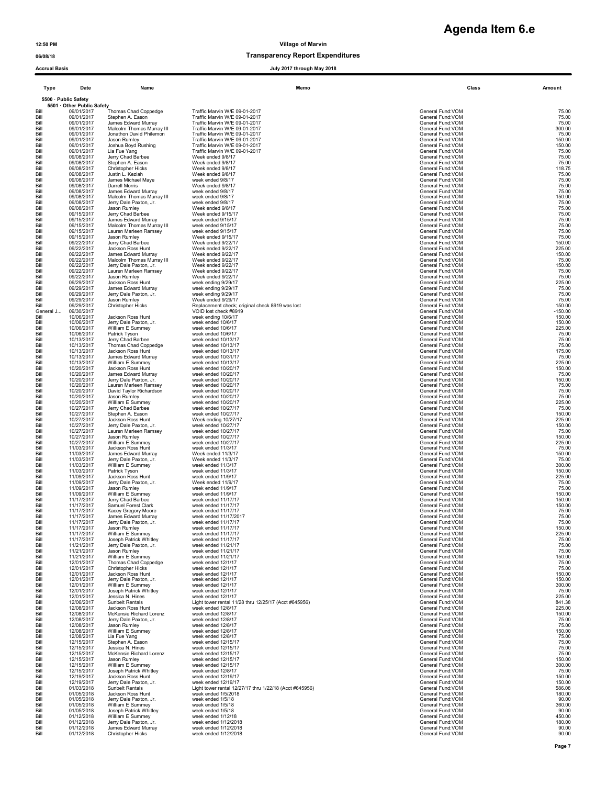# **Agenda Item 6.e**

### 06/08/18 Transparency Report Expenditures

Type Date Name Memo Class Amount 5500 · Public Safety 5501 · Other Public Safety  $\begin{array}{l|l} \text{BiII} & 09/01/2017 & \text{Thomas Chad Coppedge} & \text{Traftic Marvin WE 09-01-2017} & & \text{General Fund-VOM} & 75.00 \\ \text{BiII} & 09/01/2017 & \text{slens. Elsmon A. Eason} & \text{Traftic Marvin WE 09-01-2017} & & \text{General Fund-VOM} & 75.00 \\ \text{BiII} & 09/01/2017 & \text{Jemes Edward Murray} & \text{Traftic Maximum WE 09-01-2017} & & \text{General Fund-VOM} & 75.00 \\ \text{BiII$ Bill 09/01/2017 Stephen A. Eason Traffic Marvin W/E 09-01-2017<br>Bill 09/01/2017 James Edward Murray Traffic Marvin W/E 09-01-2017<br>Bill 09/01/2017 Malcolm Thomas Murray II Traffic Marvin W/E 09-01-2017 Bill 09/01/2017 Inclus Catal Cupledge Traffic Marvin W/E 09-01-2017<br>
Bill 09/01/2017 James Edward Murray Traffic Marvin W/E 09-01-2017<br>
Bill 09/01/2017 James Edward Murray Traffic Marvin W/E 09-01-2017<br>
Bill 09/01/2017 Jam Bill 09/01/2017 Jason Rumley Traffic Marvin W/E 09-01-2017 Channel Communication of the Communication of the Communication of the Communication of the 150.00 Bill 09/01/2017 Joshua Boyd Rushing Traffic Marvin W/E 09-01-2017 Channel Company of the Company of General Fund:VOM 150.00 end on the state of the control of the state of the state of the state of the state of the state of the state of the state of the state of the state of the state of the state of the state of the state of the state of the Bill 09/08/2017 Jerry Chad Barbee Week ended 9/8/17 General Fund:VOM 75.00 Bill 09/08/2017 Stephen A. Eason Week ended 9/8/17 Center Stephen Bill Stephen A. Eason 75.00 Bill 09/08/2017 Christopher Hicks Week ended 9/8/17 Christopher Bill December 2018.75 General Fund:VOM 118.75 Bill 09/08/2017 Justin L. Keziah Week ended 9/8/17 General Fund:VOM 75.00 Bill 09/08/2017 James Michael Maye week ended 9/8/17 General Fund:VOM General Fund:VOM 75.00 Bill 09/08/2017 Darrell Morris Week ended 9/8/17<br>Bill 09/08/2017 James Edward Murray week ended 9/8/17<br>Bill 09/08/2017 Malcolm Thomas Murray Ⅱ week ended 9/8/17 General Fund:VOM Bill 09/08/2017 Jerry Dale Paxton, Jr. week ended 9/8/17 General Fund:VOM 6-eneral Fund:VOM 75.00 Bill 09/08/2017 Jason Rumley Week ended 9/8/17<br>Bill 09/15/2017 Jerry Chad Barbee Week ended 9/15/17<br>Bill 09/15/2017 James Edward Murray week ended 9/15/17<br>Bill 09/15/2017 Malcolm Thomas Murray III week Bill 09/15/2017 Lauren Marleen Ramsey week ended 9/15/17 General Fund:VOM 69/15/2017 Ceneral Fund:VOM 75.00 Bill 09/15/2017 Jason Rumley Week ended 9/15/17 Center States and the Control of General Fund:VOM General Fund:VOM 75.00 Bill 09/22/2017 Jerry Chad Barbee Week ended 9/22/17<br>Bill 09/22/2017 Jackson Ross Hunt Week ended 9/22/17<br>Hill 09/22/2017 Jackson Ross Huntray Week ended 9/22/17<br>Bill 09/22/2017 Malcolm Thomas Murray Week ended 9/22/17<br>Bi Bill 09/22/2017 Jerry Dale Paxton, Jr. Week ended 9/22/17 veers and the state of the state of the state of the state of the state of the state of the state of the state of the state of the state of the state of the state o Bill 09/22/2017 Lauren Marleen Ramsey Week ended 9/22/17 Channel Communications of the Communication of the Communications of the Communications of the Communications of the T5.00 Bill 09/22/2017 Jason Rumley Week ended 9/22/17 Channel Burger School and March 2014 General Fund:VOM 75.00 Bill 09/29/2017 Jackson Ross Hunt week ending 9/29/17 Channel Bundet and the Channel Control of the Channel Fund:VOM 225.00 Bill 09/29/2017 James Edward Murray week ending 9/29/17 Channel Communications of the Communication of the Communications of the Communications of the Communications of the T5.00 Bill 09/29/2017 Jerry Dale Paxton, Jr. week ending 9/29/17 General Fund:VOM 69/29/17 General Fund:VOM 75.00 Bill 09/29/2017 Jason Rumley Week ended 9/29/17 Centeral Fund: Commercial Fund: VOM 75.00  $\begin{tabular}{llll} \text{Bill} & 09/29/2017 & Jason Rumley & \text{Week ended 9/29/17} & & \text{Week ended 9/29/17} & & \text{Geeneral Fund:VOM} & \text{75.00} \\ \text{Bill} & 09/29/2017 & Christmas  
10/06/2017 & Christmas & \text{Replacement check 8919} & & \text{General Fund:VOM} & \text{General Fund:VOM} \\ \text{Bell} & 10/06/2017 &s & \text{Jefon/17} & & \text{General Fund:VOM} & \text{General Fund:VOM} \\ \text{Bill} & 10/$ General J... 09/30/2017 VOID lost check #8919 General Fund:VOM -150.00 Bill 10/06/2017 Jackson Ross Hunt week ending 10/6/17 Channel Control of the Supering Control of the Supering School of the Supering School of the Supering 150.00 Bill 10/06/2017 Jerry Dale Paxton, Jr. week ended 10/6/17 General Fund:VOM 150.00 Bill 10/06/2017 William E Summey week ended 10/6/17 Channel Company of the Summer Summer Company of Ceneral Fund:VOM 225.00 Bill 10/06/2017 Patrick Tyson week ended 10/6/17<br>Bill 10/13/2017 Jerry Chad Barbee week ended 10/13/17<br>Bill 10/13/2017 Thomas Chad Coppedge week ended 10/13/17 The State of the State of General Fund:VOM General Fund:VOM Bill 10/13/2017 Jackson Ross Hunt week ended 10/13/17 Channel Company of the Company of General Fund:VOM 175.00 Bill 10/13/2017 James Edward Murray week ended 10/31/17 Channel Company of the Channel Company of the Channel Fund:VOM 75.00 Bill 10/13/2017 William E Summey week ended 10/13/17 Channel Communications of the Communication of the Communications of the 225.00 Bill 10/20/2017 Jackson Ross Hunt week ended 10/20/17<br>Bill 10/20/2017 James Edward Murray week ended 10/20/17<br>Bill 10/20/2017 Jerry Dale Paxton Jr. week ended 10/20/17<br>Bill 10/20/2017 Lauren Marleen Ramsey week ended 10/2 Bill 10/20/2017 David Taylor Richardson week ended 10/20/17<br>Hill 10/20/2017 Jason Rumley week ended 10/20/17<br>Hill 10/27/2017 William E. Summey week ended 10/20/17<br>Bill 10/27/2017 Stephen A. Eason week ended 10/20/17<br>Hill Bill 10/27/2017 Jackson Ross Hunt Week ending 10/27/17 General Fund:VOM 225.00 ERRESS AND MANUTER CONSULTATION CONSULTER CONSULTER CONSULTER CONSULTER CONSULTER CONSULTER CONSULTER CONSULTER CONSULTER CONSULTER (SEARCH THE CONSULTER SEARCH ON THE CONSULTER SEARCH ON THE CONSULTER SEARCH ON THE CONSUL Bill 10/27/2017 Lauren Marleen Ramsey week ended 10/27/17 Channel States and the Content of Content Content of Content Content of Content of Content of Content of T5.00 Bill 10/27/2017 Jason Rumley week ended 10/27/17 Channel Burger and the Channel Company of the Channel Fund:VOM 150.00 Bill 10/27/2017 William E Summey week ended 10/27/17 Channel Summer Summer Summer Summer Summer Summer Summer Summer Summer Summer Summer Summer Summer Summer Summer Summer Summer Summer Summer Summer Summer Summer Summer Bill 11/03/2017 Jackson Ross Hunt week ended 11/3/17 **General Fund:VOM 75.00** Bill 11/03/2017 James Edward Murray Week ended 11/3/17 General Fund:VOM 150.00 Bill 11/03/2017 Jerry Dale Paxton, Jr. Week ended 11/3/17 Channel Company of the Company of General Fund:VOM 75.00 Bill 11/03/2017 William E Summey week ended 11/3/17 Summer Summer Summer Summer Summer Summer Summer Summer Summer Summer Summer Summer Summer Summer Summer Summer Summer Summer Summer Summer Summer Summer Summer Summer Su Bill 11/03/2017 Patrick Tyson week ended 11/3/17 General Fund:VOM 150.00 Bill 11/09/2017 Jackson Ross Hunt week ended 11/9/17 Charles and the state of the Seneral Fund:VOM 225.00 Bill 11/09/2017 Jerry Dale Paxton, Jr. Week ended 11/9/17 General Fund:VOM 75.00 Bill 11/09/2017 Jason Rumley week ended 11/9/17 Channel Communication Channel Communication of the Communication of the TS.00 Bill 11/09/2017 William E Summey week ended 11/9/17 Channel Company of the Summer Summer Summer Summer Summer Summer Summer Summer Summer Summer Summer Summer Summer Summer Summer Summer Summer Summer Summer Summer Summer Bill 11/17/2017 Jerry Chad Barbee week ended 11/17/17 Channel Barbee week ended 11/17/17 Channel Support of the Support of the Support of the Support of the Support of the Support of the Support of the Support of the Suppo Bill 11/17/2017 Samuel Forest Clark week ended 11/17/17 Clark States and the state of the Clark States of the States of General Fund:VOM Clark States 150.00 Bill 11/17/2017 Kacey Gregory Moore week ended 11/17/17 Channel States and the Control of General Fund:VOM 75.00 Bill 11/17/2017 James Edward Murray week ended 11/17/2017 Channel Company of the Channel Company of General Fund:VOM 75.00 Bill 11/17/2017 Jerry Dale Paxton, Jr. week ended 11/17/17 Channel States and the Content of Content of Content of Content of Content of Content of Content of Content of Content of Content of Content of Content of Content Bill 11/17/2017 Jason Rumley week ended 11/17/17 General Fund:VOM 150.00 Bill 11/17/2017 William E Summey week ended 11/17/17 Charles and the state of the Summer Control of the Summer Control of the Summer Control of the Summer Control of the Summer Control of the Summer Control of the Summer C Bill 11/17/2017 Joseph Patrick Whitley week ended 11/17/17 Channel States and the Content of Content Fund:VOM 75.00 Bill 11/21/2017 Jerry Dale Paxton, Jr. week ended 11/21/17 Channel Communications of the Communication of the Communications of the Communications of the Communications of the T5.00 Bill 11/21/2017 Jason Rumley week ended 11/21/17 Channel Bull and the Channel Fund:VOM Channel Fund:VOM 75.00 Bill 11/21/2017 William E Summey week ended 11/21/17 Channel Summer Summer Summer Summer Summer Summer Summer Summer Summer Summer Summer Summer Summer Summer Summer Summer Summer Summer Summer Summer Summer Summer Summer  $13001 \text{ Biii} \quad 1121/2017 \quad \text{Jasion Runney} \quad \text{week ended 11/21/17} \quad \text{General Fund-VOM} \quad \text{General Fund-VOM} \quad \text{General Fund-VOM} \quad \text{General Fund-VOM} \quad \text{General Fund-VOM} \quad \text{General Fund-VOM} \quad \text{General Fund-VOM} \quad \text{General Fund-VOM} \quad \text{General Fund-VOM} \quad \text{General Fund-VOM} \quad \text{General Fund-VOM} \quad \text{General Fund-VOM} \quad \text{General Fund-VOM} \quad \text{General fund-VOM} \quad \text{General fund-VOM} \quad \text{General fund-VOM} \quad \text{General fund-VOM$ Bill 12/01/2017 Christopher Hicks week ended 12/1/17 Christopher Hicks week ended 12/1/17 Christopher Hicks 75.00 Bill 12/01/2017 Jackson Ross Hunt week ended 12/1/17 Charles and the state of the Seneral Fund:VOM 150.00 Bill 12/01/2017 Jerry Dale Paxton, Jr. week ended 12/1/17 Seneral Fund:VOM 12/01/2017 Jerry Dale Paxton, Jr. week ended 12/1/17 Bill 12/01/2017 William E Summey week ended 12/1/17 General Fund:VOM 300.00 Bill 12/01/2017 Joseph Patrick Whitley week ended 12/1/17 Channel States and the Content of Content Fund:VOM 75.00 Bill 12/01/2017 Jessica N. Hines week ended 12/1/17 General Fund:VOM 225.00 Bill 12/06/2017 Sunbelt Rentals Light tower rental 11/28 thru 12/25/17 (Acct #645956) General Fund:VOM 841.38 Bill 12/08/2017 Jackson Ross Hunt week ended 12/8/17 General Fund:VOM 225.00 Bill 12/08/2017 McKensie Richard Lorenz week ended 12/8/17 General Fund:VOM 150.00 Bill 12/08/2017 Jerry Dale Paxton, Jr. week ended 12/8/17 Channel Communications of the Communication of the Communications of the Communications of the Communications of the T5.00 Bill 12/08/2017 Jason Rumley week ended 12/8/17 Channel Communication Channel Communication of the Communication of the Communication of the TS.00 Bill 12/08/2017 William E Summey week ended 12/8/17 General Fund:VOM Ceneral Fund:VOM 150.00 Bill 12/08/2017 Lia Fue Yang week ended 12/8/17 General Fund:VOM 75.00 Bill 12/15/2017 Stephen A. Eason week ended 12/15/17 Stephen A. Eason week ended 12/15/17 General Fund:VOM 6-meral Fund:VOM 75.00 Bill 12/15/2017 Jessica N. Hines week ended 12/15/17 Channel Burger and the Channel Communication of the Channel Communication of the Channel Tomorrow of the Tomorrow of T5.00 Bill 12/15/2017 McKensie Richard Lorenz week ended 12/15/17<br>Bill 12/15/2017 Jason Rumley week week ended 12/15/17<br>Bill 12/15/2017 William E Summey week ended 12/15/17 The State of the State of State of General Fund:VOM (Se Bill 12/15/2017 Joseph Patrick Whitley week ended 12/8/17 Channel States and the Content of Content Fund:VOM 75.00 Bill 12/19/2017 Jackson Ross Hunt week ended 12/19/17 General Fund:VOM 150.00 Bill 12/19/2017 Jerry Dale Paxton, Jr. week ended 12/19/17 General Fund:VOM 150.00 القادة المستردات المستردات المستردات المستردات المستردات المستردات المستردات المستردات المستردات المستردات المس<br>12/19/2017 Sunbelt Rentals Light tower rental 12/27/17 thru 1/22/18 (Acct #645956) General Fund:VOM 586.08<br>- Bill 01/05/2018 Jackson Ross Hunt week ended 1/5/2018 General Fund:VOM 180.00 Bill 01/05/2018 Jerry Dale Paxton, Jr. week ended 1/5/18 General Fund:VOM General Fund:VOM 90.00 Bill 01/05/2018 William E Summey week ended 1/5/18 General Fund:VOM 360.00 Bill 01/05/2018 Joseph Patrick Whitley week ended 1/5/18 General Fund:VOM General Fund:VOM 90.00 Bill 01/12/2018 William E Summey week ended 1/12/18 General Fund:VOM General Fund:VOM 450.00 Bill 01/12/2018 Jerry Dale Paxton, Jr. week ended 1/12/2018 General Fund:VOM 180.00 Accrual Basis July 2017 through May 2018

Bill 01/12/2018 James Edward Murray week ended 1/12/2018 General Fund:VOM General Fund:VOM 90.00 Bill 01/12/2018 Christopher Hicks week ended 1/12/2018 General Fund:VOM General Fund:VOM 90.00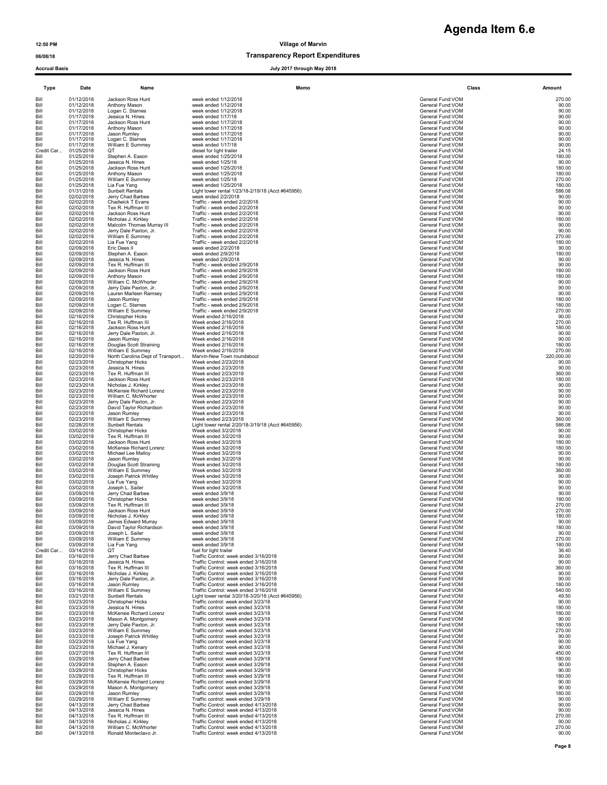### 06/08/18 Transparency Report Expenditures

# **Agenda Item 6.e**

Accrual Basis July 2017 through May 2018

| Type               | Date                     | Name                                         | Memo                                                                       | Class                                 | Amount          |
|--------------------|--------------------------|----------------------------------------------|----------------------------------------------------------------------------|---------------------------------------|-----------------|
| Bill               | 01/12/2018               | Jackson Ross Hunt                            | week ended 1/12/2018                                                       | General Fund:VOM                      | 270.00          |
| Bill               | 01/12/2018               | Anthony Mason                                | week ended 1/12/2018                                                       | General Fund: VOM                     | 90.00           |
| Bill               | 01/12/2018               | Logan C. Starnes                             | week ended 1/12/2018                                                       | General Fund: VOM                     | 90.00           |
| Bill               | 01/17/2018               | Jessica N. Hines                             | week ended 1/17/18                                                         | General Fund:VOM                      | 90.00           |
| Bill               | 01/17/2018               | Jackson Ross Hunt                            | week ended 1/17/2018                                                       | General Fund:VOM                      | 90.00           |
| Bill               | 01/17/2018               | Anthony Mason                                | week ended 1/17/2018                                                       | General Fund:VOM                      | 90.00           |
| Bill               | 01/17/2018               | Jason Rumley                                 | week ended 1/17/2018                                                       | General Fund:VOM                      | 90.00           |
| Bill               | 01/17/2018               | Logan C. Starnes                             | week ended 1/17/2018                                                       | General Fund: VOM                     | 90.00           |
| Bill               | 01/17/2018               | William E Summey                             | week ended 1/17/18                                                         | General Fund: VOM                     | 90.00           |
| Credit Car         | 01/25/2018               | OТ                                           | diesel for light trailer                                                   | General Fund: VOM                     | 24.15           |
| Bill               | 01/25/2018               | Stephen A. Eason                             | week ended 1/25/2018                                                       | General Fund: VOM                     | 180.00          |
| Bill               | 01/25/2018               | Jessica N. Hines                             | week ended 1/25/18                                                         | General Fund: VOM                     | 90.00           |
| Bill               | 01/25/2018               | Jackson Ross Hunt                            | week ended 1/25/2018                                                       | General Fund:VOM                      | 180.00          |
| Bill               | 01/25/2018               | Anthony Mason                                | week ended 1/25/2018                                                       | General Fund: VOM                     | 180.00          |
| Bill               | 01/25/2018               | William E Summey                             | week ended 1/25/18                                                         | General Fund: VOM                     | 270.00          |
| Bill               | 01/25/2018               | Lia Fue Yang                                 | week ended 1/25/2018                                                       | General Fund: VOM                     | 180.00          |
| Bill               | 01/31/2018               | Sunbelt Rentals                              | Light tower rental 1/23/18-2/19/18 (Acct #645956)                          | General Fund:VOM                      | 586.08          |
| Bill               | 02/02/2018               | Jerry Chad Barbee                            | week ended 2/2/2018                                                        | General Fund: VOM                     | 90.00           |
| Bill               | 02/02/2018               | Chadwick T Evans                             | Traffic - week ended 2/2/2018                                              | General Fund: VOM                     | 90.00           |
| Bill               | 02/02/2018               | Tex R. Huffman III                           | Traffic - week ended 2/2/2018                                              | General Fund: VOM                     | 90.00           |
| Bill               | 02/02/2018               | Jackson Ross Hunt                            | Traffic - week ended 2/2/2018                                              | General Fund: VOM                     | 90.00           |
| Bill               | 02/02/2018               | Nicholas J. Kirkley                          | Traffic - week ended 2/2/2018                                              | General Fund: VOM                     | 180.00          |
| Bill               | 02/02/2018               | Malcolm Thomas Murray III                    | Traffic - week ended 2/2/2018                                              | General Fund: VOM                     | 90.00           |
| Bill               | 02/02/2018               | Jerry Dale Paxton, Jr.                       | Traffic - week ended 2/2/2018                                              | General Fund: VOM                     | 90.00           |
| Bill               | 02/02/2018               | William E Summey                             | Traffic - week ended 2/2/2018                                              | General Fund: VOM                     | 270.00          |
| Bill               | 02/02/2018               | Lia Fue Yang                                 | Traffic - week ended 2/2/2018                                              | General Fund: VOM                     | 180.00          |
| Bill               | 02/09/2018               | Eric Dees II                                 | week ended 2/2/2018                                                        | General Fund: VOM                     | 90.00           |
| Bill               | 02/09/2018               | Stephen A. Eason                             | week ended 2/9/2018                                                        | General Fund: VOM                     | 180.00          |
| Bill               | 02/09/2018               | Jessica N. Hines                             | week ended 2/9/2018                                                        | General Fund:VOM                      | 90.00           |
| Bill               | 02/09/2018               | Tex R. Huffman III                           | Traffic - week ended 2/9/2018                                              | General Fund: VOM                     | 90.00           |
| Bill               | 02/09/2018               | Jackson Ross Hunt                            | Traffic - week ended 2/9/2018                                              | General Fund: VOM                     | 180.00          |
| Bill               | 02/09/2018               | Anthony Mason                                | Traffic - week ended 2/9/2018                                              | General Fund: VOM                     | 180.00          |
| Bill               | 02/09/2018               | William C. McWhorter                         | Traffic - week ended 2/9/2018                                              | General Fund: VOM                     | 90.00           |
| Bill               | 02/09/2018               | Jerry Dale Paxton, Jr.                       | Traffic - week ended 2/9/2018                                              | General Fund: VOM                     | 90.00           |
| Bill               | 02/09/2018               | Lauren Marleen Ramsey                        | Traffic - week ended 2/9/2018                                              | General Fund: VOM                     | 90.00           |
| Bill               | 02/09/2018               | Jason Rumley                                 | Traffic - week ended 2/9/2018                                              | General Fund: VOM                     | 180.00          |
| Bill               | 02/09/2018               | Logan C. Starnes                             | Traffic - week ended 2/9/2018                                              | General Fund: VOM                     | 180.00          |
| Bill               | 02/09/2018               | William E Summey                             | Traffic - week ended 2/9/2018                                              | General Fund: VOM                     | 270.00          |
| Bill               | 02/16/2018               | <b>Christopher Hicks</b>                     | Week ended 2/16/2018                                                       | General Fund: VOM                     | 90.00           |
| Bill               | 02/16/2018               | Tex R. Huffman III                           | Week ended 2/16/2018                                                       | General Fund: VOM                     | 270.00          |
| Bill               | 02/16/2018               | Jackson Ross Hunt                            | Week ended 2/16/2018                                                       | General Fund: VOM                     | 180.00          |
| Bill               | 02/16/2018               | Jerry Dale Paxton, Jr.                       | Week ended 2/16/2018                                                       | General Fund: VOM                     | 90.00           |
| Bill               | 02/16/2018               |                                              | Week ended 2/16/2018                                                       | General Fund:VOM                      | 90.00           |
| Bill               | 02/16/2018               | Jason Rumley<br>Douglas Scott Straining      | Week ended 2/16/2018                                                       | General Fund: VOM                     | 180.00          |
| Bill               | 02/16/2018               | William E Summey                             | Week ended 2/16/2018                                                       | General Fund: VOM                     | 270.00          |
| Bill               | 02/20/2018               | North Carolina Dept of Transport             | Marvin-New Town roundabout                                                 | General Fund: VOM                     | 220,000.00      |
| Bill               | 02/23/2018               | <b>Christopher Hicks</b>                     | Week ended 2/23/2018                                                       | General Fund: VOM                     | 90.00<br>90.00  |
| Bill               | 02/23/2018               | Jessica N. Hines                             | Week ended 2/23/2018                                                       | General Fund:VOM                      | 360.00          |
| Bill               | 02/23/2018               | Tex R. Huffman III                           | Week ended 2/23/2018                                                       | General Fund: VOM                     |                 |
| Bill               | 02/23/2018               | Jackson Ross Hunt                            | Week ended 2/23/2018                                                       | General Fund:VOM                      | 180.00          |
| Bill               | 02/23/2018               | Nicholas J. Kirkley                          | Week ended 2/23/2018                                                       | General Fund: VOM                     | 90.00           |
| Bill               | 02/23/2018               | McKensie Richard Lorenz                      | Week ended 2/23/2018                                                       | General Fund: VOM                     | 90.00<br>90.00  |
| Bill               | 02/23/2018               | William C. McWhorter                         | Week ended 2/23/2018                                                       | General Fund: VOM                     | 90.00           |
| Bill               | 02/23/2018               | Jerry Dale Paxton, Jr.                       | Week ended 2/23/2018                                                       | General Fund: VOM                     |                 |
| Bill               | 02/23/2018               | David Taylor Richardson                      | Week ended 2/23/2018                                                       | General Fund: VOM                     | 90.00           |
| Bill               | 02/23/2018               | Jason Rumley                                 | Week ended 2/23/2018                                                       | General Fund: VOM                     | 90.00           |
| Bill               | 02/23/2018               | William E Summey                             | Week ended 2/23/2018                                                       | General Fund:VOM                      | 360.00          |
| Bill               | 02/28/2018               | Sunbelt Rentals                              | Light tower rental 2/20/18-3/19/18 (Acct #645956)                          | General Fund: VOM                     | 586.08          |
| Bill               | 03/02/2018               | <b>Christopher Hicks</b>                     | Week ended 3/2/2018                                                        | General Fund: VOM                     | 90.00           |
| Bill               | 03/02/2018               | Tex R. Huffman III                           | Week ended 3/2/2018                                                        | General Fund:VOM                      | 90.00           |
| Bill               | 03/02/2018               | Jackson Ross Hunt                            | Week ended 3/2/2018                                                        | General Fund: VOM                     | 180.00          |
| Bill               | 03/02/2018               | McKensie Richard Lorenz                      | Week ended 3/2/2018                                                        | General Fund: VOM                     | 180.00          |
| Bill               | 03/02/2018               |                                              | Week ended 3/2/2018                                                        | General Fund:VOM                      | 90.00           |
| Bill               | 03/02/2018               | Michael Lee Malloy<br>Jason Rumley           | Week ended 3/2/2018                                                        | General Fund: VOM                     | 90.00           |
| Bill               | 03/02/2018               | Douglas Scott Straining                      | Week ended 3/2/2018                                                        | General Fund: VOM                     | 180.00          |
| Bill               | 03/02/2018               | William E Summey                             | Week ended 3/2/2018                                                        | General Fund:VOM                      | 360.00          |
| Bill               | 03/02/2018               | Joseph Patrick Whitley                       | Week ended 3/2/2018                                                        | General Fund: VOM                     | 90.00           |
| Bill               | 03/02/2018               | Lia Fue Yang                                 | Week ended 3/2/2018                                                        | General Fund:VOM                      | 90.00           |
| Bill               | 03/02/2018               | Joseph L. Sailer                             | Week ended 3/2/2018                                                        | General Fund:VOM                      | 90.00           |
| Bill               | 03/09/2018               | Jerry Chad Barbee                            | week ended 3/9/18                                                          | General Fund: VOM                     | 90.00           |
| Bill               | 03/09/2018               | <b>Christopher Hicks</b>                     | week ended 3/9/18                                                          | General Fund: VOM                     | 180.00          |
| Bill               | 03/09/2018               | Tex R. Huffman III                           | week ended 3/9/18                                                          | General Fund: VOM                     | 270.00          |
| Bill               | 03/09/2018               | Jackson Ross Hunt                            | week ended 3/9/18                                                          | General Fund:VOM                      | 270.00          |
| Bill               | 03/09/2018               | Nicholas J. Kirkley                          | week ended 3/9/18                                                          | General Fund:VOM                      | 180.00          |
| Bill               | 03/09/2018               | James Edward Murray                          | week ended 3/9/18                                                          | General Fund: VOM                     | 90.00           |
| Bill               | 03/09/2018               | David Taylor Richardson                      | week ended 3/9/18                                                          | General Fund:VOM                      | 180.00          |
| Bill               | 03/09/2018               | Joseph L. Sailer                             | week ended 3/9/18                                                          | General Fund: VOM                     | 90.00           |
| Bill               | 03/09/2018               | William E Summey                             | week ended 3/9/18                                                          | General Fund: VOM                     | 270.00          |
| Bill               | 03/09/2018               | Lia Fue Yang                                 | week ended 3/9/18<br>fuel for light trailer                                | General Fund:VOM<br>General Fund: VOM | 180.00<br>36.40 |
| Credit Car<br>Bill | 03/14/2018<br>03/16/2018 | QT<br>Jerry Chad Barbee                      | Traffic Control: week ended 3/16/2018                                      | General Fund: VOM                     | 90.00           |
| Bill               | 03/16/2018               | Jessica N. Hines                             | Traffic Control: week ended 3/16/2018                                      | General Fund: VOM                     | 90.00           |
| Bill               | 03/16/2018               | Tex R. Huffman III                           | Traffic Control: week ended 3/16/2018                                      | General Fund: VOM                     | 360.00          |
| Bill               | 03/16/2018               | Nicholas J. Kirkley                          | Traffic Control: week ended 3/16/2018                                      | General Fund: VOM                     | 90.00           |
| Bill               | 03/16/2018               | Jerry Dale Paxton, Jr.                       | Traffic Control: week ended 3/16/2018                                      | General Fund: VOM                     | 90.00           |
| Bill               | 03/16/2018               | Jason Rumley                                 | Traffic Control: week ended 3/16/2018                                      | General Fund: VOM                     | 180.00          |
| Bill               | 03/16/2018               | William E Summey                             | Traffic Control: week ended 3/16/2018                                      | General Fund: VOM                     | 540.00          |
| Bill               | 03/21/2018               | Sunbelt Rentals                              | Light tower rental 3/20/18-3/20/18 (Acct #645956)                          | General Fund:VOM                      | 49.50           |
| Bill               | 03/23/2018               | <b>Christopher Hicks</b>                     | Traffic control: week ended 3/23/18                                        | General Fund: VOM                     | 90.00           |
| Bill               | 03/23/2018               | Jessica N. Hines                             | Traffic control: week ended 3/23/18                                        | General Fund: VOM                     | 180.00          |
| Bill               | 03/23/2018               | McKensie Richard Lorenz                      | Traffic control: week ended 3/23/18                                        | General Fund: VOM                     | 180.00          |
| Bill               | 03/23/2018               | Mason A. Montgomery                          | Traffic control: week ended 3/23/18                                        | General Fund: VOM                     | 90.00           |
| Bill               | 03/23/2018               | Jerry Dale Paxton, Jr.                       | Traffic control: week ended 3/23/18                                        | General Fund:VOM                      | 180.00          |
| Bill               | 03/23/2018               | William E Summey                             | Traffic control: week ended 3/23/18                                        | General Fund: VOM                     | 270.00          |
| Bill               | 03/23/2018               | Joseph Patrick Whitley                       | Traffic control: week ended 3/23/18                                        | General Fund: VOM                     | 90.00           |
| Bill               | 03/23/2018               | Lia Fue Yang                                 | Traffic control: week ended 3/23/18                                        | General Fund: VOM                     | 90.00           |
| Bill               | 03/23/2018               | Michael J. Kenary                            | Traffic control: week ended 3/23/18                                        | General Fund: VOM                     | 90.00           |
| Bill               | 03/27/2018               | Tex R. Huffman III                           | Traffic control: week ended 3/23/18                                        | General Fund: VOM                     | 450.00          |
| Bill               | 03/29/2018<br>03/29/2018 | Jerry Chad Barbee                            | Traffic control: week ended 3/29/18<br>Traffic control: week ended 3/29/18 | General Fund: VOM<br>General Fund:VOM | 180.00<br>90.00 |
| Bill<br>Bill       | 03/29/2018               | Stephen A. Eason<br><b>Christopher Hicks</b> | Traffic control: week ended 3/29/18                                        | General Fund: VOM                     | 90.00           |
| Bill               | 03/29/2018               | Tex R. Huffman III                           | Traffic control: week ended 3/29/18                                        | General Fund: VOM                     | 180.00          |
| Bill               | 03/29/2018               | McKensie Richard Lorenz                      | Traffic control: week ended 3/29/18                                        | General Fund: VOM                     | 90.00           |
| Bill               | 03/29/2018               | Mason A. Montgomery                          | Traffic control: week ended 3/29/18                                        | General Fund: VOM                     | 90.00           |
| Bill               | 03/29/2018               |                                              | Traffic control: week ended 3/29/18                                        | General Fund:VOM                      | 180.00          |
| Bill               | 03/29/2018               | Jason Rumley<br>William E Summey             | Traffic control: week ended 3/29/18                                        | General Fund: VOM                     | 90.00           |
| Bill               | 04/13/2018               | Jerry Chad Barbee                            | Traffic Control: week ended 4/13/2018                                      | General Fund: VOM                     | 90.00           |
| Bill               | 04/13/2018               | Jessica N. Hines                             | Traffic Control: week ended 4/13/2018                                      | General Fund: VOM                     | 90.00           |
| Bill               | 04/13/2018               | Tex R. Huffman III                           | Traffic Control: week ended 4/13/2018                                      | General Fund: VOM                     | 270.00<br>90.00 |
| Bill               | 04/13/2018               | Nicholas J. Kirkley                          | Traffic Control: week ended 4/13/2018                                      | General Fund: VOM                     | 270.00          |
| Bill               | 04/13/2018               | William C. McWhorter                         | Traffic Control: week ended 4/13/2018                                      | General Fund: VOM                     |                 |
| Bill               | 04/13/2018               | Ronald Monteclavo Jr.                        | Traffic Control: week ended 4/13/2018                                      | General Fund: VOM                     | 90.00           |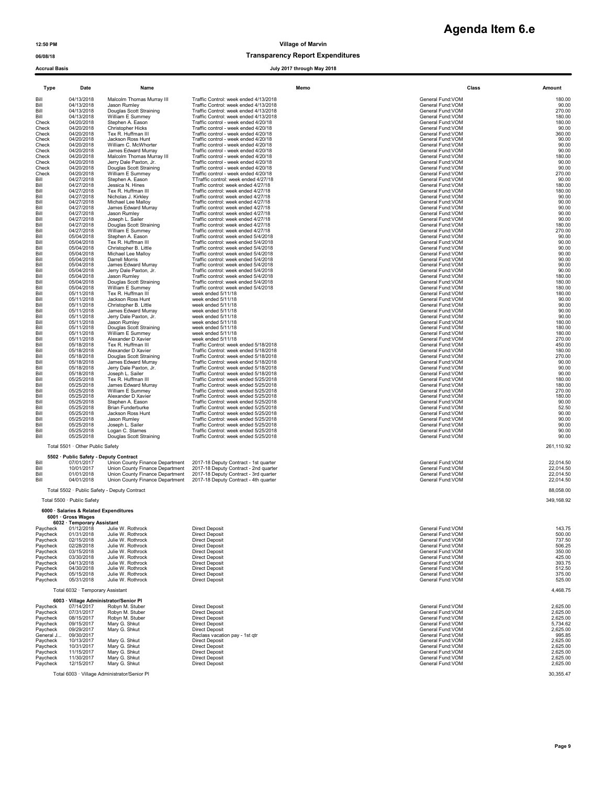# **Agenda Item 6.e**

12:50 PM Village of Marvin

## 06/08/18 Transparency Report Expenditures

### Accrual Basis July 2017 through May 2018

|                      |                                                              |                                                                    | unvugn may son                                                                 |                                        |                        |
|----------------------|--------------------------------------------------------------|--------------------------------------------------------------------|--------------------------------------------------------------------------------|----------------------------------------|------------------------|
| Type                 | Date                                                         | Name                                                               | Memo                                                                           |                                        | Class<br>Amount        |
| Bill                 | 04/13/2018                                                   | Malcolm Thomas Murray III                                          | Traffic Control: week ended 4/13/2018                                          | General Fund: VOM                      | 180.00                 |
| Bill                 | 04/13/2018                                                   | Jason Rumley                                                       | Traffic Control: week ended 4/13/2018                                          | General Fund: VOM                      | 90.00                  |
| Bill<br>Bill         | 04/13/2018<br>04/13/2018                                     | Douglas Scott Straining<br>William E Summey                        | Traffic Control: week ended 4/13/2018<br>Traffic Control: week ended 4/13/2018 | General Fund: VOM<br>General Fund:VOM  | 270.00<br>180.00       |
| Check                | 04/20/2018                                                   | Stephen A. Eason                                                   | Traffic control - week ended 4/20/18                                           | General Fund: VOM                      | 180.00                 |
| Check<br>Check       | 04/20/2018<br>04/20/2018                                     | <b>Christopher Hicks</b><br>Tex R. Huffman III                     | Traffic control - week ended 4/20/18<br>Traffic control - week ended 4/20/18   | General Fund: VOM<br>General Fund: VOM | 90.00<br>360.00        |
| Check                | 04/20/2018                                                   | Jackson Ross Hunt                                                  | Traffic control - week ended 4/20/18                                           | General Fund: VOM                      | 90.00                  |
| Check<br>Check       | 04/20/2018<br>04/20/2018                                     | William C. McWhorter<br>James Edward Murray                        | Traffic control - week ended 4/20/18<br>Traffic control - week ended 4/20/18   | General Fund:VOM<br>General Fund: VOM  | 90.00<br>90.00         |
| Check                | 04/20/2018                                                   | Malcolm Thomas Murray III                                          | Traffic control - week ended 4/20/18                                           | General Fund: VOM                      | 180.00                 |
| Check                | 04/20/2018                                                   | Jerry Dale Paxton, Jr.                                             | Traffic control - week ended 4/20/18                                           | General Fund: VOM                      | 90.00                  |
| Check<br>Check       | 04/20/2018<br>04/20/2018                                     | Douglas Scott Straining<br>William E Summey                        | Traffic control - week ended 4/20/18<br>Traffic control - week ended 4/20/18   | General Fund:VOM<br>General Fund: VOM  | 90.00<br>270.00        |
| Bill                 | 04/27/2018                                                   | Stephen A. Eason                                                   | TTraffic control: week ended 4/27/18                                           | General Fund: VOM<br>General Fund: VOM | 90.00                  |
| Bill<br>Bill         | 04/27/2018<br>04/27/2018                                     | Jessica N. Hines<br>Tex R. Huffman III                             | Traffic control: week ended 4/27/18<br>Traffic control: week ended 4/27/18     | General Fund:VOM                       | 180.00<br>180.00       |
| Bill                 | 04/27/2018                                                   | Nicholas J. Kirkley                                                | Traffic control: week ended 4/27/18                                            | General Fund: VOM                      | 90.00                  |
| Bill<br>Bill         | 04/27/2018<br>04/27/2018                                     | Michael Lee Malloy<br>James Edward Murray                          | Traffic control: week ended 4/27/18<br>Traffic control: week ended 4/27/18     | General Fund: VOM<br>General Fund: VOM | 90.00<br>90.00         |
| Bill                 | 04/27/2018                                                   | Jason Rumley                                                       | Traffic control: week ended 4/27/18                                            | General Fund: VOM                      | 90.00                  |
| Bill<br>Bill         | 04/27/2018<br>04/27/2018                                     | Joseph L. Sailer<br>Douglas Scott Straining                        | Traffic control: week ended 4/27/18<br>Traffic control: week ended 4/27/18     | General Fund:VOM<br>General Fund: VOM  | 90.00<br>180.00        |
| Bill                 | 04/27/2018                                                   | William E Summey                                                   | Traffic control: week ended 4/27/18                                            | General Fund: VOM                      | 270.00                 |
| Bill                 | 05/04/2018                                                   | Stephen A. Eason                                                   | Traffic control: week ended 5/4/2018                                           | General Fund: VOM                      | 90.00                  |
| Bill<br>Bill         | 05/04/2018<br>05/04/2018                                     | Tex R. Huffman III<br>Christopher B. Little                        | Traffic control: week ended 5/4/2018<br>Traffic control: week ended 5/4/2018   | General Fund:VOM<br>General Fund:VOM   | 90.00<br>90.00         |
| Bill                 | 05/04/2018                                                   | Michael Lee Malloy                                                 | Traffic control: week ended 5/4/2018                                           | General Fund: VOM                      | 90.00                  |
| Bill<br>Bill         | 05/04/2018<br>05/04/2018                                     | Darrell Morris<br>James Edward Murray                              | Traffic control: week ended 5/4/2018<br>Traffic control: week ended 5/4/2018   | General Fund: VOM<br>General Fund: VOM | 90.00<br>90.00         |
| Bill                 | 05/04/2018                                                   | Jerry Dale Paxton, Jr.                                             | Traffic control: week ended 5/4/2018                                           | General Fund:VOM                       | 90.00                  |
| Bill<br>Bill         | 05/04/2018<br>05/04/2018                                     | Jason Rumley<br>Douglas Scott Straining                            | Traffic control: week ended 5/4/2018<br>Traffic control: week ended 5/4/2018   | General Fund: VOM<br>General Fund: VOM | 180.00<br>180.00       |
| Bill                 | 05/04/2018                                                   | William E Summey                                                   | Traffic control: week ended 5/4/2018                                           | General Fund: VOM                      | 180.00                 |
| Bill                 | 05/11/2018                                                   | Tex R. Huffman III                                                 | week ended 5/11/18                                                             | General Fund: VOM                      | 180.00                 |
| Bill<br>Bill         | 05/11/2018<br>05/11/2018                                     | Jackson Ross Hunt<br>Christopher B. Little                         | week ended 5/11/18<br>week ended 5/11/18                                       | General Fund: VOM<br>General Fund: VOM | 90.00<br>90.00         |
| Bill                 | 05/11/2018                                                   | James Edward Murray                                                | week ended 5/11/18                                                             | General Fund:VOM                       | 90.00                  |
| Bill<br>Bill         | 05/11/2018<br>05/11/2018                                     | Jerry Dale Paxton, Jr.<br>Jason Rumley                             | week ended 5/11/18<br>week ended 5/11/18                                       | General Fund: VOM<br>General Fund: VOM | 90.00<br>180.00        |
| Bill                 | 05/11/2018                                                   | Douglas Scott Straining                                            | week ended 5/11/18                                                             | General Fund: VOM                      | 180.00                 |
| Bill<br>Bill         | 05/11/2018<br>05/11/2018                                     | William E Summey<br>Alexander D Xavier                             | week ended 5/11/18<br>week ended 5/11/18                                       | General Fund: VOM<br>General Fund: VOM | 180.00<br>270.00       |
| Bill                 | 05/18/2018                                                   | Tex R. Huffman III                                                 | Traffic Control: week ended 5/18/2018                                          | General Fund: VOM                      | 450.00                 |
| Bill<br>Bill         | 05/18/2018<br>05/18/2018                                     | Alexander D Xavier<br>Douglas Scott Straining                      | Traffic Control: week ended 5/18/2018<br>Traffic Control: week ended 5/18/2018 | General Fund: VOM<br>General Fund: VOM | 180.00<br>270.00       |
| Bill                 | 05/18/2018                                                   | James Edward Murray                                                | Traffic Control: week ended 5/18/2018                                          | General Fund:VOM                       | 90.00                  |
| Bill                 | 05/18/2018                                                   | Jerry Dale Paxton, Jr.                                             | Traffic Control: week ended 5/18/2018                                          | General Fund: VOM                      | 90.00                  |
| Bill<br>Bill         | 05/18/2018<br>05/25/2018                                     | Joseph L. Sailer<br>Tex R. Huffman III                             | Traffic Control: week ended 5/18/2018<br>Traffic Control: week ended 5/25/2018 | General Fund: VOM<br>General Fund:VOM  | 90.00<br>180.00        |
| Bill                 | 05/25/2018                                                   | James Edward Murray                                                | Traffic Control: week ended 5/25/2018                                          | General Fund:VOM                       | 180.00                 |
| Bill<br>Bill         | 05/25/2018<br>05/25/2018                                     | William E Summey<br>Alexander D Xavier                             | Traffic Control: week ended 5/25/2018<br>Traffic Control: week ended 5/25/2018 | General Fund: VOM<br>General Fund: VOM | 270.00<br>180.00       |
| Bill                 | 05/25/2018                                                   | Stephen A. Eason                                                   | Traffic Control: week ended 5/25/2018                                          | General Fund: VOM                      | 90.00                  |
| Bill<br>Bill         | 05/25/2018<br>05/25/2018                                     | <b>Brian Funderburke</b><br>Jackson Ross Hunt                      | Traffic Control: week ended 5/25/2018<br>Traffic Control: week ended 5/25/2018 | General Fund: VOM<br>General Fund: VOM | 52.50<br>90.00         |
| Bill                 | 05/25/2018                                                   | Jason Rumley                                                       | Traffic Control: week ended 5/25/2018                                          | General Fund: VOM                      | 90.00                  |
| Bill                 | 05/25/2018                                                   | Joseph L. Sailer                                                   | Traffic Control: week ended 5/25/2018                                          | General Fund: VOM                      | 90.00                  |
| Bill<br>Bill         | 05/25/2018<br>05/25/2018                                     | Logan C. Starnes<br>Douglas Scott Straining                        | Traffic Control: week ended 5/25/2018<br>Traffic Control: week ended 5/25/2018 | General Fund:VOM<br>General Fund: VOM  | 90.00<br>90.00         |
|                      | Total 5501 · Other Public Safety                             |                                                                    |                                                                                |                                        | 261,110.92             |
|                      | 5502 · Public Safety - Deputy Contract                       |                                                                    |                                                                                |                                        |                        |
| Bill                 | 07/01/2017                                                   | Union County Finance Department                                    | 2017-18 Deputy Contract - 1st quarter                                          | General Fund: VOM                      | 22,014.50              |
| Bill<br>Bill         | 10/01/2017<br>01/01/2018                                     | Union County Finance Department<br>Union County Finance Department | 2017-18 Deputy Contract - 2nd quarter<br>2017-18 Deputy Contract - 3rd quarter | General Fund: VOM<br>General Fund: VOM | 22,014.50<br>22,014.50 |
| Bill                 | 04/01/2018                                                   | Union County Finance Department                                    | 2017-18 Deputy Contract - 4th quarter                                          | General Fund:VOM                       | 22,014.50              |
|                      |                                                              | Total 5502 · Public Safety - Deputy Contract                       |                                                                                |                                        | 88,058.00              |
|                      |                                                              |                                                                    |                                                                                |                                        |                        |
|                      | Total 5500 · Public Safety                                   |                                                                    |                                                                                |                                        | 349.168.92             |
|                      | 6000 · Salaries & Related Expenditures<br>6001 · Gross Wages |                                                                    |                                                                                |                                        |                        |
|                      | 6032 · Temporary Assistant                                   |                                                                    |                                                                                |                                        |                        |
| Paycheck<br>Paycheck | 01/12/2018<br>01/31/2018                                     | Julie W. Rothrock<br>Julie W. Rothrock                             | <b>Direct Deposit</b><br><b>Direct Deposit</b>                                 | General Fund:VOM<br>General Fund:VOM   | 143.75<br>500.00       |
| Paycheck             | 02/15/2018                                                   | Julie W. Rothrock                                                  | <b>Direct Deposit</b>                                                          | General Fund:VOM                       | 737.50                 |
| Paycheck             | 02/28/2018                                                   | Julie W. Rothrock                                                  | <b>Direct Deposit</b>                                                          | General Fund: VOM                      | 506.25                 |
| Paycheck<br>Paycheck | 03/15/2018<br>03/30/2018                                     | Julie W. Rothrock<br>Julie W. Rothrock                             | <b>Direct Deposit</b><br><b>Direct Deposit</b>                                 | General Fund: VOM<br>General Fund: VOM | 350.00<br>425.00       |
| Paycheck             | 04/13/2018                                                   | Julie W. Rothrock                                                  | <b>Direct Deposit</b>                                                          | General Fund: VOM                      | 393.75                 |
| Paycheck<br>Paycheck | 04/30/2018<br>05/15/2018                                     | Julie W. Rothrock<br>Julie W. Rothrock                             | <b>Direct Deposit</b><br><b>Direct Deposit</b>                                 | General Fund: VOM<br>General Fund: VOM | 512.50<br>375.00       |
| Paycheck             | 05/31/2018                                                   | Julie W. Rothrock                                                  | <b>Direct Deposit</b>                                                          | General Fund: VOM                      | 525.00                 |
|                      | Total 6032 · Temporary Assistant                             |                                                                    |                                                                                |                                        | 4,468.75               |
|                      |                                                              | 6003 · Village Administrator/Senior Pl                             |                                                                                |                                        |                        |
| Paycheck<br>Paycheck | 07/14/2017<br>07/31/2017                                     | Robyn M. Stuber<br>Robyn M. Stuber                                 | <b>Direct Deposit</b><br><b>Direct Deposit</b>                                 | General Fund:VOM<br>General Fund:VOM   | 2,625.00<br>2,625.00   |
| Paycheck             | 08/15/2017                                                   | Robyn M. Stuber                                                    | <b>Direct Deposit</b>                                                          | General Fund:VOM                       | 2,625.00               |
| Paycheck<br>Paycheck | 09/15/2017<br>09/29/2017                                     | Mary G. Shkut<br>Mary G. Shkut                                     | <b>Direct Deposit</b><br><b>Direct Deposit</b>                                 | General Fund:VOM<br>General Fund:VOM   | 5,734.62<br>2,625.00   |
| General J            | 09/30/2017                                                   |                                                                    | Reclass vacation pay - 1st qtr                                                 | General Fund: VOM                      | 995.85                 |
| Paycheck             | 10/13/2017<br>10/31/2017                                     | Mary G. Shkut                                                      | <b>Direct Deposit</b><br><b>Direct Deposit</b>                                 | General Fund:VOM<br>General Fund:VOM   | 2,625.00<br>2,625.00   |
| Paycheck<br>Paycheck | 11/15/2017                                                   | Mary G. Shkut<br>Mary G. Shkut                                     | <b>Direct Deposit</b>                                                          | General Fund: VOM                      | 2,625.00               |
| Paycheck             | 11/30/2017                                                   | Mary G. Shkut                                                      | <b>Direct Deposit</b>                                                          | General Fund:VOM                       | 2,625.00               |
| Paycheck             | 12/15/2017                                                   | Mary G. Shkut                                                      | <b>Direct Deposit</b>                                                          | General Fund: VOM                      | 2,625.00               |
|                      |                                                              | Total 6003 · Village Administrator/Senior Pl                       |                                                                                |                                        | 30,355.47              |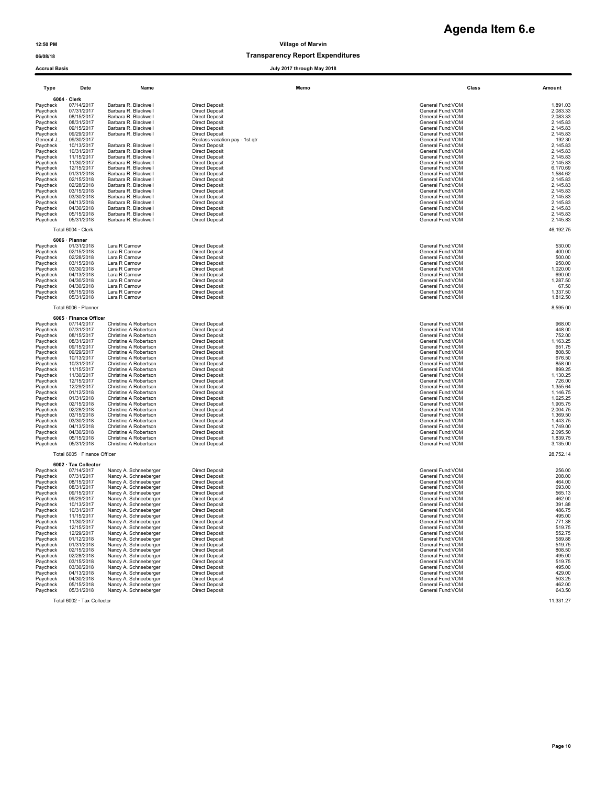| 06/08/18             |                    |                      | <b>Transparency Report Expenditures</b> |                   |          |
|----------------------|--------------------|----------------------|-----------------------------------------|-------------------|----------|
| <b>Accrual Basis</b> |                    |                      | July 2017 through May 2018              |                   |          |
| Type                 | Date               | Name                 | Memo                                    | Class             | Amount   |
|                      | $6004 \cdot$ Clerk |                      |                                         |                   |          |
| Paycheck             | 07/14/2017         | Barbara R. Blackwell | <b>Direct Deposit</b>                   | General Fund: VOM | 1,891.03 |
| Paycheck             | 07/31/2017         | Barbara R. Blackwell | <b>Direct Deposit</b>                   | General Fund: VOM | 2,083.33 |
| Paycheck             | 08/15/2017         | Barbara R. Blackwell | <b>Direct Deposit</b>                   | General Fund: VOM | 2,083.33 |
| Paycheck             | 08/31/2017         | Barbara R. Blackwell | <b>Direct Deposit</b>                   | General Fund: VOM | 2,145.83 |
| Paycheck             | 09/15/2017         | Barbara R. Blackwell | <b>Direct Deposit</b>                   | General Fund: VOM | 2,145.83 |
| Paycheck             | 09/29/2017         | Barbara R. Blackwell | <b>Direct Deposit</b>                   | General Fund: VOM | 2,145.83 |
| General J            | 09/30/2017         |                      | Reclass vacation pay - 1st gtr          | General Fund: VOM | 192.30   |
| Paycheck             | 10/13/2017         | Barbara R. Blackwell | <b>Direct Deposit</b>                   | General Fund: VOM | 2,145.83 |
| Paycheck             | 10/31/2017         | Barbara R. Blackwell | <b>Direct Deposit</b>                   | General Fund: VOM | 2,145.83 |
| Paycheck             | 11/15/2017         | Barbara R. Blackwell | <b>Direct Deposit</b>                   | General Fund: VOM | 2,145.83 |
| Paycheck             | 11/30/2017         | Barbara R. Blackwell | <b>Direct Deposit</b>                   | General Fund: VOM | 2,145.83 |
| Paycheck             | 12/15/2017         | Barbara R. Blackwell | <b>Direct Deposit</b>                   | General Fund: VOM | 6,170.69 |
| Paycheck             | 01/31/2018         | Barbara R. Blackwell | <b>Direct Deposit</b>                   | General Fund: VOM | 1,584.62 |
| Paycheck             | 02/15/2018         | Barbara R. Blackwell | <b>Direct Deposit</b>                   | General Fund: VOM | 2,145.83 |
| Paycheck             | 02/28/2018         | Barbara R. Blackwell | <b>Direct Deposit</b>                   | General Fund: VOM | 2,145.83 |
| Paycheck             | 03/15/2018         | Barbara R. Blackwell | <b>Direct Deposit</b>                   | General Fund: VOM | 2,145.83 |
| Paycheck             | 03/30/2018         | Barbara R. Blackwell | <b>Direct Deposit</b>                   | General Fund: VOM | 2,145.83 |
| Paycheck             | 04/13/2018         | Barbara R. Blackwell | <b>Direct Deposit</b>                   | General Fund: VOM | 2,145.83 |
|                      |                    |                      |                                         |                   |          |

|          | 6006 · Planner    |                      |                       |                   |                                                 |
|----------|-------------------|----------------------|-----------------------|-------------------|-------------------------------------------------|
| Paycheck | 01/31/2018        | Lara R Carnow        | <b>Direct Deposit</b> | General Fund: VOM | 530.00                                          |
| Paycheck | 02/15/2018        | Lara R Carnow        | Direct Deposit        | General Fund: VOM | 400.00                                          |
| Paycheck | 02/28/2018        | Lara R Carnow        | Direct Deposit        | General Fund: VOM | 500.00                                          |
| Paycheck | 03/15/2018        | Lara R Carnow        | <b>Direct Deposit</b> | General Fund: VOM | 950.00                                          |
| Paycheck | 03/30/2018        | Lara R Carnow        | Direct Deposit        | General Fund: VOM | 1.020.00                                        |
| Paycheck | 04/13/2018        | Lara R Carnow        | Direct Deposit        | General Fund: VOM | 690.00                                          |
| Paycheck | 04/30/2018        | Lara R Carnow        | Direct Deposit        | General Fund: VOM | .287.50                                         |
| Paycheck | 04/30/2018        | Lara R Carnow        | Direct Deposit        | General Fund: VOM | 67.50                                           |
| Paycheck | 05/15/2018        | Lara R Carnow        | <b>Direct Deposit</b> | General Fund: VOM | 1.337.50                                        |
| ___      | <b>0010110010</b> | $\sim$ $\sim$ $\sim$ |                       |                   | $\cdot$ $\cdot$ $\cdot$ $\cdot$ $\cdot$ $\cdot$ |

| Paycheck | 07/31/2017                   | Christine A Robertson | <b>Direct Deposit</b> | General Fund: VOM | 448.00    |
|----------|------------------------------|-----------------------|-----------------------|-------------------|-----------|
| Paycheck | 08/15/2017                   | Christine A Robertson | <b>Direct Deposit</b> | General Fund: VOM | 752.00    |
|          | 08/31/2017                   | Christine A Robertson | <b>Direct Deposit</b> | General Fund: VOM | 1,163.25  |
| Paycheck | 09/15/2017                   | Christine A Robertson | <b>Direct Deposit</b> | General Fund: VOM | 651.75    |
| Paycheck | 09/29/2017                   | Christine A Robertson |                       | General Fund: VOM | 808.50    |
| Paycheck |                              |                       | <b>Direct Deposit</b> |                   |           |
| Paycheck | 10/13/2017                   | Christine A Robertson | <b>Direct Deposit</b> | General Fund: VOM | 676.50    |
| Paycheck | 10/31/2017                   | Christine A Robertson | <b>Direct Deposit</b> | General Fund: VOM | 858.00    |
| Paycheck | 11/15/2017                   | Christine A Robertson | <b>Direct Deposit</b> | General Fund: VOM | 899.25    |
| Paycheck | 11/30/2017                   | Christine A Robertson | <b>Direct Deposit</b> | General Fund: VOM | 1,130.25  |
| Paycheck | 12/15/2017                   | Christine A Robertson | <b>Direct Deposit</b> | General Fund: VOM | 726.00    |
| Paycheck | 12/29/2017                   | Christine A Robertson | <b>Direct Deposit</b> | General Fund: VOM | 1,355.64  |
| Paycheck | 01/12/2018                   | Christine A Robertson | <b>Direct Deposit</b> | General Fund: VOM | 1.146.75  |
| Paycheck | 01/31/2018                   | Christine A Robertson | <b>Direct Deposit</b> | General Fund: VOM | 1,625.25  |
| Paycheck | 02/15/2018                   | Christine A Robertson | <b>Direct Deposit</b> | General Fund: VOM | 1,905.75  |
| Paycheck | 02/28/2018                   | Christine A Robertson | <b>Direct Deposit</b> | General Fund: VOM | 2,004.75  |
| Paycheck | 03/15/2018                   | Christine A Robertson | <b>Direct Deposit</b> | General Fund: VOM | 1,369.50  |
| Paycheck | 03/30/2018                   | Christine A Robertson | <b>Direct Deposit</b> | General Fund: VOM | 1,443.75  |
| Paycheck | 04/13/2018                   | Christine A Robertson | <b>Direct Deposit</b> | General Fund: VOM | 1,749.00  |
| Paycheck | 04/30/2018                   | Christine A Robertson | <b>Direct Deposit</b> | General Fund: VOM | 2,095.50  |
| Paycheck | 05/15/2018                   | Christine A Robertson | <b>Direct Deposit</b> | General Fund: VOM | 1,839.75  |
| Paycheck | 05/31/2018                   | Christine A Robertson | <b>Direct Deposit</b> | General Fund: VOM | 3,135.00  |
|          | Total 6005 · Finance Officer |                       |                       |                   | 28,752.14 |
|          | 6002 · Tax Collector         |                       |                       |                   |           |
| Paycheck | 07/14/2017                   | Nancy A. Schneeberger | <b>Direct Deposit</b> | General Fund: VOM | 256.00    |
| Paycheck | 07/31/2017                   | Nancy A. Schneeberger | <b>Direct Deposit</b> | General Fund: VOM | 208.00    |
| Paycheck | 08/15/2017                   | Nancy A. Schneeberger | <b>Direct Deposit</b> | General Fund: VOM | 464.00    |
| Paycheck | 08/31/2017                   | Nancy A. Schneeberger | <b>Direct Deposit</b> | General Fund: VOM | 693.00    |
| Paycheck | 09/15/2017                   | Nancy A. Schneeberger | <b>Direct Deposit</b> | General Fund: VOM | 565.13    |
| Paycheck | 09/29/2017                   | Nancy A. Schneeberger | <b>Direct Deposit</b> | General Fund: VOM | 462.00    |
| Paycheck | 10/13/2017                   | Nancy A. Schneeberger | <b>Direct Deposit</b> | General Fund: VOM | 391.88    |
| Paycheck | 10/31/2017                   | Nancy A. Schneeberger | <b>Direct Deposit</b> | General Fund: VOM | 486.75    |
| Paycheck | 11/15/2017                   | Nancy A. Schneeberger | <b>Direct Deposit</b> | General Fund: VOM | 495.00    |
| Paycheck | 11/30/2017                   | Nancy A. Schneeberger | <b>Direct Deposit</b> | General Fund: VOM | 771.38    |
|          |                              |                       |                       | $\cdots$          | - - - - - |

| i ayulicun<br>Paycheck | <b>VIIVAIILU</b><br>02/15/2018 | Dalvala IV. Diachwei<br>Barbara R. Blackwell   | DIIECI DEDOSI<br><b>Direct Deposit</b>         | vciciai i uliu. V vivi<br>General Fund: VOM | 1.JUT.UZ<br>2,145.83 |
|------------------------|--------------------------------|------------------------------------------------|------------------------------------------------|---------------------------------------------|----------------------|
| Paycheck               | 02/28/2018                     | Barbara R. Blackwell                           | <b>Direct Deposit</b>                          | General Fund: VOM                           | 2,145.83             |
| Paycheck               | 03/15/2018                     | Barbara R. Blackwell                           | <b>Direct Deposit</b>                          | General Fund:VOM                            | 2,145.83             |
| Paycheck               | 03/30/2018                     | Barbara R. Blackwell                           | <b>Direct Deposit</b>                          | General Fund:VOM                            | 2,145.83             |
| Paycheck               | 04/13/2018                     | Barbara R. Blackwell                           | <b>Direct Deposit</b>                          | General Fund: VOM                           | 2,145.83             |
| Paycheck               | 04/30/2018                     | Barbara R. Blackwell                           | <b>Direct Deposit</b>                          | General Fund:VOM                            | 2,145.83             |
| Paycheck               | 05/15/2018                     | Barbara R. Blackwell                           | <b>Direct Deposit</b>                          | General Fund: VOM                           | 2,145.83             |
| Paycheck               | 05/31/2018                     | Barbara R. Blackwell                           | <b>Direct Deposit</b>                          | General Fund:VOM                            | 2,145.83             |
|                        |                                |                                                |                                                |                                             |                      |
|                        | Total 6004 · Clerk             |                                                |                                                |                                             | 46, 192. 75          |
|                        | 6006 · Planner                 |                                                |                                                |                                             |                      |
| Paycheck               | 01/31/2018                     | Lara R Carnow                                  | <b>Direct Deposit</b>                          | General Fund:VOM                            | 530.00               |
| Paycheck               | 02/15/2018                     | Lara R Carnow                                  | <b>Direct Deposit</b>                          | General Fund: VOM                           | 400.00               |
| Paycheck               | 02/28/2018                     | Lara R Carnow                                  | <b>Direct Deposit</b>                          | General Fund: VOM                           | 500.00               |
| Paycheck               | 03/15/2018                     | Lara R Carnow                                  | <b>Direct Deposit</b>                          | General Fund: VOM                           | 950.00               |
| Paycheck               | 03/30/2018                     | Lara R Carnow                                  | <b>Direct Deposit</b>                          | General Fund:VOM                            | 1,020.00             |
| Paycheck               | 04/13/2018                     | Lara R Carnow                                  | <b>Direct Deposit</b><br><b>Direct Deposit</b> | General Fund: VOM                           | 690.00               |
| Paycheck               | 04/30/2018<br>04/30/2018       | Lara R Carnow<br>Lara R Carnow                 | <b>Direct Deposit</b>                          | General Fund: VOM<br>General Fund:VOM       | 1,287.50             |
| Paycheck               |                                | Lara R Carnow                                  | <b>Direct Deposit</b>                          | General Fund: VOM                           | 67.50<br>1,337.50    |
| Paycheck<br>Paycheck   | 05/15/2018<br>05/31/2018       | Lara R Carnow                                  | <b>Direct Deposit</b>                          | General Fund:VOM                            | 1,812.50             |
|                        |                                |                                                |                                                |                                             |                      |
|                        | Total 6006 · Planner           |                                                |                                                |                                             | 8,595.00             |
|                        | 6005 · Finance Officer         |                                                |                                                |                                             |                      |
| Paycheck               | 07/14/2017                     | Christine A Robertson                          | <b>Direct Deposit</b>                          | General Fund: VOM                           | 968.00               |
| Paycheck               | 07/31/2017                     | Christine A Robertson                          | <b>Direct Deposit</b>                          | General Fund: VOM                           | 448.00               |
| Paycheck               | 08/15/2017                     | Christine A Robertson                          | <b>Direct Deposit</b>                          | General Fund:VOM                            | 752.00               |
| Paycheck               | 08/31/2017                     | Christine A Robertson                          | <b>Direct Deposit</b>                          | General Fund: VOM                           | 1,163.25             |
| Paycheck               | 09/15/2017                     | Christine A Robertson                          | <b>Direct Deposit</b>                          | General Fund:VOM                            | 651.75               |
| Paycheck               | 09/29/2017                     | Christine A Robertson                          | <b>Direct Deposit</b>                          | General Fund: VOM                           | 808.50               |
| Paycheck               | 10/13/2017                     | Christine A Robertson                          | <b>Direct Deposit</b>                          | General Fund: VOM                           | 676.50               |
| Paycheck               | 10/31/2017                     | Christine A Robertson                          | <b>Direct Deposit</b>                          | General Fund: VOM                           | 858.00               |
| Paycheck               | 11/15/2017                     | Christine A Robertson                          | <b>Direct Deposit</b>                          | General Fund:VOM                            | 899.25               |
| Paycheck               | 11/30/2017<br>12/15/2017       | Christine A Robertson<br>Christine A Robertson | <b>Direct Deposit</b><br><b>Direct Deposit</b> | General Fund: VOM<br>General Fund:VOM       | 1,130.25<br>726.00   |
| Paycheck<br>Paycheck   | 12/29/2017                     | Christine A Robertson                          | <b>Direct Deposit</b>                          | General Fund:VOM                            | 1,355.64             |
| Paycheck               | 01/12/2018                     | Christine A Robertson                          | <b>Direct Deposit</b>                          | General Fund:VOM                            | 1,146.75             |
| Paycheck               | 01/31/2018                     | Christine A Robertson                          | <b>Direct Deposit</b>                          | General Fund: VOM                           | 1,625.25             |
| Paycheck               | 02/15/2018                     | Christine A Robertson                          | <b>Direct Deposit</b>                          | General Fund:VOM                            | 1,905.75             |
| Paycheck               | 02/28/2018                     | Christine A Robertson                          | <b>Direct Deposit</b>                          | General Fund: VOM                           | 2,004.75             |
| Paycheck               | 03/15/2018                     | Christine A Robertson                          | <b>Direct Deposit</b>                          | General Fund:VOM                            | 1,369.50             |
| Paycheck               | 03/30/2018                     | Christine A Robertson                          | <b>Direct Deposit</b>                          | General Fund:VOM                            | 1,443.75             |
| Paycheck               | 04/13/2018                     | Christine A Robertson                          | <b>Direct Deposit</b>                          | General Fund:VOM                            | 1,749.00             |
| Paycheck               | 04/30/2018                     | Christine A Robertson                          | <b>Direct Deposit</b>                          | General Fund:VOM                            | 2,095.50             |
| Paycheck               | 05/15/2018                     | Christine A Robertson                          | <b>Direct Deposit</b>                          | General Fund:VOM                            | 1,839.75             |
| Paycheck               | 05/31/2018                     | Christine A Robertson                          | <b>Direct Deposit</b>                          | General Fund:VOM                            | 3,135.00             |
|                        | Total 6005 · Finance Officer   |                                                |                                                |                                             | 28,752.14            |
|                        |                                |                                                |                                                |                                             |                      |
|                        | 6002 · Tax Collector           |                                                |                                                |                                             |                      |
| Paycheck               | 07/14/2017                     | Nancy A. Schneeberger                          | <b>Direct Deposit</b>                          | General Fund: VOM                           | 256.00               |
| Paycheck               | 07/31/2017<br>08/15/2017       | Nancy A. Schneeberger                          | <b>Direct Deposit</b><br><b>Direct Deposit</b> | General Fund:VOM<br>General Fund:VOM        | 208.00<br>464.00     |
| Paycheck<br>Paycheck   | 08/31/2017                     | Nancy A. Schneeberger<br>Nancy A. Schneeberger | <b>Direct Deposit</b>                          | General Fund: VOM                           | 693.00               |
| Paycheck               | 09/15/2017                     | Nancy A. Schneeberger                          | <b>Direct Deposit</b>                          | General Fund:VOM                            | 565.13               |
| Paycheck               | 09/29/2017                     | Nancy A. Schneeberger                          | <b>Direct Deposit</b>                          | General Fund:VOM                            | 462.00               |
| Paycheck               | 10/13/2017                     | Nancy A. Schneeberger                          | <b>Direct Deposit</b>                          | General Fund:VOM                            | 391.88               |
| Paycheck               | 10/31/2017                     | Nancy A. Schneeberger                          | <b>Direct Deposit</b>                          | General Fund:VOM                            | 486.75               |
| Paycheck               | 11/15/2017                     | Nancy A. Schneeberger                          | <b>Direct Deposit</b>                          | General Fund: VOM                           | 495.00               |
| Paycheck               | 11/30/2017                     | Nancy A. Schneeberger                          | <b>Direct Deposit</b>                          | General Fund:VOM                            | 771.38               |
| Paycheck               | 12/15/2017                     | Nancy A. Schneeberger                          | <b>Direct Deposit</b>                          | General Fund: VOM                           | 519.75               |
| Paycheck               | 12/29/2017                     | Nancy A. Schneeberger                          | <b>Direct Deposit</b>                          | General Fund:VOM                            | 552.75               |
| Paycheck               | 01/12/2018                     | Nancy A. Schneeberger                          | <b>Direct Deposit</b>                          | General Fund: VOM                           | 589.88               |
| Paycheck               | 01/31/2018                     | Nancy A. Schneeberger                          | <b>Direct Deposit</b>                          | General Fund: VOM                           | 519.75               |
| Paycheck               | 02/15/2018                     | Nancy A. Schneeberger                          | <b>Direct Deposit</b>                          | General Fund: VOM                           | 808.50               |
| Paycheck               | 02/28/2018                     | Nancy A. Schneeberger                          | <b>Direct Deposit</b>                          | General Fund: VOM                           | 495.00               |
| Paycheck               | 03/15/2018                     | Nancy A. Schneeberger                          | <b>Direct Deposit</b>                          | General Fund: VOM                           | 519.75<br>495.00     |
| Paycheck               | 03/30/2018                     | Nancy A. Schneeberger                          | <b>Direct Deposit</b>                          | General Fund: VOM                           |                      |
| Paycheck               | 04/13/2018                     | Nancy A. Schneeberger                          | <b>Direct Deposit</b>                          | General Fund:VOM                            | 429.00               |
| Paycheck               | 04/30/2018                     | Nancy A. Schneeberger                          | <b>Direct Deposit</b>                          | General Fund: VOM                           | 503.25               |
| Paycheck               | 05/15/2018                     | Nancy A. Schneeberger                          | <b>Direct Deposit</b>                          | General Fund: VOM                           | 462.00               |
| Paycheck               | 05/31/2018                     | Nancy A. Schneeberger                          | <b>Direct Deposit</b>                          | General Fund:VOM                            | 643.50               |
|                        | Total 6002 · Tax Collector     |                                                |                                                |                                             | 11,331.27            |
|                        |                                |                                                |                                                |                                             |                      |

**Agenda Item 6.e**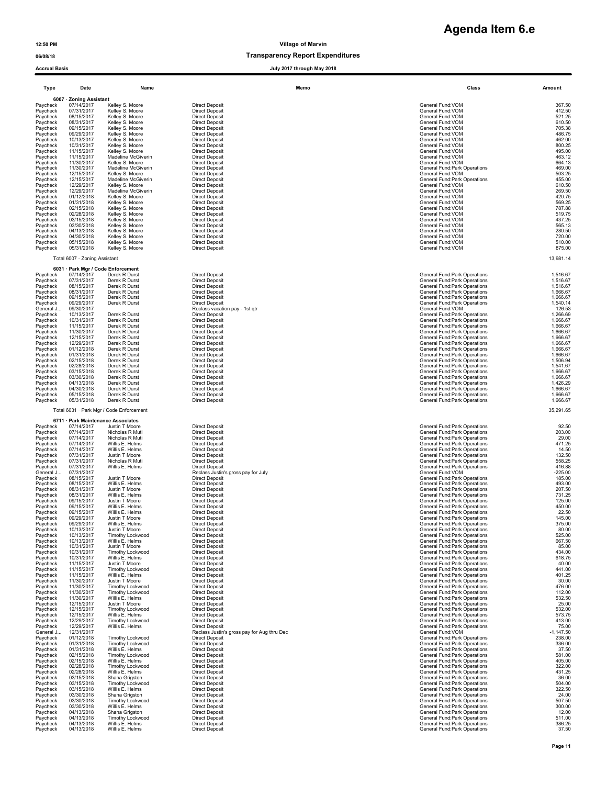| <b>Accrual Basis</b>  |                                       |                                                           | July 2017 through May 2018                                           |                                                                |                       |
|-----------------------|---------------------------------------|-----------------------------------------------------------|----------------------------------------------------------------------|----------------------------------------------------------------|-----------------------|
| Type                  | Date                                  | Name                                                      | Memo                                                                 | Class                                                          | Amount                |
| Paycheck              | 6007 · Zoning Assistant<br>07/14/2017 | Kelley S. Moore                                           | <b>Direct Deposit</b>                                                | General Fund:VOM                                               | 367.50                |
| Paycheck              | 07/31/2017                            | Kelley S. Moore                                           | <b>Direct Deposit</b>                                                | General Fund:VOM                                               | 412.50                |
| Paycheck<br>Paycheck  | 08/15/2017<br>08/31/2017              | Kelley S. Moore<br>Kelley S. Moore                        | <b>Direct Deposit</b><br><b>Direct Deposit</b>                       | General Fund:VOM<br>General Fund:VOM                           | 521.25<br>610.50      |
| Paycheck              | 09/15/2017                            | Kelley S. Moore                                           | <b>Direct Deposit</b>                                                | General Fund:VOM                                               | 705.38                |
| Paycheck<br>Paycheck  | 09/29/2017<br>10/13/2017              | Kelley S. Moore<br>Kelley S. Moore                        | <b>Direct Deposit</b><br><b>Direct Deposit</b>                       | General Fund:VOM<br>General Fund:VOM                           | 486.75<br>462.00      |
| Paycheck              | 10/31/2017                            | Kelley S. Moore                                           | <b>Direct Deposit</b>                                                | General Fund: VOM                                              | 800.25                |
| Paycheck<br>Paycheck  | 11/15/2017<br>11/15/2017              | Kelley S. Moore<br>Madeline McGiverin                     | <b>Direct Deposit</b><br><b>Direct Deposit</b>                       | General Fund: VOM<br>General Fund:VOM                          | 495.00<br>463.12      |
| Paycheck              | 11/30/2017                            | Kelley S. Moore                                           | <b>Direct Deposit</b>                                                | General Fund:VOM                                               | 664.13                |
| Paycheck<br>Paycheck  | 11/30/2017<br>12/15/2017              | Madeline McGiverin<br>Kellev S. Moore                     | <b>Direct Deposit</b><br><b>Direct Deposit</b>                       | General Fund: Park Operations<br>General Fund:VOM              | 469.00<br>503.25      |
| Paycheck              | 12/15/2017                            | Madeline McGiverin                                        | <b>Direct Deposit</b>                                                | General Fund: Park Operations                                  | 455.00                |
| Paycheck<br>Paycheck  | 12/29/2017<br>12/29/2017              | Kelley S. Moore<br>Madeline McGiverin                     | <b>Direct Deposit</b><br><b>Direct Deposit</b>                       | General Fund: VOM<br>General Fund:VOM                          | 610.50<br>269.50      |
| Paycheck              | 01/12/2018                            | Kelley S. Moore                                           | <b>Direct Deposit</b>                                                | General Fund:VOM                                               | 420.75                |
| Paycheck<br>Paycheck  | 01/31/2018<br>02/15/2018              | Kelley S. Moore<br>Kelley S. Moore                        | <b>Direct Deposit</b><br><b>Direct Deposit</b>                       | General Fund:VOM<br>General Fund:VOM                           | 569.25<br>787.88      |
| Paycheck              | 02/28/2018                            | Kelley S. Moore                                           | <b>Direct Deposit</b>                                                | General Fund: VOM                                              | 519.75                |
| Paycheck              | 03/15/2018                            | Kelley S. Moore                                           | <b>Direct Deposit</b>                                                | General Fund: VOM                                              | 437.25                |
| Paycheck<br>Paycheck  | 03/30/2018<br>04/13/2018              | Kelley S. Moore<br>Kelley S. Moore                        | <b>Direct Deposit</b><br><b>Direct Deposit</b>                       | General Fund: VOM<br>General Fund:VOM                          | 565.13<br>280.50      |
| Paycheck              | 04/30/2018                            | Kelley S. Moore                                           | <b>Direct Deposit</b>                                                | General Fund:VOM                                               | 720.00                |
| Paycheck<br>Paycheck  | 05/15/2018<br>05/31/2018              | Kelley S. Moore<br>Kelley S. Moore                        | <b>Direct Deposit</b><br><b>Direct Deposit</b>                       | General Fund:VOM<br>General Fund:VOM                           | 510.00<br>875.00      |
|                       | Total 6007 · Zoning Assistant         |                                                           |                                                                      |                                                                | 13,981.14             |
|                       |                                       | 6031 · Park Mgr / Code Enforcement                        |                                                                      |                                                                |                       |
| Paycheck<br>Paycheck  | 07/14/2017<br>07/31/2017              | Derek R Durst<br>Derek R Durst                            | <b>Direct Deposit</b><br><b>Direct Deposit</b>                       | General Fund: Park Operations<br>General Fund: Park Operations | 1,516.67<br>1,516.67  |
| Paycheck              | 08/15/2017                            | Derek R Durst                                             | <b>Direct Deposit</b>                                                | General Fund: Park Operations                                  | 1,516.67              |
| Paycheck<br>Paycheck  | 08/31/2017<br>09/15/2017              | Derek R Durst<br>Derek R Durst                            | <b>Direct Deposit</b><br><b>Direct Deposit</b>                       | General Fund: Park Operations<br>General Fund: Park Operations | 1,666.67<br>1,666.67  |
| Paycheck              | 09/29/2017                            | Derek R Durst                                             | <b>Direct Deposit</b>                                                | General Fund: Park Operations                                  | 1,540.14              |
| General J             | 09/30/2017<br>10/13/2017              | Derek R Durst                                             | Reclass vacation pay - 1st qtr<br><b>Direct Deposit</b>              | General Fund: VOM<br>General Fund: Park Operations             | 126.53<br>1,266.69    |
| Paycheck<br>Paycheck  | 10/31/2017                            | Derek R Durst                                             | <b>Direct Deposit</b>                                                | General Fund: Park Operations                                  | 1,666.67              |
| Paycheck              | 11/15/2017                            | Derek R Durst                                             | <b>Direct Deposit</b>                                                | General Fund: Park Operations                                  | 1,666.67              |
| Paycheck<br>Paycheck  | 11/30/2017<br>12/15/2017              | Derek R Durst<br>Derek R Durst                            | <b>Direct Deposit</b><br><b>Direct Deposit</b>                       | General Fund: Park Operations<br>General Fund:Park Operations  | 1,666.67<br>1,666.67  |
| Paycheck              | 12/29/2017                            | Derek R Durst                                             | <b>Direct Deposit</b>                                                | General Fund: Park Operations                                  | 1,666.67              |
| Paycheck<br>Paycheck  | 01/12/2018<br>01/31/2018              | Derek R Durst<br>Derek R Durst                            | <b>Direct Deposit</b><br><b>Direct Deposit</b>                       | General Fund: Park Operations<br>General Fund: Park Operations | 1,666.67<br>1,666.67  |
| Paycheck              | 02/15/2018                            | Derek R Durst                                             | <b>Direct Deposit</b>                                                | General Fund: Park Operations                                  | 1,506.94              |
| Paycheck<br>Paycheck  | 02/28/2018<br>03/15/2018              | Derek R Durst<br>Derek R Durst                            | <b>Direct Deposit</b><br><b>Direct Deposit</b>                       | General Fund: Park Operations<br>General Fund: Park Operations | 1,541.67<br>1,666.67  |
| Paycheck              | 03/30/2018                            | Derek R Durst                                             | <b>Direct Deposit</b>                                                | General Fund: Park Operations                                  | 1,666.67              |
| Paycheck<br>Paycheck  | 04/13/2018<br>04/30/2018              | Derek R Durst<br>Derek R Durst                            | <b>Direct Deposit</b><br><b>Direct Deposit</b>                       | General Fund: Park Operations<br>General Fund: Park Operations | 1,426.29<br>1,666.67  |
| Paycheck              | 05/15/2018                            | Derek R Durst                                             | <b>Direct Deposit</b>                                                | General Fund: Park Operations                                  | 1,666.67              |
| Paycheck              | 05/31/2018                            | Derek R Durst<br>Total 6031 · Park Mgr / Code Enforcement | <b>Direct Deposit</b>                                                | General Fund: Park Operations                                  | 1,666.67<br>35,291.65 |
|                       |                                       | 6711 · Park Maintenance Associates                        |                                                                      |                                                                |                       |
| Paycheck              | 07/14/2017                            | Justin T Moore                                            | <b>Direct Deposit</b>                                                | General Fund: Park Operations                                  | 92.50                 |
| Paycheck<br>Paycheck  | 07/14/2017<br>07/14/2017              | Nicholas R Muti<br>Nicholas R Muti                        | <b>Direct Deposit</b><br><b>Direct Deposit</b>                       | General Fund: Park Operations<br>General Fund: Park Operations | 203.00<br>29.00       |
| Paycheck              | 07/14/2017                            | Willis E. Helms                                           | <b>Direct Deposit</b>                                                | General Fund: Park Operations                                  | 471.25                |
| Paycheck<br>Paycheck  | 07/14/2017<br>07/31/2017              | Willis E. Helms<br>Justin T Moore                         | <b>Direct Deposit</b><br><b>Direct Deposit</b>                       | General Fund: Park Operations<br>General Fund: Park Operations | 14.50<br>132.50       |
| Paycheck              | 07/31/2017                            | Nicholas R Muti                                           | <b>Direct Deposit</b>                                                | General Fund: Park Operations                                  | 558.25                |
| Paycheck<br>General J | 07/31/2017<br>07/31/2017              | Willis E. Helms                                           | <b>Direct Deposit</b><br>Reclass Justin's gross pay for July         | General Fund: Park Operations<br>General Fund: VOM             | 416.88<br>$-225.00$   |
| Paycheck              | 08/15/2017                            | Justin T Moore                                            | <b>Direct Deposit</b>                                                | General Fund: Park Operations                                  | 185.00                |
| Paycheck<br>Paycheck  | 08/15/2017<br>08/31/2017              | Willis E. Helms<br>Justin T Moore                         | <b>Direct Deposit</b><br><b>Direct Deposit</b>                       | General Fund: Park Operations<br>General Fund:Park Operations  | 493.00<br>207.50      |
| Paycheck              | 08/31/2017                            | Willis E. Helms                                           | <b>Direct Deposit</b>                                                | General Fund: Park Operations                                  | 731.25                |
| Paycheck<br>Pavcneck  | 09/15/2017<br>09/15/2017              | Justin T Moore<br>Willis E. Helms                         | <b>Direct Deposit</b><br>Direct Deposit                              | General Fund: Park Operations<br>General Fund:Park Operations  | 125.00<br>450.00      |
| Paycheck              | 09/15/2017                            | Willis E. Helms                                           | <b>Direct Deposit</b>                                                | General Fund: Park Operations                                  | 22.50                 |
| Paycheck              | 09/29/2017                            | Justin T Moore<br>Willis E. Helms                         | <b>Direct Deposit</b><br><b>Direct Deposit</b>                       | General Fund: Park Operations                                  | 145.00                |
| Paycheck<br>Paycheck  | 09/29/2017<br>10/13/2017              | Justin T Moore                                            | <b>Direct Deposit</b>                                                | General Fund: Park Operations<br>General Fund: Park Operations | 375.00<br>80.00       |
| Paycheck              | 10/13/2017                            | Timothy Lockwood                                          | <b>Direct Deposit</b>                                                | General Fund:Park Operations                                   | 525.00<br>667.50      |
| Paycheck<br>Paycheck  | 10/13/2017<br>10/31/2017              | Willis E. Helms<br>Justin T Moore                         | <b>Direct Deposit</b><br><b>Direct Deposit</b>                       | General Fund: Park Operations<br>General Fund: Park Operations | 85.00                 |
| Paycheck              | 10/31/2017<br>10/31/2017              | Timothy Lockwood<br>Willis E. Helms                       | <b>Direct Deposit</b>                                                | General Fund: Park Operations                                  | 434.00                |
| Paycheck<br>Paycheck  | 11/15/2017                            | Justin T Moore                                            | <b>Direct Deposit</b><br><b>Direct Deposit</b>                       | General Fund: Park Operations<br>General Fund: Park Operations | 618.75<br>40.00       |
| Paycheck              | 11/15/2017                            | Timothy Lockwood                                          | <b>Direct Deposit</b>                                                | General Fund: Park Operations                                  | 441.00                |
| Paycheck<br>Paycheck  | 11/15/2017<br>11/30/2017              | Willis E. Helms<br>Justin T Moore                         | <b>Direct Deposit</b><br><b>Direct Deposit</b>                       | General Fund: Park Operations<br>General Fund: Park Operations | 401.25<br>30.00       |
| Paycheck              | 11/30/2017                            | Timothy Lockwood                                          | <b>Direct Deposit</b>                                                | General Fund: Park Operations                                  | 476.00                |
| Paycheck<br>Paycheck  | 11/30/2017<br>11/30/2017              | Timothy Lockwood<br>Willis E. Helms                       | <b>Direct Deposit</b><br><b>Direct Deposit</b>                       | General Fund: Park Operations<br>General Fund: Park Operations | 112.00<br>532.50      |
| Paycheck              | 12/15/2017                            | Justin T Moore                                            | <b>Direct Deposit</b>                                                | General Fund: Park Operations                                  | 25.00                 |
| Paycheck<br>Paycheck  | 12/15/2017                            | Timothy Lockwood                                          | <b>Direct Deposit</b>                                                | General Fund: Park Operations<br>General Fund: Park Operations | 532.00                |
| Paycheck              | 12/15/2017<br>12/29/2017              | Willis E. Helms<br>Timothy Lockwood                       | <b>Direct Deposit</b><br><b>Direct Deposit</b>                       | General Fund: Park Operations                                  | 573.75<br>413.00      |
| Paycheck              | 12/29/2017                            | Willis E. Helms                                           | <b>Direct Deposit</b>                                                | General Fund: Park Operations                                  | 75.00                 |
| General J<br>Paycheck | 12/31/2017<br>01/12/2018              | Timothy Lockwood                                          | Reclass Justin's gross pay for Aug thru Dec<br><b>Direct Deposit</b> | General Fund: VOM<br>General Fund: Park Operations             | $-1,147.50$<br>238.00 |
| Paycheck              | 01/31/2018                            | Timothy Lockwood                                          | <b>Direct Deposit</b>                                                | General Fund:Park Operations                                   | 336.00                |
| Paycheck<br>Paycheck  | 01/31/2018<br>02/15/2018              | Willis E. Helms<br>Timothy Lockwood                       | <b>Direct Deposit</b><br><b>Direct Deposit</b>                       | General Fund: Park Operations<br>General Fund: Park Operations | 37.50<br>581.00       |
| Paycheck              | 02/15/2018                            | Willis E. Helms                                           | <b>Direct Deposit</b>                                                | General Fund: Park Operations                                  | 405.00                |
| Paycheck<br>Paycheck  | 02/28/2018<br>02/28/2018              | Timothy Lockwood<br>Willis E. Helms                       | <b>Direct Deposit</b><br><b>Direct Deposit</b>                       | General Fund: Park Operations<br>General Fund: Park Operations | 322.00<br>431.25      |
| Paycheck              | 03/15/2018                            | Shana Grigston                                            | <b>Direct Deposit</b>                                                | General Fund:Park Operations                                   | 36.00                 |
| Paycheck              | 03/15/2018                            | Timothy Lockwood                                          | <b>Direct Deposit</b>                                                | General Fund: Park Operations                                  | 504.00                |
| Paycheck<br>Paycheck  | 03/15/2018<br>03/30/2018              | Willis E. Helms<br>Shana Grigston                         | <b>Direct Deposit</b><br><b>Direct Deposit</b>                       | General Fund: Park Operations<br>General Fund: Park Operations | 322.50<br>24.00       |
| Paycheck              | 03/30/2018                            | Timothy Lockwood                                          | <b>Direct Deposit</b>                                                | General Fund: Park Operations                                  | 507.50                |
| Paycheck<br>Paycheck  | 03/30/2018<br>04/13/2018              | Willis E. Helms<br>Shana Grigston                         | <b>Direct Deposit</b><br><b>Direct Deposit</b>                       | General Fund: Park Operations<br>General Fund:Park Operations  | 300.00<br>12.00       |
| Paycheck              | 04/13/2018                            | Timothy Lockwood                                          | <b>Direct Deposit</b>                                                | General Fund: Park Operations                                  | 511.00                |
| Paycheck<br>Paycheck  | 04/13/2018<br>04/13/2018              | Willis E. Helms<br>Willis E. Helms                        | <b>Direct Deposit</b><br><b>Direct Deposit</b>                       | General Fund: Park Operations<br>General Fund: Park Operations | 386.25<br>37.50       |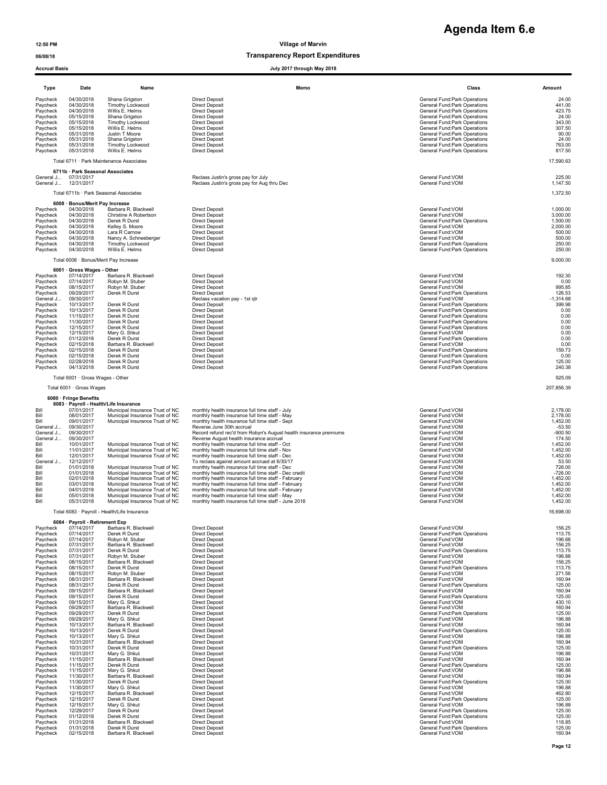| Agenda Item 6.e |  |
|-----------------|--|
|                 |  |

| Accrual Basis                                                                                                                                                                                                                                                                                                                                                                                |                                                                                                                                                                                                                                                                                                                                                                                                                                                                                                 |                                                                                                                                                                                                                                                                                                                                                                                                                                                                                                                                                                                                                                                 | July 2017 through May 2018                                                                                                                                                                                                                                                                                                                                                                                                                                                                                                                                                                                                                                                                                                                                                                                                                                                                        |                                                                                                                                                                                                                                                                                                                                                                                                                                                                                                                                                                                                                                                                                                                                                                                                                     |                                                                                                                                                                                                                                                                                                                              |
|----------------------------------------------------------------------------------------------------------------------------------------------------------------------------------------------------------------------------------------------------------------------------------------------------------------------------------------------------------------------------------------------|-------------------------------------------------------------------------------------------------------------------------------------------------------------------------------------------------------------------------------------------------------------------------------------------------------------------------------------------------------------------------------------------------------------------------------------------------------------------------------------------------|-------------------------------------------------------------------------------------------------------------------------------------------------------------------------------------------------------------------------------------------------------------------------------------------------------------------------------------------------------------------------------------------------------------------------------------------------------------------------------------------------------------------------------------------------------------------------------------------------------------------------------------------------|---------------------------------------------------------------------------------------------------------------------------------------------------------------------------------------------------------------------------------------------------------------------------------------------------------------------------------------------------------------------------------------------------------------------------------------------------------------------------------------------------------------------------------------------------------------------------------------------------------------------------------------------------------------------------------------------------------------------------------------------------------------------------------------------------------------------------------------------------------------------------------------------------|---------------------------------------------------------------------------------------------------------------------------------------------------------------------------------------------------------------------------------------------------------------------------------------------------------------------------------------------------------------------------------------------------------------------------------------------------------------------------------------------------------------------------------------------------------------------------------------------------------------------------------------------------------------------------------------------------------------------------------------------------------------------------------------------------------------------|------------------------------------------------------------------------------------------------------------------------------------------------------------------------------------------------------------------------------------------------------------------------------------------------------------------------------|
| Type                                                                                                                                                                                                                                                                                                                                                                                         | Date                                                                                                                                                                                                                                                                                                                                                                                                                                                                                            | Name                                                                                                                                                                                                                                                                                                                                                                                                                                                                                                                                                                                                                                            | Memo                                                                                                                                                                                                                                                                                                                                                                                                                                                                                                                                                                                                                                                                                                                                                                                                                                                                                              | Class                                                                                                                                                                                                                                                                                                                                                                                                                                                                                                                                                                                                                                                                                                                                                                                                               | Amount                                                                                                                                                                                                                                                                                                                       |
| Paycheck<br>Paycheck<br>Paycheck<br>Paycheck<br>Paycheck<br>Paycheck<br>Paycheck<br>Paycheck<br>Paycheck<br>Paycheck                                                                                                                                                                                                                                                                         | 04/30/2018<br>04/30/2018<br>04/30/2018<br>05/15/2018<br>05/15/2018<br>05/15/2018<br>05/31/2018<br>05/31/2018<br>05/31/2018<br>05/31/2018                                                                                                                                                                                                                                                                                                                                                        | Shana Grigston<br>Timothy Lockwood<br>Willis E. Helms<br>Shana Grigston<br>Timothy Lockwood<br>Willis E. Helms<br>Justin T Moore<br>Shana Grigston<br>Timothy Lockwood<br>Willis E. Helms                                                                                                                                                                                                                                                                                                                                                                                                                                                       | <b>Direct Deposit</b><br><b>Direct Deposit</b><br><b>Direct Deposit</b><br><b>Direct Deposit</b><br><b>Direct Deposit</b><br><b>Direct Deposit</b><br><b>Direct Deposit</b><br><b>Direct Deposit</b><br><b>Direct Deposit</b><br><b>Direct Deposit</b>                                                                                                                                                                                                                                                                                                                                                                                                                                                                                                                                                                                                                                            | General Fund: Park Operations<br>General Fund: Park Operations<br>General Fund: Park Operations<br>General Fund: Park Operations<br>General Fund: Park Operations<br>General Fund: Park Operations<br>General Fund: Park Operations<br>General Fund: Park Operations<br>General Fund: Park Operations<br>General Fund: Park Operations                                                                                                                                                                                                                                                                                                                                                                                                                                                                              | 24.00<br>441.00<br>423.75<br>24.00<br>343.00<br>307.50<br>90.00<br>24.00<br>763.00<br>817.50                                                                                                                                                                                                                                 |
|                                                                                                                                                                                                                                                                                                                                                                                              |                                                                                                                                                                                                                                                                                                                                                                                                                                                                                                 | Total 6711 · Park Maintenance Associates                                                                                                                                                                                                                                                                                                                                                                                                                                                                                                                                                                                                        |                                                                                                                                                                                                                                                                                                                                                                                                                                                                                                                                                                                                                                                                                                                                                                                                                                                                                                   |                                                                                                                                                                                                                                                                                                                                                                                                                                                                                                                                                                                                                                                                                                                                                                                                                     | 17,590.63                                                                                                                                                                                                                                                                                                                    |
|                                                                                                                                                                                                                                                                                                                                                                                              | 6711b · Park Seasonal Associates                                                                                                                                                                                                                                                                                                                                                                                                                                                                |                                                                                                                                                                                                                                                                                                                                                                                                                                                                                                                                                                                                                                                 |                                                                                                                                                                                                                                                                                                                                                                                                                                                                                                                                                                                                                                                                                                                                                                                                                                                                                                   |                                                                                                                                                                                                                                                                                                                                                                                                                                                                                                                                                                                                                                                                                                                                                                                                                     |                                                                                                                                                                                                                                                                                                                              |
| General J                                                                                                                                                                                                                                                                                                                                                                                    | General J 07/31/2017<br>12/31/2017                                                                                                                                                                                                                                                                                                                                                                                                                                                              |                                                                                                                                                                                                                                                                                                                                                                                                                                                                                                                                                                                                                                                 | Reclass Justin's gross pay for July<br>Reclass Justin's gross pay for Aug thru Dec                                                                                                                                                                                                                                                                                                                                                                                                                                                                                                                                                                                                                                                                                                                                                                                                                | General Fund: VOM<br>General Fund: VOM                                                                                                                                                                                                                                                                                                                                                                                                                                                                                                                                                                                                                                                                                                                                                                              | 225.00<br>1,147.50                                                                                                                                                                                                                                                                                                           |
|                                                                                                                                                                                                                                                                                                                                                                                              |                                                                                                                                                                                                                                                                                                                                                                                                                                                                                                 | Total 6711b · Park Seasonal Associates                                                                                                                                                                                                                                                                                                                                                                                                                                                                                                                                                                                                          |                                                                                                                                                                                                                                                                                                                                                                                                                                                                                                                                                                                                                                                                                                                                                                                                                                                                                                   |                                                                                                                                                                                                                                                                                                                                                                                                                                                                                                                                                                                                                                                                                                                                                                                                                     | 1,372.50                                                                                                                                                                                                                                                                                                                     |
| Paycheck<br>Paycheck<br>Paycheck<br>Paycheck<br>Paycheck<br>Paycheck<br>Paycheck<br>Paycheck                                                                                                                                                                                                                                                                                                 | 6008 · Bonus/Merit Pay Increase<br>04/30/2018<br>04/30/2018<br>04/30/2018<br>04/30/2018<br>04/30/2018<br>04/30/2018<br>04/30/2018<br>04/30/2018                                                                                                                                                                                                                                                                                                                                                 | Barbara R. Blackwell<br>Christine A Robertson<br>Derek R Durst<br>Kelley S. Moore<br>Lara R Carnow<br>Nancy A. Schneeberger<br>Timothy Lockwood<br>Willis E. Helms                                                                                                                                                                                                                                                                                                                                                                                                                                                                              | <b>Direct Deposit</b><br><b>Direct Deposit</b><br><b>Direct Deposit</b><br><b>Direct Deposit</b><br><b>Direct Deposit</b><br><b>Direct Deposit</b><br><b>Direct Deposit</b><br><b>Direct Deposit</b>                                                                                                                                                                                                                                                                                                                                                                                                                                                                                                                                                                                                                                                                                              | General Fund:VOM<br>General Fund: VOM<br>General Fund: Park Operations<br>General Fund:VOM<br>General Fund:VOM<br>General Fund: VOM<br>General Fund: Park Operations<br>General Fund: Park Operations                                                                                                                                                                                                                                                                                                                                                                                                                                                                                                                                                                                                               | 1,000.00<br>3,000.00<br>1,500.00<br>2,000.00<br>500.00<br>500.00<br>250.00<br>250.00                                                                                                                                                                                                                                         |
|                                                                                                                                                                                                                                                                                                                                                                                              | Total 6008 · Bonus/Merit Pay Increase                                                                                                                                                                                                                                                                                                                                                                                                                                                           |                                                                                                                                                                                                                                                                                                                                                                                                                                                                                                                                                                                                                                                 |                                                                                                                                                                                                                                                                                                                                                                                                                                                                                                                                                                                                                                                                                                                                                                                                                                                                                                   |                                                                                                                                                                                                                                                                                                                                                                                                                                                                                                                                                                                                                                                                                                                                                                                                                     | 9,000.00                                                                                                                                                                                                                                                                                                                     |
| Paycheck<br>Paycheck<br>Paycheck<br>Paycheck<br>General J<br>Paycheck<br>Paycheck<br>Paycheck<br>Paycheck<br>Paycheck<br>Paycheck<br>Paycheck<br>Paycheck<br>Paycheck<br>Paycheck<br>Paycheck<br>Paycheck                                                                                                                                                                                    | 6001 · Gross Wages - Other<br>07/14/2017<br>07/14/2017<br>08/15/2017<br>09/29/2017<br>09/30/2017<br>10/13/2017<br>10/13/2017<br>11/15/2017<br>11/30/2017<br>12/15/2017<br>12/15/2017<br>01/12/2018<br>02/15/2018<br>02/15/2018<br>02/15/2018<br>02/28/2018<br>04/13/2018                                                                                                                                                                                                                        | Barbara R. Blackwell<br>Robvn M. Stuber<br>Robyn M. Stuber<br>Derek R Durst<br>Derek R Durst<br>Derek R Durst<br>Derek R Durst<br>Derek R Durst<br>Derek R Durst<br>Mary G. Shkut<br>Derek R Durst<br>Barbara R. Blackwell<br>Derek R Durst<br>Derek R Durst<br>Derek R Durst<br>Derek R Durst                                                                                                                                                                                                                                                                                                                                                  | <b>Direct Deposit</b><br><b>Direct Deposit</b><br><b>Direct Deposit</b><br><b>Direct Deposit</b><br>Reclass vacation pay - 1st qtr<br><b>Direct Deposit</b><br><b>Direct Deposit</b><br><b>Direct Deposit</b><br><b>Direct Deposit</b><br><b>Direct Deposit</b><br><b>Direct Deposit</b><br><b>Direct Deposit</b><br><b>Direct Deposit</b><br><b>Direct Deposit</b><br><b>Direct Deposit</b><br><b>Direct Deposit</b><br><b>Direct Deposit</b>                                                                                                                                                                                                                                                                                                                                                                                                                                                    | General Fund:VOM<br>General Fund:VOM<br>General Fund: VOM<br>General Fund: Park Operations<br>General Fund: VOM<br>General Fund: Park Operations<br>General Fund: Park Operations<br>General Fund: Park Operations<br>General Fund: Park Operations<br>General Fund: Park Operations<br>General Fund:VOM<br>General Fund: Park Operations<br>General Fund: VOM<br>General Fund: Park Operations<br>General Fund: Park Operations<br>General Fund: Park Operations<br>General Fund: Park Operations                                                                                                                                                                                                                                                                                                                  | 192.30<br>0.00<br>995.85<br>126.53<br>$-1,314.68$<br>399.98<br>0.00<br>0.00<br>0.00<br>0.00<br>0.00<br>0.00<br>0.00<br>159.73<br>0.00<br>125.00<br>240.38<br>925.09                                                                                                                                                          |
|                                                                                                                                                                                                                                                                                                                                                                                              | Total 6001 · Gross Wages - Other<br>Total 6001 · Gross Wages                                                                                                                                                                                                                                                                                                                                                                                                                                    |                                                                                                                                                                                                                                                                                                                                                                                                                                                                                                                                                                                                                                                 |                                                                                                                                                                                                                                                                                                                                                                                                                                                                                                                                                                                                                                                                                                                                                                                                                                                                                                   |                                                                                                                                                                                                                                                                                                                                                                                                                                                                                                                                                                                                                                                                                                                                                                                                                     | 207,856.39                                                                                                                                                                                                                                                                                                                   |
|                                                                                                                                                                                                                                                                                                                                                                                              | 6080 · Fringe Benefits                                                                                                                                                                                                                                                                                                                                                                                                                                                                          |                                                                                                                                                                                                                                                                                                                                                                                                                                                                                                                                                                                                                                                 |                                                                                                                                                                                                                                                                                                                                                                                                                                                                                                                                                                                                                                                                                                                                                                                                                                                                                                   |                                                                                                                                                                                                                                                                                                                                                                                                                                                                                                                                                                                                                                                                                                                                                                                                                     |                                                                                                                                                                                                                                                                                                                              |
| Bill<br>Bill<br>Bill<br>General J<br>General J<br>General J<br>Bill<br>Bill<br>Bill<br>General J<br>Bill<br>Bill<br>Bill<br>Bill<br>Bill<br>Bill<br>Bill                                                                                                                                                                                                                                     | 07/01/2017<br>08/01/2017<br>09/01/2017<br>09/30/2017<br>09/30/2017<br>09/30/2017<br>10/01/2017<br>11/01/2017<br>12/01/2017<br>12/12/2017<br>01/01/2018<br>01/01/2018<br>02/01/2018<br>03/01/2018<br>04/01/2018<br>05/01/2018<br>05/31/2018                                                                                                                                                                                                                                                      | 6083 · Payroll - Health/Life Insurance<br>Municipal Insurance Trust of NC<br>Municipal Insurance Trust of NC<br>Municipal Insurance Trust of NC<br>Municipal Insurance Trust of NC<br>Municipal Insurance Trust of NC<br>Municipal Insurance Trust of NC<br>Municipal Insurance Trust of NC<br>Municipal Insurance Trust of NC<br>Municipal Insurance Trust of NC<br>Municipal Insurance Trust of NC<br>Municipal Insurance Trust of NC<br>Municipal Insurance Trust of NC<br>Municipal Insurance Trust of NC                                                                                                                                   | monthly health insurance full time staff - July<br>monthly health insurance full time staff - May<br>monthly health insurance full time staff - Sept<br>Reverse June 30th accrual<br>Record refund rec'd from Robyn's August health insurance premiums<br>Reverse August health insurance accrual<br>monthly health insurance full time staff - Oct<br>monthly health insurance full time staff - Nov<br>monthly health insurance full time staff - Dec<br>To reclass against amount accrued at 6/30/17<br>monthly health insurance full time staff - Dec<br>monthly health insurance full time staff - Dec credit<br>monthly health insurance full time staff - February<br>monthly health insurance full time staff - February<br>monthly health insurance full time staff - February<br>monthly health insurance full time staff - May<br>monthly health insurance full time staff - June 2018 | General Fund: VOM<br>General Fund: VOM<br>General Fund:VOM<br>General Fund: VOM<br>General Fund: VOM<br>General Fund: VOM<br>General Fund: VOM<br>General Fund: VOM<br>General Fund: VOM<br>General Fund:VOM<br>General Fund: VOM<br>General Fund: VOM<br>General Fund: VOM<br>General Fund: VOM<br>General Fund: VOM<br>General Fund: VOM<br>General Fund: VOM                                                                                                                                                                                                                                                                                                                                                                                                                                                     | 2,178.00<br>2,178.00<br>1,452.00<br>$-53.50$<br>$-900.50$<br>174.50<br>1,452.00<br>1,452.00<br>1,452.00<br>53.50<br>726.00<br>$-726.00$<br>1,452.00<br>1,452.00<br>1,452.00<br>1,452.00<br>1,452.00                                                                                                                          |
|                                                                                                                                                                                                                                                                                                                                                                                              |                                                                                                                                                                                                                                                                                                                                                                                                                                                                                                 | Total 6083 · Payroll - Health/Life Insurance                                                                                                                                                                                                                                                                                                                                                                                                                                                                                                                                                                                                    |                                                                                                                                                                                                                                                                                                                                                                                                                                                                                                                                                                                                                                                                                                                                                                                                                                                                                                   |                                                                                                                                                                                                                                                                                                                                                                                                                                                                                                                                                                                                                                                                                                                                                                                                                     | 16,698.00                                                                                                                                                                                                                                                                                                                    |
| Paycheck<br>Paycheck<br>Paycheck<br>Paycheck<br>Paycheck<br>Paycheck<br>Paycheck<br>Paycheck<br>Paycheck<br>Paycheck<br>Paycheck<br>Paycheck<br>Paycheck<br>Paycheck<br>Paycheck<br>Paycheck<br>Paycheck<br>Paycheck<br>Paycheck<br>Paycheck<br>Paycheck<br>Paycheck<br>Paycheck<br>Paycheck<br>Paycheck<br>Paycheck<br>Paycheck<br>Paycheck<br>Paycheck<br>Paycheck<br>Paycheck<br>Paycheck | 6084 · Payroll - Retirement Exp<br>07/14/2017<br>07/14/2017<br>07/14/2017<br>07/31/2017<br>07/31/2017<br>07/31/2017<br>08/15/2017<br>08/15/2017<br>08/15/2017<br>08/31/2017<br>08/31/2017<br>09/15/2017<br>09/15/2017<br>09/15/2017<br>09/29/2017<br>09/29/2017<br>09/29/2017<br>10/13/2017<br>10/13/2017<br>10/13/2017<br>10/31/2017<br>10/31/2017<br>10/31/2017<br>11/15/2017<br>11/15/2017<br>11/15/2017<br>11/30/2017<br>11/30/2017<br>11/30/2017<br>12/15/2017<br>12/15/2017<br>12/15/2017 | Barbara R. Blackwell<br>Derek R Durst<br>Robyn M. Stuber<br>Barbara R. Blackwell<br>Derek R Durst<br>Robyn M. Stuber<br>Barbara R. Blackwell<br>Derek R Durst<br>Robyn M. Stuber<br>Barbara R. Blackwell<br>Derek R Durst<br>Barbara R. Blackwell<br>Derek R Durst<br>Mary G. Shkut<br>Barbara R. Blackwell<br>Derek R Durst<br>Mary G. Shkut<br>Barbara R. Blackwell<br>Derek R Durst<br>Mary G. Shkut<br>Barbara R. Blackwell<br>Derek R Durst<br>Mary G. Shkut<br>Barbara R. Blackwell<br>Derek R Durst<br>Mary G. Shkut<br>Barbara R. Blackwell<br>Derek R Durst<br>Mary G. Shkut<br>Barbara R. Blackwell<br>Derek R Durst<br>Mary G. Shkut | <b>Direct Deposit</b><br><b>Direct Deposit</b><br>Direct Deposit<br><b>Direct Deposit</b><br><b>Direct Deposit</b><br><b>Direct Deposit</b><br><b>Direct Deposit</b><br><b>Direct Deposit</b><br><b>Direct Deposit</b><br><b>Direct Deposit</b><br><b>Direct Deposit</b><br><b>Direct Deposit</b><br><b>Direct Deposit</b><br><b>Direct Deposit</b><br><b>Direct Deposit</b><br><b>Direct Deposit</b><br><b>Direct Deposit</b><br><b>Direct Deposit</b><br><b>Direct Deposit</b><br><b>Direct Deposit</b><br><b>Direct Deposit</b><br><b>Direct Deposit</b><br><b>Direct Deposit</b><br><b>Direct Deposit</b><br><b>Direct Deposit</b><br><b>Direct Deposit</b><br><b>Direct Deposit</b><br><b>Direct Deposit</b><br><b>Direct Deposit</b><br><b>Direct Deposit</b><br><b>Direct Deposit</b><br><b>Direct Deposit</b>                                                                             | General Fund: VOM<br>General Fund: Park Operations<br>General Fund: VOM<br>General Fund: VOM<br>General Fund: Park Operations<br>General Fund:VOM<br>General Fund:VOM<br>General Fund: Park Operations<br>General Fund:VOM<br>General Fund: VOM<br>General Fund:Park Operations<br>General Fund: VOM<br>General Fund: Park Operations<br>General Fund: VOM<br>General Fund:VOM<br>General Fund:Park Operations<br>General Fund:VOM<br>General Fund:VOM<br>General Fund: Park Operations<br>General Fund: VOM<br>General Fund:VOM<br>General Fund: Park Operations<br>General Fund:VOM<br>General Fund: VOM<br>General Fund: Park Operations<br>General Fund: VOM<br>General Fund:VOM<br>General Fund: Park Operations<br>General Fund:VOM<br>General Fund:VOM<br>General Fund: Park Operations<br>General Fund: VOM | 156.25<br>113.75<br>196.88<br>156.25<br>113.75<br>196.88<br>156.25<br>113.75<br>271.56<br>160.94<br>125.00<br>160.94<br>125.00<br>430.10<br>160.94<br>125.00<br>196.88<br>160.94<br>125.00<br>196.88<br>160.94<br>125.00<br>196.88<br>160.94<br>125.00<br>196.88<br>160.94<br>125.00<br>196.88<br>462.80<br>125.00<br>196.88 |
| Paycheck<br>Paycheck<br>Paycheck<br>Paycheck<br>Paycheck                                                                                                                                                                                                                                                                                                                                     | 12/29/2017<br>01/12/2018<br>01/31/2018<br>01/31/2018<br>02/15/2018                                                                                                                                                                                                                                                                                                                                                                                                                              | Derek R Durst<br>Derek R Durst<br>Barbara R. Blackwell<br>Derek R Durst<br>Barbara R. Blackwell                                                                                                                                                                                                                                                                                                                                                                                                                                                                                                                                                 | <b>Direct Deposit</b><br><b>Direct Deposit</b><br><b>Direct Deposit</b><br><b>Direct Deposit</b><br><b>Direct Deposit</b>                                                                                                                                                                                                                                                                                                                                                                                                                                                                                                                                                                                                                                                                                                                                                                         | General Fund: Park Operations<br>General Fund: Park Operations<br>General Fund: VOM<br>General Fund: Park Operations<br>General Fund: VOM                                                                                                                                                                                                                                                                                                                                                                                                                                                                                                                                                                                                                                                                           | 125.00<br>125.00<br>118.85<br>125.00<br>160.94                                                                                                                                                                                                                                                                               |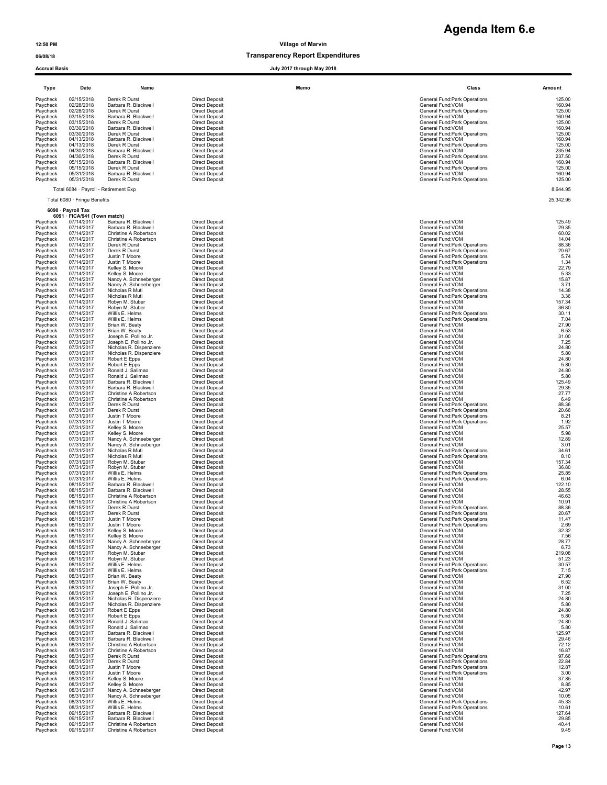|                      | <b>Accrual Basis</b><br>July 2017 through May 2018 |                                    |                                                |      |                                                    |                 |  |
|----------------------|----------------------------------------------------|------------------------------------|------------------------------------------------|------|----------------------------------------------------|-----------------|--|
| Type                 | Date                                               | Name                               |                                                | Memo | Class                                              | Amount          |  |
| Paycheck             | 02/15/2018                                         | Derek R Durst                      | <b>Direct Deposit</b>                          |      | General Fund:Park Operations                       | 125.00          |  |
| Paycheck             | 02/28/2018                                         | Barbara R. Blackwell               | <b>Direct Deposit</b>                          |      | General Fund: VOM                                  | 160.94          |  |
| Paycheck             | 02/28/2018                                         | Derek R Durst                      | <b>Direct Deposit</b>                          |      | General Fund: Park Operations                      | 125.00          |  |
| Paycheck             | 03/15/2018                                         | Barbara R. Blackwell               | <b>Direct Deposit</b>                          |      | General Fund: VOM                                  | 160.94          |  |
| Paycheck             | 03/15/2018                                         | Derek R Durst                      | <b>Direct Deposit</b>                          |      | General Fund: Park Operations                      | 125.00          |  |
| Paycheck             | 03/30/2018                                         | Barbara R. Blackwell               | <b>Direct Deposit</b>                          |      | General Fund: VOM                                  | 160.94          |  |
| Paycheck             | 03/30/2018                                         | Derek R Durst                      | <b>Direct Deposit</b>                          |      | General Fund: Park Operations                      | 125.00          |  |
| Paycheck             | 04/13/2018                                         | Barbara R. Blackwell               | <b>Direct Deposit</b>                          |      | General Fund: VOM                                  | 160.94          |  |
| Paycheck             | 04/13/2018                                         | Derek R Durst                      | <b>Direct Deposit</b>                          |      | General Fund: Park Operations                      | 125.00          |  |
| Paycheck             | 04/30/2018                                         | Barbara R. Blackwell               | <b>Direct Deposit</b>                          |      | General Fund: VOM                                  | 235.94          |  |
| Paycheck             | 04/30/2018                                         | Derek R Durst                      | <b>Direct Deposit</b>                          |      | General Fund: Park Operations                      | 237.50          |  |
| Paycheck             | 05/15/2018                                         | Barbara R. Blackwell               | <b>Direct Deposit</b>                          |      | General Fund: VOM                                  | 160.94          |  |
| Paycheck             | 05/15/2018                                         | Derek R Durst                      | <b>Direct Deposit</b>                          |      | General Fund: Park Operations                      | 125.00          |  |
| Paycheck             | 05/31/2018                                         | Barbara R. Blackwell               | <b>Direct Deposit</b>                          |      | General Fund: VOM                                  | 160.94          |  |
| Paycheck             | 05/31/2018                                         | Derek R Durst                      | <b>Direct Deposit</b>                          |      | General Fund: Park Operations                      | 125.00          |  |
|                      | Total 6084 · Payroll - Retirement Exp              |                                    |                                                |      |                                                    | 8,644.95        |  |
|                      | Total 6080 · Fringe Benefits                       |                                    |                                                |      |                                                    | 25,342.95       |  |
|                      | 6090 · Payroll Tax<br>6091 · FICA/941 (Town match) |                                    |                                                |      |                                                    |                 |  |
| Paycheck             | 07/14/2017                                         | Barbara R. Blackwell               | <b>Direct Deposit</b>                          |      | General Fund:VOM                                   | 125.49          |  |
| Paycheck             | 07/14/2017                                         | Barbara R. Blackwell               | <b>Direct Deposit</b>                          |      | General Fund: VOM                                  | 29.35           |  |
| Paycheck             | 07/14/2017                                         | Christine A Robertson              | <b>Direct Deposit</b>                          |      | General Fund: VOM                                  | 60.02           |  |
| Paycheck             | 07/14/2017                                         | Christine A Robertson              | <b>Direct Deposit</b>                          |      | General Fund: VOM                                  | 14.04           |  |
| Paycheck             | 07/14/2017                                         | Derek R Durst                      | <b>Direct Deposit</b>                          |      | General Fund: Park Operations                      | 88.36           |  |
| Paycheck             | 07/14/2017                                         | Derek R Durst                      | <b>Direct Deposit</b>                          |      | General Fund: Park Operations                      | 20.67           |  |
| Paycheck             | 07/14/2017                                         | Justin T Moore                     | <b>Direct Deposit</b>                          |      | General Fund: Park Operations                      | 5.74            |  |
| Paycheck             | 07/14/2017                                         | Justin T Moore                     | <b>Direct Deposit</b>                          |      | General Fund: Park Operations                      | 1.34            |  |
| Paycheck             | 07/14/2017                                         | Kelley S. Moore                    | <b>Direct Deposit</b>                          |      | General Fund: VOM                                  | 22.79           |  |
| Paycheck             | 07/14/2017                                         | Kelley S. Moore                    | <b>Direct Deposit</b>                          |      | General Fund: VOM                                  | 5.33            |  |
| Paycheck             | 07/14/2017                                         | Nancy A. Schneeberger              | <b>Direct Deposit</b>                          |      | General Fund: VOM                                  | 15.87           |  |
| Paycheck             | 07/14/2017                                         | Nancy A. Schneeberger              | <b>Direct Deposit</b>                          |      | General Fund: VOM                                  | 3.71            |  |
| Paycheck             | 07/14/2017                                         | Nicholas R Muti<br>Nicholas R Muti | <b>Direct Deposit</b>                          |      | General Fund: Park Operations                      | 14.38           |  |
| Paycheck<br>Paycheck | 07/14/2017<br>07/14/2017                           | Robyn M. Stuber                    | <b>Direct Deposit</b><br><b>Direct Deposit</b> |      | General Fund: Park Operations<br>General Fund: VOM | 3.36<br>157.34  |  |
| Paycheck             | 07/14/2017                                         | Robyn M. Stuber                    | <b>Direct Deposit</b>                          |      | General Fund: VOM                                  | 36.80           |  |
| Paycheck             | 07/14/2017                                         | Willis E. Helms                    | <b>Direct Deposit</b>                          |      | General Fund: Park Operations                      | 30.11           |  |
| Paycheck             | 07/14/2017<br>07/31/2017                           | Willis E. Helms                    | <b>Direct Deposit</b>                          |      | General Fund: Park Operations                      | 7.04<br>27.90   |  |
| Paycheck<br>Paycheck | 07/31/2017                                         | Brian W. Beaty<br>Brian W. Beaty   | <b>Direct Deposit</b><br><b>Direct Deposit</b> |      | General Fund: VOM<br>General Fund:VOM              | 6.53            |  |
| Paycheck             | 07/31/2017                                         | Joseph E. Pollino Jr.              | <b>Direct Deposit</b>                          |      | General Fund:VOM                                   | 31.00           |  |
| Paycheck             | 07/31/2017                                         | Joseph E. Pollino Jr.              | <b>Direct Deposit</b>                          |      | General Fund:VOM                                   | 7.25            |  |
| Paycheck             | 07/31/2017                                         | Nicholas R. Dispenziere            | <b>Direct Deposit</b>                          |      | General Fund: VOM                                  | 24.80           |  |
| Paycheck             | 07/31/2017                                         | Nicholas R. Dispenziere            | <b>Direct Deposit</b>                          |      | General Fund:VOM                                   | 5.80            |  |
| Paycheck             | 07/31/2017                                         | Robert E Epps                      | <b>Direct Deposit</b>                          |      | General Fund: VOM                                  | 24.80           |  |
| Paycheck             | 07/31/2017                                         | Robert E Epps                      | <b>Direct Deposit</b>                          |      | General Fund:VOM                                   | 5.80            |  |
| Paycheck             | 07/31/2017                                         | Ronald J. Salimao                  | <b>Direct Deposit</b>                          |      | General Fund: VOM                                  | 24.80           |  |
| Paycheck             | 07/31/2017                                         | Ronald J. Salimao                  | <b>Direct Deposit</b>                          |      | General Fund: VOM                                  | 5.80            |  |
| Paycheck             | 07/31/2017                                         | Barbara R. Blackwell               | <b>Direct Deposit</b>                          |      | General Fund: VOM                                  | 125.49          |  |
| Paycheck             | 07/31/2017                                         | Barbara R. Blackwell               | <b>Direct Deposit</b>                          |      | General Fund: VOM                                  | 29.35           |  |
| Paycheck             | 07/31/2017                                         | Christine A Robertson              | <b>Direct Deposit</b>                          |      | General Fund: VOM                                  | 27.77           |  |
| Paycheck             | 07/31/2017                                         | Christine A Robertson              | <b>Direct Deposit</b>                          |      | General Fund: VOM                                  | 6.49            |  |
| Paycheck             | 07/31/2017                                         | Derek R Durst                      | <b>Direct Deposit</b>                          |      | General Fund: Park Operations                      | 88.36           |  |
| Paycheck             | 07/31/2017                                         | Derek R Durst                      | <b>Direct Deposit</b>                          |      | General Fund: Park Operations                      | 20.66           |  |
| Paycheck             | 07/31/2017                                         | Justin T Moore                     | <b>Direct Deposit</b>                          |      | General Fund:Park Operations                       | 8.21            |  |
| Paycheck             | 07/31/2017                                         | Justin T Moore                     | <b>Direct Deposit</b>                          |      | General Fund: Park Operations                      | 1.92            |  |
| Paycheck             | 07/31/2017                                         | Kelley S. Moore                    | <b>Direct Deposit</b>                          |      | General Fund: VOM                                  | 25.57           |  |
| Paycheck             | 07/31/2017                                         | Kelley S. Moore                    | <b>Direct Deposit</b>                          |      | General Fund:VOM                                   | 5.98            |  |
| Paycheck             | 07/31/2017                                         | Nancy A. Schneeberger              | <b>Direct Deposit</b>                          |      | General Fund: VOM                                  | 12.89           |  |
| Paycheck             | 07/31/2017                                         | Nancy A. Schneeberger              | <b>Direct Deposit</b>                          |      | General Fund: VOM                                  | 3.01            |  |
| Paycheck             | 07/31/2017                                         | Nicholas R Muti                    | <b>Direct Deposit</b>                          |      | General Fund: Park Operations                      | 34.61           |  |
| Paycheck             | 07/31/2017                                         | Nicholas R Muti                    | <b>Direct Deposit</b>                          |      | General Fund: Park Operations                      | 8.10            |  |
| Paycheck             | 07/31/2017                                         | Robyn M. Stuber                    | <b>Direct Deposit</b>                          |      | General Fund: VOM                                  | 157.34          |  |
| Paycheck             | 07/31/2017                                         | Robyn M. Stuber                    | <b>Direct Deposit</b>                          |      | General Fund: VOM                                  | 36.80           |  |
| Paycheck             | 07/31/2017                                         | Willis E. Helms                    | <b>Direct Deposit</b>                          |      | General Fund:Park Operations                       | 25.85           |  |
| Paycheck             | 07/31/2017                                         | Willis E. Helms                    | <b>Direct Deposit</b>                          |      | General Fund: Park Operations                      | 6.04            |  |
| Paycheck             | 08/15/2017                                         | Barbara R. Blackwell               | <b>Direct Deposit</b>                          |      | General Fund: VOM                                  | 122.10          |  |
| Paycheck             | 08/15/2017                                         | Barbara R. Blackwell               | <b>Direct Deposit</b>                          |      | General Fund: VOM                                  | 28.55           |  |
| Paycheck             | 08/15/2017                                         | Christine A Robertson              | <b>Direct Deposit</b>                          |      | General Fund: VOM                                  | 46.63           |  |
| Paycheck             | 08/15/2017                                         | Christine A Robertson              | <b>Direct Deposit</b>                          |      | General Fund: VOM                                  | 10.91           |  |
| Paycheck             | 08/15/2017                                         | Derek R Durst                      | <b>Direct Deposit</b>                          |      | General Fund:Park Operations                       | 88.36           |  |
| Paycheck             | 08/15/2017                                         | Derek R Durst                      | <b>Direct Deposit</b>                          |      | General Fund:Park Operations                       | 20.67           |  |
| Paycheck             | 08/15/2017                                         | Justin T Moore                     | <b>Direct Deposit</b>                          |      | General Fund: Park Operations                      | 11.47           |  |
| Paycheck             | 08/15/2017                                         | Justin T Moore                     | <b>Direct Deposit</b>                          |      | General Fund: Park Operations                      | 2.69            |  |
| Paycheck             | 08/15/2017                                         | Kelley S. Moore                    | <b>Direct Deposit</b>                          |      | General Fund:VOM                                   | 32.32           |  |
| Paycheck             | 08/15/2017                                         | Kelley S. Moore                    | <b>Direct Deposit</b>                          |      | General Fund: VOM                                  | 7.56            |  |
| Paycheck             | 08/15/2017                                         | Nancy A. Schneeberger              | <b>Direct Deposit</b>                          |      | General Fund: VOM                                  | 28.77           |  |
| Paycheck             | 08/15/2017                                         | Nancy A. Schneeberger              | <b>Direct Deposit</b>                          |      | General Fund: VOM                                  | 6.73            |  |
| Paycheck             | 08/15/2017                                         | Robyn M. Stuber                    | <b>Direct Deposit</b>                          |      | General Fund: VOM                                  | 219.08          |  |
| Paycheck             | 08/15/2017                                         | Robyn M. Stuber                    | <b>Direct Deposit</b>                          |      | General Fund: VOM                                  | 51.23           |  |
| Paycheck             | 08/15/2017                                         | Willis E. Helms                    | <b>Direct Deposit</b>                          |      | General Fund: Park Operations                      | 30.57           |  |
| Paycheck             | 08/15/2017                                         | Willis E. Helms                    | <b>Direct Deposit</b>                          |      | General Fund:Park Operations                       | 7.15            |  |
| Paycheck             | 08/31/2017                                         | Brian W. Beaty                     | <b>Direct Deposit</b>                          |      | General Fund: VOM                                  | 27.90           |  |
| Paycheck             | 08/31/2017                                         | Brian W. Beaty                     | <b>Direct Deposit</b>                          |      | General Fund:VOM                                   | 6.52            |  |
| Paycheck             | 08/31/2017                                         | Joseph E. Pollino Jr.              | Direct Deposit                                 |      | General Fund:VOM                                   | 31.00           |  |
| Paycheck             | 08/31/2017                                         | Joseph E. Pollino Jr.              | <b>Direct Deposit</b>                          |      | General Fund:VOM                                   | 7.25            |  |
| Paycheck             | 08/31/2017                                         | Nicholas R. Dispenziere            | <b>Direct Deposit</b>                          |      | General Fund: VOM                                  | 24.80           |  |
| Paycheck             | 08/31/2017                                         | Nicholas R. Dispenziere            | <b>Direct Deposit</b>                          |      | General Fund:VOM                                   | 5.80            |  |
| Paycheck             | 08/31/2017                                         | Robert E Epps                      | <b>Direct Deposit</b>                          |      | General Fund:VOM                                   | 24.80           |  |
| Paycheck             | 08/31/2017                                         | Robert E Epps                      | <b>Direct Deposit</b>                          |      | General Fund:VOM                                   | 5.80            |  |
| Paycheck             | 08/31/2017                                         | Ronald J. Salimao                  | <b>Direct Deposit</b>                          |      | General Fund: VOM                                  | 24.80           |  |
| Paycheck             | 08/31/2017                                         | Ronald J. Salimao                  | <b>Direct Deposit</b>                          |      | General Fund: VOM                                  | 5.80            |  |
| Paycheck             | 08/31/2017                                         | Barbara R. Blackwell               | <b>Direct Deposit</b>                          |      | General Fund: VOM                                  | 125.97          |  |
| Paycheck             | 08/31/2017                                         | Barbara R. Blackwell               | <b>Direct Deposit</b>                          |      | General Fund: VOM                                  | 29.46           |  |
| Paycheck             | 08/31/2017                                         | Christine A Robertson              | <b>Direct Deposit</b>                          |      | General Fund:VOM                                   | 72.12           |  |
| Paycheck             | 08/31/2017                                         | Christine A Robertson              | <b>Direct Deposit</b>                          |      | General Fund:VOM                                   | 16.87           |  |
| Paycheck             | 08/31/2017                                         | Derek R Durst                      | <b>Direct Deposit</b>                          |      | General Fund: Park Operations                      | 97.66           |  |
| Paycheck             | 08/31/2017                                         | Derek R Durst                      | <b>Direct Deposit</b>                          |      | General Fund: Park Operations                      | 22.84           |  |
| Paycheck             | 08/31/2017                                         | Justin T Moore                     | <b>Direct Deposit</b>                          |      | General Fund: Park Operations                      | 12.87           |  |
| Paycheck             | 08/31/2017                                         | Justin T Moore                     | <b>Direct Deposit</b>                          |      | General Fund: Park Operations                      | 3.00            |  |
| Paycheck             | 08/31/2017                                         | Kelley S. Moore                    | <b>Direct Deposit</b>                          |      | General Fund: VOM                                  | 37.85           |  |
| Paycheck             | 08/31/2017                                         | Kelley S. Moore                    | <b>Direct Deposit</b>                          |      | General Fund:VOM                                   | 8.85            |  |
| Paycheck             | 08/31/2017                                         | Nancy A. Schneeberger              | <b>Direct Deposit</b>                          |      | General Fund: VOM                                  | 42.97           |  |
| Paycheck             | 08/31/2017                                         | Nancy A. Schneeberger              | <b>Direct Deposit</b>                          |      | General Fund: VOM                                  | 10.05           |  |
| Paycheck             | 08/31/2017                                         | Willis E. Helms<br>Willis E. Helms | <b>Direct Deposit</b>                          |      | General Fund: Park Operations                      | 45.33           |  |
| Paycheck<br>Paycheck | 08/31/2017<br>09/15/2017                           | Barbara R. Blackwell               | <b>Direct Deposit</b><br><b>Direct Deposit</b> |      | General Fund: Park Operations<br>General Fund:VOM  | 10.61<br>127.64 |  |
| Paycheck             | 09/15/2017                                         | Barbara R. Blackwell               | <b>Direct Deposit</b>                          |      | General Fund:VOM                                   | 29.85           |  |
| Paycheck             | 09/15/2017                                         | Christine A Robertson              | <b>Direct Deposit</b>                          |      | General Fund:VOM                                   | 40.41           |  |
| Paycheck             | 09/15/2017                                         | Christine A Robertson              | <b>Direct Deposit</b>                          |      | General Fund:VOM                                   | 9.45            |  |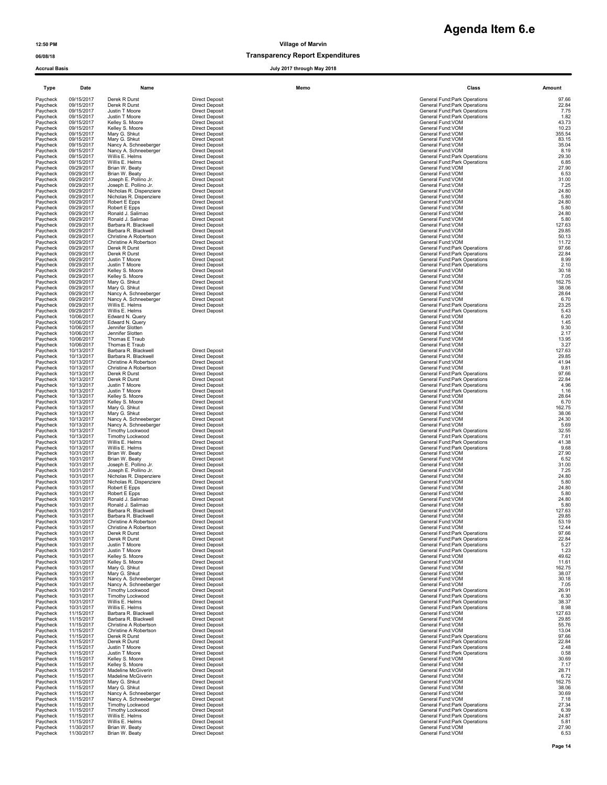### 06/08/18 CONSERVITE DESCRIPTION OF TRANSPARENCE TRANSPARENCE DESCRIPTION OF TRANSPARENCE DESCRIPTION OF TRANSPARENCE O

Accrual Basis July 2017 through May 2018

| <b>Type</b>          | Date                     | Name                                           |                                                | Memo | Class                                                          | Amount          |
|----------------------|--------------------------|------------------------------------------------|------------------------------------------------|------|----------------------------------------------------------------|-----------------|
| Paycheck<br>Paycheck | 09/15/2017<br>09/15/2017 | Derek R Durst<br>Derek R Durst                 | <b>Direct Deposit</b><br><b>Direct Deposit</b> |      | General Fund: Park Operations<br>General Fund: Park Operations | 97.66<br>22.84  |
| Paycheck             | 09/15/2017               | Justin T Moore                                 | <b>Direct Deposit</b>                          |      | General Fund: Park Operations                                  | 7.75            |
| Paycheck<br>Paycheck | 09/15/2017<br>09/15/2017 | Justin T Moore<br>Kelley S. Moore              | <b>Direct Deposit</b><br><b>Direct Deposit</b> |      | General Fund: Park Operations<br>General Fund: VOM             | 1.82<br>43.73   |
| Paycheck             | 09/15/2017               | Kelley S. Moore                                | <b>Direct Deposit</b>                          |      | General Fund: VOM                                              | 10.23           |
| Paycheck             | 09/15/2017               | Mary G. Shkut                                  | <b>Direct Deposit</b>                          |      | General Fund:VOM                                               | 355.54          |
| Paycheck<br>Paycheck | 09/15/2017<br>09/15/2017 | Mary G. Shkut<br>Nancy A. Schneeberger         | <b>Direct Deposit</b><br><b>Direct Deposit</b> |      | General Fund: VOM<br>General Fund:VOM                          | 83.15<br>35.04  |
| Paycheck             | 09/15/2017               | Nancy A. Schneeberger                          | <b>Direct Deposit</b>                          |      | General Fund:VOM                                               | 8.19            |
| Paycheck             | 09/15/2017               | Willis E. Helms                                | <b>Direct Deposit</b>                          |      | General Fund: Park Operations                                  | 29.30           |
| Paycheck<br>Paycheck | 09/15/2017<br>09/29/2017 | Willis E. Helms<br>Brian W. Beaty              | <b>Direct Deposit</b><br><b>Direct Deposit</b> |      | General Fund: Park Operations<br>General Fund:VOM              | 6.85<br>27.90   |
| Paycheck             | 09/29/2017               | Brian W. Beaty                                 | <b>Direct Deposit</b>                          |      | General Fund:VOM                                               | 6.53            |
| Paycheck             | 09/29/2017<br>09/29/2017 | Joseph E. Pollino Jr.<br>Joseph E. Pollino Jr. | <b>Direct Deposit</b><br><b>Direct Deposit</b> |      | General Fund: VOM<br>General Fund: VOM                         | 31.00<br>7.25   |
| Paycheck<br>Paycheck | 09/29/2017               | Nicholas R. Dispenziere                        | <b>Direct Deposit</b>                          |      | General Fund:VOM                                               | 24.80           |
| Pavcheck             | 09/29/2017               | Nicholas R. Dispenziere                        | <b>Direct Deposit</b>                          |      | General Fund:VOM                                               | 5.80            |
| Paycheck<br>Paycheck | 09/29/2017<br>09/29/2017 | Robert E Epps<br>Robert E Epps                 | <b>Direct Deposit</b><br><b>Direct Deposit</b> |      | General Fund:VOM<br>General Fund:VOM                           | 24.80<br>5.80   |
| Paycheck             | 09/29/2017               | Ronald J. Salimao                              | <b>Direct Deposit</b>                          |      | General Fund:VOM                                               | 24.80           |
| Paycheck             | 09/29/2017               | Ronald J. Salimao                              | <b>Direct Deposit</b>                          |      | General Fund:VOM                                               | 5.80            |
| Paycheck<br>Paycheck | 09/29/2017<br>09/29/2017 | Barbara R. Blackwell<br>Barbara R. Blackwell   | <b>Direct Deposit</b><br><b>Direct Deposit</b> |      | General Fund:VOM<br>General Fund:VOM                           | 127.63<br>29.85 |
| Paycheck             | 09/29/2017               | Christine A Robertson                          | <b>Direct Deposit</b>                          |      | General Fund: VOM                                              | 50.13           |
| Paycheck             | 09/29/2017               | Christine A Robertson                          | <b>Direct Deposit</b>                          |      | General Fund: VOM                                              | 11.72           |
| Paycheck<br>Paycheck | 09/29/2017<br>09/29/2017 | Derek R Durst<br>Derek R Durst                 | <b>Direct Deposit</b><br><b>Direct Deposit</b> |      | General Fund: Park Operations<br>General Fund: Park Operations | 97.66<br>22.84  |
| Paycheck             | 09/29/2017               | Justin T Moore                                 | <b>Direct Deposit</b>                          |      | General Fund: Park Operations                                  | 8.99            |
| Paycheck             | 09/29/2017               | Justin T Moore                                 | <b>Direct Deposit</b>                          |      | General Fund: Park Operations                                  | 2.10            |
| Paycheck<br>Paycheck | 09/29/2017<br>09/29/2017 | Kelley S. Moore<br>Kelley S. Moore             | <b>Direct Deposit</b><br><b>Direct Deposit</b> |      | General Fund: VOM<br>General Fund:VOM                          | 30.18<br>7.05   |
| Paycheck             | 09/29/2017               | Mary G. Shkut                                  | <b>Direct Deposit</b>                          |      | General Fund: VOM                                              | 162.75          |
| Paycheck             | 09/29/2017               | Mary G. Shkut                                  | <b>Direct Deposit</b>                          |      | General Fund:VOM<br>General Fund: VOM                          | 38.06           |
| Paycheck<br>Paycheck | 09/29/2017<br>09/29/2017 | Nancy A. Schneeberger<br>Nancy A. Schneeberger | <b>Direct Deposit</b><br><b>Direct Deposit</b> |      | General Fund: VOM                                              | 28.64<br>6.70   |
| Pavcheck             | 09/29/2017               | Willis E. Helms                                | <b>Direct Deposit</b>                          |      | General Fund: Park Operations                                  | 23.25           |
| Paycheck<br>Paycheck | 09/29/2017<br>10/06/2017 | Willis E. Helms<br>Edward N. Query             | <b>Direct Deposit</b>                          |      | General Fund: Park Operations<br>General Fund: VOM             | 5.43<br>6.20    |
| Paycheck             | 10/06/2017               | Edward N. Query                                |                                                |      | General Fund:VOM                                               | 1.45            |
| Paycheck             | 10/06/2017               | Jennifer Slotten                               |                                                |      | General Fund:VOM                                               | 9.30            |
| Paycheck<br>Paycheck | 10/06/2017<br>10/06/2017 | Jennifer Slotten<br>Thomas E Traub             |                                                |      | General Fund:VOM<br>General Fund:VOM                           | 2.17<br>13.95   |
| Paycheck             | 10/06/2017               | Thomas E Traub                                 |                                                |      | General Fund:VOM                                               | 3.27            |
| Paycheck             | 10/13/2017               | Barbara R. Blackwell                           | <b>Direct Deposit</b>                          |      | General Fund:VOM                                               | 127.63          |
| Paycheck<br>Paycheck | 10/13/2017<br>10/13/2017 | Barbara R. Blackwell<br>Christine A Robertson  | <b>Direct Deposit</b><br><b>Direct Deposit</b> |      | General Fund:VOM<br>General Fund:VOM                           | 29.85<br>41.94  |
| Paycheck             | 10/13/2017               | Christine A Robertson                          | <b>Direct Deposit</b>                          |      | General Fund:VOM                                               | 9.81            |
| Paycheck             | 10/13/2017               | Derek R Durst                                  | <b>Direct Deposit</b>                          |      | General Fund: Park Operations                                  | 97.66           |
| Paycheck<br>Paycheck | 10/13/2017<br>10/13/2017 | Derek R Durst<br>Justin T Moore                | <b>Direct Deposit</b><br><b>Direct Deposit</b> |      | General Fund: Park Operations<br>General Fund: Park Operations | 22.84<br>4.96   |
| Paycheck             | 10/13/2017               | Justin T Moore                                 | <b>Direct Deposit</b>                          |      | General Fund: Park Operations                                  | 1.16            |
| Paycheck             | 10/13/2017               | Kelley S. Moore                                | <b>Direct Deposit</b>                          |      | General Fund:VOM                                               | 28.64           |
| Paycheck<br>Paycheck | 10/13/2017<br>10/13/2017 | Kelley S. Moore<br>Mary G. Shkut               | <b>Direct Deposit</b><br><b>Direct Deposit</b> |      | General Fund: VOM<br>General Fund: VOM                         | 6.70<br>162.75  |
| Paycheck             | 10/13/2017               | Mary G. Shkut                                  | <b>Direct Deposit</b>                          |      | General Fund: VOM                                              | 38.06           |
| Paycheck<br>Paycheck | 10/13/2017<br>10/13/2017 | Nancy A. Schneeberger<br>Nancy A. Schneeberger | <b>Direct Deposit</b><br><b>Direct Deposit</b> |      | General Fund:VOM<br>General Fund:VOM                           | 24.30<br>5.69   |
| Paycheck             | 10/13/2017               | Timothy Lockwood                               | <b>Direct Deposit</b>                          |      | General Fund: Park Operations                                  | 32.55           |
| Paycheck             | 10/13/2017               | <b>Timothy Lockwood</b>                        | <b>Direct Deposit</b>                          |      | General Fund: Park Operations                                  | 7.61            |
| Paycheck<br>Paycheck | 10/13/2017<br>10/13/2017 | Willis E. Helms<br>Willis E. Helms             | <b>Direct Deposit</b><br><b>Direct Deposit</b> |      | General Fund: Park Operations<br>General Fund: Park Operations | 41.38<br>9.68   |
| Paycheck             | 10/31/2017               | Brian W. Beaty                                 | <b>Direct Deposit</b>                          |      | General Fund:VOM                                               | 27.90           |
| Paycheck             | 10/31/2017               | Brian W. Beaty                                 | <b>Direct Deposit</b>                          |      | General Fund:VOM                                               | 6.52            |
| Paycheck<br>Paycheck | 10/31/2017<br>10/31/2017 | Joseph E. Pollino Jr.<br>Joseph E. Pollino Jr. | <b>Direct Deposit</b><br><b>Direct Deposit</b> |      | General Fund:VOM<br>General Fund: VOM                          | 31.00<br>7.25   |
| Paycheck             | 10/31/2017               | Nicholas R. Dispenziere                        | <b>Direct Deposit</b>                          |      | General Fund:VOM                                               | 24.80           |
| Paycheck<br>Paycheck | 10/31/2017<br>10/31/2017 | Nicholas R. Dispenziere<br>Robert E Epps       | <b>Direct Deposit</b><br><b>Direct Deposit</b> |      | General Fund:VOM<br>General Fund: VOM                          | 5.80<br>24.80   |
| Paycheck             | 10/31/2017               | Robert E Epps                                  | <b>Direct Deposit</b>                          |      | General Fund: VOM                                              | 5.80            |
| Paycheck             | 10/31/2017               | Ronald J. Salimao                              | <b>Direct Deposit</b>                          |      | General Fund:VOM                                               | 24.80           |
| Paycheck<br>Paycheck | 10/31/2017<br>10/31/2017 | Ronald J. Salimao<br>Barbara R. Blackwell      | <b>Direct Deposit</b><br><b>Direct Deposit</b> |      | General Fund:VOM<br>General Fund:VOM                           | 5.80<br>127.63  |
| Pavcheck             | 10/31/2017               | <b>Barbara R Blackwell</b>                     | <b>Direct Deposit</b>                          |      | General Fund: VOM                                              | 29.85           |
| Paycheck             | 10/31/2017               | Christine A Robertson                          | <b>Direct Deposit</b>                          |      | General Fund:VOM                                               | 53.19           |
| Paycheck<br>Paycheck | 10/31/2017<br>10/31/2017 | Christine A Robertson<br>Derek R Durst         | <b>Direct Deposit</b><br><b>Direct Deposit</b> |      | General Fund:VOM<br>General Fund:Park Operations               | 12.44<br>97.66  |
| Paycheck             | 10/31/2017               | Derek R Durst                                  | <b>Direct Deposit</b>                          |      | General Fund: Park Operations                                  | 22.84           |
| Paycheck<br>Paycheck | 10/31/2017<br>10/31/2017 | Justin T Moore<br>Justin T Moore               | <b>Direct Deposit</b><br><b>Direct Deposit</b> |      | General Fund: Park Operations<br>General Fund: Park Operations | 5.27<br>1.23    |
| Paycheck             | 10/31/2017               | Kelley S. Moore                                | <b>Direct Deposit</b>                          |      | General Fund:VOM                                               | 49.62           |
| Paycheck             | 10/31/2017               | Kelley S. Moore                                | <b>Direct Deposit</b>                          |      | General Fund:VOM                                               | 11.61           |
| Paycheck<br>Paycheck | 10/31/2017<br>10/31/2017 | Mary G. Shkut<br>Mary G. Shkut                 | <b>Direct Deposit</b><br><b>Direct Deposit</b> |      | General Fund:VOM<br>General Fund: VOM                          | 162.75<br>38.07 |
| Paycheck             | 10/31/2017               | Nancy A. Schneeberger                          | <b>Direct Deposit</b>                          |      | General Fund: VOM                                              | 30.18           |
| Paycheck             | 10/31/2017               | Nancy A. Schneeberger                          | <b>Direct Deposit</b>                          |      | General Fund:VOM                                               | 7.05            |
| Paycheck<br>Paycheck | 10/31/2017<br>10/31/2017 | <b>Timothy Lockwood</b><br>Timothy Lockwood    | <b>Direct Deposit</b><br><b>Direct Deposit</b> |      | General Fund: Park Operations<br>General Fund: Park Operations | 26.91<br>6.30   |
| Paycheck             | 10/31/2017               | Willis E. Helms                                | <b>Direct Deposit</b>                          |      | General Fund: Park Operations                                  | 38.37           |
| Paycheck             | 10/31/2017               | Willis E. Helms                                | <b>Direct Deposit</b>                          |      | General Fund: Park Operations                                  | 8.98            |
| Paycheck<br>Paycheck | 11/15/2017<br>11/15/2017 | Barbara R. Blackwell<br>Barbara R. Blackwell   | <b>Direct Deposit</b><br><b>Direct Deposit</b> |      | General Fund: VOM<br>General Fund:VOM                          | 127.63<br>29.85 |
| Pavcheck             | 11/15/2017               | Christine A Robertson                          | <b>Direct Deposit</b>                          |      | General Fund:VOM                                               | 55.76           |
| Paycheck             | 11/15/2017               | Christine A Robertson                          | <b>Direct Deposit</b>                          |      | General Fund: VOM                                              | 13.04           |
| Paycheck<br>Paycheck | 11/15/2017<br>11/15/2017 | Derek R Durst<br>Derek R Durst                 | <b>Direct Deposit</b><br><b>Direct Deposit</b> |      | General Fund: Park Operations<br>General Fund: Park Operations | 97.66<br>22.84  |
| Paycheck             | 11/15/2017               | Justin T Moore                                 | <b>Direct Deposit</b>                          |      | General Fund: Park Operations                                  | 2.48            |
| Paycheck             | 11/15/2017               | Justin T Moore                                 | <b>Direct Deposit</b>                          |      | General Fund: Park Operations                                  | 0.58            |
| Paycheck             | 11/15/2017               | Kelley S. Moore                                | <b>Direct Deposit</b>                          |      | General Fund: VOM                                              | 30.69           |
| Paycheck<br>Paycheck | 11/15/2017<br>11/15/2017 | Kelley S. Moore<br>Madeline McGiverin          | <b>Direct Deposit</b><br><b>Direct Deposit</b> |      | General Fund:VOM<br>General Fund:VOM                           | 7.17<br>28.71   |
| Paycheck             | 11/15/2017               | Madeline McGiverin                             | <b>Direct Deposit</b>                          |      | General Fund:VOM                                               | 6.72            |
| Paycheck             | 11/15/2017               | Mary G. Shkut                                  | <b>Direct Deposit</b>                          |      | General Fund: VOM                                              | 162.75          |
| Paycheck<br>Paycheck | 11/15/2017<br>11/15/2017 | Mary G. Shkut<br>Nancy A. Schneeberger         | <b>Direct Deposit</b><br><b>Direct Deposit</b> |      | General Fund: VOM<br>General Fund:VOM                          | 38.06<br>30.69  |
| Paycheck             | 11/15/2017               | Nancy A. Schneeberger                          | <b>Direct Deposit</b>                          |      | General Fund:VOM                                               | 7.18            |
| Paycheck             | 11/15/2017               | Timothy Lockwood                               | <b>Direct Deposit</b>                          |      | General Fund:Park Operations                                   | 27.34           |
| Paycheck<br>Paycheck | 11/15/2017<br>11/15/2017 | Timothy Lockwood<br>Willis E. Helms            | <b>Direct Deposit</b><br><b>Direct Deposit</b> |      | General Fund: Park Operations<br>General Fund:Park Operations  | 6.39<br>24.87   |
| Paycheck             | 11/15/2017               | Willis E. Helms                                | <b>Direct Deposit</b>                          |      | General Fund: Park Operations                                  | 5.81            |
| Paycheck             | 11/30/2017               | Brian W. Beaty                                 | <b>Direct Deposit</b>                          |      | General Fund: VOM                                              | 27.90           |
| Paycheck             | 11/30/2017               | Brian W. Beaty                                 | <b>Direct Deposit</b>                          |      | General Fund: VOM                                              | 6.53            |

| Class                                                                | Amount        |
|----------------------------------------------------------------------|---------------|
| General Fund: Park Operations                                        | 97.6          |
| General Fund: Park Operations<br><b>General Fund:Park Operations</b> | 22.8<br>7.7   |
| General Fund: Park Operations                                        | 1.8           |
| General Fund: VOM<br>General Fund: VOM                               | 43.7<br>10.2  |
| General Fund: VOM<br>General Fund:VOM                                | 355.5         |
| General Fund: VOM                                                    | 83.1<br>35.0  |
| General Fund: VOM<br>General Fund: Park Operations                   | 8.1<br>29.3   |
| General Fund: Park Operations                                        | 6.8           |
| General Fund: VOM<br>General Fund:VOM                                | 27.9<br>6.5   |
| General Fund:VOM                                                     | 31.0          |
| General Fund:VOM<br>General Fund:VOM                                 | 7.2<br>24.8   |
| General Fund:VOM                                                     | 5.8           |
| General Fund:VOM<br>General Fund:VOM                                 | 24.8<br>5.8   |
| General Fund:VOM                                                     | 24.8<br>5.8   |
| General Fund:VOM<br>General Fund: VOM                                | 127.6         |
| General Fund: VOM<br>General Fund: VOM                               | 29.8<br>50.1  |
| General Fund: VOM                                                    | 11.7          |
| General Fund: Park Operations<br>General Fund: Park Operations       | 97.6<br>22.8  |
| General Fund: Park Operations                                        | 8.9           |
| General Fund: Park Operations<br>General Fund: VOM                   | 2.1<br>30.1   |
| General Fund: VOM                                                    | 7.0           |
| General Fund:VOM<br>General Fund:VOM                                 | 162.7<br>38.0 |
| General Fund: VOM<br>General Fund:VOM                                | 28.6<br>6.7   |
| General Fund: Park Operations                                        | 23.2          |
| General Fund: Park Operations<br>General Fund:VOM                    | 5.4<br>6.2    |
| General Fund:VOM                                                     | 1.4           |
| General Fund: VOM<br>General Fund:VOM                                | 9.3<br>2.1    |
| General Fund:VOM                                                     | 13.9          |
| General Fund:VOM<br>General Fund: VOM                                | 3.2<br>127.6  |
| General Fund: VOM                                                    | 29.8          |
| General Fund: VOM<br>General Fund: VOM                               | 41.9<br>9.8   |
| General Fund: Park Operations<br>General Fund:Park Operations        | 97.6<br>22.8  |
| General Fund: Park Operations                                        | 4.9           |
| General Fund:Park Operations<br>General Fund: VOM                    | 1.1<br>28.6   |
| General Fund: VOM                                                    | 6.7           |
| General Fund:VOM<br>General Fund: VOM                                | 162.7<br>38.0 |
| General Fund: VOM<br>General Fund:VOM                                | 24.3<br>5.6   |
| General Fund:Park Operations                                         | 32.5          |
| General Fund: Park Operations<br>General Fund: Park Operations       | 7.6<br>41.3   |
| General Fund: Park Operations                                        | 9.6           |
| General Fund: VOM<br>General Fund:VOM                                | 27.9<br>6.5   |
| General Fund:VOM<br>General Fund: VOM                                | 31.0<br>7.2   |
| General Fund:VOM                                                     | 24.8          |
| General Fund:VOM<br>General Fund: VOM                                | 5.8<br>24.8   |
| General Fund:VOM                                                     | 5.8           |
| General Fund: VOM<br>General Fund: VOM                               | 24.8<br>5.8   |
| General Fund: VOM                                                    | 127.6         |
| General Fund: VOM<br>General Fund:VOM                                | 29.8<br>53.1  |
| General Fund:VOM                                                     | 12.4          |
| General Fund: Park Operations<br><b>General Fund:Park Operations</b> | 97.6<br>22.8  |
| General Fund:Park Operations<br>General Fund: Park Operations        | 5.2<br>1.2    |
| General Fund: VOM                                                    | 49.6          |
| General Fund: VOM<br>General Fund:VOM                                | 11.6<br>162.7 |
| General Fund:VOM<br>General Fund: VOM                                | 38.0          |
| General Fund:VOM                                                     | 30.1<br>7.0   |
| General Fund: Park Operations                                        | 26.9          |
| General Fund:Park Operations<br>General Fund:Park Operations         | 6.3<br>38.3   |
| <b>General Fund:Park Operations</b><br>General Fund: VOM             | 8.9<br>127.6  |
| General Fund: VOM                                                    | 29.8          |
| General Fund:VOM<br>General Fund:VOM                                 | 55.7<br>13.0  |
| General Fund:Park Operations                                         | 97.6          |
| General Fund:Park Operations<br>General Fund:Park Operations         | 22.8<br>2.4   |
| General Fund:Park Operations<br>General Fund: VOM                    | 0.5<br>30.6   |
| General Fund: VOM                                                    | 7.1           |
| General Fund: VOM<br>General Fund:VOM                                | 28.7<br>6.7   |
| General Fund: VOM                                                    | 162.7         |
| General Fund: VOM<br>General Fund: VOM                               | 38.0<br>30.6  |
| General Fund: VOM                                                    | 7.1           |
| General Fund: Park Operations<br>General Fund:Park Operations        | 27.3<br>6.3   |
| General Fund:Park Operations<br>General Fund: Park Operations        | 24.8<br>5.8   |
| General Fund: VOM                                                    | 27.9          |
| General Fund: VOM                                                    | 6.5           |
|                                                                      |               |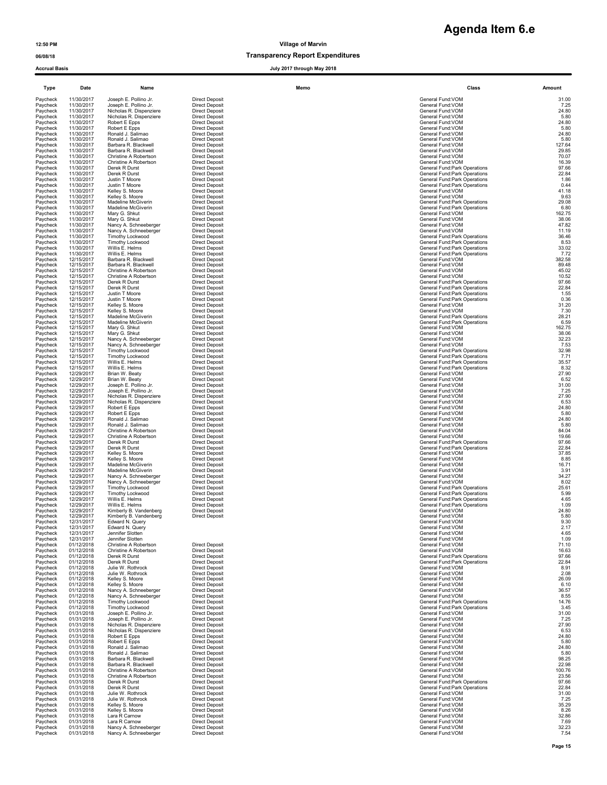| <b>Accrual Basis</b> |                          |                                                    |                                                | July 2017 through May 2018 |                                                                |                  |
|----------------------|--------------------------|----------------------------------------------------|------------------------------------------------|----------------------------|----------------------------------------------------------------|------------------|
| Type                 | Date                     | Name                                               |                                                | Memo                       | Class                                                          | Amount           |
| Paycheck             | 11/30/2017               | Joseph E. Pollino Jr.                              | <b>Direct Deposit</b>                          |                            | General Fund:VOM                                               | 31.00            |
| Paycheck<br>Paycheck | 11/30/2017<br>11/30/2017 | Joseph E. Pollino Jr.<br>Nicholas R. Dispenziere   | <b>Direct Deposit</b><br><b>Direct Deposit</b> |                            | General Fund:VOM<br>General Fund:VOM                           | 7.25<br>24.80    |
| Pavcheck<br>Paycheck | 11/30/2017<br>11/30/2017 | Nicholas R. Dispenziere<br>Robert E Epps           | <b>Direct Deposit</b><br><b>Direct Deposit</b> |                            | General Fund:VOM<br>General Fund:VOM                           | 5.80<br>24.80    |
| Paycheck             | 11/30/2017               | Robert E Epps                                      | <b>Direct Deposit</b>                          |                            | General Fund:VOM                                               | 5.80             |
| Paycheck<br>Paycheck | 11/30/2017<br>11/30/2017 | Ronald J. Salimao<br>Ronald J. Salimao             | <b>Direct Deposit</b><br><b>Direct Deposit</b> |                            | General Fund: VOM<br>General Fund: VOM                         | 24.80<br>5.80    |
| Paycheck             | 11/30/2017               | Barbara R. Blackwell                               | <b>Direct Deposit</b>                          |                            | General Fund: VOM                                              | 127.64           |
| Paycheck             | 11/30/2017               | Barbara R. Blackwell                               | <b>Direct Deposit</b>                          |                            | General Fund:VOM                                               | 29.85<br>70.07   |
| Paycheck<br>Paycheck | 11/30/2017<br>11/30/2017 | Christine A Robertson<br>Christine A Robertson     | <b>Direct Deposit</b><br><b>Direct Deposit</b> |                            | General Fund: VOM<br>General Fund: VOM                         | 16.39            |
| Paycheck<br>Paycheck | 11/30/2017<br>11/30/2017 | Derek R Durst                                      | <b>Direct Deposit</b>                          |                            | General Fund: Park Operations                                  | 97.66<br>22.84   |
| Paycheck             | 11/30/2017               | Derek R Durst<br>Justin T Moore                    | <b>Direct Deposit</b><br><b>Direct Deposit</b> |                            | General Fund: Park Operations<br>General Fund: Park Operations | 1.86             |
| Paycheck<br>Paycheck | 11/30/2017               | Justin T Moore                                     | <b>Direct Deposit</b>                          |                            | General Fund:Park Operations                                   | 0.44             |
| Paycheck             | 11/30/2017<br>11/30/2017 | Kelley S. Moore<br>Kelley S. Moore                 | <b>Direct Deposit</b><br><b>Direct Deposit</b> |                            | General Fund: VOM<br>General Fund: VOM                         | 41.18<br>9.63    |
| Paycheck             | 11/30/2017<br>11/30/2017 | Madeline McGiverin                                 | <b>Direct Deposit</b>                          |                            | General Fund:Park Operations<br>General Fund:Park Operations   | 29.08            |
| Paycheck<br>Paycheck | 11/30/2017               | Madeline McGiverin<br>Mary G. Shkut                | <b>Direct Deposit</b><br><b>Direct Deposit</b> |                            | General Fund: VOM                                              | 6.80<br>162.75   |
| Paycheck             | 11/30/2017               | Mary G. Shkut                                      | <b>Direct Deposit</b>                          |                            | General Fund:VOM                                               | 38.06            |
| Paycheck<br>Paycheck | 11/30/2017<br>11/30/2017 | Nancy A. Schneeberger<br>Nancy A. Schneeberger     | <b>Direct Deposit</b><br><b>Direct Deposit</b> |                            | General Fund:VOM<br>General Fund: VOM                          | 47.82<br>11.19   |
| Paycheck             | 11/30/2017               | <b>Timothy Lockwood</b>                            | <b>Direct Deposit</b>                          |                            | General Fund:Park Operations                                   | 36.46            |
| Paycheck<br>Paycheck | 11/30/2017<br>11/30/2017 | Timothy Lockwood<br>Willis E. Helms                | <b>Direct Deposit</b><br><b>Direct Deposit</b> |                            | General Fund:Park Operations<br>General Fund:Park Operations   | 8.53<br>33.02    |
| Paycheck             | 11/30/2017               | Willis E. Helms                                    | <b>Direct Deposit</b>                          |                            | General Fund: Park Operations                                  | 7.72             |
| Paycheck<br>Paycheck | 12/15/2017<br>12/15/2017 | Barbara R. Blackwell<br>Barbara R. Blackwell       | <b>Direct Deposit</b><br><b>Direct Deposit</b> |                            | General Fund:VOM<br>General Fund:VOM                           | 382.58<br>89.48  |
| Paycheck             | 12/15/2017               | Christine A Robertson                              | <b>Direct Deposit</b>                          |                            | General Fund:VOM                                               | 45.02            |
| Paycheck<br>Paycheck | 12/15/2017<br>12/15/2017 | Christine A Robertson<br>Derek R Durst             | <b>Direct Deposit</b><br><b>Direct Deposit</b> |                            | General Fund:VOM                                               | 10.52<br>97.66   |
| Paycheck             | 12/15/2017               | Derek R Durst                                      | <b>Direct Deposit</b>                          |                            | General Fund: Park Operations<br>General Fund: Park Operations | 22.84            |
| Pavcheck             | 12/15/2017               | Justin T Moore<br>Justin T Moore                   | <b>Direct Deposit</b>                          |                            | General Fund:Park Operations<br>General Fund: Park Operations  | $1.55$<br>$0.36$ |
| Paycheck<br>Paycheck | 12/15/2017<br>12/15/2017 | Kelley S. Moore                                    | <b>Direct Deposit</b><br><b>Direct Deposit</b> |                            | General Fund: VOM                                              | 31.20            |
| Paycheck             | 12/15/2017               | Kelley S. Moore                                    | <b>Direct Deposit</b>                          |                            | General Fund:VOM                                               | 7.30             |
| Paycheck<br>Paycheck | 12/15/2017<br>12/15/2017 | Madeline McGiverin<br>Madeline McGiverin           | <b>Direct Deposit</b><br><b>Direct Deposit</b> |                            | General Fund: Park Operations<br>General Fund: Park Operations | 28.21<br>6.59    |
| Paycheck             | 12/15/2017               | Mary G. Shkut                                      | <b>Direct Deposit</b>                          |                            | General Fund:VOM                                               | 162.75           |
| Paycheck<br>Paycheck | 12/15/2017<br>12/15/2017 | Mary G. Shkut<br>Nancy A. Schneeberger             | <b>Direct Deposit</b><br><b>Direct Deposit</b> |                            | General Fund: VOM<br>General Fund:VOM                          | 38.06<br>32.23   |
| Paycheck             | 12/15/2017               | Nancy A. Schneeberger                              | <b>Direct Deposit</b>                          |                            | General Fund:VOM                                               | 7.53             |
| Paycheck<br>Paycheck | 12/15/2017<br>12/15/2017 | Timothy Lockwood<br>Timothy Lockwood               | <b>Direct Deposit</b><br><b>Direct Deposit</b> |                            | General Fund: Park Operations<br>General Fund: Park Operations | 32.98<br>7.71    |
| Paycheck             | 12/15/2017               | Willis E. Helms                                    | <b>Direct Deposit</b>                          |                            | General Fund: Park Operations                                  | 35.57            |
| Paycheck<br>Paycheck | 12/15/2017<br>12/29/2017 | Willis E. Helms<br>Brian W. Beaty                  | <b>Direct Deposit</b><br><b>Direct Deposit</b> |                            | General Fund: Park Operations<br>General Fund: VOM             | 8.32<br>27.90    |
| Paycheck             | 12/29/2017               | Brian W. Beaty                                     | <b>Direct Deposit</b>                          |                            | General Fund:VOM                                               | 6.52             |
| Paycheck             | 12/29/2017               | Joseph E. Pollino Jr.                              | <b>Direct Deposit</b>                          |                            | General Fund:VOM<br>General Fund:VOM                           | 31.00            |
| Paycheck<br>Paycheck | 12/29/2017<br>12/29/2017 | Joseph E. Pollino Jr.<br>Nicholas R. Dispenziere   | <b>Direct Deposit</b><br><b>Direct Deposit</b> |                            | General Fund:VOM                                               | 7.25<br>27.90    |
| Paycheck             | 12/29/2017               | Nicholas R. Dispenziere                            | <b>Direct Deposit</b>                          |                            | General Fund:VOM                                               | 6.53             |
| Paycheck<br>Paycheck | 12/29/2017<br>12/29/2017 | Robert E Epps<br>Robert E Epps                     | <b>Direct Deposit</b><br><b>Direct Deposit</b> |                            | General Fund:VOM<br>General Fund:VOM                           | 24.80<br>5.80    |
| Paycheck             | 12/29/2017               | Ronald J. Salimao                                  | <b>Direct Deposit</b>                          |                            | General Fund: VOM                                              | 24.80            |
| Paycheck<br>Paycheck | 12/29/2017<br>12/29/2017 | Ronald J. Salimao<br>Christine A Robertson         | <b>Direct Deposit</b><br><b>Direct Deposit</b> |                            | General Fund: VOM<br>General Fund:VOM                          | 5.80<br>84.04    |
| Paycheck             | 12/29/2017               | Christine A Robertson                              | <b>Direct Deposit</b>                          |                            | General Fund:VOM                                               | 19.66            |
| Paycheck<br>Paycheck | 12/29/2017<br>12/29/2017 | Derek R Durst<br>Derek R Durst                     | <b>Direct Deposit</b><br><b>Direct Deposit</b> |                            | General Fund: Park Operations<br>General Fund: Park Operations | 97.66<br>22.84   |
| Paycheck             | 12/29/2017               | Kelley S. Moore                                    | <b>Direct Deposit</b>                          |                            | General Fund:VOM                                               | 37.85            |
| Paycheck<br>Paycheck | 12/29/2017<br>12/29/2017 | Kelley S. Moore<br>Madeline McGiverin              | <b>Direct Deposit</b><br><b>Direct Deposit</b> |                            | General Fund:VOM<br>General Fund:VOM                           | 8.85<br>16.71    |
| Paycheck             | 12/29/2017               | Madeline McGiverin                                 | <b>Direct Deposit</b>                          |                            | General Fund:VOM                                               | 3.91             |
| Paycheck<br>Paycheck | 12/29/2017<br>12/29/2017 | Nancy A. Schneeberger<br>Nancy A. Schneeberger     | <b>Direct Deposit</b><br><b>Direct Deposit</b> |                            | General Fund: VOM<br>General Fund: VOM                         | 34.27<br>8.02    |
| Paycheck             | 12/29/2017               | Timothy Lockwood                                   | <b>Direct Deposit</b>                          |                            | General Fund: Park Operations                                  | 25.61            |
| Paycheck<br>Paycheck | 12/29/2017<br>12/29/2017 | Timothy Lockwood<br>Willis E. Helms                | <b>Direct Deposit</b><br><b>Direct Deposit</b> |                            | General Fund:Park Operations<br>General Fund: Park Operations  | 5.99<br>4.65     |
| Paycheck             | 12/29/2017               | Willis E. Helms                                    | <b>Direct Deposit</b>                          |                            | General Fund: Park Operations                                  | 1.09             |
| Paycheck<br>Paycheck | 12/29/2017<br>12/29/2017 | Kimberly B. Vandenberg<br>Kimberly B. Vandenberg   | Direct Denosit<br><b>Direct Deposit</b>        |                            | General Fund: VOM<br>General Fund: VOM                         | 24.80<br>5.80    |
| Paycheck             | 12/31/2017               | Edward N. Query                                    |                                                |                            | General Fund:VOM                                               | 9.30             |
| Paycheck<br>Paycheck | 12/31/2017<br>12/31/2017 | Edward N. Query<br>Jennifer Slotten                |                                                |                            | General Fund:VOM<br>General Fund: VOM                          | 2.17<br>4.65     |
| Paycheck             | 12/31/2017               | Jennifer Slotten                                   |                                                |                            | General Fund:VOM                                               | 1.09             |
| Paycheck             | 01/12/2018<br>01/12/2018 | Christine A Robertson                              | <b>Direct Deposit</b>                          |                            | General Fund:VOM                                               | 71.10            |
| Paycheck<br>Paycheck | 01/12/2018               | Christine A Robertson<br>Derek R Durst             | <b>Direct Deposit</b><br><b>Direct Deposit</b> |                            | General Fund: VOM<br>General Fund: Park Operations             | 16.63<br>97.66   |
| Paycheck             | 01/12/2018               | Derek R Durst                                      | <b>Direct Deposit</b>                          |                            | General Fund:Park Operations                                   | 22.84            |
| Paycheck<br>Paycheck | 01/12/2018<br>01/12/2018 | Julie W. Rothrock<br>Julie W. Rothrock             | <b>Direct Deposit</b><br><b>Direct Deposit</b> |                            | General Fund: VOM<br>General Fund: VOM                         | 8.91<br>2.08     |
| Pavcheck             | 01/12/2018               | Kelley S. Moore                                    | <b>Direct Deposit</b>                          |                            | General Fund:VOM                                               | 26.09            |
| Paycheck<br>Paycheck | 01/12/2018<br>01/12/2018 | Kelley S. Moore<br>Nancy A. Schneeberger           | <b>Direct Deposit</b><br><b>Direct Deposit</b> |                            | General Fund:VOM<br>General Fund:VOM                           | 6.10<br>36.57    |
| Paycheck             | 01/12/2018               | Nancy A. Schneeberger                              | <b>Direct Deposit</b>                          |                            | General Fund:VOM                                               | 8.55             |
| Paycheck<br>Paycheck | 01/12/2018<br>01/12/2018 | Timothy Lockwood<br>Timothy Lockwood               | <b>Direct Deposit</b><br><b>Direct Deposit</b> |                            | General Fund:Park Operations<br>General Fund:Park Operations   | 14.76<br>3.45    |
| Paycheck             | 01/31/2018               | Joseph E. Pollino Jr.                              | <b>Direct Deposit</b>                          |                            | General Fund:VOM                                               | 31.00            |
| Paycheck             | 01/31/2018               | Joseph E. Pollino Jr.                              | <b>Direct Deposit</b>                          |                            | General Fund:VOM                                               | 7.25             |
| Paycheck<br>Paycheck | 01/31/2018<br>01/31/2018 | Nicholas R. Dispenziere<br>Nicholas R. Dispenziere | <b>Direct Deposit</b><br><b>Direct Deposit</b> |                            | General Fund:VOM<br>General Fund:VOM                           | 27.90<br>6.53    |
| Paycheck             | 01/31/2018               | Robert E Epps                                      | <b>Direct Deposit</b>                          |                            | General Fund:VOM                                               | 24.80            |
| Paycheck<br>Paycheck | 01/31/2018<br>01/31/2018 | Robert E Epps<br>Ronald J. Salimao                 | <b>Direct Deposit</b><br><b>Direct Deposit</b> |                            | General Fund:VOM<br>General Fund:VOM                           | 5.80<br>24.80    |
| Paycheck             | 01/31/2018               | Ronald J. Salimao                                  | <b>Direct Deposit</b>                          |                            | General Fund:VOM                                               | 5.80             |
| Paycheck<br>Paycheck | 01/31/2018<br>01/31/2018 | Barbara R. Blackwell<br>Barbara R. Blackwell       | <b>Direct Deposit</b><br><b>Direct Deposit</b> |                            | General Fund:VOM<br>General Fund:VOM                           | 98.25<br>22.98   |
| Paycheck             | 01/31/2018               | Christine A Robertson                              | <b>Direct Deposit</b>                          |                            | General Fund:VOM                                               | 100.76           |
| Paycheck             | 01/31/2018               | Christine A Robertson                              | <b>Direct Deposit</b>                          |                            | General Fund:VOM                                               | 23.56            |
| Paycheck<br>Paycheck | 01/31/2018<br>01/31/2018 | Derek R Durst<br>Derek R Durst                     | <b>Direct Deposit</b><br><b>Direct Deposit</b> |                            | General Fund: Park Operations<br>General Fund:Park Operations  | 97.66<br>22.84   |
| Paycheck             | 01/31/2018               | Julie W. Rothrock                                  | <b>Direct Deposit</b>                          |                            | General Fund:VOM                                               | 31.00            |
| Paycheck<br>Paycheck | 01/31/2018<br>01/31/2018 | Julie W. Rothrock<br>Kelley S. Moore               | <b>Direct Deposit</b><br><b>Direct Deposit</b> |                            | General Fund: VOM<br>General Fund: VOM                         | 7.25<br>35.29    |
| Paycheck             | 01/31/2018               | Kelley S. Moore                                    | <b>Direct Deposit</b>                          |                            | General Fund:VOM                                               | 8.26             |
| Paycheck<br>Paycheck | 01/31/2018<br>01/31/2018 | Lara R Carnow<br>Lara R Carnow                     | <b>Direct Deposit</b><br><b>Direct Deposit</b> |                            | General Fund:VOM<br>General Fund:VOM                           | 32.86<br>7.69    |
| Paycheck             | 01/31/2018               | Nancy A. Schneeberger                              | <b>Direct Deposit</b>                          |                            | General Fund:VOM                                               | 32.23            |
| Paycheck             | 01/31/2018               | Nancy A. Schneeberger                              | <b>Direct Deposit</b>                          |                            | General Fund:VOM                                               | 7.54             |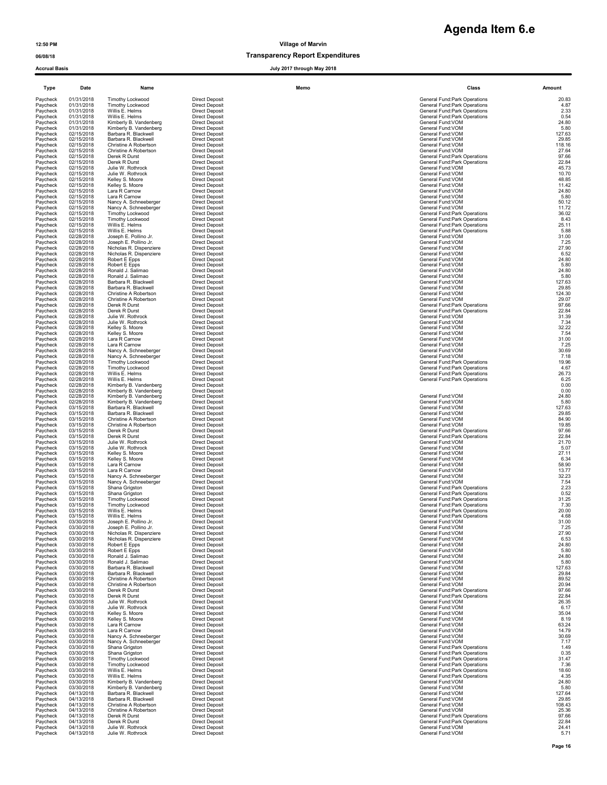### 06/08/18 Transparency Report Expenditures

Accrual Basis July 2017 through May 2018

# **Agenda Item 6.e**

| Type                 | Date                     | Name                                             |                                                | Memo | Class                                                          | Amount          |
|----------------------|--------------------------|--------------------------------------------------|------------------------------------------------|------|----------------------------------------------------------------|-----------------|
| Paycheck             | 01/31/2018               | <b>Timothy Lockwood</b>                          | <b>Direct Deposit</b>                          |      | General Fund: Park Operations                                  | 20.83           |
| Paycheck<br>Paycheck | 01/31/2018<br>01/31/2018 | Timothy Lockwood<br>Willis E. Helms              | <b>Direct Deposit</b><br><b>Direct Deposit</b> |      | General Fund: Park Operations<br>General Fund: Park Operations | 4.87<br>2.33    |
| Paycheck             | 01/31/2018               | Willis E. Helms                                  | <b>Direct Deposit</b>                          |      | General Fund: Park Operations<br>General Fund: VOM             | 0.54            |
| Paycheck<br>Paycheck | 01/31/2018<br>01/31/2018 | Kimberly B. Vandenberg<br>Kimberly B. Vandenberg | <b>Direct Deposit</b><br><b>Direct Deposit</b> |      | General Fund: VOM                                              | 24.80<br>5.80   |
| Paycheck<br>Paycheck | 02/15/2018<br>02/15/2018 | Barbara R. Blackwell<br>Barbara R. Blackwell     | <b>Direct Deposit</b><br><b>Direct Deposit</b> |      | General Fund: VOM<br>General Fund:VOM                          | 127.63<br>29.85 |
| Paycheck             | 02/15/2018               | Christine A Robertson                            | <b>Direct Deposit</b>                          |      | General Fund:VOM                                               | 118.16          |
| Paycheck<br>Paycheck | 02/15/2018<br>02/15/2018 | Christine A Robertson<br>Derek R Durst           | <b>Direct Deposit</b><br><b>Direct Deposit</b> |      | General Fund: VOM<br>General Fund: Park Operations             | 27.64<br>97.66  |
| Paycheck             | 02/15/2018               | Derek R Durst                                    | <b>Direct Deposit</b>                          |      | General Fund: Park Operations                                  | 22.84           |
| Paycheck             | 02/15/2018<br>02/15/2018 | Julie W. Rothrock<br>Julie W. Rothrock           | <b>Direct Deposit</b><br><b>Direct Deposit</b> |      | General Fund:VOM<br>General Fund:VOM                           | 45.73<br>10.70  |
| Paycheck<br>Paycheck | 02/15/2018               | Kelley S. Moore                                  | <b>Direct Deposit</b>                          |      | General Fund:VOM                                               | 48.85           |
| Paycheck             | 02/15/2018               | Kelley S. Moore                                  | <b>Direct Deposit</b><br><b>Direct Deposit</b> |      | General Fund: VOM<br>General Fund:VOM                          | 11.42<br>24.80  |
| Paycheck<br>Paycheck | 02/15/2018<br>02/15/2018 | Lara R Carnow<br>Lara R Carnow                   | <b>Direct Deposit</b>                          |      | General Fund:VOM                                               | 5.80            |
| Paycheck             | 02/15/2018               | Nancy A. Schneeberger                            | <b>Direct Deposit</b>                          |      | General Fund:VOM<br>General Fund: VOM                          | 50.12           |
| Paycheck<br>Paycheck | 02/15/2018<br>02/15/2018 | Nancy A. Schneeberger<br>Timothy Lockwood        | <b>Direct Deposit</b><br><b>Direct Deposit</b> |      | General Fund: Park Operations                                  | 11.72<br>36.02  |
| Paycheck             | 02/15/2018               | <b>Timothy Lockwood</b>                          | <b>Direct Deposit</b>                          |      | General Fund: Park Operations                                  | 8.43            |
| Paycheck<br>Paycheck | 02/15/2018<br>02/15/2018 | Willis E. Helms<br>Willis E. Helms               | <b>Direct Deposit</b><br><b>Direct Deposit</b> |      | General Fund: Park Operations<br>General Fund: Park Operations | 25.11<br>5.88   |
| Paycheck             | 02/28/2018               | Joseph E. Pollino Jr.                            | <b>Direct Deposit</b>                          |      | General Fund:VOM                                               | 31.00           |
| Paycheck<br>Paycheck | 02/28/2018<br>02/28/2018 | Joseph E. Pollino Jr.<br>Nicholas R. Dispenziere | <b>Direct Deposit</b><br><b>Direct Deposit</b> |      | General Fund:VOM<br>General Fund:VOM                           | 7.25<br>27.90   |
| Paycheck             | 02/28/2018               | Nicholas R. Dispenziere                          | <b>Direct Deposit</b>                          |      | General Fund: VOM                                              | 6.52            |
| Paycheck<br>Paycheck | 02/28/2018<br>02/28/2018 | Robert E Epps<br>Robert E Epps                   | <b>Direct Deposit</b><br><b>Direct Deposit</b> |      | General Fund: VOM<br>General Fund:VOM                          | 24.80<br>5.80   |
| Paycheck             | 02/28/2018               | Ronald J. Salimao                                | <b>Direct Deposit</b>                          |      | General Fund:VOM                                               | 24.80           |
| Paycheck<br>Paycheck | 02/28/2018<br>02/28/2018 | Ronald J. Salimao<br>Barbara R. Blackwell        | <b>Direct Deposit</b><br><b>Direct Deposit</b> |      | General Fund:VOM<br>General Fund:VOM                           | 5.80<br>127.63  |
| Paycheck             | 02/28/2018               | Barbara R. Blackwell                             | <b>Direct Deposit</b>                          |      | General Fund:VOM                                               | 29.85           |
| Paycheck<br>Paycheck | 02/28/2018<br>02/28/2018 | Christine A Robertson<br>Christine A Robertson   | <b>Direct Deposit</b><br><b>Direct Deposit</b> |      | General Fund:VOM<br>General Fund:VOM                           | 124.30<br>29.07 |
| Paycheck             | 02/28/2018               | Derek R Durst                                    | <b>Direct Deposit</b>                          |      | General Fund: Park Operations                                  | 97.66           |
| Paycheck<br>Paycheck | 02/28/2018<br>02/28/2018 | Derek R Durst<br>Julie W. Rothrock               | <b>Direct Deposit</b><br><b>Direct Deposit</b> |      | General Fund: Park Operations<br>General Fund:VOM              | 22.84<br>31.39  |
| Paycheck             | 02/28/2018               | Julie W. Rothrock                                | <b>Direct Deposit</b>                          |      | General Fund:VOM                                               | 7.34            |
| Paycheck<br>Paycheck | 02/28/2018<br>02/28/2018 | Kelley S. Moore<br>Kelley S. Moore               | <b>Direct Deposit</b><br><b>Direct Deposit</b> |      | General Fund: VOM<br>General Fund: VOM                         | 32.22<br>7.54   |
| Paycheck             | 02/28/2018               | Lara R Carnow                                    | <b>Direct Deposit</b>                          |      | General Fund: VOM                                              | 31.00           |
| Paycheck<br>Paycheck | 02/28/2018<br>02/28/2018 | Lara R Carnow<br>Nancy A. Schneeberger           | <b>Direct Deposit</b><br><b>Direct Deposit</b> |      | General Fund:VOM<br>General Fund:VOM                           | 7.25<br>30.69   |
| Paycheck             | 02/28/2018               | Nancy A. Schneeberger                            | <b>Direct Deposit</b>                          |      | General Fund: VOM                                              | 7.18            |
| Paycheck             | 02/28/2018               | Timothy Lockwood                                 | <b>Direct Deposit</b>                          |      | General Fund: Park Operations                                  | 19.96           |
| Paycheck<br>Paycheck | 02/28/2018<br>02/28/2018 | Timothy Lockwood<br>Willis E. Helms              | <b>Direct Deposit</b><br><b>Direct Deposit</b> |      | General Fund: Park Operations<br>General Fund: Park Operations | 4.67<br>26.73   |
| Paycheck             | 02/28/2018               | Willis E. Helms                                  | <b>Direct Deposit</b>                          |      | General Fund: Park Operations                                  | 6.25            |
| Paycheck<br>Paycheck | 02/28/2018<br>02/28/2018 | Kimberly B. Vandenberg<br>Kimberly B. Vandenberg | <b>Direct Deposit</b><br><b>Direct Deposit</b> |      |                                                                | 0.00<br>0.00    |
| Paycheck             | 02/28/2018               | Kimberly B. Vandenberg                           | <b>Direct Deposit</b>                          |      | General Fund: VOM                                              | 24.80           |
| Paycheck<br>Paycheck | 02/28/2018<br>03/15/2018 | Kimberly B. Vandenberg<br>Barbara R. Blackwell   | <b>Direct Deposit</b><br><b>Direct Deposit</b> |      | General Fund: VOM<br>General Fund:VOM                          | 5.80<br>127.63  |
| Paycheck             | 03/15/2018               | Barbara R. Blackwell                             | <b>Direct Deposit</b>                          |      | General Fund:VOM                                               | 29.85           |
| Paycheck<br>Paycheck | 03/15/2018<br>03/15/2018 | Christine A Robertson<br>Christine A Robertson   | <b>Direct Deposit</b><br><b>Direct Deposit</b> |      | General Fund:VOM<br>General Fund: VOM                          | 84.90<br>19.85  |
| Paycheck             | 03/15/2018               | Derek R Durst                                    | <b>Direct Deposit</b>                          |      | General Fund: Park Operations                                  | 97.66           |
| Paycheck<br>Paycheck | 03/15/2018<br>03/15/2018 | Derek R Durst<br>Julie W. Rothrock               | <b>Direct Deposit</b><br><b>Direct Deposit</b> |      | General Fund: Park Operations<br>General Fund:VOM              | 22.84<br>21.70  |
| Paycheck             | 03/15/2018               | Julie W. Rothrock                                | <b>Direct Deposit</b>                          |      | General Fund:VOM                                               | 5.07            |
| Paycheck<br>Paycheck | 03/15/2018<br>03/15/2018 | Kelley S. Moore<br>Kelley S. Moore               | <b>Direct Deposit</b><br><b>Direct Deposit</b> |      | General Fund:VOM<br>General Fund:VOM                           | 27.11<br>6.34   |
| Paycheck             | 03/15/2018               | Lara R Carnow                                    | <b>Direct Deposit</b>                          |      | General Fund: VOM                                              | 58.90           |
| Paycheck<br>Paycheck | 03/15/2018<br>03/15/2018 | Lara R Carnow<br>Nancy A. Schneeberger           | <b>Direct Deposit</b><br><b>Direct Deposit</b> |      | General Fund: VOM<br>General Fund: VOM                         | 13.77<br>32.23  |
| Paycheck             | 03/15/2018               | Nancy A. Schneeberger                            | <b>Direct Deposit</b>                          |      | General Fund:VOM                                               | 7.54            |
| Paycheck<br>Paycheck | 03/15/2018<br>03/15/2018 | Shana Grigston<br>Shana Grigston                 | <b>Direct Deposit</b><br><b>Direct Deposit</b> |      | General Fund: Park Operations<br>General Fund: Park Operations | 2.23<br>0.52    |
| Paycheck             | 03/15/2018               | Timothy Lockwood                                 | <b>Direct Deposit</b>                          |      | General Fund:Park Operations                                   | 31.25           |
| Paycheck<br>Paycheck | 03/15/2018<br>03/15/2018 | Timothy Lockwood<br>Willis E. Helms              | <b>Direct Deposit</b><br><b>Direct Deposit</b> |      | General Fund: Park Operations<br>General Fund: Park Operations | 7.30<br>20.00   |
| Paycheck             | 03/15/2018               | Willis E. Helms                                  | <b>Direct Deposit</b>                          |      | General Fund: Park Operations                                  | 4.68            |
| Paycheck<br>Paycheck | 03/30/2018<br>03/30/2018 | Joseph E. Pollino Jr.<br>Joseph E. Pollino Jr.   | <b>Direct Deposit</b><br><b>Direct Deposit</b> |      | General Fund: VOM<br>General Fund: VOM                         | 31.00           |
| Paycheck             | 03/30/2018               | Nicholas R. Dispenziere                          | <b>Direct Deposit</b>                          |      | General Fund:VOM                                               | 7.25<br>27.90   |
| Paycheck<br>Paycheck | 03/30/2018<br>03/30/2018 | Nicholas R. Dispenziere<br>Robert E Epps         | <b>Direct Deposit</b><br><b>Direct Deposit</b> |      | General Fund: VOM<br>General Fund:VOM                          | 6.53<br>24.80   |
| Paycheck             | 03/30/2018               | Robert E Epps                                    | <b>Direct Deposit</b>                          |      | General Fund: VOM                                              | 5.80            |
| Paycheck<br>Paycheck | 03/30/2018<br>03/30/2018 | Ronald J. Salimao<br>Ronald J. Salimao           | <b>Direct Deposit</b><br><b>Direct Deposit</b> |      | General Fund:VOM<br>General Fund: VOM                          | 24.80<br>5.80   |
| Paycheck             | 03/30/2018               | Barbara R. Blackwell                             | <b>Direct Deposit</b>                          |      | General Fund:VOM                                               | 127.63          |
| Paycheck             | 03/30/2018<br>03/30/2018 | Barbara R. Blackwell<br>Christine A Robertson    | <b>Direct Deposit</b><br><b>Direct Deposit</b> |      | General Fund: VOM<br>General Fund: VOM                         | 29.84<br>89.52  |
| Paycheck<br>Paycheck | 03/30/2018               | Christine A Robertson                            | <b>Direct Deposit</b>                          |      | General Fund: VOM                                              | 20.94           |
| Paycheck<br>Paycheck | 03/30/2018<br>03/30/2018 | Derek R Durst<br>Derek R Durst                   | <b>Direct Deposit</b><br>Direct Deposit        |      | General Fund: Park Operations<br>General Fund: Park Operations | 97.66           |
| Paycheck             | 03/30/2018               | Julie W. Rothrock                                | <b>Direct Deposit</b>                          |      | General Fund: VOM                                              | 22.84<br>26.35  |
| Paycheck             | 03/30/2018               | Julie W. Rothrock                                | <b>Direct Deposit</b>                          |      | General Fund:VOM                                               | 6.17            |
| Paycheck<br>Paycheck | 03/30/2018<br>03/30/2018 | Kelley S. Moore<br>Kelley S. Moore               | <b>Direct Deposit</b><br><b>Direct Deposit</b> |      | General Fund:VOM<br>General Fund:VOM                           | 35.04<br>8.19   |
| Paycheck             | 03/30/2018               | Lara R Carnow<br>Lara R Carnow                   | <b>Direct Deposit</b>                          |      | General Fund:VOM<br>General Fund: VOM                          | 63.24           |
| Paycheck<br>Paycheck | 03/30/2018<br>03/30/2018 | Nancy A. Schneeberger                            | <b>Direct Deposit</b><br><b>Direct Deposit</b> |      | General Fund:VOM                                               | 14.79<br>30.69  |
| Paycheck             | 03/30/2018               | Nancy A. Schneeberger                            | <b>Direct Deposit</b>                          |      | General Fund: VOM                                              | 7.17            |
| Paycheck<br>Paycheck | 03/30/2018<br>03/30/2018 | Shana Grigston<br>Shana Grigston                 | <b>Direct Deposit</b><br><b>Direct Deposit</b> |      | General Fund: Park Operations<br>General Fund: Park Operations | 1.49<br>0.35    |
| Paycheck             | 03/30/2018               | Timothy Lockwood                                 | <b>Direct Deposit</b>                          |      | General Fund: Park Operations                                  | 31.47           |
| Paycheck<br>Paycheck | 03/30/2018<br>03/30/2018 | Timothy Lockwood<br>Willis E. Helms              | <b>Direct Deposit</b><br><b>Direct Deposit</b> |      | General Fund: Park Operations<br>General Fund: Park Operations | 7.36<br>18.60   |
| Paycheck             | 03/30/2018               | Willis E. Helms                                  | <b>Direct Deposit</b>                          |      | General Fund: Park Operations                                  | 4.35            |
| Paycheck<br>Paycheck | 03/30/2018<br>03/30/2018 | Kimberly B. Vandenberg<br>Kimberly B. Vandenberg | <b>Direct Deposit</b><br><b>Direct Deposit</b> |      | General Fund: VOM<br>General Fund: VOM                         | 24.80<br>5.80   |
| Paycheck             | 04/13/2018               | Barbara R. Blackwell                             | <b>Direct Deposit</b>                          |      | General Fund:VOM                                               | 127.64          |
| Paycheck<br>Paycheck | 04/13/2018<br>04/13/2018 | Barbara R. Blackwell<br>Christine A Robertson    | <b>Direct Deposit</b><br><b>Direct Deposit</b> |      | General Fund: VOM<br>General Fund: VOM                         | 29.85<br>108.43 |
| Paycheck             | 04/13/2018               | Christine A Robertson                            | <b>Direct Deposit</b>                          |      | General Fund:VOM                                               | 25.36           |
| Paycheck             | 04/13/2018               | Derek R Durst                                    | <b>Direct Deposit</b>                          |      | General Fund: Park Operations                                  | 97.66           |
| Paycheck<br>Paycheck | 04/13/2018<br>04/13/2018 | Derek R Durst<br>Julie W. Rothrock               | <b>Direct Deposit</b><br><b>Direct Deposit</b> |      | General Fund: Park Operations<br>General Fund: VOM             | 22.84<br>24.41  |
| Paycheck             | 04/13/2018               | Julie W. Rothrock                                | <b>Direct Deposit</b>                          |      | General Fund: VOM                                              | 5.71            |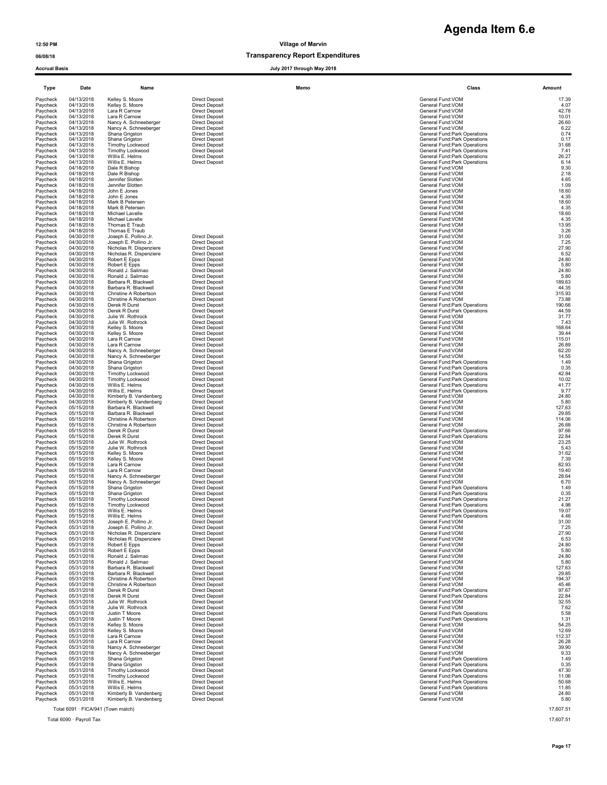### 06/08/18 Transparency Report Expenditures

Accrual Basis July 2017 through May 2018

| Type                 | Date                     | Name                                               |                                                | Memo | Class                                                          | Amount          |
|----------------------|--------------------------|----------------------------------------------------|------------------------------------------------|------|----------------------------------------------------------------|-----------------|
| Paycheck             | 04/13/2018               | Kelley S. Moore                                    | <b>Direct Deposit</b>                          |      | General Fund:VOM                                               | 17.39           |
| Paycheck<br>Paycheck | 04/13/2018<br>04/13/2018 | Kelley S. Moore<br>Lara R Carnow                   | <b>Direct Deposit</b><br><b>Direct Deposit</b> |      | General Fund:VOM<br>General Fund:VOM                           | 4.07<br>42.78   |
| Paycheck             | 04/13/2018               | Lara R Carnow                                      | <b>Direct Deposit</b>                          |      | General Fund:VOM                                               | 10.01           |
| Paycheck             | 04/13/2018               | Nancy A. Schneeberger                              | <b>Direct Deposit</b>                          |      | General Fund: VOM                                              | 26.60           |
| Paycheck<br>Paycheck | 04/13/2018<br>04/13/2018 | Nancy A. Schneeberger<br>Shana Grigston            | <b>Direct Deposit</b><br><b>Direct Deposit</b> |      | General Fund: VOM<br>General Fund: Park Operations             | 6.22<br>0.74    |
| Paycheck             | 04/13/2018               | Shana Grigston                                     | <b>Direct Deposit</b>                          |      | General Fund: Park Operations                                  | 0.17            |
| Paycheck             | 04/13/2018               | Timothy Lockwood                                   | <b>Direct Deposit</b>                          |      | General Fund:Park Operations                                   | 31.68           |
| Paycheck             | 04/13/2018               | Timothy Lockwood                                   | <b>Direct Deposit</b>                          |      | General Fund: Park Operations                                  | 7.41            |
| Paycheck<br>Paycheck | 04/13/2018<br>04/13/2018 | Willis E. Helms<br>Willis E. Helms                 | <b>Direct Deposit</b><br><b>Direct Deposit</b> |      | General Fund: Park Operations<br>General Fund: Park Operations | 26.27<br>6.14   |
| Paycheck             | 04/18/2018               | Dale R Bishop                                      |                                                |      | General Fund:VOM                                               | 9.30            |
| Paycheck             | 04/18/2018               | Dale R Bishop                                      |                                                |      | General Fund:VOM                                               | 2.18            |
| Paycheck<br>Paycheck | 04/18/2018<br>04/18/2018 | Jennifer Slotten<br>Jennifer Slotten               |                                                |      | General Fund:VOM<br>General Fund: VOM                          | 4.65<br>1.09    |
| Paycheck             | 04/18/2018               | John E Jones                                       |                                                |      | General Fund: VOM                                              | 18.60           |
| Paycheck             | 04/18/2018               | John E Jones                                       |                                                |      | General Fund:VOM                                               | 4.35            |
| Paycheck<br>Paycheck | 04/18/2018<br>04/18/2018 | Mark B Petersen<br>Mark B Petersen                 |                                                |      | General Fund:VOM<br>General Fund: VOM                          | 18.60<br>4.35   |
| Paycheck             | 04/18/2018               | Michael Lavelle                                    |                                                |      | General Fund:VOM                                               | 18.60           |
| Paycheck             | 04/18/2018               | Michael Lavelle                                    |                                                |      | General Fund: VOM                                              | 4.35            |
| Paycheck             | 04/18/2018               | Thomas E Traub                                     |                                                |      | General Fund: VOM                                              | 13.95           |
| Paycheck<br>Paycheck | 04/18/2018<br>04/30/2018 | Thomas E Traub<br>Joseph E. Pollino Jr.            | <b>Direct Deposit</b>                          |      | General Fund: VOM<br>General Fund: VOM                         | 3.26<br>31.00   |
| Paycheck             | 04/30/2018               | Joseph E. Pollino Jr.                              | <b>Direct Deposit</b>                          |      | General Fund:VOM                                               | 7.25            |
| Paycheck             | 04/30/2018               | Nicholas R. Dispenziere                            | <b>Direct Deposit</b>                          |      | General Fund:VOM                                               | 27.90           |
| Paycheck             | 04/30/2018               | Nicholas R. Dispenziere                            | <b>Direct Deposit</b>                          |      | General Fund: VOM                                              | 6.52            |
| Paycheck<br>Paycheck | 04/30/2018<br>04/30/2018 | Robert E Epps<br>Robert E Epps                     | <b>Direct Deposit</b><br><b>Direct Deposit</b> |      | General Fund:VOM<br>General Fund:VOM                           | 24.80<br>5.80   |
| Paycheck             | 04/30/2018               | Ronald J. Salimao                                  | <b>Direct Deposit</b>                          |      | General Fund: VOM                                              | 24.80           |
| Paycheck             | 04/30/2018               | Ronald J. Salimao                                  | <b>Direct Deposit</b>                          |      | General Fund:VOM                                               | 5.80            |
| Paycheck<br>Paycheck | 04/30/2018<br>04/30/2018 | Barbara R. Blackwell<br>Barbara R. Blackwell       | <b>Direct Deposit</b><br><b>Direct Deposit</b> |      | General Fund: VOM<br>General Fund:VOM                          | 189.63<br>44.35 |
| Paycheck             | 04/30/2018               | Christine A Robertson                              | <b>Direct Deposit</b>                          |      | General Fund:VOM                                               | 315.93          |
| Paycheck             | 04/30/2018               | Christine A Robertson                              | <b>Direct Deposit</b>                          |      | General Fund: VOM                                              | 73.88           |
| Paycheck             | 04/30/2018               | Derek R Durst                                      | <b>Direct Deposit</b>                          |      | General Fund: Park Operations                                  | 190.66          |
| Paycheck<br>Paycheck | 04/30/2018<br>04/30/2018 | Derek R Durst<br>Julie W. Rothrock                 | <b>Direct Deposit</b><br><b>Direct Deposit</b> |      | General Fund: Park Operations<br>General Fund:VOM              | 44.59<br>31.77  |
| Paycheck             | 04/30/2018               | Julie W. Rothrock                                  | <b>Direct Deposit</b>                          |      | General Fund:VOM                                               | 7.43            |
| Paycheck             | 04/30/2018               | Kelley S. Moore                                    | <b>Direct Deposit</b>                          |      | General Fund:VOM                                               | 168.64          |
| Paycheck<br>Paycheck | 04/30/2018<br>04/30/2018 | Kelley S. Moore<br>Lara R Carnow                   | <b>Direct Deposit</b><br><b>Direct Deposit</b> |      | General Fund: VOM<br>General Fund:VOM                          | 39.44<br>115.01 |
| Paycheck             | 04/30/2018               | Lara R Carnow                                      | <b>Direct Deposit</b>                          |      | General Fund:VOM                                               | 26.89           |
| Paycheck             | 04/30/2018               | Nancy A. Schneeberger                              | <b>Direct Deposit</b>                          |      | General Fund:VOM                                               | 62.20           |
| Paycheck<br>Paycheck | 04/30/2018<br>04/30/2018 | Nancy A. Schneeberger<br>Shana Grigston            | <b>Direct Deposit</b><br><b>Direct Deposit</b> |      | General Fund: VOM<br>General Fund: Park Operations             | 14.55<br>1.49   |
| Paycheck             | 04/30/2018               | Shana Grigston                                     | <b>Direct Deposit</b>                          |      | General Fund: Park Operations                                  | 0.35            |
| Paycheck             | 04/30/2018               | <b>Timothy Lockwood</b>                            | <b>Direct Deposit</b>                          |      | General Fund: Park Operations                                  | 42.84           |
| Paycheck             | 04/30/2018               | <b>Timothy Lockwood</b>                            | <b>Direct Deposit</b>                          |      | General Fund: Park Operations                                  | 10.02           |
| Paycheck<br>Paycheck | 04/30/2018<br>04/30/2018 | Willis E. Helms<br>Willis E. Helms                 | <b>Direct Deposit</b><br><b>Direct Deposit</b> |      | General Fund:Park Operations<br>General Fund: Park Operations  | 41.77<br>9.77   |
| Paycheck             | 04/30/2018               | Kimberly B. Vandenberg                             | <b>Direct Deposit</b>                          |      | General Fund: VOM                                              | 24.80           |
| Paycheck             | 04/30/2018               | Kimberly B. Vandenberg                             | <b>Direct Deposit</b>                          |      | General Fund: VOM                                              | 5.80            |
| Paycheck<br>Paycheck | 05/15/2018<br>05/15/2018 | Barbara R. Blackwell<br>Barbara R. Blackwell       | <b>Direct Deposit</b><br><b>Direct Deposit</b> |      | General Fund:VOM<br>General Fund: VOM                          | 127.63<br>29.85 |
| Paycheck             | 05/15/2018               | Christine A Robertson                              | <b>Direct Deposit</b>                          |      | General Fund:VOM                                               | 114.06          |
| Paycheck             | 05/15/2018               | Christine A Robertson                              | <b>Direct Deposit</b>                          |      | General Fund:VOM                                               | 26.68           |
| Paycheck             | 05/15/2018               | Derek R Durst                                      | <b>Direct Deposit</b>                          |      | General Fund: Park Operations                                  | 97.66           |
| Paycheck<br>Paycheck | 05/15/2018<br>05/15/2018 | Derek R Durst<br>Julie W. Rothrock                 | <b>Direct Deposit</b><br><b>Direct Deposit</b> |      | General Fund: Park Operations<br>General Fund: VOM             | 22.84<br>23.25  |
| Paycheck             | 05/15/2018               | Julie W. Rothrock                                  | <b>Direct Deposit</b>                          |      | General Fund:VOM                                               | 5.43            |
| Paycheck             | 05/15/2018               | Kelley S. Moore                                    | <b>Direct Deposit</b>                          |      | General Fund:VOM                                               | 31.62           |
| Paycheck<br>Paycheck | 05/15/2018<br>05/15/2018 | Kelley S. Moore<br>Lara R Carnow                   | <b>Direct Deposit</b><br><b>Direct Deposit</b> |      | General Fund:VOM<br>General Fund: VOM                          | 7.39<br>82.93   |
| Paycheck             | 05/15/2018               | Lara R Carnow                                      | <b>Direct Deposit</b>                          |      | General Fund: VOM                                              | 19.40           |
| Paycheck             | 05/15/2018               | Nancy A. Schneeberger                              | <b>Direct Deposit</b>                          |      | General Fund:VOM                                               | 28.64           |
| Paycheck             | 05/15/2018               | Nancy A. Schneeberger                              | <b>Direct Deposit</b>                          |      | General Fund: VOM                                              | 6.70            |
| Paycheck<br>Paycheck | 05/15/2018<br>05/15/2018 | Shana Grigston<br>Shana Grigston                   | <b>Direct Deposit</b><br><b>Direct Deposit</b> |      | General Fund: Park Operations<br>General Fund: Park Operations | 1.49<br>0.35    |
| Paycheck             | 05/15/2018               | Timothy Lockwood                                   | <b>Direct Deposit</b>                          |      | General Fund:Park Operations                                   | 21.27           |
| Paycheck             | 05/15/2018               | Timothy Lockwood                                   | <b>Direct Deposit</b>                          |      | General Fund: Park Operations                                  | 4.98            |
| Paycheck<br>Paycheck | 05/15/2018<br>05/15/2018 | Willis E. Helms<br>Willis E. Helms                 | <b>Direct Deposit</b><br><b>Direct Deposit</b> |      | General Fund: Park Operations<br>General Fund: Park Operations | 19.07<br>4.46   |
| Paycheck             | 05/31/2018               | Joseph E. Pollino Jr.                              | <b>Direct Deposit</b>                          |      | General Fund: VOM                                              | 31.00           |
| Paycheck             | 05/31/2018               | Joseph E. Pollino Jr.                              | <b>Direct Deposit</b>                          |      | General Fund:VOM                                               | 7.25            |
| Paycheck<br>Paycheck | 05/31/2018<br>05/31/2018 | Nicholas R. Dispenziere<br>Nicholas R. Dispenziere | <b>Direct Deposit</b><br><b>Direct Deposit</b> |      | General Fund:VOM<br>General Fund: VOM                          | 27.90<br>6.53   |
| Paycheck             | 05/31/2018               | Robert E Epps                                      | <b>Direct Deposit</b>                          |      | General Fund: VOM                                              | 24.80           |
| Paycheck             | 05/31/2018               | Robert E Epps                                      | <b>Direct Deposit</b>                          |      | General Fund: VOM                                              | 5.80            |
| Paycheck             | 05/31/2018               | Ronald J. Salimao                                  | <b>Direct Deposit</b>                          |      | General Fund: VOM                                              | 24.80           |
| Paycheck<br>Paycheck | 05/31/2018<br>05/31/2018 | Ronald J. Salimao<br>Barbara R. Blackwell          | <b>Direct Deposit</b><br><b>Direct Deposit</b> |      | General Fund: VOM<br>General Fund: VOM                         | 5.80<br>127.63  |
| Paycheck             | 05/31/2018               | Barbara R. Blackwell                               | <b>Direct Deposit</b>                          |      | General Fund: VOM                                              | 29.85           |
| Paycheck             | 05/31/2018               | Christine A Robertson                              | <b>Direct Deposit</b>                          |      | General Fund: VOM                                              | 194.37          |
| Paycheck             | 05/31/2018               | Christine A Robertson                              | <b>Direct Deposit</b>                          |      | General Fund: VOM<br>General Fund: Park Operations             | 45.46           |
| Paycheck<br>Paycheck | 05/31/2018<br>05/31/2018 | Derek R Durst<br>Derek R Durst                     | <b>Direct Deposit</b><br><b>Direct Deposit</b> |      | General Fund: Park Operations                                  | 97.67<br>22.84  |
| Paycheck             | 05/31/2018               | Julie W. Rothrock                                  | <b>Direct Deposit</b>                          |      | General Fund: VOM                                              | 32.55           |
| Paycheck             | 05/31/2018               | Julie W. Rothrock                                  | <b>Direct Deposit</b>                          |      | General Fund: VOM                                              | 7.62            |
| Paycheck<br>Paycheck | 05/31/2018<br>05/31/2018 | Justin T Moore<br>Justin T Moore                   | <b>Direct Deposit</b><br><b>Direct Deposit</b> |      | General Fund: Park Operations<br>General Fund: Park Operations | 5.58<br>1.31    |
| Paycheck             | 05/31/2018               | Kelley S. Moore                                    | <b>Direct Deposit</b>                          |      | General Fund: VOM                                              | 54.25           |
| Paycheck             | 05/31/2018               | Kelley S. Moore                                    | <b>Direct Deposit</b>                          |      | General Fund: VOM                                              | 12.69           |
| Paycheck             | 05/31/2018               | Lara R Carnow                                      | <b>Direct Deposit</b>                          |      | General Fund:VOM                                               | 112.37          |
| Paycheck<br>Paycheck | 05/31/2018<br>05/31/2018 | Lara R Carnow<br>Nancy A. Schneeberger             | <b>Direct Deposit</b><br><b>Direct Deposit</b> |      | General Fund: VOM<br>General Fund:VOM                          | 26.28<br>39.90  |
| Paycheck             | 05/31/2018               | Nancy A. Schneeberger                              | <b>Direct Deposit</b>                          |      | General Fund: VOM                                              | 9.33            |
| Paycheck             | 05/31/2018               | Shana Grigston                                     | <b>Direct Deposit</b>                          |      | General Fund: Park Operations                                  | 1.49            |
| Paycheck<br>Paycheck | 05/31/2018<br>05/31/2018 | Shana Grigston                                     | <b>Direct Deposit</b>                          |      | General Fund: Park Operations                                  | 0.35            |
| Paycheck             | 05/31/2018               | Timothy Lockwood<br>Timothy Lockwood               | <b>Direct Deposit</b><br><b>Direct Deposit</b> |      | General Fund: Park Operations<br>General Fund: Park Operations | 47.30<br>11.06  |
| Paycheck             | 05/31/2018               | Willis E. Helms                                    | <b>Direct Deposit</b>                          |      | General Fund: Park Operations                                  | 50.68           |
| Paycheck             | 05/31/2018               | Willis E. Helms                                    | <b>Direct Deposit</b>                          |      | General Fund: Park Operations                                  | 11.85           |
| Paycheck<br>Paycheck | 05/31/2018<br>05/31/2018 | Kimberly B. Vandenberg                             | <b>Direct Deposit</b>                          |      | General Fund: VOM                                              | 24.80<br>5.80   |
|                      |                          | Kimberly B. Vandenberg                             | <b>Direct Deposit</b>                          |      | General Fund: VOM                                              |                 |

Total 6091 · FICA/941 (Town match) 17,607.51

Total 6090 · Payroll Tax 17,607.51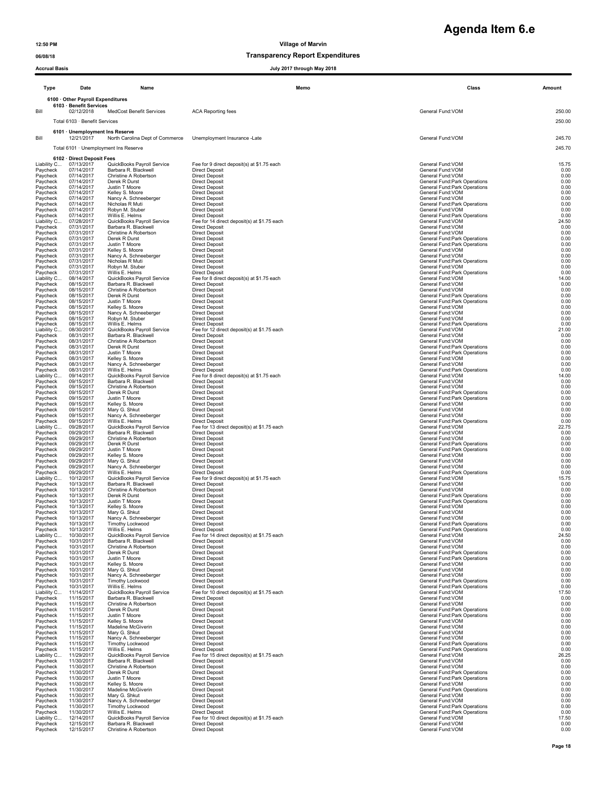# **Agenda Item 6.e**

### 06/08/18 CONSERVITE DESCRIPTION OF TRANSPARENCE TRANSPARENCE DESCRIPTION OF TRANSPARENCE DESCRIPTION OF TRANSPARENCE O

### Accrual Basis July 2017 through May 2018

| Accruai basis           |                                          |                                                    |                                                                      | July 2017 through way 2016 |                                                                |       |               |
|-------------------------|------------------------------------------|----------------------------------------------------|----------------------------------------------------------------------|----------------------------|----------------------------------------------------------------|-------|---------------|
| Type                    | Date                                     | Name                                               |                                                                      | Memo                       |                                                                | Class | Amount        |
|                         | 6100 · Other Payroll Expenditures        |                                                    |                                                                      |                            |                                                                |       |               |
| Bill                    | 6103 · Benefit Services<br>02/12/2018    | MedCost Benefit Services                           | <b>ACA Reporting fees</b>                                            |                            | General Fund: VOM                                              |       | 250.00        |
|                         | Total 6103 · Benefit Services            |                                                    |                                                                      |                            |                                                                |       | 250.00        |
|                         | 6101 · Unemployment Ins Reserve          |                                                    |                                                                      |                            |                                                                |       |               |
| Bill                    | 12/21/2017                               | North Carolina Dept of Commerce                    | Unemployment Insurance -Late                                         |                            | General Fund: VOM                                              |       | 245.70        |
|                         |                                          | Total 6101 · Unemployment Ins Reserve              |                                                                      |                            |                                                                |       | 245.70        |
| Liability C             | 6102 · Direct Deposit Fees<br>07/13/2017 | QuickBooks Payroll Service                         | Fee for 9 direct deposit(s) at \$1.75 each                           |                            | General Fund: VOM                                              |       | 15.75         |
| Paycheck<br>Paycheck    | 07/14/2017<br>07/14/2017                 | Barbara R. Blackwell<br>Christine A Robertson      | <b>Direct Deposit</b><br><b>Direct Deposit</b>                       |                            | General Fund: VOM<br>General Fund: VOM                         |       | 0.00<br>0.00  |
| Paycheck<br>Paycheck    | 07/14/2017<br>07/14/2017                 | Derek R Durst<br>Justin T Moore                    | Direct Deposit<br><b>Direct Deposit</b>                              |                            | General Fund: Park Operations<br>General Fund: Park Operations |       | 0.00<br>0.00  |
| Paycheck                | 07/14/2017                               | Kelley S. Moore                                    | <b>Direct Deposit</b>                                                |                            | General Fund:VOM                                               |       | 0.00          |
| Paycheck<br>Paycheck    | 07/14/2017<br>07/14/2017                 | Nancy A. Schneeberger<br>Nicholas R Muti           | <b>Direct Deposit</b><br><b>Direct Deposit</b>                       |                            | General Fund: VOM<br>General Fund: Park Operations             |       | 0.00<br>0.00  |
| Paycheck<br>Paycheck    | 07/14/2017<br>07/14/2017                 | Robyn M. Stuber<br>Willis E. Helms                 | <b>Direct Deposit</b><br><b>Direct Deposit</b>                       |                            | General Fund: VOM<br>General Fund: Park Operations             |       | 0.00<br>0.00  |
| Liability C<br>Paycheck | 07/28/2017<br>07/31/2017                 | QuickBooks Payroll Service<br>Barbara R. Blackwell | Fee for 14 direct deposit(s) at \$1.75 each<br><b>Direct Deposit</b> |                            | General Fund:VOM<br>General Fund: VOM                          |       | 24.50<br>0.00 |
| Paycheck<br>Paycheck    | 07/31/2017<br>07/31/2017                 | Christine A Robertson<br>Derek R Durst             | <b>Direct Deposit</b><br><b>Direct Deposit</b>                       |                            | General Fund: VOM<br>General Fund: Park Operations             |       | 0.00<br>0.00  |
| Paycheck<br>Paycheck    | 07/31/2017<br>07/31/2017                 | Justin T Moore<br>Kelley S. Moore                  | <b>Direct Deposit</b><br><b>Direct Deposit</b>                       |                            | General Fund: Park Operations<br>General Fund:VOM              |       | 0.00<br>0.00  |
| Paycheck                | 07/31/2017                               | Nancy A. Schneeberger                              | <b>Direct Deposit</b>                                                |                            | General Fund: VOM                                              |       | 0.00          |
| Paycheck<br>Paycheck    | 07/31/2017<br>07/31/2017                 | Nicholas R Muti<br>Robyn M. Stuber                 | <b>Direct Deposit</b><br><b>Direct Deposit</b>                       |                            | General Fund: Park Operations<br>General Fund: VOM             |       | 0.00<br>0.00  |
| Paycheck<br>Liability C | 07/31/2017<br>08/14/2017                 | Willis E. Helms<br>QuickBooks Payroll Service      | <b>Direct Deposit</b><br>Fee for 8 direct deposit(s) at \$1.75 each  |                            | General Fund: Park Operations<br>General Fund: VOM             |       | 0.00<br>14.00 |
| Paycheck<br>Paycheck    | 08/15/2017<br>08/15/2017                 | Barbara R. Blackwell<br>Christine A Robertson      | <b>Direct Deposit</b><br><b>Direct Deposit</b>                       |                            | General Fund:VOM<br>General Fund: VOM                          |       | 0.00<br>0.00  |
| Paycheck<br>Pavcheck    | 08/15/2017<br>08/15/2017                 | Derek R Durst<br>Justin T Moore                    | <b>Direct Deposit</b><br><b>Direct Deposit</b>                       |                            | General Fund: Park Operations<br>General Fund: Park Operations |       | 0.00<br>0.00  |
| Paycheck                | 08/15/2017                               | Kelley S. Moore                                    | <b>Direct Deposit</b>                                                |                            | General Fund: VOM                                              |       | 0.00          |
| Paycheck<br>Paycheck    | 08/15/2017<br>08/15/2017                 | Nancy A. Schneeberger<br>Robyn M. Stuber           | <b>Direct Deposit</b><br><b>Direct Deposit</b>                       |                            | General Fund:VOM<br>General Fund: VOM                          |       | 0.00<br>0.00  |
| Paycheck<br>Liability C | 08/15/2017<br>08/30/2017                 | Willis E. Helms<br>QuickBooks Payroll Service      | <b>Direct Deposit</b><br>Fee for 12 direct deposit(s) at \$1.75 each |                            | General Fund: Park Operations<br>General Fund:VOM              |       | 0.00<br>21.00 |
| Paycheck<br>Paycheck    | 08/31/2017<br>08/31/2017                 | Barbara R. Blackwell<br>Christine A Robertson      | <b>Direct Deposit</b><br><b>Direct Deposit</b>                       |                            | General Fund: VOM<br>General Fund: VOM                         |       | 0.00<br>0.00  |
| Paycheck<br>Paycheck    | 08/31/2017<br>08/31/2017                 | Derek R Durst<br>Justin T Moore                    | <b>Direct Deposit</b><br><b>Direct Deposit</b>                       |                            | General Fund: Park Operations<br>General Fund: Park Operations |       | 0.00<br>0.00  |
| Paycheck<br>Paycheck    | 08/31/2017<br>08/31/2017                 | Kelley S. Moore<br>Nancy A. Schneeberger           | <b>Direct Deposit</b><br><b>Direct Deposit</b>                       |                            | General Fund: VOM<br>General Fund: VOM                         |       | 0.00<br>0.00  |
| Paycheck                | 08/31/2017                               | Willis E. Helms                                    | <b>Direct Deposit</b>                                                |                            | General Fund: Park Operations                                  |       | 0.00          |
| Liability C<br>Paycheck | 09/14/2017<br>09/15/2017                 | QuickBooks Payroll Service<br>Barbara R. Blackwell | Fee for 8 direct deposit(s) at \$1.75 each<br><b>Direct Deposit</b>  |                            | General Fund: VOM<br>General Fund:VOM                          |       | 14.00<br>0.00 |
| Paycheck<br>Paycheck    | 09/15/2017<br>09/15/2017                 | Christine A Robertson<br>Derek R Durst             | <b>Direct Deposit</b><br><b>Direct Deposit</b>                       |                            | General Fund: VOM<br>General Fund: Park Operations             |       | 0.00<br>0.00  |
| Paycheck<br>Paycheck    | 09/15/2017<br>09/15/2017                 | Justin T Moore<br>Kelley S. Moore                  | <b>Direct Deposit</b><br><b>Direct Deposit</b>                       |                            | General Fund: Park Operations<br>General Fund:VOM              |       | 0.00<br>0.00  |
| Paycheck<br>Paycheck    | 09/15/2017<br>09/15/2017                 | Mary G. Shkut<br>Nancy A. Schneeberger             | <b>Direct Deposit</b><br><b>Direct Deposit</b>                       |                            | General Fund: VOM<br>General Fund: VOM                         |       | 0.00<br>0.00  |
| Paycheck<br>Liability C | 09/15/2017                               | Willis E. Helms                                    | <b>Direct Deposit</b>                                                |                            | General Fund: Park Operations                                  |       | 0.00          |
| Paycheck                | 09/28/2017<br>09/29/2017                 | QuickBooks Payroll Service<br>Barbara R. Blackwell | Fee for 13 direct deposit(s) at \$1.75 each<br><b>Direct Deposit</b> |                            | General Fund:VOM<br>General Fund:VOM                           |       | 22.75<br>0.00 |
| Paycheck<br>Paycheck    | 09/29/2017<br>09/29/2017                 | Christine A Robertson<br>Derek R Durst             | <b>Direct Deposit</b><br><b>Direct Deposit</b>                       |                            | General Fund: VOM<br>General Fund: Park Operations             |       | 0.00<br>0.00  |
| Paycheck<br>Paycheck    | 09/29/2017<br>09/29/2017                 | Justin T Moore<br>Kelley S. Moore                  | <b>Direct Deposit</b><br><b>Direct Deposit</b>                       |                            | General Fund: Park Operations<br>General Fund: VOM             |       | 0.00<br>0.00  |
| Paycheck<br>Paycheck    | 09/29/2017<br>09/29/2017                 | Mary G. Shkut<br>Nancy A. Schneeberger             | <b>Direct Deposit</b><br><b>Direct Deposit</b>                       |                            | General Fund:VOM<br>General Fund: VOM                          |       | 0.00<br>0.00  |
| Paycheck<br>Liability C | 09/29/2017<br>10/12/2017                 | Willis E. Helms<br>QuickBooks Payroll Service      | <b>Direct Deposit</b><br>Fee for 9 direct deposit(s) at \$1.75 each  |                            | General Fund: Park Operations<br>General Fund: VOM             |       | 0.00<br>15.75 |
| Paycheck                | 10/13/2017                               | Barbara R. Blackwell                               | <b>Direct Deposit</b>                                                |                            | General Fund: VOM                                              |       | 0.00          |
| Paycheck<br>Paycheck    | 10/13/2017<br>10/13/2017                 | Christine A Robertson<br>Derek R Durst             | <b>Direct Deposit</b><br><b>Direct Deposit</b>                       |                            | General Fund: VOM<br>General Fund: Park Operations             |       | 0.00<br>0.00  |
| Paycheck<br>Paycheck    | 10/13/2017<br>10/13/2017                 | Justin T Moore<br>Kelley S. Moore                  | <b>Direct Deposit</b><br><b>Direct Deposit</b>                       |                            | General Fund: Park Operations<br>General Fund: VOM             |       | 0.00<br>0.00  |
| Pavcheck<br>Paycheck    | 10/13/2017<br>10/13/2017                 | Mary G. Shkut<br>Nancy A. Schneeberger             | Direct Deposit<br><b>Direct Deposit</b>                              |                            | General Fund: VOM<br>General Fund: VOM                         |       | 0.00<br>0.00  |
| Paycheck<br>Paycheck    | 10/13/2017<br>10/13/2017                 | Timothy Lockwood<br>Willis E. Helms                | <b>Direct Deposit</b><br><b>Direct Deposit</b>                       |                            | General Fund: Park Operations<br>General Fund:Park Operations  |       | 0.00<br>0.00  |
| Liability C<br>Paycheck | 10/30/2017<br>10/31/2017                 | QuickBooks Payroll Service<br>Barbara R. Blackwell | Fee for 14 direct deposit(s) at \$1.75 each<br><b>Direct Deposit</b> |                            | General Fund:VOM<br>General Fund: VOM                          |       | 24.50<br>0.00 |
| Paycheck                | 10/31/2017                               | Christine A Robertson                              | <b>Direct Deposit</b>                                                |                            | General Fund: VOM                                              |       | 0.00          |
| Paycheck<br>Paycheck    | 10/31/2017<br>10/31/2017                 | Derek R Durst<br>Justin T Moore                    | <b>Direct Deposit</b><br><b>Direct Deposit</b>                       |                            | General Fund: Park Operations<br>General Fund:Park Operations  |       | 0.00<br>0.00  |
| Paycheck<br>Paycheck    | 10/31/2017<br>10/31/2017                 | Kelley S. Moore<br>Mary G. Shkut                   | <b>Direct Deposit</b><br><b>Direct Deposit</b>                       |                            | General Fund:VOM<br>General Fund:VOM                           |       | 0.00<br>0.00  |
| Paycheck<br>Paycheck    | 10/31/2017<br>10/31/2017                 | Nancy A. Schneeberger<br>Timothy Lockwood          | <b>Direct Deposit</b><br><b>Direct Deposit</b>                       |                            | General Fund: VOM<br>General Fund: Park Operations             |       | 0.00<br>0.00  |
| Paycheck<br>Liability C | 10/31/2017<br>11/14/2017                 | Willis E. Helms<br>QuickBooks Payroll Service      | <b>Direct Deposit</b><br>Fee for 10 direct deposit(s) at \$1.75 each |                            | General Fund: Park Operations<br>General Fund:VOM              |       | 0.00<br>17.50 |
| Paycheck                | 11/15/2017                               | Barbara R. Blackwell                               | <b>Direct Deposit</b>                                                |                            | General Fund: VOM                                              |       | 0.00          |
| Paycheck<br>Paycheck    | 11/15/2017<br>11/15/2017                 | Christine A Robertson<br>Derek R Durst             | <b>Direct Deposit</b><br><b>Direct Deposit</b>                       |                            | General Fund:VOM<br>General Fund: Park Operations              |       | 0.00<br>0.00  |
| Paycheck<br>Paycheck    | 11/15/2017<br>11/15/2017                 | Justin T Moore<br>Kelley S. Moore                  | <b>Direct Deposit</b><br><b>Direct Deposit</b>                       |                            | General Fund: Park Operations<br>General Fund: VOM             |       | 0.00<br>0.00  |
| Paycheck<br>Paycheck    | 11/15/2017<br>11/15/2017                 | Madeline McGiverin<br>Mary G. Shkut                | <b>Direct Deposit</b><br><b>Direct Deposit</b>                       |                            | General Fund:VOM<br>General Fund:VOM                           |       | 0.00<br>0.00  |
| Paycheck<br>Paycheck    | 11/15/2017<br>11/15/2017                 | Nancy A. Schneeberger<br>Timothy Lockwood          | <b>Direct Deposit</b><br><b>Direct Deposit</b>                       |                            | General Fund: VOM<br>General Fund: Park Operations             |       | 0.00<br>0.00  |
| Paycheck<br>Liability C | 11/15/2017<br>11/29/2017                 | Willis E. Helms<br>QuickBooks Payroll Service      | <b>Direct Deposit</b><br>Fee for 15 direct deposit(s) at \$1.75 each |                            | General Fund: Park Operations<br>General Fund:VOM              |       | 0.00<br>26.25 |
| Paycheck                | 11/30/2017                               | Barbara R. Blackwell                               | <b>Direct Deposit</b>                                                |                            | General Fund: VOM                                              |       | 0.00          |
| Paycheck<br>Paycheck    | 11/30/2017<br>11/30/2017                 | Christine A Robertson<br>Derek R Durst             | <b>Direct Deposit</b><br><b>Direct Deposit</b>                       |                            | General Fund: VOM<br>General Fund: Park Operations             |       | 0.00<br>0.00  |
| Paycheck<br>Paycheck    | 11/30/2017<br>11/30/2017                 | Justin T Moore<br>Kelley S. Moore                  | <b>Direct Deposit</b><br><b>Direct Deposit</b>                       |                            | General Fund: Park Operations<br>General Fund:VOM              |       | 0.00<br>0.00  |
| Paycheck<br>Paycheck    | 11/30/2017<br>11/30/2017                 | Madeline McGiverin<br>Mary G. Shkut                | <b>Direct Deposit</b><br><b>Direct Deposit</b>                       |                            | General Fund: Park Operations<br>General Fund: VOM             |       | 0.00<br>0.00  |
| Paycheck<br>Paycheck    | 11/30/2017<br>11/30/2017                 | Nancy A. Schneeberger<br>Timothy Lockwood          | <b>Direct Deposit</b><br><b>Direct Deposit</b>                       |                            | General Fund: VOM<br>General Fund: Park Operations             |       | 0.00<br>0.00  |
| Paycheck                | 11/30/2017                               | Willis E. Helms                                    | <b>Direct Deposit</b>                                                |                            | General Fund: Park Operations                                  |       | 0.00          |
| Liability C<br>Paycheck | 12/14/2017<br>12/15/2017                 | QuickBooks Payroll Service<br>Barbara R. Blackwell | Fee for 10 direct deposit(s) at \$1.75 each<br><b>Direct Deposit</b> |                            | General Fund:VOM<br>General Fund: VOM                          |       | 17.50<br>0.00 |
| Paycheck                | 12/15/2017                               | Christine A Robertson                              | <b>Direct Deposit</b>                                                |                            | General Fund: VOM                                              |       | 0.00          |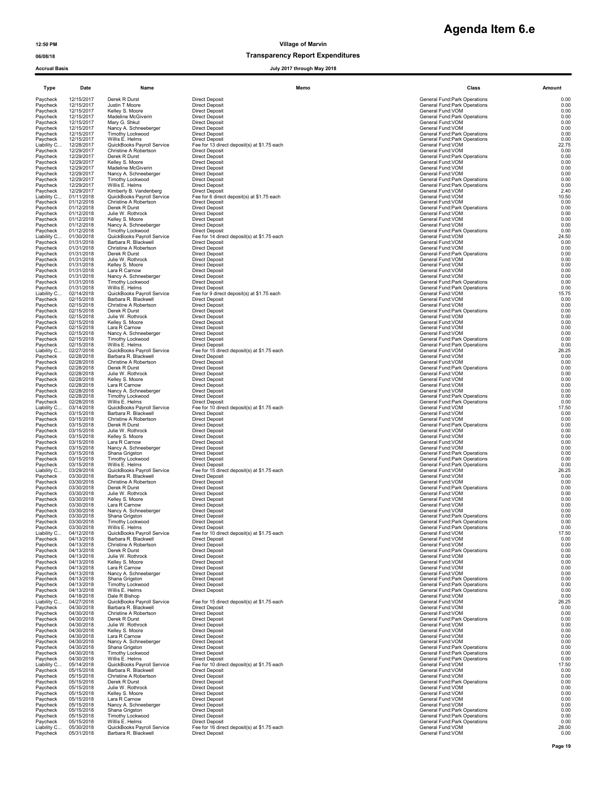### 06/08/18 Transparency Report Expenditures

Accrual Basis July 2017 through May 2018

Paycheck 05/31/2018 Barbara R. Blackwell Direct Deposit Direct Deposit General Fund:VOM General Fund:VOM 0.00

Paycheck 04/13/2018 Willis E. Helms Direct Deposit General Fund:Park Operations 0.00

Type Date Name Memo Class Amount Paycheck 12/15/2017 Derek R Durst Direct Deposit General Fund:Park Operations 0.00 Paycheck 12/15/2017 Justin T Moore Direct Deposit General Fund:Park Operations 0.00 Paycheck 12/15/2017 Kelley S. Moore Direct Deposit General Fund:VOM 0.00 Paycheck 12/15/2017 Madeline McGiverin Direct Deposit General Fund:Park Operations 0.00 Paycheck 12/15/2017 Mary G. Shkut Direct Deposit General Fund:VOM 0.00 Paycheck 12/15/2017 Nancy A. Schneeberger Direct Deposit General Fund:VOM 0.00<br>Paycheck 12/15/2017 Timothy Lockwood Direct Deposit General Fund:Park Operations General Fund:Park Operations 0 Paycheck 12/15/2017 Many G. Shkut – Direct Deposit – Direct Deposit – Shereal Punch of Deposit – Direct Deposit<br>Paycheck 12/15/2017 Many G. Shkut – Direct Deposit – Direct Deposit – Direct Deposit – Control of General Fund Liability C... 12/28/2017 QuickBooks Payroll Service Fee for 13 direct deposit(s) at \$1.75 each General Fund:VOM Christine A Robertson Christine A Robertson Christine Christine A Robertson Christine Christine Christine Chr Paycheck 12/29/2017 Christine A Robertson Direct Deposit Companies and Direct Deposit Companies Companies and Tund:VOM Christine A Robertson Direct Deposit Companies and Direct Deposit Companies and Direct Deposit Companie Paycheck 12/29/2017 Derek R Durst Direct Deposit General Fund:Park Operations 0.00 Paycheck 12/29/2017 Kelley S. Moore Direct Deposit General Fund:VOM 0.00 Paycheck 12/29/2017 Madeline McGiverin Direct Deposit General Fund:VOM 0.00 Paycheck 12/29/2017 Nancy A. Schneeberger Direct Deposit General Fund:VOM General Fund:VOM 0.00 Paycheck 12/29/2017 Timothy Lockwood Direct Deposit General Fund:Park Operations Ceneral Fund:Park Operations 0.00<br>Paycheck 12/29/2017 Willis E. Helms Direct Deposit General Fund:Park Operations General Fund:Park Operation Paycheck 12/29/2017 Nearly Reviewers Direct Deposit<br>Paycheck 12/29/2017 Willis E. Helms Direct Deposit Direct Deposit<br>Paycheck 12/29/2017 Willis E. Helms Direct Deposit<br>Liability C... 01/11/2018 QuickBooks Payroll Service Liability C... 01/11/2018 QuickBooks Payroll Service Fee for 6 direct deposit(s) at \$1.75 each General Fund:VOM 10.50 Ceneral Fund:VOM 10.50 (2016)<br>Paycheck 01/12/2018 Derek R Durst Service Direct Deposit And Direct Depos Paycheck 01/12/2018 Christine A Robertson Direct Deposit General Fund:VOM 0.00 Paycheck 01/12/2018 Derek R Durst Direct Deposit General Fund:Park Operations 0.00 Paycheck 01/12/2018 Julie W. Rothrock Direct Deposit Deposit General Fund:VOM General Fund:VOM 0.00 Paycheck 01/12/2018 Kelley S. Moore Direct Deposit General Fund:VOM 0.00 Paycheck 01/12/2018 Nancy A. Schneeberger Direct Deposit General Fund:VOM 0.00 Paycheck 01/12/2018 Timothy Lockwood Direct Deposit General Fund:Park Operations 0.00 Raycheck 01/12/2018 Jule v. Roundex Direct Deposit<br>Paycheck 01/12/2018 Melley S. Moore<br>Paycheck 01/12/2018 Timothy Lockwood Direct Deposit<br>Liability C... 01/30/2018 Timothy Lockwood Fee for 14 direct deposit<br>Capitality C.. Liability C... 01/30/2018 QuickBooks Payroll Service Fee for 14 direct deposit(s) at \$1.75 each<br>
Paycheck 01/31/2018 Barbara R. Blackwell Direct Deposit<br>
Paycheck 01/31/2018 Christine A Robertson Direct Deposit<br>
Paycheck 0 Paycheck 01/31/2018 Christine.A Robertson Direct Deposit<br>Paycheck 01/31/2018 Derek R Durst Direct Deposit General Fund:Park Operations<br>Paycheck 01/31/2018 Julie W. Rothrock D Paycheck 01/31/2018 Kelley S. Moore Direct Deposit Deposit General Fund:VOM General Fund:VOM 6.00 Paycheck 01/31/2018 Lara R Carnow Direct Deposit General Fund:VOM 0.00 Paycheck 01/31/2018 Nancy A. Schneeberger Direct Deposit General Fund: General Fund: VOM General Fund: VOM 0.00 Paycheck 01/31/2018 Nantly Lockwood Direct Deposit<br>Paycheck 01/31/2018 Timothy Lockwood Direct Deposit<br>Paycheck 01/31/2018 Willis E. Helms Direct Deposit Direct Deposit<br>Liability C... 02/14/2018 QuickBooks Payroll Service Paycheck 01/31/2018 Willis E. Helms Direct Deposit Beats of the State Controller of the State of Direct Deposit<br>Liability C... 02/14/2018 QuickBooks Payroll Service Fee for 9 direct deposit(s) at \$1.75 each Paycheck 02/15/2018 Barbara R. Blackwell Direct Deposit General Fund:VOM 0.00 Paycheck 02/15/2018 Christine A Robertson Direct Deposit<br>Paycheck 02/15/2018 Christine A Robertson Direct Deposit<br>Paycheck 02/15/2018 Derek R Durst Direct Deposit General Fund:Variative Compositions 0.00<br>Paycheck 02/15/201 Paycheck 02/15/2018 Derek R Durst Direct Deposit General Fund:Park Operations 6.00 Paycheck 02/15/2018 Julie W. Rothrock Direct Deposit General Fund:VOM 0.00 Paycheck 02/15/2018 Kelley S. Moore Direct Deposit Deposit General Fund:VOM General Fund:VOM 0.00 Paycheck 02/15/2018 Lara R Carnow Direct Deposit General Fund:VOM 0.00 Paycheck 02/15/2018 Nancy A. Schneeberger Direct Deposit General Fund:VOM 0.00 Paycheck 02/15/2018 Timothy Lockwood Direct Deposit<br>Paycheck 02/15/2018 Timothy Lockwood Direct Deposit<br>Liability C... 02/21/2018 Willis E. Helms Direct Deposit Direct Deposit<br>Paycheck 02/15/2018 QuickBooks Payroll Service Paycheck 02/15/2018 Willis E. Helms Direct Deposit General Service Direct Direct Direct Direct Direct Direct D<br>Liability C... 02/27/2018 QuickBooks Payroll Service Fee for 15 direct deposit(s) at \$1.75 each General Fund:VO Paycheck 02/15/2018 Influity-Lockwood Direct Deposit<br>Paycheck 02/15/2018 Willis E. Helms Direct Deposit Rect deposit<br>Paycheck 02/28/2018 Barbara R. Blackwell Direct Deposit<br>Paycheck 02/28/2018 Christine-A Robertson Direct Paycheck 02/28/2018 Christine A Robertson Direct Deposit General Fund:VOM Direct Deposit Direct Deposit General Fund:VOM Direct Deposit Direct Deposit General Fund:Park Operations (0.00<br>Paycheck 02/28/2018 Derek R Durst Du Paycheck 02/28/2018 Julie W. Rothrock Direct Deposit Deposit General Fund:VOM General Fund:VOM 0.00 Paycheck 02/28/2018 Kelley S. Moore Direct Deposit Deposit General Fund:VOM General Fund:VOM 6.00 Paycheck 02/28/2018 Lara R Carnow Direct Deposit Companies And Direct Deposit Companies And Direct Deposit Companies And Direct Deposit Companies And Direct Deposit Companies And Direct Deposit Companies And Direct Deposit Paycheck 02/28/2018 Nancy A. Schneeberger Direct Deposit General Fund:VOM 0.00 Paycheck 02/28/2018 Timothy Lockwood Direct Deposit General Fund:Park Operations Ceneral Fund:Park Operations 0.00<br>Paycheck 02/28/2018 Willis E. Helms Direct Deposit General Fund:Park Operations General Fund:Park Operation Paycheck 02/28/2018 Wills Helms Direct Deposit<br>Liability C... 03/14/2018 QuickBooks Payroll Service Fee for 10 direct deposit(s) at \$1.75 each General Fund:VOM 17.50<br>Paycheck 03/15/2018 Barbara R. Blackwell Direct Deposit<br> Paycheck 03/15/2018 Barbara R. Blackwell Direct Deposit General Fund:VOM 0.00 Paycheck 03/15/2018 Christine A Robertson Direct Deposit Christian Direct Deposit Christian Direct Deposit General Fund:VOM Christian Direct Deposit General Fund:VOM Christian Direct Deposit Christian Direct Deposit Christ Paycheck 03/15/2018 Derek R Durst Direct Deposit<br>Paycheck 03/15/2018 Julie W. Rothrock Direct Deposit Direct Deposit<br>Paycheck 03/15/2018 Kelley S. Moore Direct Deposit Direct Deposit General Fund:VOM General Fund:VOM 0.00<br> Paycheck 03/15/2018 Julie W. Rothrock Direct Deposit General Fund:VOM 0.00 Paycheck 03/15/2018 Kelley S. Moore Direct Deposit General Fund:VOM 0.00 Paycheck 03/15/2018 Lara R Carnow Direct Deposit Press, Direct Deposit Central Fund:VOM General Fund:VOM 0.00<br>Paycheck 03/15/2018 Nancy A. Schneeberger Direct Deposit Press, Direct Deposit Central Fund:VOM General Fund:Pa Paycheck 03/15/2018 Timothy Lockwood Direct Deposit<br>
Paycheck 03/15/2018 Timothy Lockwood Direct Deposit<br>
Liability C... 03/29/2018 QuickBooks Payroll Service Fee for 15 direct deposit(s) at \$1.75 each General Fund:Park Op o and the Section of the Deposit of the Deposit of the Control of the Control of the Control of the Control of<br>2007/2018 Outder Direct Deposit General Fund:Park Operations Operations Operations Operations Operations 0.000 Liability C... 03/29/2018 QuickBooks Payroll Service Fee for 15 direct deposit(s) at \$1.75 each General Fund:VOM 26.25 Paycheck 03/30/2018 Barbara R. Blackwell Direct Deposit General Fund:VOM 0.00 Paycheck 03/30/2018 Christine A Robertson Direct Deposit General Fund:VOM 0.00 Paycheck 03/30/2018 Derek R Durst Direct Deposit General Durst Deposit General Fund:Park Operations 0.00<br>Paycheck 03/30/2018 Julie W. Rothrock Direct Deposit General Annual Communications of the Durst Deposit of Dur Paycheck 03/30/2018 Kelley S. Moore Direct Deposit General Fund:VOM 0.00 Paycheck 03/30/2018 Lara R Carnow Direct Deposit General Fund:VOM 0.00 Paycheck 03/30/2018 Nancy A. Schneeberger Direct Deposit General Fund:VOM 0.00 Paycheck 03/30/2018 Shane Visual Deposit Deposit of Deposit Seneral Fund:YOM Seneral Fund:YOM Seneral Fund:YOM Seneral Fund:YOM Seneral Fund:YOM Seneral Fund:YOM Seneral Fund:YOM Seneral Fund:YOM Seneral Fund:YOM Seneral F Paycheck 03/30/2018 Timothy Lockwood Direct Deposit General Fund:Park Operations General Fund:Park Operations 0.00 Paycheck 03/30/2018 Willis E. Helms Direct Deposit General Fund:Park Operations General Fund:Park Operations 0.00 Paycheck 03/30/2018 Wills Helms<br>
Liability C... 04/12/2018 QuickBooks Payroll Service Fee for 10 direct deposit(s) at \$1.75 each Companies Compa<br>
Paycheck 04/13/2018 Barbara R. Blackwell Direct Deposit<br>
Paycheck 04/13/2018 Paycheck 04/13/2018 Barbara R. Blackwell Direct Deposit General Fund:VOM 0.00 Paycheck 04/13/2018 Christine A Robertson Direct Deposit Christian Direct Deposit Christian Direct Deposit General Fund:VOM Christian Direct Deposit General Fund:VOM Christian Direct Deposit Christian Direct Deposit Christ Paycheck 04/13/2018 Derek R Durst Direct Deposit<br>
Paycheck 04/13/2018 Uule W. Rothrock Direct Deposit<br>
Paycheck 04/13/2018 Kelley S. Moore Direct Deposit Direct Deposit<br>
Paycheck 04/13/2018 Lara R Carnow Direct Deposit<br>
Di Paycheck 04/13/2018 Julie W. Rothrock Direct Deposit General Fund:VOM 0.00 Paycheck 04/13/2018 Kelley S. Moore Direct Deposit Deposit General Fund: VOM General Fund: VOM 6.00 Paycheck 04/13/2018 Lara R Carnow Direct Deposit Proposit (1990); http://www.burbereage.com/induct/DM<br>Paycheck 04/13/2018 Nancy A. Schneeberger Direct Deposit (1991); http://www.burbereage.com/induct/DM General Fund:Park Paycheck 04/13/2018 Timothy Lockwood Direct Deposit<br>
Paycheck 04/13/2018 Timothy Lockwood Direct Deposit<br>
Paycheck 04/13/2018 Willis E. Helms Direct Deposit General Fund:Park Operations 0.00<br>
Liability C... 04/27/2018 Quic Paycheck 04/18/2018 Dale R Bishop General Fund:VOM 0.00 гыбліку с... 04/27/2018 CuickBooks Payroll Service Fee for 15 direct deposit(s) at \$1.75 each General Fund:VOM 26.25<br>Direct Democratic Deposits of the Direct Deposit (Service Service of General Fund:VOM General Fund:VOM Paycheck 04/30/2018 Barbara R. Blackwell Direct Deposit Direct Deposit General Fund:VOM General Fund:VOM 0.00 Paycheck 04/30/2018 Christine A Robertson Direct Deposit General Fund:VOM General Fund:VOM 0.00 Paycheck 04/30/2018 Derek R Durst Direct Deposit Direct Deposit Centeral Fund:Park Operations 0.00<br>Paycheck 04/30/2018 Julie W. Rothrock Direct Deposit Direct Deposit General Fund:VOM General Fund:VOM 0.00 Paycheck 04/30/2018 Julie W. Rothrock Direct Deposit Deposit General Fund:VOM General Fund:VOM 0.00 Paycheck 04/30/2018 Kelley S. Moore Direct Deposit Deposit General Fund:VOM General Fund:VOM 0.00 Paycheck 04/30/2018 Lara R Carnow Direct Deposit General Fund:VOM 0.00 Paycheck 04/30/2018 Nancy A. Schneeberger Direct Deposit General Fund: General Fund: VOM General Fund: VOM 0.00 Paycheck 04/30/2018 Shana Grigston Direct Deposit<br>Paycheck 04/30/2018 Shana Grigston Direct Deposit Direct Deposit General Fund:Park Operations 0.00<br>Paycheck 04/30/2018 Timothy Lockwood Direct Deposit General Fund:Park Ope Paycheck 04/30/2018 Timothy Lockwood Direct Deposit<br>Paycheck 04/30/2018 Willis E. Helms Direct Deposit<br>Liability C... 05/14/2018 QuickBooks Payroll Service Fee for 10 direct deposit(s) at \$1.75 each Property of th<br>Paycheck Paycheck 05/15/2018 Christine A Robertson Direct Deposit General Fund:VOM General Fund:VOM 0.00 Paycheck 05/15/2018 Derek R Durst Direct Deposit<br>Paycheck 05/15/2018 Derek R Durst Direct Deposit Direct Deposit<br>Paycheck 05/15/2018 Kelley S. Moore Direct Deposit General Fund:VOM 0.00<br>Paycheck 05/15/2018 Kelley S. Moore Paycheck 05/15/2018 Julie W. Rothrock Direct Deposit Deposit General Fund:VOM General Fund:VOM 0.00 Paycheck 05/15/2018 Kelley S. Moore Direct Deposit General Fund:VOM 0.00 Paycheck 05/15/2018 Lara R Carnow Direct Deposit General Fund:VOM 0.00 Paycheck 05/15/2018 Nancy A. Schneeberger Direct Deposit General Fund:VOM 0.00  $\begin{array}{l} \text{Paycheck} \qquad 05/15/2018 \qquad \text{Shana Grigston} \qquad \qquad \text{Direct Deposit} \qquad \qquad 0.00 \\ \text{Paycheck} \qquad 0.5/15/2018 \qquad \text{Yinterlum} \qquad 0.00 \\ \text{Paycheck} \qquad 0.5/15/2018 \qquad \text{Willis E. Helms} \qquad \qquad 0.00 \\ \text{Paycheck} \qquad 0.00 \\ \text{Light Optations} \qquad 0.00 \\ \text{Link:Part 2018} \qquad 0.00 \\ \text{Link: Part 2018} \qquad$ Paycheck 05/15/2018 Timothy Lockwood Direct Deposit General Fund:Park Operations Ceneral Fund:Park Operations 0.00<br>Paycheck 05/15/2018 Willis E. Helms Direct Deposit General Fund:Park Operations General Fund:Park Operation Liability C... 05/30/2018 QuickBooks Payroll Service Fee for 16 direct deposit(s) at \$1.75 each General Fund: C... 05/30/2018 QuickBooks Payroll Service Fee for 16 direct deposit(s) at \$1.75 each General Fund:VOM 28.00<br>Gen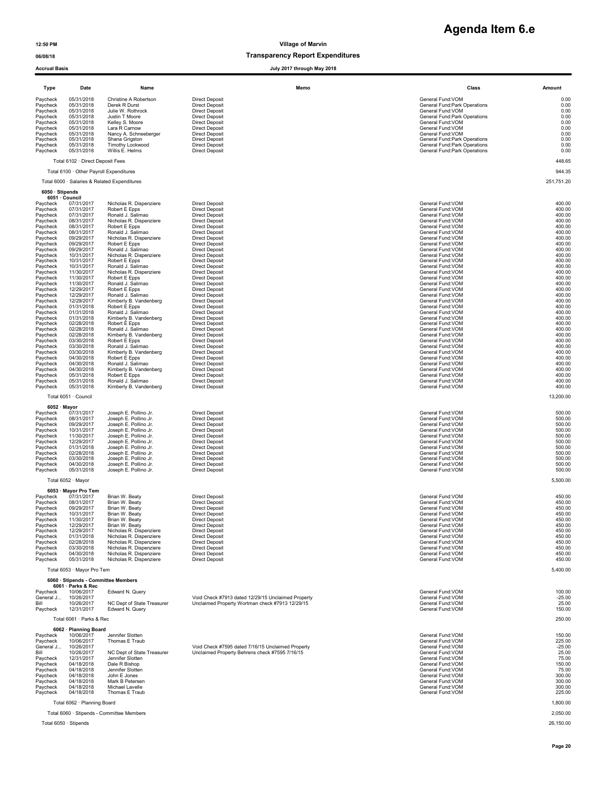Paycheck 10/31/2017 Robert Epps – Direct Deposit<br>Paycheck 10/31/2017 Ronald Salimao – Direct Deposit<br>Paycheck 11/30/2017 Nicholas R. Dispenziere – Direct Deposit<br>Paycheck 11/30/2017 Ronald J. Salimao – Direct Deposit<br>Payc Paycheck 12/29/2017 Robert E Epps Direct Deposit Birect Deposit General Fund:VOM General Fund:VOM 400.00 Paycheck 12/29/2017 Ronald J. Salimao Direct Deposit General Fund:VOM 400.00 Paycheck 12/29/2017 Kimberly B. Vandenberg Direct Deposit Attorney Beneral Fund:VOM General Fund:VOM 400.00 + 400.00<br>Paycheck 01/31/2018 Robert E Epps Direct Deposit General Attorney of the State of General Fund:VOM 400.00 Paycheck 01/31/2018 Ronald J. Salimao Direct Deposit General Fund:VOM 400.00 Paycheck 01/31/2018 Kimberly B. Vandenberg Direct Deposit General Fund:VOM 400.00 Paycheck 02/28/2018 Robert&Epps = Direct Deposit<br>Paycheck 02/28/2018 Ronald Salimao = Direct Deposit = Direct Deposit = Direct Deposit = General Fund:VOM = 400.00<br>Paycheck 02/28/2018 Kimberly B. Vandenberg Direct Deposit = Paycheck 03/30/2018 Robert E Epps Direct Deposit Direct Deposit General Fund:VOM General Fund:VOM 400.00 Paycheck 03/30/2018 Ronald Salimao Direct Deposit<br>
Paycheck 03/28/2018 Ronald J. Salimao Direct Deposit<br>
Paycheck 03/30/2018 Ronald J. Salimao Direct Deposit<br>
Paycheck 03/30/2018 Ronald J. Salimao Direct Deposit<br>
Paycheck Paycheck 03/30/2018 Kimberly B. Vandenberg Direct Deposit General Fund: Company General Fund: VOM 400.00 Paycheck 04/30/2018 Robert&Epps - Direct Deposit<br>Paycheck 04/30/2018 Ronald Salimao - Direct Deposit<br>Paycheck 04/30/2018 Kimberly B. Vandenberg - Direct Deposit - All and the state of the state of the state of t<br>Paycheck 0 Paycheck 05/31/2018 Robert E Epps Direct Deposit General Fund:VOM 400.00 Paycheck 05/31/2018 Ronald J. Salimao Direct Deposit General Fund:VOM 400.00 Paycheck 05/31/2018 Kimberly B. Vandenberg Direct Deposit General Fund:VOM 400.00

| 06/08/18                                                                                                             |                                                                                                                                          |                                                                                                                                                                                                                            |                                                                                                                                                                                                                                                        | <b>Transparency Report Expenditures</b> |                                                                                                                                                                                                                                                                                        |                                                                                                  |
|----------------------------------------------------------------------------------------------------------------------|------------------------------------------------------------------------------------------------------------------------------------------|----------------------------------------------------------------------------------------------------------------------------------------------------------------------------------------------------------------------------|--------------------------------------------------------------------------------------------------------------------------------------------------------------------------------------------------------------------------------------------------------|-----------------------------------------|----------------------------------------------------------------------------------------------------------------------------------------------------------------------------------------------------------------------------------------------------------------------------------------|--------------------------------------------------------------------------------------------------|
| <b>Accrual Basis</b>                                                                                                 |                                                                                                                                          |                                                                                                                                                                                                                            |                                                                                                                                                                                                                                                        | July 2017 through May 2018              |                                                                                                                                                                                                                                                                                        |                                                                                                  |
| Type                                                                                                                 | Date                                                                                                                                     | Name                                                                                                                                                                                                                       |                                                                                                                                                                                                                                                        | Memo                                    | Class                                                                                                                                                                                                                                                                                  | Amount                                                                                           |
| Paycheck<br>Paycheck<br>Paycheck<br>Paycheck<br>Paycheck<br>Paycheck<br>Paycheck<br>Paycheck<br>Paycheck<br>Paycheck | 05/31/2018<br>05/31/2018<br>05/31/2018<br>05/31/2018<br>05/31/2018<br>05/31/2018<br>05/31/2018<br>05/31/2018<br>05/31/2018<br>05/31/2018 | Christine A Robertson<br>Derek R Durst<br>Julie W. Rothrock<br>Justin T Moore<br>Kelley S. Moore<br>Lara R Carnow<br>Nancy A. Schneeberger<br>Shana Grigston<br>Timothy Lockwood<br>Willis E. Helms                        | <b>Direct Deposit</b><br><b>Direct Deposit</b><br><b>Direct Deposit</b><br><b>Direct Deposit</b><br><b>Direct Deposit</b><br><b>Direct Deposit</b><br><b>Direct Deposit</b><br><b>Direct Deposit</b><br><b>Direct Deposit</b><br><b>Direct Deposit</b> |                                         | General Fund: VOM<br>General Fund: Park Operations<br>General Fund: VOM<br>General Fund: Park Operations<br>General Fund: VOM<br>General Fund: VOM<br>General Fund: VOM<br><b>General Fund:Park Operations</b><br>General Fund: Park Operations<br><b>General Fund:Park Operations</b> | 0.00<br>0.00<br>0.00<br>0.00<br>0.00<br>0.00<br>0.00<br>0.00<br>0.00<br>0.00                     |
|                                                                                                                      | Total 6102 · Direct Deposit Fees                                                                                                         |                                                                                                                                                                                                                            |                                                                                                                                                                                                                                                        |                                         |                                                                                                                                                                                                                                                                                        | 448.65                                                                                           |
|                                                                                                                      | Total 6100 · Other Payroll Expenditures                                                                                                  |                                                                                                                                                                                                                            |                                                                                                                                                                                                                                                        |                                         |                                                                                                                                                                                                                                                                                        | 944.35                                                                                           |
|                                                                                                                      |                                                                                                                                          | Total 6000 · Salaries & Related Expenditures                                                                                                                                                                               |                                                                                                                                                                                                                                                        |                                         |                                                                                                                                                                                                                                                                                        | 251,751.20                                                                                       |
| 6050 · Stipends                                                                                                      | 6051 · Council                                                                                                                           |                                                                                                                                                                                                                            |                                                                                                                                                                                                                                                        |                                         |                                                                                                                                                                                                                                                                                        |                                                                                                  |
| Paycheck<br>Paycheck<br>Paycheck<br>Paycheck<br>Paycheck<br>Paycheck<br>Paycheck<br>Paycheck<br>Paycheck<br>Paycheck | 07/31/2017<br>07/31/2017<br>07/31/2017<br>08/31/2017<br>08/31/2017<br>08/31/2017<br>09/29/2017<br>09/29/2017<br>09/29/2017<br>10/31/2017 | Nicholas R. Dispenziere<br>Robert E Epps<br>Ronald J. Salimao<br>Nicholas R. Dispenziere<br>Robert E Epps<br>Ronald J. Salimao<br>Nicholas R. Dispenziere<br>Robert E Epps<br>Ronald J. Salimao<br>Nicholas R. Dispenziere | <b>Direct Deposit</b><br><b>Direct Deposit</b><br><b>Direct Deposit</b><br><b>Direct Deposit</b><br><b>Direct Deposit</b><br><b>Direct Deposit</b><br><b>Direct Deposit</b><br><b>Direct Deposit</b><br><b>Direct Deposit</b><br><b>Direct Deposit</b> |                                         | General Fund: VOM<br>General Fund: VOM<br>General Fund: VOM<br>General Fund: VOM<br>General Fund: VOM<br>General Fund: VOM<br>General Fund: VOM<br>General Fund: VOM<br>General Fund: VOM<br>General Fund: VOM                                                                         | 400.00<br>400.00<br>400.00<br>400.00<br>400.00<br>400.00<br>400.00<br>400.00<br>400.00<br>400.00 |

**Agenda Item 6.e**

| Total 6051 · Council | 13,200.00 |
|----------------------|-----------|

# $6052 \cdot$  Mayor<br> $12017$  07/31/2017

| Paycheck | 07/31/2017 | Joseph E. Pollino Jr. | Direct Deposit | General Fund: VOM | 500.00 |
|----------|------------|-----------------------|----------------|-------------------|--------|
| Paycheck | 08/31/2017 | Joseph E. Pollino Jr. | Direct Deposit | General Fund: VOM | 500.00 |
| Paycheck | 09/29/2017 | Joseph E. Pollino Jr. | Direct Deposit | General Fund: VOM | 500.00 |
| Paycheck | 10/31/2017 | Joseph E. Pollino Jr. | Direct Deposit | General Fund: VOM | 500.00 |
| Paycheck | 11/30/2017 | Joseph E. Pollino Jr. | Direct Deposit | General Fund: VOM | 500.00 |
| Paycheck | 12/29/2017 | Joseph E. Pollino Jr. | Direct Deposit | General Fund: VOM | 500.00 |
| Paycheck | 01/31/2018 | Joseph E. Pollino Jr. | Direct Deposit | General Fund: VOM | 500.00 |
| Paycheck | 02/28/2018 | Joseph E. Pollino Jr. | Direct Deposit | General Fund: VOM | 500.00 |
| Paycheck | 03/30/2018 | Joseph E. Pollino Jr. | Direct Deposit | General Fund: VOM | 500.00 |
| Paycheck | 04/30/2018 | Joseph E. Pollino Jr. | Direct Deposit | General Fund: VOM | 500.00 |
| Pavcheck | 05/31/2018 | Joseph E. Pollino Jr. | Direct Deposit | General Fund: VOM | 500.00 |

### Total 6052 · Mayor 5,500.00 6053 · Mayor Pro Tem

| Paycheck | 07/31/2017 | Brian W. Beaty          | <b>Direct Deposit</b> | General Fund: VOM | 450.00 |
|----------|------------|-------------------------|-----------------------|-------------------|--------|
| Paycheck | 08/31/2017 | Brian W. Beaty          | <b>Direct Deposit</b> | General Fund: VOM | 450.00 |
| Paycheck | 09/29/2017 | Brian W. Beaty          | Direct Deposit        | General Fund: VOM | 450.00 |
| Paycheck | 10/31/2017 | Brian W. Beaty          | Direct Deposit        | General Fund: VOM | 450.00 |
| Paycheck | 11/30/2017 | Brian W. Beaty          | <b>Direct Deposit</b> | General Fund: VOM | 450.00 |
| Paycheck | 12/29/2017 | Brian W. Beaty          | <b>Direct Deposit</b> | General Fund: VOM | 450.00 |
| Paycheck | 12/29/2017 | Nicholas R. Dispenziere | <b>Direct Deposit</b> | General Fund: VOM | 450.00 |
| Paycheck | 01/31/2018 | Nicholas R. Dispenziere | Direct Deposit        | General Fund: VOM | 450.00 |
| Paycheck | 02/28/2018 | Nicholas R. Dispenziere | Direct Deposit        | General Fund: VOM | 450.00 |
| Paycheck | 03/30/2018 | Nicholas R. Dispenziere | Direct Deposit        | General Fund: VOM | 450.00 |
| Paycheck | 04/30/2018 | Nicholas R. Dispenziere | Direct Deposit        | General Fund: VOM | 450.00 |
| Paycheck | 05/31/2018 | Nicholas R. Dispenziere | <b>Direct Deposit</b> | General Fund: VOM | 450.00 |

### Total 6053 · Mayor Pro Tem

### 6060 · Stipends - Committee Members

### 6061 · Parks & Rec

| Paycheck  | 10/06/2017 | Edward N. Querv            |                                                    | General Fund: VOM | 100.00   |
|-----------|------------|----------------------------|----------------------------------------------------|-------------------|----------|
| General J | 10/26/2017 |                            | Void Check #7913 dated 12/29/15 Unclaimed Property | General Fund: VOM | $-25.00$ |
| Bill      | 10/26/2017 | NC Dept of State Treasurer | Unclaimed Property Wortman check #7913 12/29/15    | General Fund: VOM | 25.00    |
| Pavcheck  | 12/31/2017 | Edward N. Querv            |                                                    | General Fund: VOM | 150.00   |
|           |            |                            |                                                    |                   |          |

### Total 6061 · Parks & Rec 250.00

|  | 6062 · Planning Board |
|--|-----------------------|
|--|-----------------------|

| 10/06/2017 | Jennifer Slotten           |                                                   | General Fund: VOM | 150.00   |
|------------|----------------------------|---------------------------------------------------|-------------------|----------|
| 10/06/2017 | Thomas E Traub             |                                                   | General Fund: VOM | 225.00   |
| 10/26/2017 |                            | Void Check #7595 dated 7/16/15 Unclaimed Property | General Fund: VOM | $-25.00$ |
| 10/26/2017 | NC Dept of State Treasurer | Unclaimed Property Behrens check #7595 7/16/15    | General Fund: VOM | 25.00    |
| 12/31/2017 | Jennifer Slotten           |                                                   | General Fund: VOM | 75.00    |
| 04/18/2018 | Dale R Bishop              |                                                   | General Fund: VOM | 150.00   |
| 04/18/2018 | Jennifer Slotten           |                                                   | General Fund: VOM | 75.00    |
| 04/18/2018 | John E Jones               |                                                   | General Fund: VOM | 300.00   |
| 04/18/2018 | Mark B Petersen            |                                                   | General Fund: VOM | 300.00   |
| 04/18/2018 | Michael Lavelle            |                                                   | General Fund: VOM | 300.00   |
|            |                            |                                                   |                   |          |

Total 6060 · Stipends - Committee Members 2,050.00

Total 6050 · Stipends 26,150.00

|           | 6053 · Mayor Pro Tem                |                            |                                                    |                   |           |
|-----------|-------------------------------------|----------------------------|----------------------------------------------------|-------------------|-----------|
| Paycheck  | 07/31/2017                          | Brian W. Beaty             | <b>Direct Deposit</b>                              | General Fund: VOM | 450.00    |
| Paycheck  | 08/31/2017                          | Brian W. Beaty             | <b>Direct Deposit</b>                              | General Fund: VOM | 450.00    |
| Paycheck  | 09/29/2017                          | Brian W. Beaty             | <b>Direct Deposit</b>                              | General Fund: VOM | 450.00    |
| Paycheck  | 10/31/2017                          | Brian W. Beaty             | <b>Direct Deposit</b>                              | General Fund: VOM | 450.00    |
| Paycheck  | 11/30/2017                          | Brian W. Beaty             | <b>Direct Deposit</b>                              | General Fund: VOM | 450.00    |
| Paycheck  | 12/29/2017                          | Brian W. Beaty             | <b>Direct Deposit</b>                              | General Fund: VOM | 450.00    |
| Paycheck  | 12/29/2017                          | Nicholas R. Dispenziere    | <b>Direct Deposit</b>                              | General Fund: VOM | 450.00    |
| Paycheck  | 01/31/2018                          | Nicholas R. Dispenziere    | <b>Direct Deposit</b>                              | General Fund: VOM | 450.00    |
| Paycheck  | 02/28/2018                          | Nicholas R. Dispenziere    | <b>Direct Deposit</b>                              | General Fund: VOM | 450.00    |
| Paycheck  | 03/30/2018                          | Nicholas R. Dispenziere    | <b>Direct Deposit</b>                              | General Fund: VOM | 450.00    |
| Paycheck  | 04/30/2018                          | Nicholas R. Dispenziere    | <b>Direct Deposit</b>                              | General Fund: VOM | 450.00    |
| Paycheck  | 05/31/2018                          | Nicholas R. Dispenziere    | <b>Direct Deposit</b>                              | General Fund: VOM | 450.00    |
|           | Total 6053 · Mayor Pro Tem          |                            |                                                    |                   | 5,400.00  |
|           | 6060 · Stipends - Committee Members |                            |                                                    |                   |           |
|           | 6061 · Parks & Rec                  |                            |                                                    |                   |           |
| Paycheck  | 10/06/2017                          | Edward N. Query            |                                                    | General Fund: VOM | 100.00    |
| General J | 10/26/2017                          |                            | Void Check #7913 dated 12/29/15 Unclaimed Property | General Fund: VOM | $-25.00$  |
| Bill      | 10/26/2017                          | NC Dept of State Treasurer | Unclaimed Property Wortman check #7913 12/29/15    | General Fund: VOM | 25.00     |
| Paycheck  | 12/31/2017                          | Edward N. Query            |                                                    | General Fund: VOM | 150.00    |
|           | Total 6061 · Parks & Rec            |                            |                                                    |                   | 250.00    |
|           | 6062 · Planning Board               |                            |                                                    |                   |           |
| Paycheck  | 10/06/2017                          | Jennifer Slotten           |                                                    | General Fund: VOM | 150.00    |
| Paycheck  | 10/06/2017                          | Thomas E Traub             |                                                    | General Fund: VOM | 225.00    |
| General J | 10/26/2017                          |                            | Void Check #7595 dated 7/16/15 Unclaimed Property  | General Fund: VOM | $-25.00$  |
| Bill      | 10/26/2017                          | NC Dept of State Treasurer | Unclaimed Property Behrens check #7595 7/16/15     | General Fund: VOM | 25.00     |
| Paycheck  | 12/31/2017                          | Jennifer Slotten           |                                                    | General Fund: VOM | 75.00     |
| Paycheck  | 04/18/2018                          | Dale R Bishop              |                                                    | General Fund: VOM | 150.00    |
| Paycheck  | 04/18/2018                          | Jennifer Slotten           |                                                    | General Fund: VOM | 75.00     |
| Paycheck  | 04/18/2018                          | John E Jones               |                                                    | General Fund: VOM | 300.00    |
| Paycheck  | 04/18/2018                          | Mark B Petersen            |                                                    | General Fund: VOM | 300.00    |
| Paycheck  | 04/18/2018                          | Michael Lavelle            |                                                    | General Fund: VOM | 300.00    |
| Paycheck  | 04/18/2018                          | Thomas E Traub             |                                                    | General Fund: VOM | 225.00    |
|           | Total 6062 · Planning Board         |                            |                                                    |                   | 1.800.00  |
|           |                                     |                            |                                                    |                   | 0.0000000 |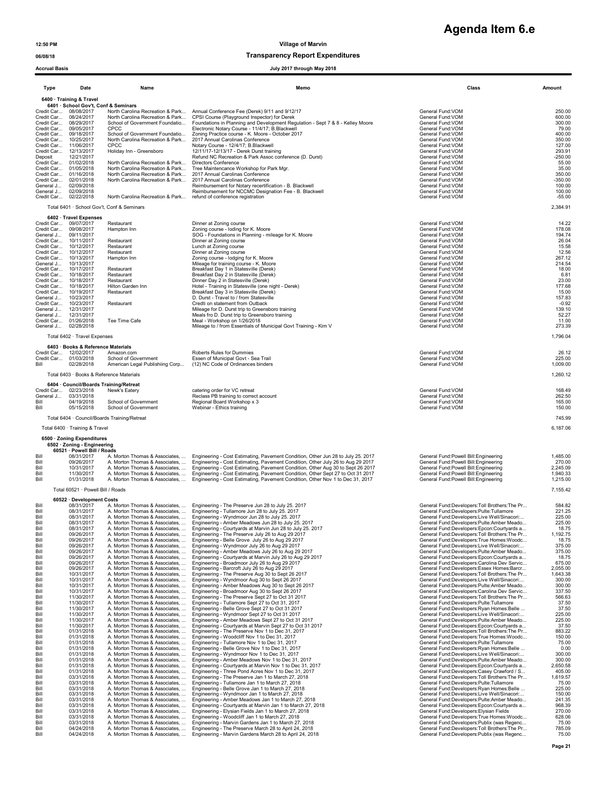**Agenda Item 6.e**

### 06/08/18 Transparency Report Expenditures

### Accrual Basis July 2017 through May 2018

| Type              | Date                                                                   | Name                                                                                               | Memo                                                                                                                                                                                                                                | Class                                                                                       | Amount               |
|-------------------|------------------------------------------------------------------------|----------------------------------------------------------------------------------------------------|-------------------------------------------------------------------------------------------------------------------------------------------------------------------------------------------------------------------------------------|---------------------------------------------------------------------------------------------|----------------------|
|                   | 6400 · Training & Travel<br>6401 · School Gov't, Conf & Seminars       |                                                                                                    |                                                                                                                                                                                                                                     |                                                                                             |                      |
|                   | Credit Car 08/08/2017<br>Credit Car 08/24/2017                         | North Carolina Recreation & Park<br>North Carolina Recreation & Park                               | Annual Conference Fee (Derek) 9/11 and 9/12/17<br>CPSI Course (Playground Inspector) for Derek                                                                                                                                      | General Fund:VOM<br>General Fund:VOM                                                        | 250.00<br>600.00     |
|                   | Credit Car 08/29/2017<br>Credit Car 09/05/2017                         | School of Government Foundatio<br>CPCC                                                             | Foundations in Planning and Development Regulation - Sept 7 & 8 - Kelley Moore<br>Electronic Notary Course - 11/4/17; B.Blackwell                                                                                                   | General Fund: VOM<br>General Fund:VOM                                                       | 300.00<br>79.00      |
|                   | Credit Car 09/18/2017<br>Credit Car 10/25/2017                         | School of Government Foundatio<br>North Carolina Recreation & Park                                 | Zoning Practice course - K. Moore - October 2017<br>2017 Annual Carolinas Conference                                                                                                                                                | General Fund:VOM<br>General Fund:VOM                                                        | 400.00<br>350.00     |
|                   | Credit Car 11/06/2017<br>Credit Car 12/13/2017                         | CPCC<br>Holiday Inn - Greensboro                                                                   | Notary Course - 12/4/17; B.Blackwell<br>12/11/17-12/13/17 - Derek Durst training                                                                                                                                                    | General Fund:VOM<br>General Fund:VOM                                                        | 127.00<br>293.91     |
| Deposit           | 12/21/2017<br>Credit Car 01/02/2018                                    | North Carolina Recreation & Park                                                                   | Refund NC Recreation & Park Assoc conference (D. Durst)<br>Directors Conference                                                                                                                                                     | General Fund: VOM<br>General Fund:VOM                                                       | $-250.00$<br>55.00   |
|                   | Credit Car 01/05/2018<br>Credit Car 01/16/2018                         | North Carolina Recreation & Park<br>North Carolina Recreation & Park                               | Tree Maintencance Workshop for Park Mgr.<br>2017 Annual Carolinas Conference                                                                                                                                                        | General Fund: VOM<br>General Fund:VOM                                                       | 35.00<br>350.00      |
|                   | Credit Car 02/01/2018<br>General J 02/09/2018                          | North Carolina Recreation & Park                                                                   | 2017 Annual Carolinas Conference<br>Reimbursement for Notary recertification - B. Blackwell                                                                                                                                         | General Fund:VOM<br>General Fund: VOM                                                       | $-350.00$<br>100.00  |
|                   | General J 02/09/2018<br>Credit Car 02/22/2018                          | North Carolina Recreation & Park                                                                   | Reimbursement for NCCMC Designation Fee - B. Blackwell<br>refund of conference registration                                                                                                                                         | General Fund:VOM<br>General Fund: VOM                                                       | 100.00<br>$-55.00$   |
|                   |                                                                        | Total 6401 · School Gov't, Conf & Seminars                                                         |                                                                                                                                                                                                                                     |                                                                                             | 2,384.91             |
|                   | 6402 · Travel Expenses<br>Credit Car 09/07/2017                        | Restaurant                                                                                         | Dinner at Zoning course                                                                                                                                                                                                             | General Fund: VOM                                                                           | 14.22                |
|                   | Credit Car 09/08/2017                                                  | Hampton Inn                                                                                        | Zoning course - loding for K. Moore<br>SOG - Foundations in Planning - mileage for K. Moore                                                                                                                                         | General Fund:VOM<br>General Fund:VOM                                                        | 178.08<br>194.74     |
|                   | General J 09/11/2017<br>Credit Car 10/11/2017                          | Restaurant                                                                                         | Dinner at Zoning course                                                                                                                                                                                                             | General Fund:VOM                                                                            | 26.04                |
|                   | Credit Car 10/12/2017<br>Credit Car 10/12/2017                         | Restaurant<br>Restaurant                                                                           | Lunch at Zoning course<br>Dinner at Zoning course                                                                                                                                                                                   | General Fund: VOM<br>General Fund: VOM                                                      | 15.58<br>12.56       |
|                   | Credit Car 10/13/2017<br>General J 10/13/2017<br>Credit Car 10/17/2017 | Hampton Inn                                                                                        | Zoning course - lodging for K. Moore<br>Mileage for training course - K. Moore                                                                                                                                                      | General Fund: VOM<br>General Fund:VOM                                                       | 267.12<br>214.54     |
|                   | Credit Car 10/18/2017                                                  | Restaurant<br>Restaurant                                                                           | Breakfast Day 1 in Statesville (Derek)<br>Breakfast Day 2 in Statesville (Derek)                                                                                                                                                    | General Fund: VOM<br>General Fund: VOM                                                      | 18.00<br>6.81        |
|                   | Credit Car 10/18/2017<br>Credit Car 10/18/2017                         | Restaurant<br>Hilton Garden Inn                                                                    | Dinner Day 2 in Statesville (Derek)<br>Hotel - Training in Statesville (one night - Derek)                                                                                                                                          | General Fund:VOM<br>General Fund: VOM                                                       | 23.00<br>177.68      |
|                   | Credit Car 10/19/2017<br>General J 10/23/2017                          | Restaurant                                                                                         | Breakfast Day 3 in Statesville (Derek)<br>D. Durst - Travel to / from Statesville                                                                                                                                                   | General Fund: VOM<br>General Fund:VOM                                                       | 15.00<br>157.83      |
|                   | Credit Car 10/23/2017<br>General J 12/31/2017                          | Restaurant                                                                                         | Credti on statement from Outback<br>Mileage for D. Durst trip to Greensboro training                                                                                                                                                | General Fund:VOM<br>General Fund: VOM                                                       | $-0.92$<br>139.10    |
|                   | General J 12/31/2017<br>Credit Car 01/26/2018                          | Tee Time Cafe                                                                                      | Meals fro D. Durst trip to Greensboro training<br>Meal - Workshop on 1/26/2018                                                                                                                                                      | General Fund: VOM<br>General Fund: VOM                                                      | 52.27<br>11.00       |
|                   | General J 02/28/2018                                                   |                                                                                                    | Mileage to / from Essentials of Municipal Govt Training - Kim V                                                                                                                                                                     | General Fund: VOM                                                                           | 273.39               |
|                   | Total 6402 · Travel Expenses<br>6403 · Books & Reference Materials     |                                                                                                    |                                                                                                                                                                                                                                     |                                                                                             | 1,796.04             |
|                   | Credit Car 12/02/2017<br>Credit Car 01/03/2018                         | Amazon.com<br>School of Government                                                                 | Roberts Rules for Dummies<br>Essen of Municipal Govt - Sea Trail                                                                                                                                                                    | General Fund: VOM<br>General Fund: VOM                                                      | 26.12<br>225.00      |
| Bill              | 02/28/2018                                                             | American Legal Publishiing Corp                                                                    | (12) NC Code of Ordinances binders                                                                                                                                                                                                  | General Fund: VOM                                                                           | 1,009.00             |
|                   | Total 6403 · Books & Reference Materials                               |                                                                                                    |                                                                                                                                                                                                                                     |                                                                                             | 1,260.12             |
|                   | 6404 Council/Boards Training/Retreat<br>Credit Car 02/23/2018          | Newk's Eatery                                                                                      | catering order for VC retreat                                                                                                                                                                                                       | General Fund:VOM                                                                            | 168.49               |
| General J<br>Bill | 03/31/2018<br>04/19/2018                                               | School of Government                                                                               | Reclass PB training to correct account<br>Regional Board Workshop x 3                                                                                                                                                               | General Fund: VOM<br>General Fund: VOM                                                      | 262.50<br>165.00     |
| Bill              | 05/15/2018                                                             | School of Government                                                                               | Webinar - Ethics training                                                                                                                                                                                                           | General Fund:VOM                                                                            | 150.00               |
|                   |                                                                        | Total 6404 · Council/Boards Training/Retreat                                                       |                                                                                                                                                                                                                                     |                                                                                             | 745.99               |
|                   | Total 6400 · Training & Travel<br>6500 · Zoning Expenditures           |                                                                                                    |                                                                                                                                                                                                                                     |                                                                                             | 6,187.06             |
|                   | 6502 · Zoning - Engineering<br>60521 · Powell Bill / Roads             |                                                                                                    |                                                                                                                                                                                                                                     |                                                                                             |                      |
| Bill<br>Bill      | 08/31/2017<br>09/26/2017                                               |                                                                                                    | A. Morton Thomas & Associates,  Engineering - Cost Estimating, Pavement Condition, Other Jun 28 to July 25. 2017<br>A. Morton Thomas & Associates,  Engineering - Cost Estimating, Pavement Condition, Other July 26 to Aug 29 2017 | General Fund: Powell Bill: Engineering<br>General Fund: Powell Bill: Engineering            | 1,485.00<br>270.00   |
| Bill<br>Bill      | 10/31/2017<br>11/30/2017                                               |                                                                                                    | A. Morton Thomas & Associates,  Engineering - Cost Estimating, Pavement Condition, Other Aug 30 to Sept 26 2017<br>A. Morton Thomas & Associates,  Engineering - Cost Estimating, Pavement Condition, Other Sept 27 to Oct 31 2017  | General Fund:Powell Bill:Engineering<br>General Fund: Powell Bill: Engineering              | 2,245.09<br>1.940.33 |
| Bill              | 01/31/2018                                                             |                                                                                                    | A. Morton Thomas & Associates,  Engineering - Cost Estimating, Pavement Condition, Other Nov 1 to Dec 31, 2017                                                                                                                      | General Fund: Powell Bill: Engineering                                                      | 1,215.00             |
|                   | Total 60521 · Powell Bill / Roads                                      |                                                                                                    |                                                                                                                                                                                                                                     |                                                                                             | 7,155.42             |
| Bill              | 60522 · Development Costs<br>08/31/2017                                |                                                                                                    | A. Morton Thomas & Associates,  Engineering - The Preserve Jun 28 to July 25. 2017                                                                                                                                                  | General Fund:Developers:Toll Brothers:The Pr                                                | 584.82               |
| Bill<br>Bill      | 08/31/2017<br>08/31/2017                                               | A. Morton Thomas & Associates,                                                                     | A. Morton Thomas & Associates,  Engineering - Tullamore Jun 28 to July 25. 2017<br>Engineering - Wyndmoor Jun 28 to July 25. 2017                                                                                                   | General Fund:Developers:Pulte:Tullamore<br>General Fund:Developers:Live Well/Sinacori       | 221.25<br>225.00     |
| Bill<br>Bill      | 08/31/2017<br>08/31/2017                                               | A. Morton Thomas & Associates,<br>A. Morton Thomas & Associates,                                   | Engineering - Amber Meadows Jun 28 to July 25. 2017<br>Engineering - Courtyards at Marvin Jun 28 to July 25. 2017                                                                                                                   | General Fund:Developers:Pulte:Amber Meado<br>General Fund:Developers:Epcon:Courtyards a     | 225.00<br>18.75      |
| Bill<br>Bill      | 09/26/2017<br>09/26/2017                                               | A. Morton Thomas & Associates,<br>A. Morton Thomas & Associates,                                   | Engineering - The Preserve July 26 to Aug 29 2017<br>Engineering - Belle Grove July 26 to Aug 29 2017                                                                                                                               | General Fund:Developers:Toll Brothers:The Pr<br>General Fund:Developers:True Homes:Woodc    | 1,192.75<br>18.75    |
| Bill<br>Bill      | 09/26/2017<br>09/26/2017                                               | A. Morton Thomas & Associates,<br>A. Morton Thomas & Associates.                                   | Engineering - Wyndmoor July 26 to Aug 29 2017<br>Engineering - Amber Meadows July 26 to Aug 29 2017                                                                                                                                 | General Fund:Developers:Live Well/Sinacori<br>General Fund:Developers:Pulte:Amber Meado     | 375.00<br>375.00     |
| Bill<br>Bill      | 09/26/2017<br>09/26/2017                                               | A. Morton Thomas & Associates,<br>A. Morton Thomas & Associates,                                   | Engineering - Courtyards at Marvin July 26 to Aug 29 2017<br>Engineering - Broadmoor July 26 to Aug 29 2017                                                                                                                         | General Fund:Developers:Epcon:Courtyards a<br>General Fund:Developers:Carolina Dev Servic   | 18.75<br>675.00      |
| Bill<br>Bill      | 09/26/2017<br>10/31/2017                                               | A. Morton Thomas & Associates,<br>A. Morton Thomas & Associates,                                   | Engineering - Barcroft July 26 to Aug 29 2017<br>Engineering - The Preserve Aug 30 to Sept 26 2017                                                                                                                                  | General Fund:Developers:Essex Homes:Barcr<br>General Fund:Developers:Toll Brothers:The Pr   | 2,055.00<br>1,643.38 |
| Bill<br>Bill      | 10/31/2017<br>10/31/2017                                               | A. Morton Thomas & Associates,<br>A. Morton Thomas & Associates,                                   | Engineering - Wyndmoor Aug 30 to Sept 26 2017<br>Engineering - Amber Meadows Aug 30 to Sept 26 2017                                                                                                                                 | General Fund:Developers:Live Well/Sinacori:<br>General Fund:Developers:Pulte:Amber Meado    | 300.00<br>300.00     |
| Bill<br>Bill      | 10/31/2017<br>11/30/2017                                               | A. Morton Thomas & Associates.<br>A. Morton Thomas & Associates,                                   | Engineering - Broadmoor Aug 30 to Sept 26 2017<br>Engineering - The Preserve Sept 27 to Oct 31 2017                                                                                                                                 | General Fund:Developers:Carolina Dev Servic<br>General Fund:Developers:Toll Brothers:The Pr | 337.50<br>566.63     |
| Bill<br>Bill      | 11/30/2017<br>11/30/2017                                               | A. Morton Thomas & Associates,<br>A. Morton Thomas & Associates,                                   | Engineering - Tullamore Sept 27 to Oct 31, 2017<br>Engineering - Belle Grove Sept 27 to Oct 31 2017                                                                                                                                 | General Fund:Developers:Pulte:Tullamore<br>General Fund:Developers:Ryan Homes:Belle         | 37.50<br>37.50       |
| Bill<br>Bill      | 11/30/2017<br>11/30/2017                                               | A. Morton Thomas & Associates,<br>A. Morton Thomas & Associates,                                   | Engineering - Wyndmoor Sept 27 to Oct 31 2017<br>Engineering - Amber Meadows Sept 27 to Oct 31 2017                                                                                                                                 | General Fund:Developers:Live Well/Sinacori:<br>General Fund:Developers:Pulte:Amber Meado    | 225.00<br>225.00     |
| Bill<br>Bill      | 11/30/2017<br>01/31/2018                                               | A. Morton Thomas & Associates,<br>A. Morton Thomas & Associates,                                   | Engineering - Courtyards at Marvin Sept 27 to Oct 31 2017<br>Engineering - The Preserve Nov 1 to Dec 31, 2017                                                                                                                       | General Fund:Developers:Epcon:Courtyards a<br>General Fund:Developers:Toll Brothers:The Pr  | 37.50<br>883.22      |
| Bill<br>Bill      | 01/31/2018<br>01/31/2018                                               | A. Morton Thomas & Associates,                                                                     | Engineering - Woodcliff Nov 1 to Dec 31, 2017<br>Engineering - Tullamore Nov 1 to Dec 31, 2017                                                                                                                                      | General Fund:Developers:True Homes:Woodc<br>General Fund:Developers:Pulte:Tullamore         | 150.00<br>75.00      |
| Bill<br>Bill      | 01/31/2018<br>01/31/2018                                               | A. Morton Thomas & Associates,<br>A. Morton Thomas & Associates,<br>A. Morton Thomas & Associates, | Engineering - Belle Grove Nov 1 to Dec 31, 2017<br>Engineering - Wyndmoor Nov 1 to Dec 31, 2017                                                                                                                                     | General Fund:Developers:Ryan Homes:Belle<br>General Fund:Developers:Live Well/Sinacori      | 0.00<br>300.00       |
| Bill              | 01/31/2018                                                             | A. Morton Thomas & Associates,                                                                     | Engineering - Amber Meadows Nov 1 to Dec 31, 2017                                                                                                                                                                                   | General Fund:Developers:Pulte:Amber Meado                                                   | 300.00               |
| Bill<br>Bill      | 01/31/2018<br>01/31/2018                                               | A. Morton Thomas & Associates,<br>A. Morton Thomas & Associates,                                   | Engineering - Courtyards at Marvin Nov 1 to Dec 31, 2017<br>Engineering - Three Pond Acres Nov 1 to Dec 31, 2017                                                                                                                    | General Fund:Developers:Epcon:Courtyards a<br>General Fund:Developers:Casey Crawford / S    | 2,650.58<br>405.00   |
| Bill<br>Bill      | 03/31/2018<br>03/31/2018                                               | A. Morton Thomas & Associates,<br>A. Morton Thomas & Associates,                                   | Engineering - The Preserve Jan 1 to March 27, 2018<br>Engineering - Tullamore Jan 1 to March 27, 2018                                                                                                                               | General Fund:Developers:Toll Brothers:The Pr<br>General Fund:Developers:Pulte:Tullamore     | 1,619.57<br>75.00    |
| Bill<br>Bill      | 03/31/2018<br>03/31/2018                                               | A. Morton Thomas & Associates,<br>A. Morton Thomas & Associates,                                   | Engineering - Belle Grove Jan 1 to March 27, 2018<br>Engineering - Wyndmoor Jan 1 to March 27, 2018                                                                                                                                 | General Fund:Developers:Ryan Homes:Belle<br>General Fund:Developers:Live Well/Sinacori:     | 225.00<br>150.00     |
| Bill<br>Bill      | 03/31/2018<br>03/31/2018                                               | A. Morton Thomas & Associates,<br>A. Morton Thomas & Associates,                                   | Engineering - Amber Meadows Jan 1 to March 27, 2018<br>Engineering - Courtyards at Marvin Jan 1 to March 27, 2018                                                                                                                   | General Fund:Developers:Pulte:Amber Meado<br>General Fund:Developers:Epcon:Courtyards a     | 241.35<br>968.39     |
| Bill<br>Bill      | 03/31/2018<br>03/31/2018                                               | A. Morton Thomas & Associates,<br>A. Morton Thomas & Associates,                                   | Engineering - Elysian Fields Jan 1 to March 27, 2018<br>Engineering - Woodcliff Jan 1 to March 27, 2018                                                                                                                             | General Fund:Developers:Elysian Fields<br>General Fund:Developers:True Homes:Woodc          | 270.00<br>628.06     |
| Bill<br>Bill      | 03/31/2018<br>04/24/2018                                               | A. Morton Thomas & Associates,<br>A. Morton Thomas & Associates,                                   | Engineering - Marvin Gardens Jan 1 to March 27, 2018<br>Engineering - The Preserve March 28 to April 24, 2018                                                                                                                       | General Fund:Developers:Publix (was Regenc<br>General Fund:Developers:Toll Brothers:The Pr  | 75.00<br>785.09      |
| Bill              | 04/24/2018                                                             |                                                                                                    | A. Morton Thomas & Associates,  Engineering - Marvin Gardens March 28 to April 24, 2018                                                                                                                                             | General Fund:Developers:Publix (was Regenc                                                  | 75.00                |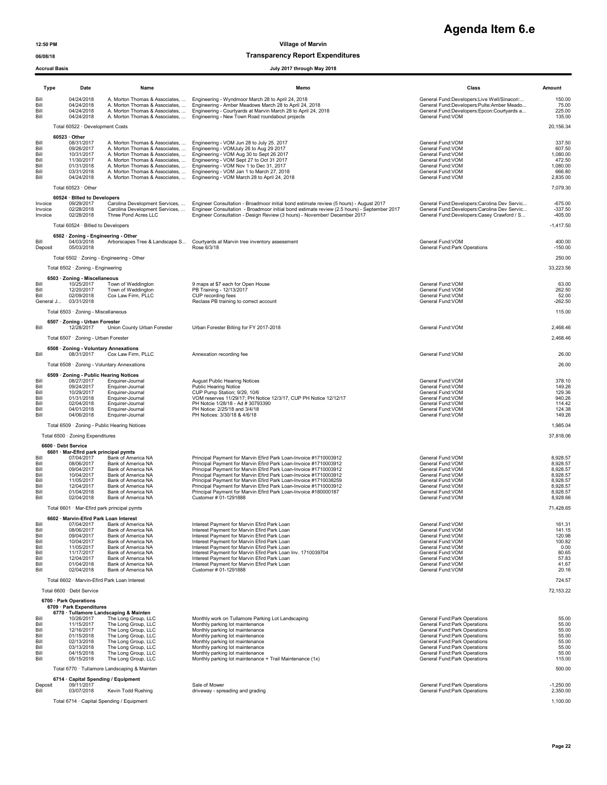### 06/08/18 Transparency Report Expenditures

# **Agenda Item 6.e**

|                                                                      | <b>Accrual Basis</b><br>July 2017 through May 2018                                                                                                                   |                                                                                                                                                                                                                                                                                |                                                                                                                                                                                                                                                                                                                                                                                                                                                                                                                  |                                                                                                                                                                                                                                                                     |                                                                                              |  |
|----------------------------------------------------------------------|----------------------------------------------------------------------------------------------------------------------------------------------------------------------|--------------------------------------------------------------------------------------------------------------------------------------------------------------------------------------------------------------------------------------------------------------------------------|------------------------------------------------------------------------------------------------------------------------------------------------------------------------------------------------------------------------------------------------------------------------------------------------------------------------------------------------------------------------------------------------------------------------------------------------------------------------------------------------------------------|---------------------------------------------------------------------------------------------------------------------------------------------------------------------------------------------------------------------------------------------------------------------|----------------------------------------------------------------------------------------------|--|
| Type                                                                 | Date                                                                                                                                                                 | Name                                                                                                                                                                                                                                                                           | Memo                                                                                                                                                                                                                                                                                                                                                                                                                                                                                                             | Class                                                                                                                                                                                                                                                               | Amount                                                                                       |  |
| Bill<br>Bill<br>Bill<br>Bill                                         | 04/24/2018<br>04/24/2018<br>04/24/2018<br>04/24/2018                                                                                                                 |                                                                                                                                                                                                                                                                                | A. Morton Thomas & Associates.  Engineering - Wyndmoor March 28 to April 24, 2018<br>A. Morton Thomas & Associates,  Engineering - Amber Meadows March 28 to April 24, 2018<br>A. Morton Thomas & Associates,  Engineering - Courtyards at Marvin March 28 to April 24, 2018<br>A. Morton Thomas & Associates,  Engineering - New Town Road roundabout projects                                                                                                                                                  | General Fund:Developers:Live Well/Sinacori:<br>General Fund:Developers:Pulte:Amber Meado<br>General Fund:Developers:Epcon:Courtyards a<br>General Fund:VOM                                                                                                          | 150.00<br>75.00<br>225.00<br>135.00                                                          |  |
|                                                                      | Total 60522 · Development Costs                                                                                                                                      |                                                                                                                                                                                                                                                                                |                                                                                                                                                                                                                                                                                                                                                                                                                                                                                                                  |                                                                                                                                                                                                                                                                     | 20,156.34                                                                                    |  |
| Bill<br>Bill<br>Bill<br>Bill<br>Bill<br>Bill<br>Bill                 | $60523 \cdot$ Other<br>08/31/2017<br>09/26/2017<br>10/31/2017<br>11/30/2017<br>01/31/2018<br>03/31/2018<br>04/24/2018                                                | A. Morton Thomas & Associates,<br>A. Morton Thomas & Associates,<br>A. Morton Thomas & Associates,<br>A. Morton Thomas & Associates,<br>A. Morton Thomas & Associates,                                                                                                         | A. Morton Thomas & Associates,  Engineering - VOM Jun 28 to July 25. 2017<br>A. Morton Thomas & Associates,  Engineering - VOMJuly 26 to Aug 29 2017<br>Engineering - VOM Aug 30 to Sept 26 2017<br>Engineering - VOM Sept 27 to Oct 31 2017<br>Engineering - VOM Nov 1 to Dec 31, 2017<br>Engineering - VOM Jan 1 to March 27, 2018<br>Engineering - VOM March 28 to April 24, 2018                                                                                                                             | General Fund: VOM<br>General Fund:VOM<br>General Fund:VOM<br>General Fund: VOM<br>General Fund:VOM<br>General Fund: VOM<br>General Fund: VOM                                                                                                                        | 337.50<br>607.50<br>1,080.00<br>472.50<br>1,080.00<br>666.80<br>2,835.00                     |  |
|                                                                      | Total 60523 · Other                                                                                                                                                  |                                                                                                                                                                                                                                                                                |                                                                                                                                                                                                                                                                                                                                                                                                                                                                                                                  |                                                                                                                                                                                                                                                                     | 7,079.30                                                                                     |  |
| Invoice<br>Invoice<br>Invoice                                        | 60524 · Billed to Developers<br>09/29/2017<br>02/28/2018<br>02/28/2018<br>Total 60524 · Billed to Developers                                                         | Carolina Development Services,<br>Carolina Development Services,<br>Three Pond Acres LLC                                                                                                                                                                                       | Engineer Consultation - Broadmoor initial bond estimate review (5 hours) - August 2017<br>Engineer Consultation - Broadmoor initial bond estimate review (2.5 hours) - September 2017<br>Engineer Consultation - Design Review (3 hours) - November/ December 2017                                                                                                                                                                                                                                               | General Fund:Developers:Carolina Dev Servic<br>General Fund:Developers:Carolina Dev Servic<br>General Fund:Developers:Casey Crawford / S                                                                                                                            | $-675.00$<br>$-337.50$<br>$-405.00$<br>$-1,417.50$                                           |  |
| Bill                                                                 | 6502 · Zoning - Engineering - Other<br>04/03/2018                                                                                                                    | Arborscapes Tree & Landscape S                                                                                                                                                                                                                                                 | Courtyards at Marvin tree inventory assessment                                                                                                                                                                                                                                                                                                                                                                                                                                                                   | General Fund: VOM                                                                                                                                                                                                                                                   | 400.00                                                                                       |  |
| Deposit                                                              | 05/03/2018                                                                                                                                                           |                                                                                                                                                                                                                                                                                | Rose 6/3/18                                                                                                                                                                                                                                                                                                                                                                                                                                                                                                      | General Fund: Park Operations                                                                                                                                                                                                                                       | $-150.00$                                                                                    |  |
|                                                                      | Total 6502 · Zoning - Engineering                                                                                                                                    | Total 6502 · Zoning - Engineering - Other                                                                                                                                                                                                                                      |                                                                                                                                                                                                                                                                                                                                                                                                                                                                                                                  |                                                                                                                                                                                                                                                                     | 250.00<br>33,223.56                                                                          |  |
|                                                                      | 6503 · Zoning - Miscellaneous                                                                                                                                        |                                                                                                                                                                                                                                                                                |                                                                                                                                                                                                                                                                                                                                                                                                                                                                                                                  |                                                                                                                                                                                                                                                                     |                                                                                              |  |
| Bill<br>Bill<br>Bill<br>General J                                    | 10/25/2017<br>12/20/2017<br>02/09/2018<br>03/31/2018                                                                                                                 | Town of Weddington<br>Town of Weddington<br>Cox Law Firm, PLLC                                                                                                                                                                                                                 | 9 maps at \$7 each for Open House<br>PB Training - 12/13/2017<br>CUP recording fees<br>Reclass PB training to correct account                                                                                                                                                                                                                                                                                                                                                                                    | General Fund: VOM<br>General Fund: VOM<br>General Fund: VOM<br>General Fund: VOM                                                                                                                                                                                    | 63.00<br>262.50<br>52.00<br>$-262.50$                                                        |  |
|                                                                      | Total 6503 · Zoning - Miscellaneous                                                                                                                                  |                                                                                                                                                                                                                                                                                |                                                                                                                                                                                                                                                                                                                                                                                                                                                                                                                  |                                                                                                                                                                                                                                                                     | 115.00                                                                                       |  |
| Bill                                                                 | 6507 · Zoning - Urban Forester<br>12/28/2017                                                                                                                         | Union County Urban Forester                                                                                                                                                                                                                                                    | Urban Forester Billing for FY 2017-2018                                                                                                                                                                                                                                                                                                                                                                                                                                                                          | General Fund: VOM                                                                                                                                                                                                                                                   | 2,468.46                                                                                     |  |
|                                                                      | Total 6507 · Zoning - Urban Forester                                                                                                                                 |                                                                                                                                                                                                                                                                                |                                                                                                                                                                                                                                                                                                                                                                                                                                                                                                                  |                                                                                                                                                                                                                                                                     | 2,468.46                                                                                     |  |
| Bill                                                                 | 08/31/2017                                                                                                                                                           | 6508 · Zoning - Voluntary Annexations<br>Cox Law Firm, PLLC                                                                                                                                                                                                                    | Annexation recording fee                                                                                                                                                                                                                                                                                                                                                                                                                                                                                         | General Fund: VOM                                                                                                                                                                                                                                                   | 26.00                                                                                        |  |
|                                                                      |                                                                                                                                                                      | Total 6508 · Zoning - Voluntary Annexations                                                                                                                                                                                                                                    |                                                                                                                                                                                                                                                                                                                                                                                                                                                                                                                  |                                                                                                                                                                                                                                                                     | 26.00                                                                                        |  |
| Bill<br>Bill<br>Bill<br>Bill<br>Bill<br>Bill<br>Bill                 | 08/27/2017<br>09/24/2017<br>10/29/2017<br>01/31/2018<br>02/04/2018<br>04/01/2018<br>04/06/2018                                                                       | 6509 · Zoning - Public Hearing Notices<br>Enquirer-Journal<br>Enquirer-Journal<br>Enquirer-Journal<br>Enquirer-Journal<br>Enquirer-Journal<br>Enquirer-Journal<br>Enquirer-Journal                                                                                             | <b>August Public Hearing Notices</b><br><b>Public Hearing Notice</b><br>CUP Pump Station; 9/29, 10/6<br>VOM reserves 11/29/17; PH Notice 12/3/17, CUP PH Notice 12/12/17<br>PH Notcie 1/28/18 - Ad # 30793390<br>PH Notice: 2/25/18 and 3/4/18<br>PH Notices: 3/30/18 & 4/6/18                                                                                                                                                                                                                                   | General Fund:VOM<br>General Fund: VOM<br>General Fund: VOM<br>General Fund:VOM<br>General Fund: VOM<br>General Fund: VOM<br>General Fund: VOM                                                                                                                       | 378.10<br>149.26<br>129.36<br>940.26<br>114.42<br>124.38<br>149.26                           |  |
|                                                                      |                                                                                                                                                                      | Total 6509 · Zoning - Public Hearing Notices                                                                                                                                                                                                                                   |                                                                                                                                                                                                                                                                                                                                                                                                                                                                                                                  |                                                                                                                                                                                                                                                                     | 1,985.04                                                                                     |  |
|                                                                      | Total 6500 · Zoning Expenditures<br>6600 · Debt Service                                                                                                              |                                                                                                                                                                                                                                                                                |                                                                                                                                                                                                                                                                                                                                                                                                                                                                                                                  |                                                                                                                                                                                                                                                                     | 37,818.06                                                                                    |  |
| Bill<br>Bill<br>Bill<br>Bill<br>Bill<br>Bill<br>Bill<br>Bill         | 6601 · Mar-Efird park principal pymts<br>07/04/2017<br>08/06/2017<br>09/04/2017<br>10/04/2017<br>11/05/2017<br>12/04/2017<br>01/04/2018<br>02/04/2018                | Bank of America NA<br>Bank of America NA<br>Bank of America NA<br>Bank of America NA<br>Bank of America NA<br>Bank of America NA<br>Bank of America NA<br>Bank of America NA                                                                                                   | Principal Payment for Marvin Efird Park Loan-Invoice #1710003912<br>Principal Payment for Marvin Efird Park Loan-Invoice #1710003912<br>Principal Payment for Marvin Efird Park Loan-Invoice #1710003912<br>Principal Payment for Marvin Efird Park Loan-Invoice #1710003912<br>Principal Payment for Marvin Efird Park Loan-Invoice #1710038259<br>Principal Payment for Marvin Efird Park Loan-Invoice #1710003912<br>Principal Payment for Marvin Efird Park Loan-Invoice #180000187<br>Customer # 01-1291888 | General Fund:VOM<br>General Fund: VOM<br>General Fund:VOM<br>General Fund:VOM<br>General Fund: VOM<br>General Fund: VOM<br>General Fund:VOM<br>General Fund: VOM                                                                                                    | 8,928.57<br>8,928.57<br>8,928.57<br>8,928.57<br>8,928.57<br>8,928.57<br>8,928.57<br>8,928.66 |  |
|                                                                      |                                                                                                                                                                      | Total 6601 · Mar-Efird park principal pymts                                                                                                                                                                                                                                    |                                                                                                                                                                                                                                                                                                                                                                                                                                                                                                                  |                                                                                                                                                                                                                                                                     | 71,428.65                                                                                    |  |
| Bill<br>Bill<br>Bill<br>Bill<br>Bill<br>Bill<br>Bill<br>Bill<br>Bill | 6602 · Marvin-Efird Park Loan Interest<br>07/04/2017<br>08/06/2017<br>09/04/2017<br>10/04/2017<br>11/05/2017<br>11/17/2017<br>12/04/2017<br>01/04/2018<br>02/04/2018 | Bank of America NA<br>Bank of America NA<br>Bank of America NA<br>Bank of America NA<br>Bank of America NA<br>Bank of America NA<br>Bank of America NA<br>Bank of America NA<br>Bank of America NA<br>Total 6602 · Marvin-Efird Park Loan Interest                             | Interest Payment for Marvin Efird Park Loan<br>Interest Payment for Marvin Efird Park Loan<br>Interest Payment for Marvin Efird Park Loan<br>Interest Payment for Marvin Efird Park Loan<br>Interest Payment for Marvin Efird Park Loan<br>Interest Payment for Marvin Efird Park Loan Inv. 1710039704<br>Interest Payment for Marvin Efird Park Loan<br>Interest Payment for Marvin Efird Park Loan<br>Customer # 01-1291888                                                                                    | General Fund:VOM<br>General Fund:VOM<br>General Fund:VOM<br>General Fund:VOM<br>General Fund:VOM<br>General Fund:VOM<br>General Fund:VOM<br>General Fund:VOM<br>General Fund: VOM                                                                                   | 161.31<br>141.15<br>120.98<br>100.82<br>0.00<br>80.65<br>57.83<br>41.67<br>20.16<br>724.57   |  |
|                                                                      | Total 6600 · Debt Service                                                                                                                                            |                                                                                                                                                                                                                                                                                |                                                                                                                                                                                                                                                                                                                                                                                                                                                                                                                  |                                                                                                                                                                                                                                                                     | 72,153.22                                                                                    |  |
| Bill<br>Bill<br>Bill<br>Bill<br>Bill<br>Bill<br>Bill<br>Bill         | 6700 · Park Operations<br>6709 · Park Expenditures<br>10/26/2017<br>11/15/2017<br>12/16/2017<br>01/15/2018<br>02/13/2018<br>03/13/2018<br>04/15/2018<br>05/15/2018   | 6770 · Tullamore Landscaping & Mainten<br>The Long Group, LLC<br>The Long Group, LLC<br>The Long Group, LLC<br>The Long Group, LLC<br>The Long Group, LLC<br>The Long Group, LLC<br>The Long Group, LLC<br>The Long Group, LLC<br>Total 6770 · Tullamore Landscaping & Mainten | Monthly work on Tullamore Parking Lot Landscaping<br>Monthly parking lot maintenance<br>Monthly parking lot maintenance<br>Monthly parking lot maintenance<br>Monthly parking lot maintenance<br>Monthly parking lot maintenance<br>Monthly parking lot maintenance<br>Monthly parking lot maintenance + Trail Maintenance (1x)                                                                                                                                                                                  | General Fund: Park Operations<br>General Fund:Park Operations<br>General Fund: Park Operations<br>General Fund: Park Operations<br>General Fund: Park Operations<br>General Fund: Park Operations<br>General Fund: Park Operations<br>General Fund: Park Operations | 55.00<br>55.00<br>55.00<br>55.00<br>55.00<br>55.00<br>55.00<br>115.00<br>500.00              |  |
|                                                                      |                                                                                                                                                                      | 6714 Capital Spending / Equipment                                                                                                                                                                                                                                              |                                                                                                                                                                                                                                                                                                                                                                                                                                                                                                                  |                                                                                                                                                                                                                                                                     |                                                                                              |  |
| Deposit<br>Bill                                                      | 09/11/2017<br>03/07/2018                                                                                                                                             | Kevin Todd Rushing<br>Total 6714 · Capital Spending / Equipment                                                                                                                                                                                                                | Sale of Mower<br>driveway - spreading and grading                                                                                                                                                                                                                                                                                                                                                                                                                                                                | General Fund: Park Operations<br>General Fund: Park Operations                                                                                                                                                                                                      | $-1,250.00$<br>2,350.00<br>1,100.00                                                          |  |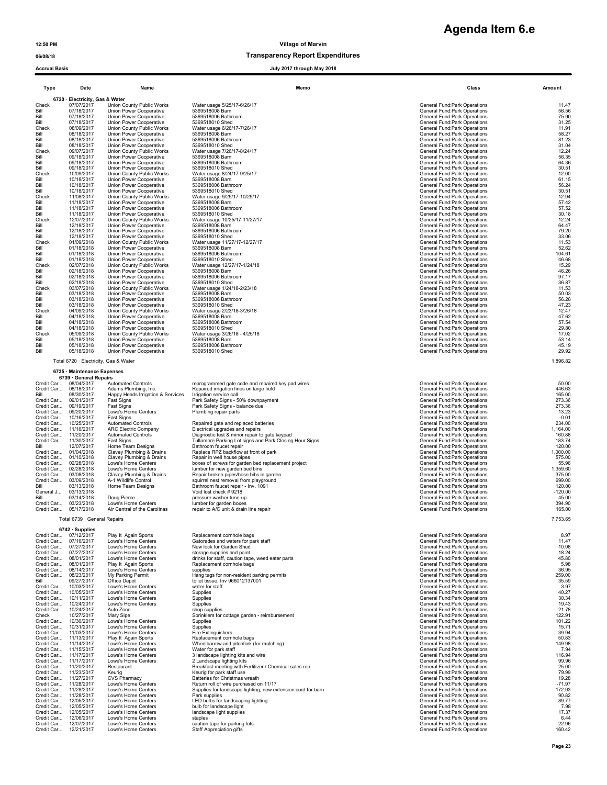| <b>Type</b>                     | Date       | Name                      |                       |  |  |  |
|---------------------------------|------------|---------------------------|-----------------------|--|--|--|
| 6720 · Electricity, Gas & Water |            |                           |                       |  |  |  |
| Check                           | 07/07/2017 | Union County Public Works | Water usage 5/25/17-6 |  |  |  |
| Bill                            | 07/18/2017 | Union Power Cooperative   | 5369518008 Barn       |  |  |  |
| Bill                            | 07/18/2017 | Union Power Cooperative   | 5369518006 Bathroom   |  |  |  |
| Bill                            | 07/18/2017 | Union Power Cooperative   | 5369518010 Shed       |  |  |  |
| Check                           | 08/09/2017 | Union County Public Works | Water usage 6/26/17-7 |  |  |  |
| Bill                            | 08/18/2017 | Union Power Cooperative   | 5369518008 Barn       |  |  |  |
| Bill                            | 08/18/2017 | Union Power Cooperative   | 5369518006 Bathroom   |  |  |  |
| Bill                            | 08/18/2017 | Union Power Cooperative   | 5369518010 Shed       |  |  |  |
| Check                           | 09/07/2017 | Union County Public Works | Water usage 7/26/17-8 |  |  |  |
| Bill                            | 09/18/2017 | Union Power Cooperative   | 5369518008 Barn       |  |  |  |
| Bill                            | 09/18/2017 | Union Power Cooperative   | 5369518006 Bathroom   |  |  |  |
| Bill                            | 09/18/2017 | Union Power Cooperative   | 5369518010 Shed       |  |  |  |
| Check                           | 10/09/2017 | Union County Public Works | Water usage 8/24/17-9 |  |  |  |
| Bill                            | 10/18/2017 | Union Power Cooperative   | 5369518008 Barn       |  |  |  |
| Bill                            | 10/18/2017 | Union Power Cooperative   | 5369518006 Bathroom   |  |  |  |
| Bill                            | 10/18/2017 | Union Power Cooperative   | 5369518010 Shed       |  |  |  |
| Check                           | 11/08/2017 | Union County Public Works | Water usage 9/25/17-1 |  |  |  |
| Bill                            | 11/18/2017 | Union Power Cooperative   | 5369518008 Barn       |  |  |  |
| Bill                            | 11/18/2017 | Union Power Cooperative   | 5369518006 Bathroom   |  |  |  |
| Bill                            | 11/18/2017 | Union Power Cooperative   | 5369518010 Shed       |  |  |  |
| Check                           | 12/07/2017 | Union County Public Works | Water usage 10/25/17- |  |  |  |
| Bill                            | 12/18/2017 | Union Power Cooperative   | 5369518008 Barn       |  |  |  |
| Bill                            | 12/18/2017 | Union Power Cooperative   | 5369518006 Bathroom   |  |  |  |
| Bill                            | 12/18/2017 | Union Power Cooperative   | 5369518010 Shed       |  |  |  |
| Check                           | 01/09/2018 | Union County Public Works | Water usage 11/27/17- |  |  |  |
| Bill                            | 01/18/2018 | Union Power Cooperative   | 5369518008 Barn       |  |  |  |
| Bill                            | 01/18/2018 | Union Power Cooperative   | 5369518006 Bathroom   |  |  |  |
| Bill                            | 01/18/2018 | Union Power Cooperative   | 5369518010 Shed       |  |  |  |
| Check                           | 02/07/2018 | Union County Public Works | Water usage 12/27/17- |  |  |  |
| Bill                            | 02/18/2018 | Union Power Cooperative   | 5369518008 Barn       |  |  |  |
| Bill                            | 02/18/2018 | Union Power Cooperative   | 5369518006 Bathroom   |  |  |  |
| Bill                            | 02/18/2018 | Union Power Cooperative   | 5369518010 Shed       |  |  |  |
| Check                           | 03/07/2018 | Union County Public Works | Water usage 1/24/18-2 |  |  |  |
| Bill                            | 03/18/2018 | Union Power Cooperative   | 5369518008 Barn       |  |  |  |
| Bill                            | 03/18/2018 | Union Power Cooperative   | 5369518006 Bathroom   |  |  |  |
| Bill                            | 03/18/2018 | Union Power Cooperative   | 5369518010 Shed       |  |  |  |
| Check                           | 04/09/2018 | Union County Public Works | Water usage 2/23/18-3 |  |  |  |
| Bill                            | 04/18/2018 | Union Power Cooperative   | 5369518008 Barn       |  |  |  |
| Bill                            | 04/18/2018 | Union Power Cooperative   | 5369518006 Bathroom   |  |  |  |
| Bill                            | 04/18/2018 | Union Power Cooperative   | 5369518010 Shed       |  |  |  |
| Check                           | 05/09/2018 | Union County Public Works | Water usage 3/26/18 - |  |  |  |
| Bill                            | 05/18/2018 | Union Power Cooperative   | 5369518008 Barn       |  |  |  |
| Bill                            | 05/18/2018 | Union Power Cooperative   | 5369518006 Bathroom   |  |  |  |
| Bill                            | 05/18/2018 | Union Power Cooperative   | 5369518010 Shed       |  |  |  |

### 6735 · Maintenance Expenses

### Total 6739 · General Repairs

## **Agenda Item 6.e**

| 06/08/18 | <b>Transparency Report Expenditures</b> |
|----------|-----------------------------------------|
|          |                                         |

### Accrual Basis July 2017 through May 2018

| Type                     | Date                                           | Name                                                 | Memo                                                                                                   | Class                                                               | Amount             |
|--------------------------|------------------------------------------------|------------------------------------------------------|--------------------------------------------------------------------------------------------------------|---------------------------------------------------------------------|--------------------|
|                          | 6720 · Electricity, Gas & Water                |                                                      |                                                                                                        |                                                                     |                    |
| Check                    | 07/07/2017                                     | Union County Public Works                            | Water usage 5/25/17-6/26/17                                                                            | General Fund: Park Operations                                       | 11.47              |
| Bill<br>Bill             | 07/18/2017<br>07/18/2017                       | Union Power Cooperative<br>Union Power Cooperative   | 5369518008 Barn<br>5369518006 Bathroom                                                                 | General Fund: Park Operations<br>General Fund: Park Operations      | 56.56<br>75.90     |
| Bill                     | 07/18/2017                                     | Union Power Cooperative                              | 5369518010 Shed                                                                                        | General Fund: Park Operations                                       | 31.25              |
| Check<br>Bill            | 08/09/2017<br>08/18/2017                       | Union County Public Works<br>Union Power Cooperative | Water usage 6/26/17-7/26/17<br>5369518008 Barn                                                         | General Fund: Park Operations<br>General Fund: Park Operations      | 11.91<br>58.27     |
| Bill                     | 08/18/2017                                     | Union Power Cooperative                              | 5369518006 Bathroom                                                                                    | General Fund: Park Operations                                       | 81.23              |
| Bill<br>Check            | 08/18/2017<br>09/07/2017                       | Union Power Cooperative<br>Union County Public Works | 5369518010 Shed<br>Water usage 7/26/17-8/24/17                                                         | General Fund: Park Operations<br>General Fund: Park Operations      | 31.04<br>12.24     |
| Bill                     | 09/18/2017                                     | Union Power Cooperative                              | 5369518008 Barn                                                                                        | General Fund: Park Operations                                       | 56.35              |
| Bill<br>Bill             | 09/18/2017<br>09/18/2017                       | Union Power Cooperative<br>Union Power Cooperative   | 5369518006 Bathroom<br>5369518010 Shed                                                                 | General Fund:Park Operations<br>General Fund:Park Operations        | 64.36<br>30.51     |
| Check                    | 10/09/2017                                     | Union County Public Works                            | Water usage 8/24/17-9/25/17                                                                            | General Fund: Park Operations                                       | 12.00              |
| Bill                     | 10/18/2017                                     | Union Power Cooperative                              | 5369518008 Barn                                                                                        | General Fund: Park Operations                                       | 61.15              |
| Bill<br>Bill             | 10/18/2017<br>10/18/2017                       | Union Power Cooperative<br>Union Power Cooperative   | 5369518006 Bathroom<br>5369518010 Shed                                                                 | General Fund: Park Operations<br>General Fund: Park Operations      | 56.24<br>30.51     |
| Check                    | 11/08/2017                                     | Union County Public Works                            | Water usage 9/25/17-10/25/17                                                                           | General Fund: Park Operations                                       | 12.94              |
| Bill<br>Bill             | 11/18/2017<br>11/18/2017                       | Union Power Cooperative<br>Union Power Cooperative   | 5369518008 Barn<br>5369518006 Bathroom                                                                 | General Fund:Park Operations<br>General Fund: Park Operations       | 57.42<br>57.52     |
| Bill                     | 11/18/2017                                     | Union Power Cooperative                              | 5369518010 Shed                                                                                        | General Fund: Park Operations                                       | 30.18              |
| Check<br>Bill            | 12/07/2017<br>12/18/2017                       | Union County Public Works<br>Union Power Cooperative | Water usage 10/25/17-11/27/17<br>5369518008 Barn                                                       | General Fund:Park Operations<br>General Fund:Park Operations        | 12.24<br>64.47     |
| Bill                     | 12/18/2017                                     | Union Power Cooperative                              | 5369518006 Bathroom                                                                                    | General Fund: Park Operations                                       | 79.20              |
| Bill<br>Check            | 12/18/2017<br>01/09/2018                       | Union Power Cooperative<br>Union County Public Works | 5369518010 Shed<br>Water usage 11/27/17-12/27/17                                                       | General Fund: Park Operations<br>General Fund:Park Operations       | 33.06<br>11.53     |
| Bill                     | 01/18/2018                                     | Union Power Cooperative                              | 5369518008 Barn                                                                                        | General Fund:Park Operations                                        | 52.62              |
| Bill<br>Bill             | 01/18/2018<br>01/18/2018                       | Union Power Cooperative<br>Union Power Cooperative   | 5369518006 Bathroom<br>5369518010 Shed                                                                 | General Fund: Park Operations<br>General Fund:Park Operations       | 104.61<br>46.68    |
| Check                    | 02/07/2018                                     | Union County Public Works                            | Water usage 12/27/17-1/24/18                                                                           | General Fund: Park Operations                                       | 15.29              |
| Bill                     | 02/18/2018                                     | Union Power Cooperative                              | 5369518008 Barn                                                                                        | General Fund: Park Operations                                       | 46.26              |
| Bill<br>Bill             | 02/18/2018<br>02/18/2018                       | Union Power Cooperative<br>Union Power Cooperative   | 5369518006 Bathroom<br>5369518010 Shed                                                                 | General Fund: Park Operations<br>General Fund:Park Operations       | 97.17<br>36.87     |
| Check                    | 03/07/2018                                     | Union County Public Works                            | Water usage 1/24/18-2/23/18                                                                            | General Fund: Park Operations                                       | 11.53              |
| Bill<br>Bill             | 03/18/2018<br>03/18/2018                       | Union Power Cooperative<br>Union Power Cooperative   | 5369518008 Barn<br>5369518006 Bathroom                                                                 | General Fund:Park Operations<br>General Fund: Park Operations       | 50.03<br>56.28     |
| Bill                     | 03/18/2018                                     | Union Power Cooperative                              | 5369518010 Shed                                                                                        | General Fund: Park Operations                                       | 47.23              |
| Check<br>Bill            | 04/09/2018<br>04/18/2018                       | Union County Public Works<br>Union Power Cooperative | Water usage 2/23/18-3/26/18<br>5369518008 Barn                                                         | General Fund: Park Operations<br>General Fund: Park Operations      | 12.47<br>47.62     |
| Bill                     | 04/18/2018                                     | Union Power Cooperative                              | 5369518006 Bathroom                                                                                    | General Fund: Park Operations                                       | 57.54              |
| Bill<br>Check            | 04/18/2018<br>05/09/2018                       | Union Power Cooperative<br>Union County Public Works | 5369518010 Shed<br>Water usage 3/26/18 - 4/25/18                                                       | General Fund: Park Operations<br>General Fund:Park Operations       | 29.80<br>17.02     |
| Bill                     | 05/18/2018                                     | Union Power Cooperative                              | 5369518008 Barn                                                                                        | General Fund:Park Operations                                        | 53.14              |
| Bill<br>Bill             | 05/18/2018<br>05/18/2018                       | Union Power Cooperative                              | 5369518006 Bathroom<br>5369518010 Shed                                                                 | General Fund: Park Operations                                       | 45.19<br>29.92     |
|                          |                                                | Union Power Cooperative                              |                                                                                                        | General Fund: Park Operations                                       |                    |
|                          | 6735 · Maintenance Expenses                    | Total 6720 · Electricity, Gas & Water                |                                                                                                        |                                                                     | 1,896.82           |
|                          | 6739 · General Repairs                         |                                                      |                                                                                                        |                                                                     |                    |
| Credit Car<br>Credit Car | 08/04/2017<br>08/18/2017                       | <b>Automated Controls</b><br>Adams Plumbing, Inc.    | reprogrammed gate code and repaired key pad wires<br>Repaired irrigation lines on large field          | General Fund: Park Operations<br>General Fund: Park Operations      | 50.00<br>446.63    |
| Bill                     | 08/30/2017                                     | Happy Heads Irrigation & Services                    | Irrigation service call                                                                                | General Fund: Park Operations                                       | 165.00             |
| Credit Car<br>Credit Car | 09/01/2017<br>09/19/2017                       | Fast Signs                                           | Park Safety Signs - 50% downpayment<br>Park Safety Signs - balance due                                 | General Fund:Park Operations<br>General Fund:Park Operations        | 273.36<br>273.36   |
|                          | Credit Car 09/20/2017                          | Fast Signs<br>Lowe's Home Centers                    | Plumbing repair parts                                                                                  | General Fund: Park Operations                                       | 13.23              |
| Credit Car               | 10/16/2017                                     | Fast Signs                                           |                                                                                                        | General Fund:Park Operations                                        | $-0.01$            |
| Credit Car               | 10/25/2017<br>Credit Car 11/16/2017            | <b>Automated Controls</b><br>ARC Electric Company    | Repaired gate and replaced batteries<br>Electrical upgrades and repairs                                | General Fund: Park Operations<br>General Fund: Park Operations      | 234.00<br>1,164.00 |
|                          | Credit Car 11/20/2017                          | <b>Automated Controls</b>                            | Diagnostic test & minor repair to gate keypad                                                          | General Fund: Park Operations                                       | 160.88             |
| Bill                     | Credit Car 11/30/2017<br>12/07/2017            | Fast Signs<br>Home Team Designs                      | Tullamore Parking Lot signs and Park Closing Hour Signs<br>Bathroom faucet repair                      | General Fund:Park Operations<br>General Fund: Park Operations       | 183.74<br>120.00   |
|                          | Credit Car 01/04/2018                          | Clavey Plumbing & Drains                             | Replace RPZ backflow at front of park                                                                  | General Fund:Park Operations                                        | 1,000.00           |
|                          | Credit Car 01/10/2018<br>Credit Car 02/28/2018 | Clavey Plumbing & Drains<br>Lowe's Home Centers      | Repair in well house pipes<br>boxes of screws for garden bed replacement project                       | General Fund:Park Operations<br>General Fund: Park Operations       | 575.00<br>55.96    |
|                          | Credit Car 02/28/2018                          | Lowe's Home Centers                                  | lumber for new garden bed bins                                                                         | General Fund:Park Operations                                        | 1,359.60           |
| Credit Car               | Credit Car 03/08/2018<br>03/09/2018            | Clavey Plumbing & Drains<br>A-1 Wildlife Control     | Repair broken pipes/hose bibs in garden<br>squirrel nest removal from playground                       | General Fund: Park Operations<br>General Fund: Park Operations      | 375.00<br>699.00   |
| Bill                     | 03/13/2018                                     | Home Team Designs                                    | Bathroom faucet repair - Inv. 1091                                                                     | General Fund: Park Operations                                       | 120.00             |
| General J                | 03/13/2018                                     | Doug Pierce                                          | Void lost check #9218                                                                                  | General Fund:Park Operations                                        | $-120.00$          |
| Bill<br>Credit Car       | 03/14/2018<br>03/23/2018                       | Lowe's Home Centers                                  | pressure washer tune-up<br>lumber for garden boxes                                                     | General Fund: Park Operations<br>General Fund: Park Operations      | 45.00<br>394.90    |
| Credit Car               | 05/17/2018                                     | Air Central of the Carolinas                         | repair to A/C unit & drain line repair                                                                 | General Fund:Park Operations                                        | 165.00             |
|                          | Total 6739 · General Repairs                   |                                                      |                                                                                                        |                                                                     | 7,753.65           |
|                          | 6742 · Supplies                                |                                                      |                                                                                                        |                                                                     |                    |
|                          | Credit Car 07/12/2017<br>Credit Car 07/16/2017 | Play It Again Sports<br>Lowe's Home Centers          | Replacement cornhole bags<br>Gatorades and waters for park staff                                       | General Fund:Park Operations<br><b>General Fund:Park Operations</b> | 8.97<br>11.47      |
| Credit Car               | 07/27/2017                                     | Lowe's Home Centers                                  | New lock for Garden Shed                                                                               | General Fund: Park Operations                                       | 10.98              |
|                          | Credit Car 07/27/2017<br>Credit Car 08/01/2017 | Lowe's Home Centers<br>Lowe's Home Centers           | storage supplies and paint<br>drinks for staff, caution tape, weed eater parts                         | General Fund: Park Operations<br>General Fund: Park Operations      | 18.24<br>45.80     |
|                          | Credit Car 08/01/2017                          | Play It Again Sports                                 | Replacement cornhole bags                                                                              | General Fund:Park Operations                                        | 5.98               |
| Credit Car               | Credit Car 08/14/2017<br>08/23/2017            | Lowe's Home Centers<br>My Parking Permit             | supplies<br>Hang tags for non-resident parking permits                                                 | General Fund:Park Operations<br>General Fund:Park Operations        | 36.95<br>259.00    |
| Bill                     | 09/27/2017                                     | Office Depot                                         | toilet tissue; Inv 966012137001                                                                        | General Fund: Park Operations                                       | 35.59              |
| Credit Car               | 10/03/2017                                     | Lowe's Home Centers                                  | water for staff                                                                                        | General Fund: Park Operations                                       | 3.97               |
| Credit Car<br>Credit Car | 10/05/2017<br>10/11/2017                       | Lowe's Home Centers<br>Lowe's Home Centers           | Supplies<br>Supplies                                                                                   | General Fund:Park Operations<br>General Fund:Park Operations        | 40.27<br>30.34     |
| Credit Car               | 10/24/2017                                     | Lowe's Home Centers                                  | Supplies                                                                                               | General Fund:Park Operations                                        | 19.43              |
| Credit Car<br>Check      | 10/24/2017<br>10/27/2017                       | Auto Zone<br>Mary Sipe                               | shop supplies<br>Sprinklers for cottage garden - reimbursement                                         | General Fund:Park Operations<br>General Fund: Park Operations       | 21.78<br>122.91    |
| Credit Car               | 10/30/2017                                     | Lowe's Home Centers                                  | Supplies                                                                                               | General Fund: Park Operations                                       | 101.22             |
|                          | Credit Car 10/31/2017<br>Credit Car 11/03/2017 | Lowe's Home Centers<br>Lowe's Home Centers           | Supplies<br>Fire Extinguishers                                                                         | General Fund: Park Operations<br>General Fund: Park Operations      | 15.71<br>39.94     |
|                          | Credit Car 11/13/2017                          | Play It Again Sports                                 | Replacement cornhole bags                                                                              | General Fund:Park Operations                                        | 50.83              |
|                          | Credit Car 11/14/2017                          | Lowe's Home Centers<br>Lowe's Home Centers           | Wheelbarrow and pitchfork (for mulching)<br>Water for park staff                                       | General Fund: Park Operations<br>General Fund:Park Operations       | 149.98<br>7.94     |
|                          | Credit Car 11/15/2017<br>Credit Car 11/17/2017 | Lowe's Home Centers                                  | 3 landscape lighting kits and wire                                                                     | General Fund: Park Operations                                       | 116.94             |
|                          | Credit Car 11/17/2017                          | Lowe's Home Centers                                  | 2 Landscape lighting kits                                                                              | General Fund: Park Operations                                       | 99.96              |
|                          | Credit Car 11/20/2017<br>Credit Car 11/23/2017 | Restaurant<br>Keurig                                 | Breakfast meeting with Fertilizer / Chemical sales rep<br>Keurig for park staff use                    | General Fund: Park Operations<br>General Fund:Park Operations       | 25.00<br>79.99     |
|                          | Credit Car 11/27/2017                          | <b>CVS Pharmacy</b>                                  | Batteries for Christmas wreath                                                                         | General Fund: Park Operations                                       | 19.28              |
|                          | Credit Car 11/28/2017<br>Credit Car 11/28/2017 | Lowe's Home Centers<br>Lowe's Home Centers           | Return roll of wire purchased on 11/17<br>Supplies for landscape lighting; new extension cord for barn | General Fund: Park Operations<br>General Fund: Park Operations      | $-71.97$<br>172.93 |
|                          | Credit Car 11/28/2017                          | Lowe's Home Centers                                  | Park supplies                                                                                          | General Fund: Park Operations                                       | 90.82              |
|                          | Credit Car 12/05/2017<br>Credit Car 12/05/2017 | Lowe's Home Centers<br>Lowe's Home Centers           | LED bulbs for landscaping lighting<br>bulb for landscape light                                         | General Fund: Park Operations<br>General Fund:Park Operations       | 89.77<br>7.98      |
|                          | Credit Car 12/05/2017                          | Lowe's Home Centers                                  | landscape light supplies                                                                               | General Fund: Park Operations                                       | 17.37              |
|                          | Credit Car 12/06/2017<br>Credit Car 12/07/2017 | Lowe's Home Centers<br>Lowe's Home Centers           | staples<br>caution tape for parking lots                                                               | General Fund:Park Operations<br>General Fund: Park Operations       | 6.44<br>22.96      |
|                          | Credit Car 12/21/2017                          | Lowe's Home Centers                                  | <b>Staff Appreciation gifts</b>                                                                        | General Fund: Park Operations                                       | 160.42             |
|                          |                                                |                                                      |                                                                                                        |                                                                     |                    |
|                          |                                                |                                                      |                                                                                                        |                                                                     | Page 23            |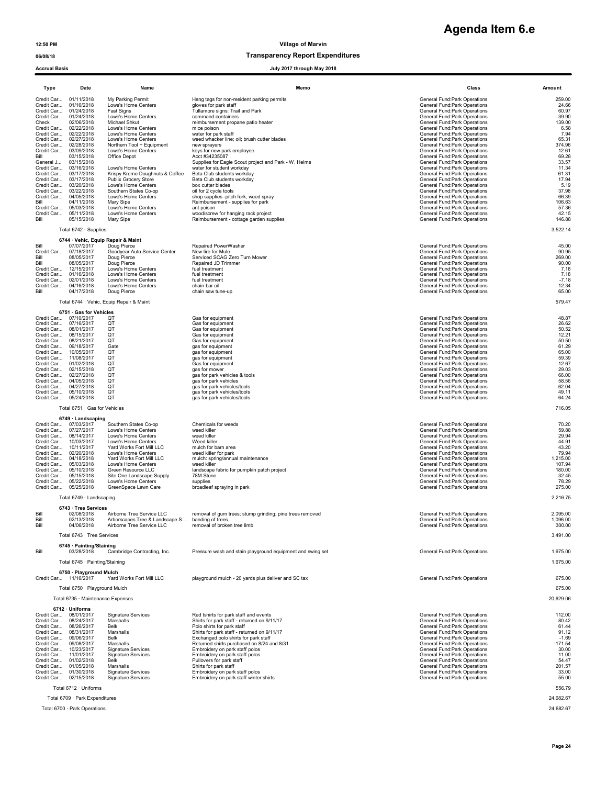| Agenda Item 6.e |  |
|-----------------|--|
|-----------------|--|

### 06/08/18 Transparency Report Expenditures

### Accrual Basis July 2017 through May 2018

| Type                                                     | Date                                                                                                                                                                                                                                                                                                                                                                                                           | Name                                                                                                                                                                                                                                                                                               | Memo                                                                                                                                                                                                                                                                                                                                                                                                               | Class                                                                                                                                                                                                                                                                                                                                                                                                                                                                                                  | Amount                                                                                                                              |
|----------------------------------------------------------|----------------------------------------------------------------------------------------------------------------------------------------------------------------------------------------------------------------------------------------------------------------------------------------------------------------------------------------------------------------------------------------------------------------|----------------------------------------------------------------------------------------------------------------------------------------------------------------------------------------------------------------------------------------------------------------------------------------------------|--------------------------------------------------------------------------------------------------------------------------------------------------------------------------------------------------------------------------------------------------------------------------------------------------------------------------------------------------------------------------------------------------------------------|--------------------------------------------------------------------------------------------------------------------------------------------------------------------------------------------------------------------------------------------------------------------------------------------------------------------------------------------------------------------------------------------------------------------------------------------------------------------------------------------------------|-------------------------------------------------------------------------------------------------------------------------------------|
| Check<br>Credit Car<br>Credit Car<br>Bill                | Credit Car 01/11/2018<br>Credit Car 01/16/2018<br>Credit Car 01/24/2018<br>Credit Car 01/24/2018<br>02/06/2018<br>02/22/2018<br>Credit Car 02/22/2018<br>Credit Car 02/27/2018<br>Credit Car 02/28/2018<br>03/09/2018<br>03/15/2018                                                                                                                                                                            | My Parking Permit<br>Lowe's Home Centers<br>Fast Signs<br>Lowe's Home Centers<br>Michael Shkut<br>Lowe's Home Centers<br>Lowe's Home Centers<br>Lowe's Home Centers<br>Northern Tool + Equipment<br>Lowe's Home Centers<br>Office Depot                                                            | Hang tags for non-resident parking permits<br>gloves for park staff<br>Tullamore signs: Trail and Park<br>command containers<br>reimbursement propane patio heater<br>mice poison<br>water for park staff<br>weed whacker line; oil; brush cutter blades<br>new sprayers<br>keys for new park employee<br>Acct #34235087                                                                                           | General Fund:Park Operations<br>General Fund: Park Operations<br>General Fund: Park Operations<br>General Fund:Park Operations<br>General Fund:Park Operations<br>General Fund: Park Operations<br>General Fund:Park Operations<br>General Fund: Park Operations<br>General Fund: Park Operations<br>General Fund: Park Operations<br>General Fund: Park Operations                                                                                                                                    | 259.00<br>24.66<br>60.97<br>39.90<br>139.00<br>6.58<br>7.94<br>65.31<br>374.96<br>12.61<br>69.28                                    |
| General J<br>Bill<br>Credit Car<br>Bill                  | 03/15/2018<br>Credit Car 03/16/2018<br>Credit Car 03/17/2018<br>Credit Car 03/17/2018<br>Credit Car 03/20/2018<br>Credit Car 03/22/2018<br>Credit Car 04/05/2018<br>04/11/2018<br>05/03/2018<br>Credit Car 05/11/2018<br>05/15/2018                                                                                                                                                                            | Lowe's Home Centers<br>Krispy Kreme Doughnuts & Coffee<br>Publix Grocery Store<br>Lowe's Home Centers<br>Southern States Co-op<br>Lowe's Home Centers<br>Mary Sipe<br>Lowe's Home Centers<br>Lowe's Home Centers<br>Mary Sipe                                                                      | Supplies for Eagle Scout project and Park - W. Helms<br>water for student workday<br>Beta Club students workday<br>Beta Club students workday<br>box cutter blades<br>oil for 2 cycle tools<br>shop supplies -pitch fork, weed spray<br>Reimbursement - supplies for park<br>ant poison<br>wood/screw for hanging rack project<br>Reimbursement - cottage garden supplies                                          | General Fund:Park Operations<br>General Fund: Park Operations<br>General Fund: Park Operations<br>General Fund: Park Operations<br>General Fund:Park Operations<br>General Fund: Park Operations<br>General Fund: Park Operations<br>General Fund: Park Operations<br>General Fund: Park Operations<br>General Fund: Park Operations<br>General Fund: Park Operations                                                                                                                                  | 33.57<br>11.34<br>61.31<br>17.94<br>5.19<br>37.98<br>66.39<br>106.63<br>57.36<br>42.15<br>146.88                                    |
|                                                          | Total 6742 · Supplies                                                                                                                                                                                                                                                                                                                                                                                          |                                                                                                                                                                                                                                                                                                    |                                                                                                                                                                                                                                                                                                                                                                                                                    |                                                                                                                                                                                                                                                                                                                                                                                                                                                                                                        | 3,522.14                                                                                                                            |
| Bill<br>Credit Car<br>Bill<br>Bill<br>Credit Car<br>Bill | 6744 · Vehic, Equip Repair & Maint<br>07/07/2017<br>07/18/2017<br>08/05/2017<br>08/05/2017<br>12/15/2017<br>Credit Car 01/16/2018<br>Credit Car 02/01/2018<br>Credit Car 04/16/2018<br>04/17/2018                                                                                                                                                                                                              | Doug Pierce<br>Goodyear Auto Service Center<br>Doug Pierce<br>Doug Pierce<br>Lowe's Home Centers<br>Lowe's Home Centers<br>Lowe's Home Centers<br>Lowe's Home Centers<br>Doug Pierce                                                                                                               | Repaired PowerWasher<br>New tire for Mule<br>Serviced SCAG Zero Turn Mower<br>Repaired JD Trimmer<br>fuel treatment<br>fuel treatment<br>fuel treatment<br>chain-bar oil<br>chain saw tune-up                                                                                                                                                                                                                      | General Fund: Park Operations<br>General Fund: Park Operations<br>General Fund: Park Operations<br>General Fund: Park Operations<br>General Fund: Park Operations<br>General Fund: Park Operations<br>General Fund: Park Operations<br>General Fund: Park Operations<br>General Fund: Park Operations                                                                                                                                                                                                  | 45.00<br>90.95<br>269.00<br>90.00<br>7.18<br>7.18<br>$-7.18$<br>12.34<br>65.00                                                      |
|                                                          |                                                                                                                                                                                                                                                                                                                                                                                                                | Total 6744 · Vehic, Equip Repair & Maint                                                                                                                                                                                                                                                           |                                                                                                                                                                                                                                                                                                                                                                                                                    |                                                                                                                                                                                                                                                                                                                                                                                                                                                                                                        | 579.47                                                                                                                              |
|                                                          | 6751 · Gas for Vehicles<br>Credit Car 07/10/2017<br>Credit Car 07/16/2017<br>Credit Car 08/01/2017<br>Credit Car 08/15/2017<br>Credit Car 08/21/2017<br>Credit Car 09/18/2017<br>Credit Car 10/05/2017<br>Credit Car 11/08/2017<br>Credit Car 01/02/2018<br>Credit Car 02/15/2018<br>Credit Car 02/27/2018<br>Credit Car 04/05/2018<br>Credit Car 04/27/2018<br>Credit Car 05/10/2018<br>Credit Car 05/24/2018 | QT<br>QT<br>QT<br>OT<br>QT<br>Gate<br>QT<br>QT<br>OT<br>QT<br>QT<br>QT<br>QT<br>QT<br>QT                                                                                                                                                                                                           | Gas for equipment<br>Gas for equipment<br>Gas for equipment<br>Gas for equipment<br>Gas for equipment<br>gas for equipment<br>gas for equipment<br>gas for equipment<br>Gas for equipment<br>gas for mower<br>gas for park vehicles & tools<br>gas for park vehicles<br>gas for park vehicles/tools<br>gas for park vehicles/tools<br>gas for park vehicles/tools                                                  | General Fund: Park Operations<br>General Fund: Park Operations<br>General Fund:Park Operations<br>General Fund:Park Operations<br>General Fund: Park Operations<br>General Fund: Park Operations<br>General Fund: Park Operations<br>General Fund: Park Operations<br>General Fund:Park Operations<br>General Fund:Park Operations<br>General Fund: Park Operations<br>General Fund: Park Operations<br>General Fund: Park Operations<br>General Fund: Park Operations<br>General Fund:Park Operations | 48.87<br>26.62<br>50.52<br>12.21<br>50.50<br>61.29<br>65.00<br>59.39<br>12.67<br>29.03<br>66.00<br>58.56<br>62.04<br>49.11<br>64.24 |
|                                                          | Total 6751 · Gas for Vehicles                                                                                                                                                                                                                                                                                                                                                                                  |                                                                                                                                                                                                                                                                                                    |                                                                                                                                                                                                                                                                                                                                                                                                                    |                                                                                                                                                                                                                                                                                                                                                                                                                                                                                                        | 716.05                                                                                                                              |
|                                                          | 6749 · Landscaping<br>Credit Car 07/03/2017<br>Credit Car 07/27/2017<br>Credit Car 08/14/2017<br>Credit Car 10/03/2017<br>Credit Car 10/11/2017<br>Credit Car 02/20/2018<br>Credit Car 04/18/2018<br>Credit Car 05/03/2018<br>Credit Car 05/10/2018<br>Credit Car 05/15/2018<br>Credit Car 05/22/2018<br>Credit Car 05/25/2018                                                                                 | Southern States Co-op<br>Lowe's Home Centers<br>Lowe's Home Centers<br>Lowe's Home Centers<br>Yard Works Fort Mill LLC<br>Lowe's Home Centers<br>Yard Works Fort Mill LLC<br>Lowe's Home Centers<br>Green Resource LLC<br>Site One Landscape Supply<br>Lowe's Home Centers<br>GreenSpace Lawn Care | Chemicals for weeds<br>weed killer<br>weed killer<br>Weed killer<br>mulch for barn area<br>weed killer for park<br>mulch: spring/annual maintenance<br>weed killer<br>landscape fabric for pumpkin patch project<br>78M Stone<br>supplies<br>broadleaf spraying in park                                                                                                                                            | General Fund: Park Operations<br>General Fund: Park Operations<br>General Fund:Park Operations<br>General Fund: Park Operations<br>General Fund: Park Operations<br>General Fund: Park Operations<br>General Fund: Park Operations<br>General Fund: Park Operations<br>General Fund:Park Operations<br>General Fund: Park Operations<br>General Fund: Park Operations<br>General Fund: Park Operations                                                                                                 | 70.20<br>59.88<br>29.94<br>44.91<br>43.20<br>79.94<br>1,215.00<br>107.94<br>180.00<br>32.45<br>78.29<br>275.00                      |
|                                                          | Total 6749 · Landscaping<br>6743 · Tree Services                                                                                                                                                                                                                                                                                                                                                               |                                                                                                                                                                                                                                                                                                    |                                                                                                                                                                                                                                                                                                                                                                                                                    |                                                                                                                                                                                                                                                                                                                                                                                                                                                                                                        | 2,216.75                                                                                                                            |
| Bill<br>Rill<br>Bill                                     | 02/08/2018<br>02/13/2018<br>04/06/2018<br>Total 6743 · Tree Services                                                                                                                                                                                                                                                                                                                                           | Airborne Tree Service LLC<br>Arborscapes Tree & Landscane S<br>Airborne Tree Service LLC                                                                                                                                                                                                           | removal of gum trees; stump grinding; pine trees removed<br>banding of trees<br>removal of broken tree limb                                                                                                                                                                                                                                                                                                        | General Fund: Park Operations<br>General Fund:Park Onerations<br>General Fund: Park Operations                                                                                                                                                                                                                                                                                                                                                                                                         | 2,095.00<br>1.096.00<br>300.00<br>3,491.00                                                                                          |
| Bill                                                     | 6745 · Painting/Staining<br>03/28/2018                                                                                                                                                                                                                                                                                                                                                                         | Cambridge Contracting, Inc.                                                                                                                                                                                                                                                                        | Pressure wash and stain playground equipment and swing set                                                                                                                                                                                                                                                                                                                                                         | General Fund:Park Operations                                                                                                                                                                                                                                                                                                                                                                                                                                                                           | 1,675.00                                                                                                                            |
|                                                          | Total 6745 · Painting/Staining<br>6750 · Playground Mulch<br>Credit Car 11/16/2017                                                                                                                                                                                                                                                                                                                             | Yard Works Fort Mill LLC                                                                                                                                                                                                                                                                           | playground mulch - 20 yards plus deliver and SC tax                                                                                                                                                                                                                                                                                                                                                                | General Fund: Park Operations                                                                                                                                                                                                                                                                                                                                                                                                                                                                          | 1,675.00<br>675.00                                                                                                                  |
|                                                          | Total 6750 · Playground Mulch<br>Total 6735 · Maintenance Expenses                                                                                                                                                                                                                                                                                                                                             |                                                                                                                                                                                                                                                                                                    |                                                                                                                                                                                                                                                                                                                                                                                                                    |                                                                                                                                                                                                                                                                                                                                                                                                                                                                                                        | 675.00<br>20,629.06                                                                                                                 |
|                                                          | 6712 · Uniforms                                                                                                                                                                                                                                                                                                                                                                                                |                                                                                                                                                                                                                                                                                                    |                                                                                                                                                                                                                                                                                                                                                                                                                    |                                                                                                                                                                                                                                                                                                                                                                                                                                                                                                        |                                                                                                                                     |
|                                                          | Credit Car 08/01/2017<br>Credit Car 08/24/2017<br>Credit Car 08/26/2017<br>Credit Car 08/31/2017<br>Credit Car 09/06/2017<br>Credit Car 09/08/2017<br>Credit Car 10/23/2017<br>Credit Car 11/01/2017<br>Credit Car 01/02/2018<br>Credit Car 01/05/2018<br>Credit Car 01/30/2018                                                                                                                                | <b>Signature Services</b><br>Marshalls<br>Belk<br>Marshalls<br>Belk<br>Marshalls<br><b>Signature Services</b><br><b>Signature Services</b><br>Belk<br>Marshalls<br><b>Signature Services</b>                                                                                                       | Red tshirts for park staff and events<br>Shirts for park staff - returned on 9/11/17<br>Polo shirts for park staff<br>Shirts for park staff - returned on 9/11/17<br>Exchanged polo shirts for park staff<br>Returned shirts purchased on 8/24 and 8/31<br>Embroidery on park staff polos<br>Embroidery on park staff polos<br>Pullovers for park staff<br>Shirts for park staff<br>Embroidery on park staff polos | General Fund:Park Operations<br>General Fund: Park Operations<br>General Fund: Park Operations<br>General Fund: Park Operations<br>General Fund: Park Operations<br>General Fund: Park Operations<br>General Fund:Park Operations<br>General Fund:Park Operations<br>General Fund:Park Operations<br>General Fund: Park Operations<br>General Fund: Park Operations                                                                                                                                    | 112.00<br>80.42<br>61.44<br>91.12<br>$-1.69$<br>$-171.54$<br>30.00<br>11.00<br>54.47<br>201.57<br>33.00                             |
|                                                          | Credit Car 02/15/2018<br>Total 6712 · Uniforms                                                                                                                                                                                                                                                                                                                                                                 | <b>Signature Services</b>                                                                                                                                                                                                                                                                          | Embroidery on park staff winter shirts                                                                                                                                                                                                                                                                                                                                                                             | General Fund: Park Operations                                                                                                                                                                                                                                                                                                                                                                                                                                                                          | 55.00<br>556.79                                                                                                                     |
|                                                          | Total 6709 · Park Expenditures                                                                                                                                                                                                                                                                                                                                                                                 |                                                                                                                                                                                                                                                                                                    |                                                                                                                                                                                                                                                                                                                                                                                                                    |                                                                                                                                                                                                                                                                                                                                                                                                                                                                                                        | 24,682.67                                                                                                                           |

Total 6700 · Park Operations 24,682.67